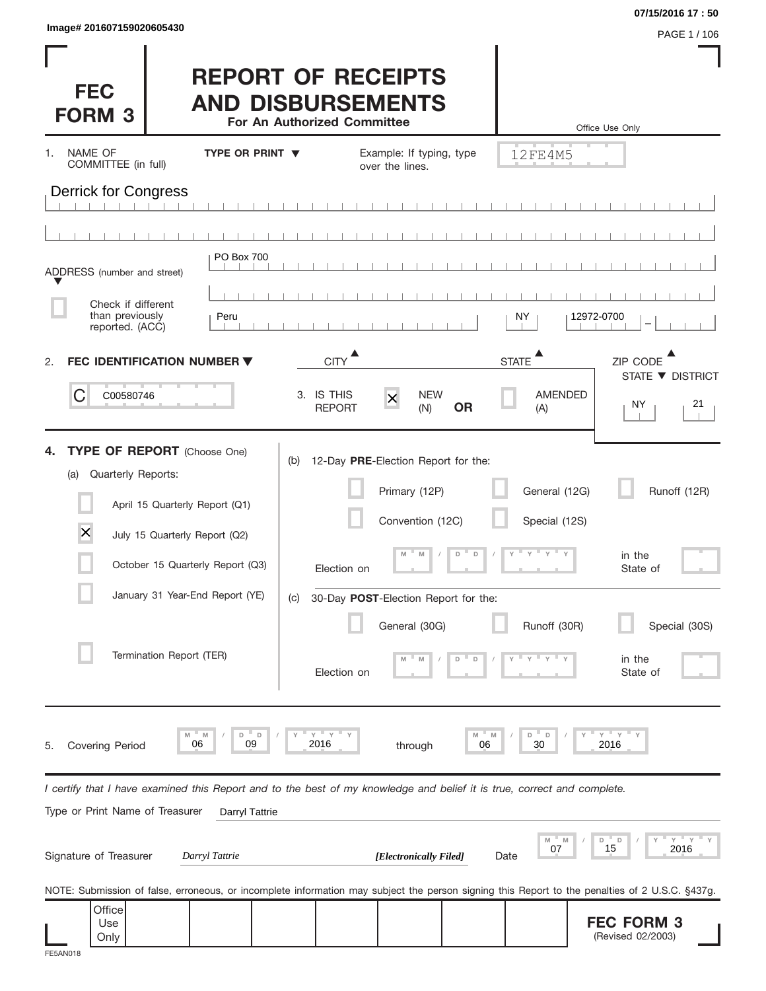|  | lmage# 201607159020605430 |  |  |
|--|---------------------------|--|--|
|--|---------------------------|--|--|

(Revised 02/2003)

| Image# 201607159020605430                                                               |                                                                                                                                                                              |                                                                                      |                                                                                                                                           |                                              | 07/15/2016 17:50<br>PAGE 1 / 106                                                                                                                                    |
|-----------------------------------------------------------------------------------------|------------------------------------------------------------------------------------------------------------------------------------------------------------------------------|--------------------------------------------------------------------------------------|-------------------------------------------------------------------------------------------------------------------------------------------|----------------------------------------------|---------------------------------------------------------------------------------------------------------------------------------------------------------------------|
| <b>FEC</b><br><b>FORM 3</b>                                                             |                                                                                                                                                                              | <b>REPORT OF RECEIPTS</b><br><b>AND DISBURSEMENTS</b><br>For An Authorized Committee |                                                                                                                                           |                                              | Office Use Only                                                                                                                                                     |
| NAME OF<br>1.<br>COMMITTEE (in full)                                                    | <b>TYPE OR PRINT ▼</b>                                                                                                                                                       |                                                                                      | Example: If typing, type<br>over the lines.                                                                                               | 12FE4M5                                      |                                                                                                                                                                     |
| <b>Derrick for Congress</b>                                                             |                                                                                                                                                                              |                                                                                      |                                                                                                                                           |                                              |                                                                                                                                                                     |
|                                                                                         |                                                                                                                                                                              |                                                                                      |                                                                                                                                           |                                              |                                                                                                                                                                     |
| ADDRESS (number and street)<br>Check if different<br>than previously<br>reported. (ACC) | PO Box 700<br>Peru                                                                                                                                                           |                                                                                      |                                                                                                                                           | ΝY                                           | 12972-0700                                                                                                                                                          |
| 2.                                                                                      | <b>FEC IDENTIFICATION NUMBER ▼</b>                                                                                                                                           | <b>CITY</b>                                                                          |                                                                                                                                           | <b>STATE</b>                                 | ZIP CODE                                                                                                                                                            |
| C<br>C00580746                                                                          |                                                                                                                                                                              | 3. IS THIS<br><b>REPORT</b>                                                          | <b>NEW</b><br>$\times$<br><b>OR</b><br>(N)                                                                                                | <b>AMENDED</b><br>(A)                        | STATE ▼ DISTRICT<br>ΝY<br>21                                                                                                                                        |
| 4.<br>Quarterly Reports:<br>(a)<br>X                                                    | <b>TYPE OF REPORT</b> (Choose One)<br>April 15 Quarterly Report (Q1)<br>July 15 Quarterly Report (Q2)<br>October 15 Quarterly Report (Q3)<br>January 31 Year-End Report (YE) | (b)<br>Election on<br>(C)                                                            | 12-Day PRE-Election Report for the:<br>Primary (12P)<br>Convention (12C)<br>$\Box$<br>D<br>M<br>M<br>30-Day POST-Election Report for the: | General (12G)<br>Special (12S)<br>Y<br>$-$ Y | Runoff (12R)<br>in the<br>State of                                                                                                                                  |
|                                                                                         | Termination Report (TER)                                                                                                                                                     | Election on                                                                          | General (30G)                                                                                                                             | Runoff (30R)                                 | Special (30S)<br>in the<br>State of                                                                                                                                 |
| <b>Covering Period</b><br>5.                                                            | D<br>$\mathsf D$<br>M<br>M<br>06<br>09                                                                                                                                       | $Y$ $Y$<br>2016                                                                      | through                                                                                                                                   | - D<br>M<br>D<br>06<br>30                    | $-$ Y<br>Y<br>2016                                                                                                                                                  |
|                                                                                         | I certify that I have examined this Report and to the best of my knowledge and belief it is true, correct and complete.                                                      |                                                                                      |                                                                                                                                           |                                              |                                                                                                                                                                     |
| Type or Print Name of Treasurer<br>Signature of Treasurer                               | Darryl Tattrie<br>Darryl Tattrie                                                                                                                                             |                                                                                      | [Electronically Filed]                                                                                                                    | M<br>$- M$<br>07<br>Date                     | $Y'$ Y<br>D<br>D<br>15<br>2016                                                                                                                                      |
| Office<br>Use                                                                           |                                                                                                                                                                              |                                                                                      |                                                                                                                                           |                                              | NOTE: Submission of false, erroneous, or incomplete information may subject the person signing this Report to the penalties of 2 U.S.C. §437g.<br><b>FEC FORM 3</b> |

Only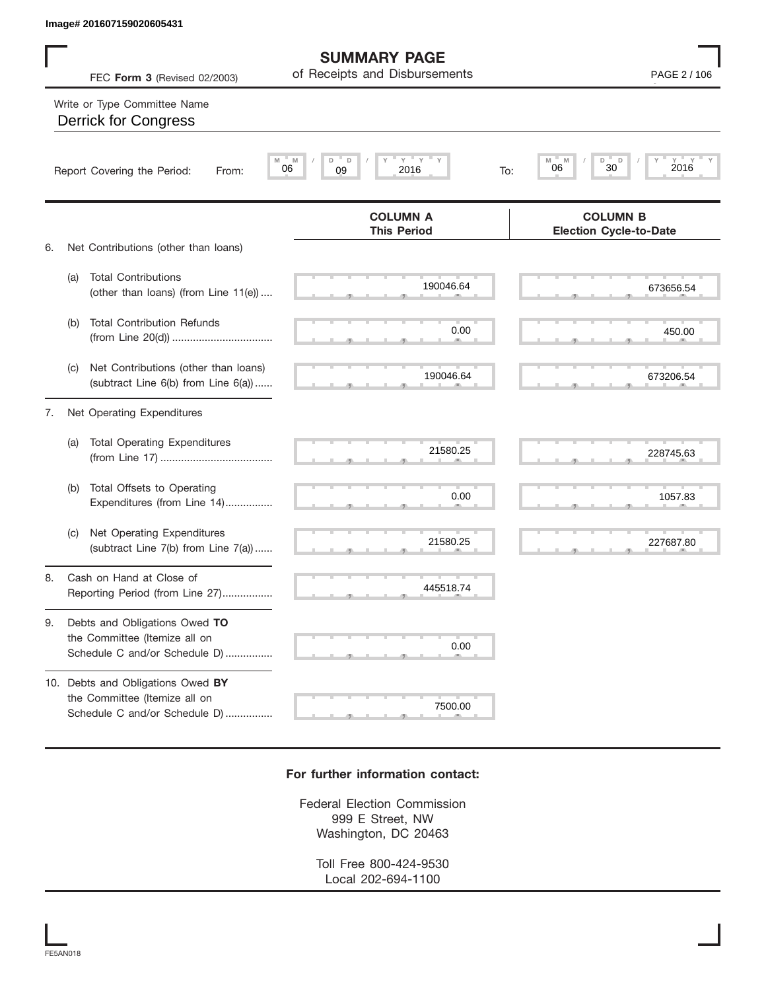|    |     | Image# 201607159020605431                                                                           |                                                            |                                                     |
|----|-----|-----------------------------------------------------------------------------------------------------|------------------------------------------------------------|-----------------------------------------------------|
|    |     | FEC Form 3 (Revised 02/2003)                                                                        | <b>SUMMARY PAGE</b><br>of Receipts and Disbursements       | PAGE 2 / 106                                        |
|    |     | Write or Type Committee Name<br><b>Derrick for Congress</b>                                         |                                                            |                                                     |
|    |     | M<br>Report Covering the Period:<br>From:                                                           | $Y$ $Y$ $Y$<br>M<br>D<br>D<br>Y<br>06<br>09<br>2016<br>To: | $Y = Y + Y$<br>D<br>D<br>M<br>M<br>30<br>2016<br>06 |
| 6. |     | Net Contributions (other than loans)                                                                | <b>COLUMN A</b><br><b>This Period</b>                      | <b>COLUMN B</b><br><b>Election Cycle-to-Date</b>    |
|    | (a) | <b>Total Contributions</b><br>(other than loans) (from Line 11(e))                                  | 190046.64                                                  | 673656.54                                           |
|    | (b) | <b>Total Contribution Refunds</b>                                                                   | 0.00                                                       | 450.00                                              |
|    | (C) | Net Contributions (other than loans)<br>(subtract Line 6(b) from Line 6(a))                         | 190046.64                                                  | 673206.54                                           |
| 7. |     | Net Operating Expenditures                                                                          |                                                            |                                                     |
|    | (a) | <b>Total Operating Expenditures</b>                                                                 | 21580.25                                                   | 228745.63                                           |
|    | (b) | Total Offsets to Operating<br>Expenditures (from Line 14)                                           | 0.00                                                       | 1057.83                                             |
|    | (C) | Net Operating Expenditures<br>(subtract Line 7(b) from Line 7(a))                                   | 21580.25                                                   | 227687.80                                           |
| 8  |     | Cash on Hand at Close of<br>Reporting Period (from Line 27)                                         | 445518.74                                                  |                                                     |
| 9. |     | Debts and Obligations Owed TO<br>the Committee (Itemize all on<br>Schedule C and/or Schedule D)     | 0.00                                                       |                                                     |
|    |     | 10. Debts and Obligations Owed BY<br>the Committee (Itemize all on<br>Schedule C and/or Schedule D) | 7500.00                                                    |                                                     |

## **For further information contact:**

Federal Election Commission 999 E Street, NW Washington, DC 20463

> Toll Free 800-424-9530 Local 202-694-1100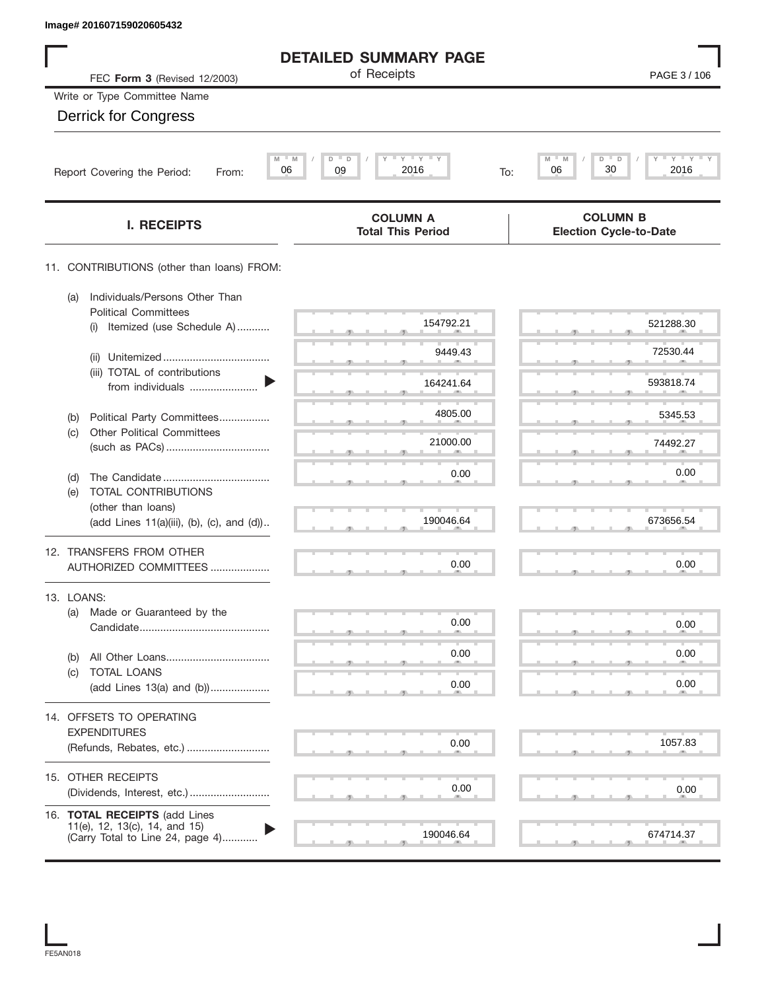| Image# 201607159020605432                                            |                                                            |                                                  |
|----------------------------------------------------------------------|------------------------------------------------------------|--------------------------------------------------|
|                                                                      | <b>DETAILED SUMMARY PAGE</b>                               |                                                  |
| FEC Form 3 (Revised 12/2003)                                         | of Receipts                                                | PAGE 3/106                                       |
| Write or Type Committee Name                                         |                                                            |                                                  |
| <b>Derrick for Congress</b>                                          |                                                            |                                                  |
|                                                                      |                                                            |                                                  |
| Report Covering the Period:<br>From:                                 | $Y$ $Y$ $Y$<br>M<br>M<br>D<br>D<br>06<br>09<br>2016<br>To: | $Y$ $Y$ $Y$ $Y$<br>M<br>D<br>30<br>06<br>2016    |
| <b>I. RECEIPTS</b>                                                   | <b>COLUMN A</b><br><b>Total This Period</b>                | <b>COLUMN B</b><br><b>Election Cycle-to-Date</b> |
| 11. CONTRIBUTIONS (other than loans) FROM:                           |                                                            |                                                  |
| Individuals/Persons Other Than<br>(a)<br><b>Political Committees</b> |                                                            |                                                  |
| Itemized (use Schedule A)<br>(i)                                     | 154792.21                                                  | 521288.30                                        |
| (ii)                                                                 | 9449.43                                                    | 72530.44                                         |
| (iii) TOTAL of contributions<br>from individuals                     | 164241.64                                                  | 593818.74                                        |
| Political Party Committees<br>(b)                                    | 4805.00                                                    | 5345.53                                          |
| <b>Other Political Committees</b><br>(c)                             | 21000.00                                                   | 74492.27                                         |
|                                                                      |                                                            |                                                  |
| (d)<br>TOTAL CONTRIBUTIONS                                           | 0.00                                                       | 0.00                                             |
| (e)<br>(other than loans)                                            |                                                            |                                                  |
| (add Lines 11(a)(iii), (b), (c), and (d))                            | 190046.64                                                  | 673656.54                                        |
| 12. TRANSFERS FROM OTHER                                             |                                                            |                                                  |
| AUTHORIZED COMMITTEES                                                | 0.00                                                       | 0.00                                             |
| 13. LOANS:                                                           |                                                            |                                                  |
| Made or Guaranteed by the<br>(a)                                     | 0.00                                                       | 0.00                                             |
|                                                                      |                                                            |                                                  |
| (b)                                                                  | 0.00                                                       | 0.00                                             |
| <b>TOTAL LOANS</b><br>(c)<br>(add Lines 13(a) and (b))               | 0.00                                                       | 0.00                                             |
|                                                                      |                                                            |                                                  |
| 14. OFFSETS TO OPERATING<br><b>EXPENDITURES</b>                      |                                                            |                                                  |
| (Refunds, Rebates, etc.)                                             | 0.00                                                       | 1057.83                                          |
| 15. OTHER RECEIPTS                                                   |                                                            |                                                  |
|                                                                      | 0.00                                                       | 0.00                                             |
| 16. TOTAL RECEIPTS (add Lines                                        |                                                            |                                                  |
| 11(e), 12, 13(c), 14, and 15)<br>(Carry Total to Line 24, page 4)    | 190046.64                                                  | 674714.37                                        |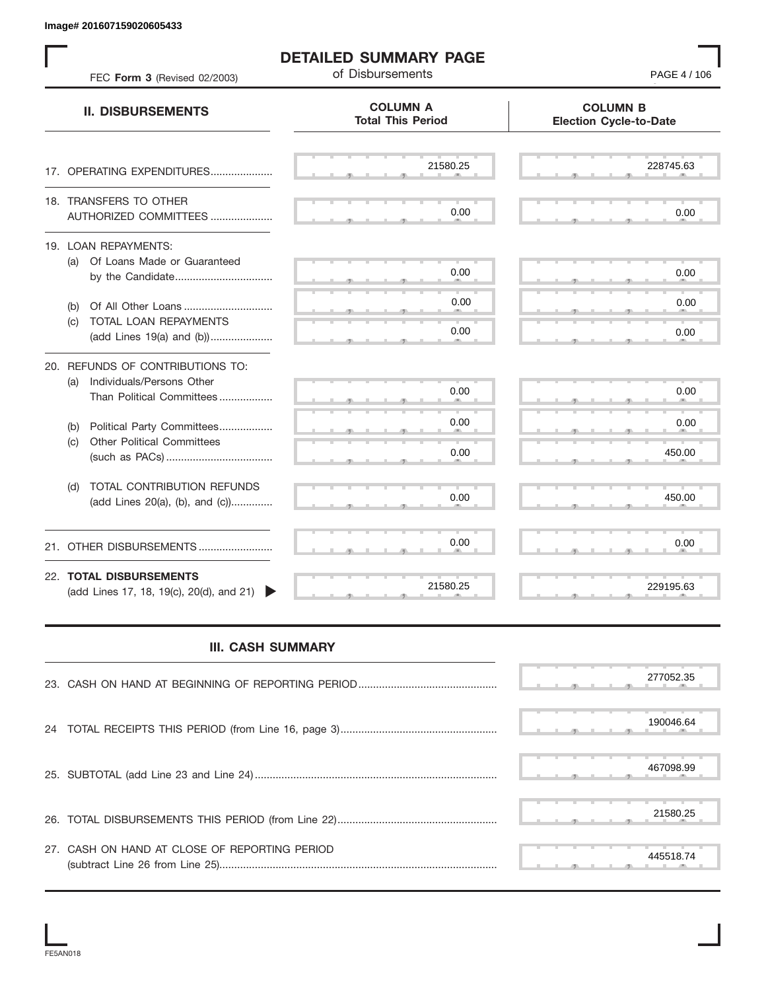| FEC Form 3 (Revised 02/2003)                                                  | <b>DETAILED SUMMARY PAGE</b><br>of Disbursements | PAGE 4 / 106                                     |
|-------------------------------------------------------------------------------|--------------------------------------------------|--------------------------------------------------|
| <b>II. DISBURSEMENTS</b>                                                      | <b>COLUMN A</b><br><b>Total This Period</b>      | <b>COLUMN B</b><br><b>Election Cycle-to-Date</b> |
| 17. OPERATING EXPENDITURES                                                    | 21580.25                                         | 228745.63                                        |
| 18. TRANSFERS TO OTHER<br>AUTHORIZED COMMITTEES                               | 0.00                                             | 0.00                                             |
| 19. LOAN REPAYMENTS:<br>(a) Of Loans Made or Guaranteed<br>by the Candidate   | 0.00                                             | 0.00                                             |
| Of All Other Loans<br>(b)                                                     | 0.00                                             | 0.00                                             |
| TOTAL LOAN REPAYMENTS<br>(c)<br>(add Lines 19(a) and (b))                     | 0.00                                             | 0.00                                             |
| 20. REFUNDS OF CONTRIBUTIONS TO:<br>Individuals/Persons Other<br>(a)          | 0.00                                             | 0.00                                             |
| Than Political Committees                                                     |                                                  |                                                  |
| Political Party Committees<br>(b)<br><b>Other Political Committees</b><br>(c) | 0.00<br>0.00                                     | 0.00<br>450.00                                   |
| TOTAL CONTRIBUTION REFUNDS<br>(d)<br>(add Lines 20(a), (b), and (c))          | 0.00                                             | 450.00                                           |
| 21. OTHER DISBURSEMENTS                                                       | 0.00                                             | 0.00                                             |
| 22. TOTAL DISBURSEMENTS<br>(add Lines 17, 18, 19(c), 20(d), and 21)           | 21580.25                                         | 229195.63                                        |
|                                                                               | <b>III. CASH SUMMARY</b>                         |                                                  |
|                                                                               |                                                  | 277052.35                                        |
| 24                                                                            |                                                  | 190046.64                                        |
|                                                                               |                                                  | 467098.99                                        |
|                                                                               |                                                  | 21580.25                                         |
| 27. CASH ON HAND AT CLOSE OF REPORTING PERIOD                                 |                                                  | 445518.74                                        |

## **III. CASH SUMMARY**

|                                               | 277052.35 |
|-----------------------------------------------|-----------|
|                                               | 190046.64 |
|                                               | 467098.99 |
|                                               | 21580.25  |
| 27. CASH ON HAND AT CLOSE OF REPORTING PERIOD | 445518.74 |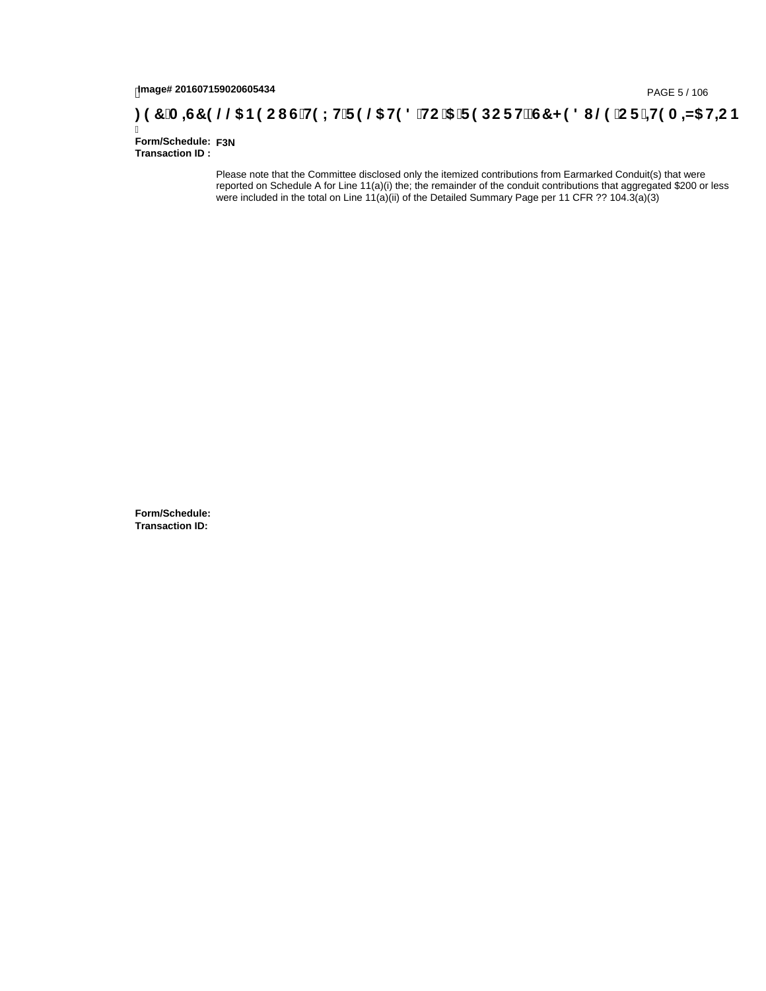## 1mage# 201607159020605434<br>**: 97 A =G7 9 @@ B9CI G`H9LH`F9 @ H98 `HC`5 `F9DCFHžG7 < 981 @ `CF`=H9A =N5 H=CB**<br>Form/Schedule: <sub>F3N</sub>

Ī **Form/Schedule: Transaction ID :** 

> Please note that the Committee disclosed only the itemized contributions from Earmarked Conduit(s) that were reported on Schedule A for Line 11(a)(i) the; the remainder of the conduit contributions that aggregated \$200 or less were included in the total on Line 11(a)(ii) of the Detailed Summary Page per 11 CFR ?? 104.3(a)(3)

**Form/Schedule: Transaction ID:**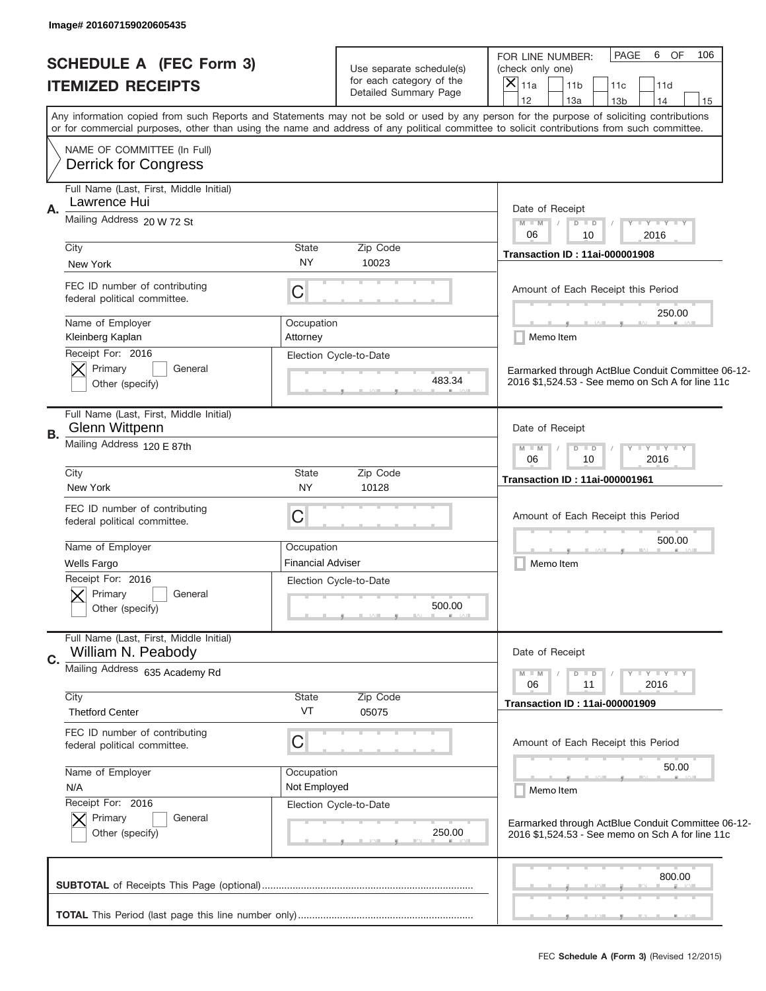| Image# 201607159020605435                                           |                                                                                                                                                                                                                                                                                         |                                                                                                                                                             |  |  |
|---------------------------------------------------------------------|-----------------------------------------------------------------------------------------------------------------------------------------------------------------------------------------------------------------------------------------------------------------------------------------|-------------------------------------------------------------------------------------------------------------------------------------------------------------|--|--|
| <b>SCHEDULE A (FEC Form 3)</b><br><b>ITEMIZED RECEIPTS</b>          | Use separate schedule(s)<br>for each category of the<br>Detailed Summary Page                                                                                                                                                                                                           | PAGE<br>6 OF<br>106<br>FOR LINE NUMBER:<br>(check only one)<br>$\times$<br>11a<br>11 <sub>b</sub><br>11c<br>11d<br>12<br>13a<br>13 <sub>b</sub><br>14<br>15 |  |  |
|                                                                     | Any information copied from such Reports and Statements may not be sold or used by any person for the purpose of soliciting contributions<br>or for commercial purposes, other than using the name and address of any political committee to solicit contributions from such committee. |                                                                                                                                                             |  |  |
| NAME OF COMMITTEE (In Full)<br><b>Derrick for Congress</b>          |                                                                                                                                                                                                                                                                                         |                                                                                                                                                             |  |  |
| Full Name (Last, First, Middle Initial)<br>Lawrence Hui<br>Α.       |                                                                                                                                                                                                                                                                                         | Date of Receipt                                                                                                                                             |  |  |
| Mailing Address 20 W 72 St                                          |                                                                                                                                                                                                                                                                                         | $M - M$<br>Y TY TY TY<br>$D$ $D$<br>$\sqrt{2}$<br>06<br>2016<br>10                                                                                          |  |  |
| City<br>New York                                                    | State<br>Zip Code<br><b>NY</b><br>10023                                                                                                                                                                                                                                                 | <b>Transaction ID: 11ai-000001908</b>                                                                                                                       |  |  |
| FEC ID number of contributing<br>federal political committee.       | $\mathsf C$                                                                                                                                                                                                                                                                             | Amount of Each Receipt this Period<br>250.00                                                                                                                |  |  |
| Name of Employer<br>Kleinberg Kaplan<br>Receipt For: 2016           | Occupation<br>Attorney<br>Election Cycle-to-Date                                                                                                                                                                                                                                        | Memo Item                                                                                                                                                   |  |  |
| Primary<br>General<br>Other (specify)                               | 483.34                                                                                                                                                                                                                                                                                  | Earmarked through ActBlue Conduit Committee 06-12-<br>2016 \$1,524.53 - See memo on Sch A for line 11c                                                      |  |  |
| Full Name (Last, First, Middle Initial)<br>Glenn Wittpenn<br>В.     |                                                                                                                                                                                                                                                                                         | Date of Receipt                                                                                                                                             |  |  |
| Mailing Address 120 E 87th                                          |                                                                                                                                                                                                                                                                                         |                                                                                                                                                             |  |  |
| City<br>New York                                                    | State<br>Zip Code<br><b>NY</b><br>10128                                                                                                                                                                                                                                                 | <b>Transaction ID: 11ai-000001961</b>                                                                                                                       |  |  |
| FEC ID number of contributing<br>federal political committee.       | C                                                                                                                                                                                                                                                                                       | Amount of Each Receipt this Period                                                                                                                          |  |  |
| Name of Employer<br><b>Wells Fargo</b>                              | Occupation<br><b>Financial Adviser</b>                                                                                                                                                                                                                                                  | 500.00<br>Memo Item                                                                                                                                         |  |  |
| Receipt For: 2016<br>Primary<br>General<br>Other (specify)          | Election Cycle-to-Date<br>500.00                                                                                                                                                                                                                                                        |                                                                                                                                                             |  |  |
| Full Name (Last, First, Middle Initial)<br>William N. Peabody<br>C. |                                                                                                                                                                                                                                                                                         | Date of Receipt                                                                                                                                             |  |  |
| Mailing Address 635 Academy Rd                                      |                                                                                                                                                                                                                                                                                         | Y FY FY FY<br>$M - M$<br>$D$ $D$<br>06<br>2016<br>11                                                                                                        |  |  |
| City<br><b>Thetford Center</b>                                      | Zip Code<br>State<br>VT<br>05075                                                                                                                                                                                                                                                        | <b>Transaction ID: 11ai-000001909</b>                                                                                                                       |  |  |
| FEC ID number of contributing<br>federal political committee.       | C                                                                                                                                                                                                                                                                                       | Amount of Each Receipt this Period                                                                                                                          |  |  |
| Name of Employer<br>N/A<br>Receipt For: 2016                        | Occupation<br>Not Employed<br>Election Cycle-to-Date                                                                                                                                                                                                                                    | 50.00<br>Memo Item                                                                                                                                          |  |  |
| Primary<br>General<br>Other (specify)                               | 250.00                                                                                                                                                                                                                                                                                  | Earmarked through ActBlue Conduit Committee 06-12-<br>2016 \$1,524.53 - See memo on Sch A for line 11c                                                      |  |  |
|                                                                     |                                                                                                                                                                                                                                                                                         | 800.00                                                                                                                                                      |  |  |
|                                                                     |                                                                                                                                                                                                                                                                                         | , , ,                                                                                                                                                       |  |  |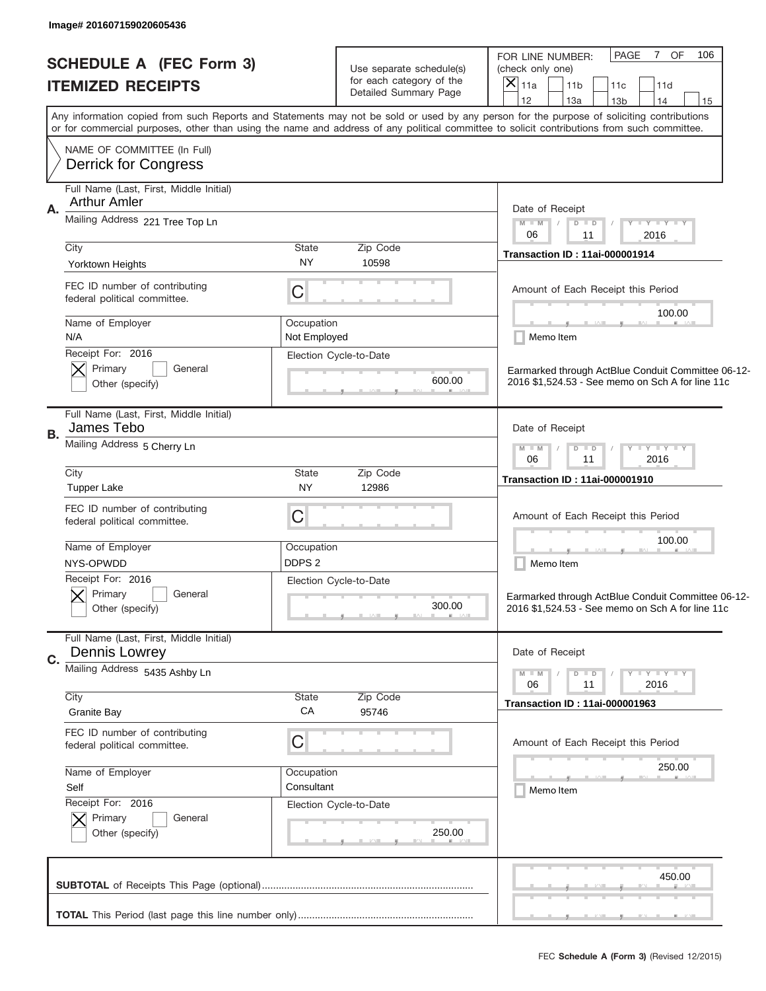| Image# 201607159020605436                                                                                                                                                                                                                                                               |                                                                               |                                                                                                                                                      |
|-----------------------------------------------------------------------------------------------------------------------------------------------------------------------------------------------------------------------------------------------------------------------------------------|-------------------------------------------------------------------------------|------------------------------------------------------------------------------------------------------------------------------------------------------|
| <b>SCHEDULE A (FEC Form 3)</b><br><b>ITEMIZED RECEIPTS</b>                                                                                                                                                                                                                              | Use separate schedule(s)<br>for each category of the<br>Detailed Summary Page | PAGE<br>7 OF<br>106<br>FOR LINE NUMBER:<br>(check only one)<br>×<br>11a<br>11 <sub>b</sub><br>11c<br>11d<br>12<br>13a<br>14<br>13 <sub>b</sub><br>15 |
| Any information copied from such Reports and Statements may not be sold or used by any person for the purpose of soliciting contributions<br>or for commercial purposes, other than using the name and address of any political committee to solicit contributions from such committee. |                                                                               |                                                                                                                                                      |
| NAME OF COMMITTEE (In Full)<br><b>Derrick for Congress</b>                                                                                                                                                                                                                              |                                                                               |                                                                                                                                                      |
| Full Name (Last, First, Middle Initial)<br><b>Arthur Amler</b><br>Α.                                                                                                                                                                                                                    |                                                                               | Date of Receipt                                                                                                                                      |
| Mailing Address 221 Tree Top Ln                                                                                                                                                                                                                                                         |                                                                               | $M$ M<br>$Y - Y - Y - Y$<br>$D$ $D$<br>06<br>11<br>2016                                                                                              |
| City<br>Yorktown Heights                                                                                                                                                                                                                                                                | State<br>Zip Code<br><b>NY</b><br>10598                                       | <b>Transaction ID: 11ai-000001914</b>                                                                                                                |
| FEC ID number of contributing<br>federal political committee.                                                                                                                                                                                                                           | C                                                                             | Amount of Each Receipt this Period<br>100.00                                                                                                         |
| Name of Employer<br>N/A<br>Receipt For: 2016                                                                                                                                                                                                                                            | Occupation<br>Not Employed<br>Election Cycle-to-Date                          | Memo Item                                                                                                                                            |
| Primary<br>General<br>Other (specify)                                                                                                                                                                                                                                                   | 600.00                                                                        | Earmarked through ActBlue Conduit Committee 06-12-<br>2016 \$1.524.53 - See memo on Sch A for line 11c                                               |
| Full Name (Last, First, Middle Initial)<br>James Tebo<br>В.                                                                                                                                                                                                                             |                                                                               | Date of Receipt                                                                                                                                      |
| Mailing Address 5 Cherry Ln                                                                                                                                                                                                                                                             | $M \perp M$<br>$D$ $D$<br>$Y - Y - Y - Y - Y$<br>2016<br>06<br>11             |                                                                                                                                                      |
| City<br><b>Tupper Lake</b>                                                                                                                                                                                                                                                              | State<br>Zip Code<br><b>NY</b><br>12986                                       | <b>Transaction ID: 11ai-000001910</b>                                                                                                                |
| FEC ID number of contributing<br>federal political committee.                                                                                                                                                                                                                           | C                                                                             | Amount of Each Receipt this Period                                                                                                                   |
| Name of Employer<br>NYS-OPWDD                                                                                                                                                                                                                                                           | Occupation<br>DDPS <sub>2</sub>                                               | 100.00<br>Memo Item                                                                                                                                  |
| Receipt For: 2016<br>Primary<br>General<br>Other (specify)                                                                                                                                                                                                                              | Election Cycle-to-Date<br>300.00                                              | Earmarked through ActBlue Conduit Committee 06-12-<br>2016 \$1,524.53 - See memo on Sch A for line 11c                                               |
| Full Name (Last, First, Middle Initial)<br>Dennis Lowrey<br>C.                                                                                                                                                                                                                          |                                                                               | Date of Receipt                                                                                                                                      |
| Mailing Address 5435 Ashby Ln                                                                                                                                                                                                                                                           |                                                                               | $M - M$<br>Y FY FY FY<br>$D$ $D$<br>2016<br>06<br>11                                                                                                 |
| City<br><b>Granite Bay</b>                                                                                                                                                                                                                                                              | State<br>Zip Code<br>CA<br>95746                                              | <b>Transaction ID: 11ai-000001963</b>                                                                                                                |
| FEC ID number of contributing<br>federal political committee.                                                                                                                                                                                                                           | C                                                                             | Amount of Each Receipt this Period                                                                                                                   |
| Name of Employer<br>Self<br>Receipt For: 2016                                                                                                                                                                                                                                           | Occupation<br>Consultant<br>Election Cycle-to-Date                            | 250.00<br>Memo Item                                                                                                                                  |
| Primary<br>General<br>Other (specify)                                                                                                                                                                                                                                                   | 250.00                                                                        |                                                                                                                                                      |
|                                                                                                                                                                                                                                                                                         |                                                                               | 450.00                                                                                                                                               |
|                                                                                                                                                                                                                                                                                         |                                                                               |                                                                                                                                                      |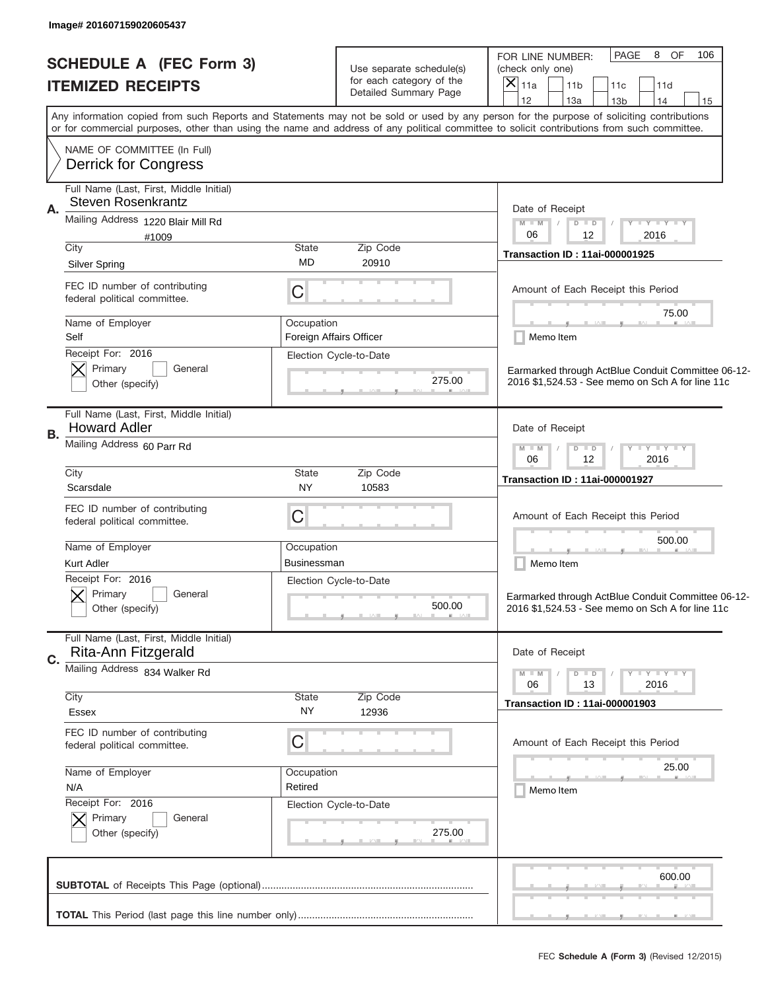| Image# 201607159020605437                                                                                                                                                                                                                                                               |                                                                               |                                                                                                                                                                        |
|-----------------------------------------------------------------------------------------------------------------------------------------------------------------------------------------------------------------------------------------------------------------------------------------|-------------------------------------------------------------------------------|------------------------------------------------------------------------------------------------------------------------------------------------------------------------|
| <b>SCHEDULE A (FEC Form 3)</b><br><b>ITEMIZED RECEIPTS</b>                                                                                                                                                                                                                              | Use separate schedule(s)<br>for each category of the<br>Detailed Summary Page | PAGE<br>8 OF<br>106<br>FOR LINE NUMBER:<br>(check only one)<br>$ \bar{\mathsf{X}} _{11a}$<br>11 <sub>b</sub><br>11c<br>11d<br>12<br>13a<br>14<br>13 <sub>b</sub><br>15 |
| Any information copied from such Reports and Statements may not be sold or used by any person for the purpose of soliciting contributions<br>or for commercial purposes, other than using the name and address of any political committee to solicit contributions from such committee. |                                                                               |                                                                                                                                                                        |
| NAME OF COMMITTEE (In Full)<br>Derrick for Congress                                                                                                                                                                                                                                     |                                                                               |                                                                                                                                                                        |
| Full Name (Last, First, Middle Initial)<br><b>Steven Rosenkrantz</b>                                                                                                                                                                                                                    |                                                                               |                                                                                                                                                                        |
| А.<br>Mailing Address 1220 Blair Mill Rd<br>#1009                                                                                                                                                                                                                                       |                                                                               | Date of Receipt<br>$M$ M<br>$Y - Y - Y - Y$<br>$D$ $D$<br>06<br>12<br>2016                                                                                             |
| City                                                                                                                                                                                                                                                                                    | State<br>Zip Code<br><b>MD</b>                                                | <b>Transaction ID: 11ai-000001925</b>                                                                                                                                  |
| <b>Silver Spring</b><br>FEC ID number of contributing<br>federal political committee.                                                                                                                                                                                                   | 20910<br>$\mathsf C$                                                          | Amount of Each Receipt this Period                                                                                                                                     |
| Name of Employer<br>Self<br>Receipt For: 2016                                                                                                                                                                                                                                           | Occupation<br>Foreign Affairs Officer                                         | 75.00<br>Memo Item                                                                                                                                                     |
| Primary<br>General<br>Other (specify)                                                                                                                                                                                                                                                   | Election Cycle-to-Date<br>275.00                                              | Earmarked through ActBlue Conduit Committee 06-12-<br>2016 \$1,524.53 - See memo on Sch A for line 11c                                                                 |
| Full Name (Last, First, Middle Initial)<br><b>Howard Adler</b><br>В.                                                                                                                                                                                                                    |                                                                               | Date of Receipt                                                                                                                                                        |
| Mailing Address 60 Parr Rd                                                                                                                                                                                                                                                              | $Y - Y - Y - Y - Y$<br>$M - M$<br>$D$ $D$<br>06<br>12<br>2016                 |                                                                                                                                                                        |
| City<br>Scarsdale                                                                                                                                                                                                                                                                       | State<br>Zip Code<br><b>NY</b><br>10583                                       | <b>Transaction ID: 11ai-000001927</b>                                                                                                                                  |
| FEC ID number of contributing<br>federal political committee.                                                                                                                                                                                                                           | C                                                                             | Amount of Each Receipt this Period                                                                                                                                     |
| Name of Employer<br>Kurt Adler                                                                                                                                                                                                                                                          | Occupation<br>Businessman                                                     | 500.00<br>Memo Item                                                                                                                                                    |
| Receipt For: 2016<br>Primary<br>General<br>Other (specify)                                                                                                                                                                                                                              | Election Cycle-to-Date<br>500.00                                              | Earmarked through ActBlue Conduit Committee 06-12-<br>2016 \$1,524.53 - See memo on Sch A for line 11c                                                                 |
| Full Name (Last, First, Middle Initial)<br>Rita-Ann Fitzgerald<br>C.                                                                                                                                                                                                                    |                                                                               | Date of Receipt                                                                                                                                                        |
| Mailing Address 834 Walker Rd                                                                                                                                                                                                                                                           |                                                                               | $M - M$<br>Y FY FY FY<br>$D$ $D$<br>06<br>13<br>2016                                                                                                                   |
| City<br><b>Essex</b>                                                                                                                                                                                                                                                                    | Zip Code<br>State<br>NY.<br>12936                                             | <b>Transaction ID: 11ai-000001903</b>                                                                                                                                  |
| FEC ID number of contributing<br>federal political committee.                                                                                                                                                                                                                           | C                                                                             | Amount of Each Receipt this Period                                                                                                                                     |
| Name of Employer                                                                                                                                                                                                                                                                        | Occupation                                                                    | 25.00                                                                                                                                                                  |
| N/A<br>Receipt For: 2016<br>Primary<br>General<br>$\times$<br>Other (specify)                                                                                                                                                                                                           | Retired<br>Election Cycle-to-Date<br>275.00                                   | Memo Item                                                                                                                                                              |
|                                                                                                                                                                                                                                                                                         |                                                                               | 600.00                                                                                                                                                                 |
|                                                                                                                                                                                                                                                                                         |                                                                               |                                                                                                                                                                        |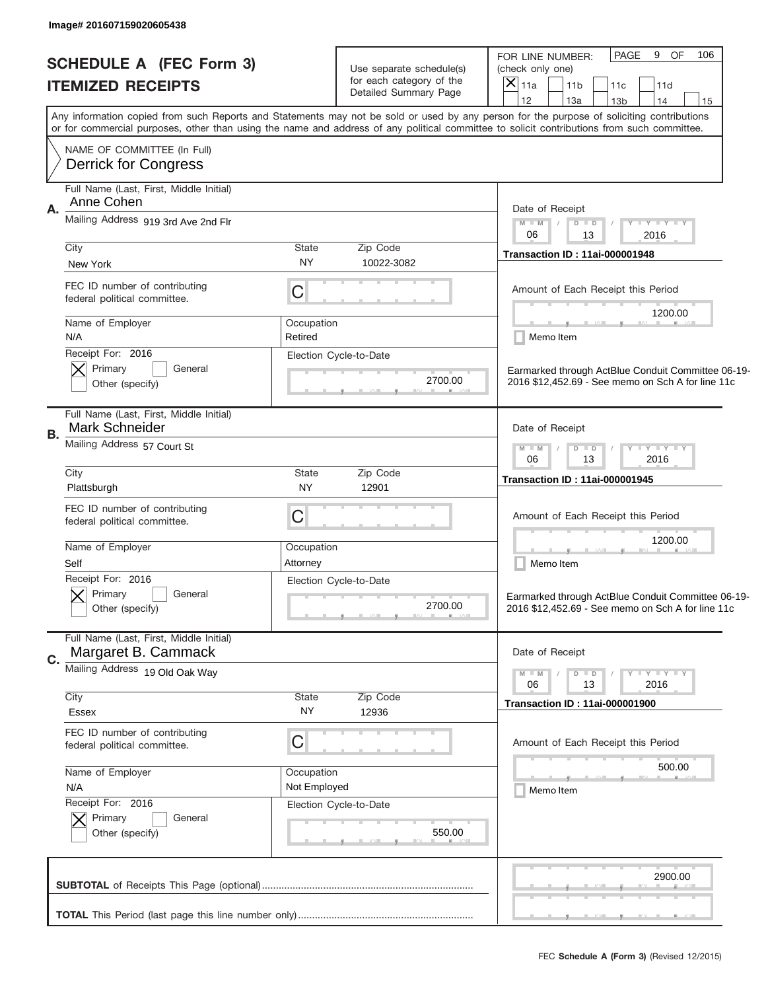| Image# 201607159020605438                                                                                                                                                                                                                                                               |                                                                               |                                                                                                                                                      |
|-----------------------------------------------------------------------------------------------------------------------------------------------------------------------------------------------------------------------------------------------------------------------------------------|-------------------------------------------------------------------------------|------------------------------------------------------------------------------------------------------------------------------------------------------|
| <b>SCHEDULE A (FEC Form 3)</b><br><b>ITEMIZED RECEIPTS</b>                                                                                                                                                                                                                              | Use separate schedule(s)<br>for each category of the<br>Detailed Summary Page | 9 OF<br>PAGE<br>106<br>FOR LINE NUMBER:<br>(check only one)<br>×<br>11a<br>11 <sub>b</sub><br>11c<br>11d<br>12<br>13a<br>14<br>13 <sub>b</sub><br>15 |
| Any information copied from such Reports and Statements may not be sold or used by any person for the purpose of soliciting contributions<br>or for commercial purposes, other than using the name and address of any political committee to solicit contributions from such committee. |                                                                               |                                                                                                                                                      |
| NAME OF COMMITTEE (In Full)<br><b>Derrick for Congress</b>                                                                                                                                                                                                                              |                                                                               |                                                                                                                                                      |
| Full Name (Last, First, Middle Initial)<br>Anne Cohen<br>Α.                                                                                                                                                                                                                             |                                                                               | Date of Receipt                                                                                                                                      |
| Mailing Address 919 3rd Ave 2nd Flr                                                                                                                                                                                                                                                     |                                                                               | $M$ M<br>$Y - Y - Y - Y$<br>$D$ $D$<br>06<br>13<br>2016                                                                                              |
| City<br>New York                                                                                                                                                                                                                                                                        | State<br>Zip Code<br><b>NY</b><br>10022-3082                                  | <b>Transaction ID: 11ai-000001948</b>                                                                                                                |
| FEC ID number of contributing<br>C<br>federal political committee.                                                                                                                                                                                                                      |                                                                               | Amount of Each Receipt this Period<br>1200.00                                                                                                        |
| Name of Employer<br>N/A<br>Receipt For: 2016                                                                                                                                                                                                                                            | Occupation<br>Retired                                                         | Memo Item                                                                                                                                            |
| Primary<br>General<br>Other (specify)                                                                                                                                                                                                                                                   | Election Cycle-to-Date<br>2700.00                                             | Earmarked through ActBlue Conduit Committee 06-19-<br>2016 \$12,452,69 - See memo on Sch A for line 11c                                              |
| Full Name (Last, First, Middle Initial)<br><b>Mark Schneider</b><br>В.                                                                                                                                                                                                                  |                                                                               | Date of Receipt                                                                                                                                      |
| Mailing Address 57 Court St                                                                                                                                                                                                                                                             | $M - M$<br>$Y - Y - Y - Y - Y$<br>$D$ $D$<br>2016<br>06<br>13                 |                                                                                                                                                      |
| City<br>Plattsburgh                                                                                                                                                                                                                                                                     | State<br>Zip Code<br><b>NY</b><br>12901                                       | <b>Transaction ID: 11ai-000001945</b>                                                                                                                |
| FEC ID number of contributing<br>C<br>federal political committee.                                                                                                                                                                                                                      |                                                                               | Amount of Each Receipt this Period                                                                                                                   |
| Name of Employer<br>Self                                                                                                                                                                                                                                                                | Occupation<br>Attorney                                                        | 1200.00<br>Memo Item                                                                                                                                 |
| Receipt For: 2016<br>Primary<br>General<br>Other (specify)                                                                                                                                                                                                                              | Election Cycle-to-Date<br>2700.00                                             | Earmarked through ActBlue Conduit Committee 06-19-<br>2016 \$12,452.69 - See memo on Sch A for line 11c                                              |
| Full Name (Last, First, Middle Initial)<br>Margaret B. Cammack<br>C.                                                                                                                                                                                                                    |                                                                               | Date of Receipt                                                                                                                                      |
| Mailing Address 19 Old Oak Way                                                                                                                                                                                                                                                          |                                                                               | Y FY FY FY<br>$M - M$<br>$D$ $D$<br>2016<br>06<br>13                                                                                                 |
| City<br>Essex                                                                                                                                                                                                                                                                           | State<br>Zip Code<br>ΝY<br>12936                                              | <b>Transaction ID: 11ai-000001900</b>                                                                                                                |
| FEC ID number of contributing<br>C<br>federal political committee.                                                                                                                                                                                                                      |                                                                               | Amount of Each Receipt this Period                                                                                                                   |
| Name of Employer<br>N/A<br>Receipt For: 2016                                                                                                                                                                                                                                            | Occupation<br>Not Employed                                                    | 500.00<br>Memo Item                                                                                                                                  |
| Primary<br>General<br>Other (specify)                                                                                                                                                                                                                                                   | Election Cycle-to-Date<br>550.00                                              |                                                                                                                                                      |
|                                                                                                                                                                                                                                                                                         |                                                                               | 2900.00                                                                                                                                              |
|                                                                                                                                                                                                                                                                                         |                                                                               |                                                                                                                                                      |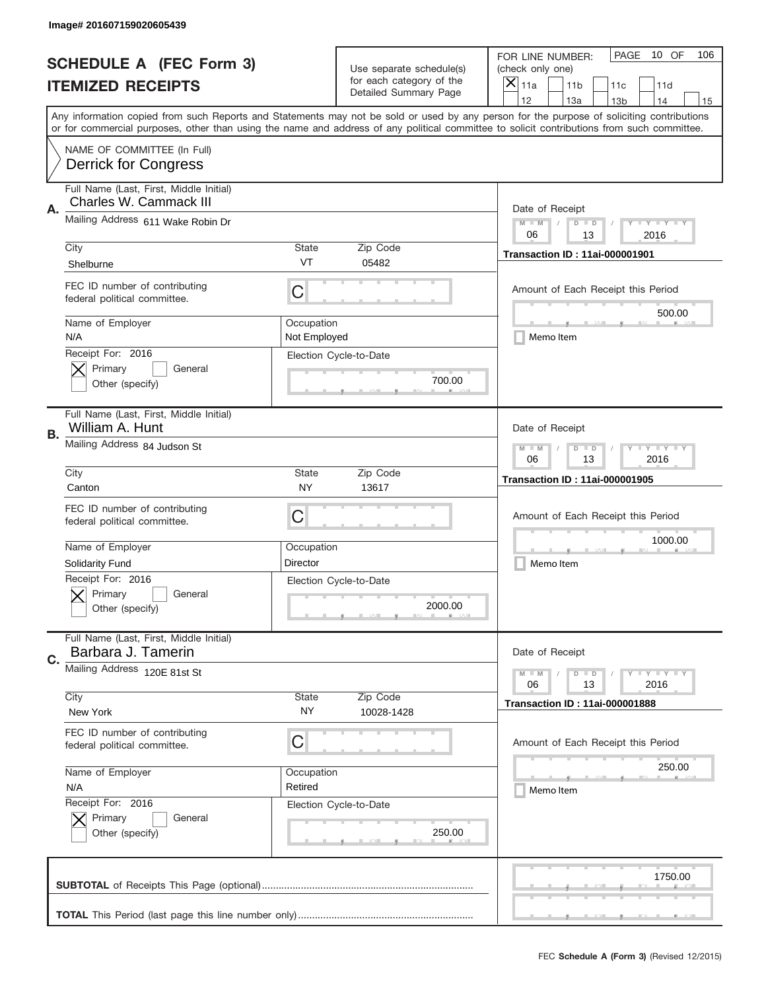|    | Image# 201607159020605439                                         |                            |                                                   |                                                                                                                                                                                                                                                                                                                                     |  |
|----|-------------------------------------------------------------------|----------------------------|---------------------------------------------------|-------------------------------------------------------------------------------------------------------------------------------------------------------------------------------------------------------------------------------------------------------------------------------------------------------------------------------------|--|
|    | <b>SCHEDULE A (FEC Form 3)</b>                                    |                            | Use separate schedule(s)                          | PAGE<br>10 OF<br>106<br>FOR LINE NUMBER:<br>(check only one)                                                                                                                                                                                                                                                                        |  |
|    | <b>ITEMIZED RECEIPTS</b>                                          |                            | for each category of the<br>Detailed Summary Page | $\boldsymbol{\times}$<br>11a<br>11 <sub>b</sub><br>11c<br>11d                                                                                                                                                                                                                                                                       |  |
|    |                                                                   |                            |                                                   | 12<br>13a<br>14<br>13 <sub>b</sub><br>15<br>Any information copied from such Reports and Statements may not be sold or used by any person for the purpose of soliciting contributions<br>or for commercial purposes, other than using the name and address of any political committee to solicit contributions from such committee. |  |
|    | NAME OF COMMITTEE (In Full)                                       |                            |                                                   |                                                                                                                                                                                                                                                                                                                                     |  |
|    | <b>Derrick for Congress</b>                                       |                            |                                                   |                                                                                                                                                                                                                                                                                                                                     |  |
| Α. | Full Name (Last, First, Middle Initial)<br>Charles W. Cammack III |                            |                                                   | Date of Receipt                                                                                                                                                                                                                                                                                                                     |  |
|    | Mailing Address 611 Wake Robin Dr                                 |                            |                                                   | <b>LYLYLY</b><br>$M - M$<br>$D$ $D$<br>06<br>13<br>2016                                                                                                                                                                                                                                                                             |  |
|    | City                                                              | <b>State</b><br>VT         | Zip Code<br>05482                                 | <b>Transaction ID: 11ai-000001901</b>                                                                                                                                                                                                                                                                                               |  |
|    | Shelburne                                                         |                            |                                                   |                                                                                                                                                                                                                                                                                                                                     |  |
|    | FEC ID number of contributing<br>federal political committee.     | C                          |                                                   | Amount of Each Receipt this Period<br>500.00                                                                                                                                                                                                                                                                                        |  |
|    | Name of Employer<br>N/A                                           | Occupation<br>Not Employed |                                                   | Memo Item                                                                                                                                                                                                                                                                                                                           |  |
|    | Receipt For: 2016                                                 |                            | Election Cycle-to-Date                            |                                                                                                                                                                                                                                                                                                                                     |  |
|    | Primary<br>General<br>Other (specify)                             |                            | 700.00                                            |                                                                                                                                                                                                                                                                                                                                     |  |
|    | Full Name (Last, First, Middle Initial)<br>William A. Hunt        |                            |                                                   | Date of Receipt                                                                                                                                                                                                                                                                                                                     |  |
| В. | Mailing Address 84 Judson St                                      |                            |                                                   | <b>LY LY LY</b><br>$M - M$<br>$D$ $D$<br>06<br>13<br>2016                                                                                                                                                                                                                                                                           |  |
|    | City                                                              | <b>State</b>               | Zip Code                                          | <b>Transaction ID: 11ai-000001905</b>                                                                                                                                                                                                                                                                                               |  |
|    | Canton                                                            | NY                         | 13617                                             |                                                                                                                                                                                                                                                                                                                                     |  |
|    | FEC ID number of contributing<br>federal political committee.     | С                          |                                                   | Amount of Each Receipt this Period                                                                                                                                                                                                                                                                                                  |  |
|    | Name of Employer                                                  | Occupation                 |                                                   | 1000.00                                                                                                                                                                                                                                                                                                                             |  |
|    | <b>Solidarity Fund</b>                                            | Director                   |                                                   | Memo Item                                                                                                                                                                                                                                                                                                                           |  |
|    | Receipt For: 2016<br>General<br>Primary<br>Other (specify)        |                            | Election Cycle-to-Date<br>2000.00                 |                                                                                                                                                                                                                                                                                                                                     |  |
|    | Full Name (Last, First, Middle Initial)<br>Barbara J. Tamerin     |                            |                                                   | Date of Receipt                                                                                                                                                                                                                                                                                                                     |  |
| C. | Mailing Address 120E 81st St                                      |                            |                                                   | <b>LYLYLY</b><br>$M - M$<br>$D$ $D$<br>2016<br>06<br>13                                                                                                                                                                                                                                                                             |  |
|    | City                                                              | <b>State</b>               | Zip Code                                          | <b>Transaction ID: 11ai-000001888</b>                                                                                                                                                                                                                                                                                               |  |
|    | New York                                                          | NY.                        | 10028-1428                                        |                                                                                                                                                                                                                                                                                                                                     |  |
|    | FEC ID number of contributing<br>federal political committee.     | С                          |                                                   | Amount of Each Receipt this Period                                                                                                                                                                                                                                                                                                  |  |
|    | Name of Employer                                                  | Occupation                 |                                                   | 250.00                                                                                                                                                                                                                                                                                                                              |  |
|    | N/A                                                               | Retired                    |                                                   | Memo Item                                                                                                                                                                                                                                                                                                                           |  |
|    | Receipt For: 2016                                                 |                            | Election Cycle-to-Date                            |                                                                                                                                                                                                                                                                                                                                     |  |
|    | Primary<br>General<br>Other (specify)                             |                            | 250.00                                            |                                                                                                                                                                                                                                                                                                                                     |  |
|    |                                                                   |                            |                                                   | 1750.00                                                                                                                                                                                                                                                                                                                             |  |
|    |                                                                   |                            |                                                   |                                                                                                                                                                                                                                                                                                                                     |  |
|    |                                                                   |                            |                                                   |                                                                                                                                                                                                                                                                                                                                     |  |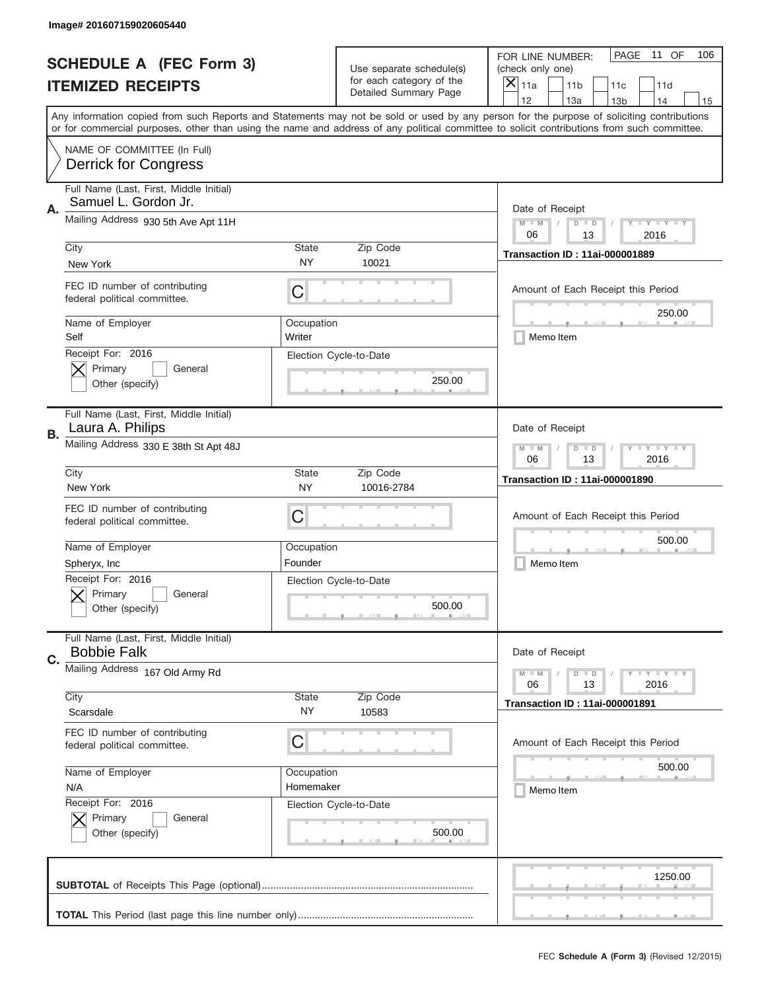|    | Image# 201607159020605440                                       |                      |                                                      |                                                                                                                                                                                                                                                                                                                                     |
|----|-----------------------------------------------------------------|----------------------|------------------------------------------------------|-------------------------------------------------------------------------------------------------------------------------------------------------------------------------------------------------------------------------------------------------------------------------------------------------------------------------------------|
|    | <b>SCHEDULE A (FEC Form 3)</b>                                  |                      | Use separate schedule(s)<br>for each category of the | PAGE<br>11 OF<br>106<br>FOR LINE NUMBER:<br>(check only one)                                                                                                                                                                                                                                                                        |
|    | <b>ITEMIZED RECEIPTS</b>                                        |                      | <b>Detailed Summary Page</b>                         | ×<br>11a<br>11 <sub>b</sub><br>11c<br>11d                                                                                                                                                                                                                                                                                           |
|    |                                                                 |                      |                                                      | 12<br>13a<br>13 <sub>b</sub><br>14<br>15<br>Any information copied from such Reports and Statements may not be sold or used by any person for the purpose of soliciting contributions<br>or for commercial purposes, other than using the name and address of any political committee to solicit contributions from such committee. |
|    | NAME OF COMMITTEE (In Full)<br><b>Derrick for Congress</b>      |                      |                                                      |                                                                                                                                                                                                                                                                                                                                     |
| Α. | Full Name (Last, First, Middle Initial)<br>Samuel L. Gordon Jr. |                      |                                                      | Date of Receipt                                                                                                                                                                                                                                                                                                                     |
|    | Mailing Address 930 5th Ave Apt 11H                             |                      |                                                      | $M$ M<br><b>LYLYLY</b><br>$D$ $D$<br>06<br>13<br>2016                                                                                                                                                                                                                                                                               |
|    | City<br>New York                                                | State<br>NY          | Zip Code<br>10021                                    | <b>Transaction ID: 11ai-000001889</b>                                                                                                                                                                                                                                                                                               |
|    | FEC ID number of contributing<br>federal political committee.   | C                    |                                                      | Amount of Each Receipt this Period                                                                                                                                                                                                                                                                                                  |
|    | Name of Employer<br>Self                                        | Occupation<br>Writer |                                                      | 250.00<br>Memo Item                                                                                                                                                                                                                                                                                                                 |
|    | Receipt For: 2016<br>Primary<br>General<br>Other (specify)      |                      | Election Cycle-to-Date<br>250.00                     |                                                                                                                                                                                                                                                                                                                                     |
| В. | Full Name (Last, First, Middle Initial)<br>Laura A. Philips     |                      |                                                      | Date of Receipt                                                                                                                                                                                                                                                                                                                     |
|    | Mailing Address 330 E 38th St Apt 48J                           |                      |                                                      | $M - M$<br><b>LEYTEY LEY</b><br>$D$ $D$<br>06<br>13<br>2016                                                                                                                                                                                                                                                                         |
|    | City<br>New York                                                | State<br><b>NY</b>   | Zip Code<br>10016-2784                               | <b>Transaction ID: 11ai-000001890</b>                                                                                                                                                                                                                                                                                               |
|    | FEC ID number of contributing<br>federal political committee.   | C                    |                                                      | Amount of Each Receipt this Period                                                                                                                                                                                                                                                                                                  |
|    | Name of Employer                                                | Occupation           |                                                      | 500.00                                                                                                                                                                                                                                                                                                                              |
|    |                                                                 |                      |                                                      |                                                                                                                                                                                                                                                                                                                                     |
|    | Spheryx, Inc.                                                   | Founder              |                                                      | Memo Item                                                                                                                                                                                                                                                                                                                           |
|    | Receipt For: 2016<br>General<br>Primary<br>Other (specify)      |                      | Election Cycle-to-Date<br>500.00                     |                                                                                                                                                                                                                                                                                                                                     |
|    | Full Name (Last, First, Middle Initial)<br><b>Bobbie Falk</b>   |                      |                                                      | Date of Receipt                                                                                                                                                                                                                                                                                                                     |
| C. | Mailing Address 167 Old Army Rd                                 |                      |                                                      | <b>LY LY LY</b><br>$M - M$<br>$D$ $D$<br>06<br>13<br>2016                                                                                                                                                                                                                                                                           |
|    | City<br>Scarsdale                                               | State<br>NY.         | Zip Code<br>10583                                    | <b>Transaction ID: 11ai-000001891</b>                                                                                                                                                                                                                                                                                               |
|    | FEC ID number of contributing<br>federal political committee.   | C                    |                                                      | Amount of Each Receipt this Period                                                                                                                                                                                                                                                                                                  |
|    | Name of Employer                                                | Occupation           |                                                      | 500.00                                                                                                                                                                                                                                                                                                                              |
|    | N/A                                                             | Homemaker            |                                                      | Memo Item                                                                                                                                                                                                                                                                                                                           |
|    | Receipt For: 2016<br>Primary<br>General<br>Other (specify)      |                      | Election Cycle-to-Date<br>500.00                     |                                                                                                                                                                                                                                                                                                                                     |
|    |                                                                 |                      |                                                      | 1250.00                                                                                                                                                                                                                                                                                                                             |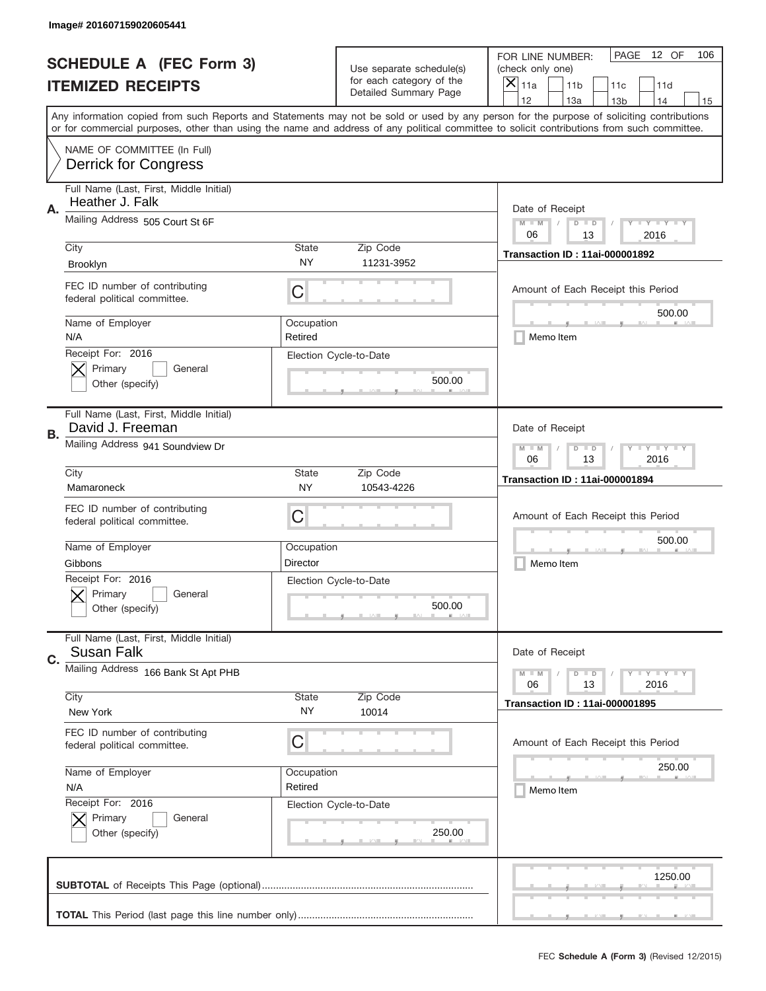|                          | Image# 201607159020605441                                     |                                                       |                                                   |                                                                                                                                                                                                                                                                                                                                     |
|--------------------------|---------------------------------------------------------------|-------------------------------------------------------|---------------------------------------------------|-------------------------------------------------------------------------------------------------------------------------------------------------------------------------------------------------------------------------------------------------------------------------------------------------------------------------------------|
|                          | <b>SCHEDULE A (FEC Form 3)</b>                                |                                                       | Use separate schedule(s)                          | PAGE<br>12 OF<br>106<br>FOR LINE NUMBER:<br>(check only one)                                                                                                                                                                                                                                                                        |
| <b>ITEMIZED RECEIPTS</b> |                                                               |                                                       | for each category of the<br>Detailed Summary Page | ×<br>11a<br>11 <sub>b</sub><br>11c<br>11d                                                                                                                                                                                                                                                                                           |
|                          |                                                               |                                                       |                                                   | 12<br>13a<br>14<br>13 <sub>b</sub><br>15<br>Any information copied from such Reports and Statements may not be sold or used by any person for the purpose of soliciting contributions<br>or for commercial purposes, other than using the name and address of any political committee to solicit contributions from such committee. |
|                          | NAME OF COMMITTEE (In Full)<br><b>Derrick for Congress</b>    |                                                       |                                                   |                                                                                                                                                                                                                                                                                                                                     |
| Α.                       | Full Name (Last, First, Middle Initial)<br>Heather J. Falk    |                                                       |                                                   | Date of Receipt                                                                                                                                                                                                                                                                                                                     |
|                          | Mailing Address 505 Court St 6F                               |                                                       |                                                   | $M - M$<br><b>LYLYLY</b><br>$D$ $D$<br>06<br>13<br>2016                                                                                                                                                                                                                                                                             |
|                          | City<br><b>Brooklyn</b>                                       | State<br><b>NY</b>                                    | Zip Code<br>11231-3952                            | <b>Transaction ID: 11ai-000001892</b>                                                                                                                                                                                                                                                                                               |
|                          | FEC ID number of contributing<br>federal political committee. | C                                                     |                                                   | Amount of Each Receipt this Period<br>500.00                                                                                                                                                                                                                                                                                        |
|                          | Name of Employer<br>N/A                                       | Occupation<br>Retired                                 |                                                   | Memo Item                                                                                                                                                                                                                                                                                                                           |
|                          | Receipt For: 2016<br>Primary<br>General<br>Other (specify)    |                                                       | Election Cycle-to-Date<br>500.00                  |                                                                                                                                                                                                                                                                                                                                     |
| В.                       | Full Name (Last, First, Middle Initial)<br>David J. Freeman   |                                                       |                                                   | Date of Receipt                                                                                                                                                                                                                                                                                                                     |
|                          | Mailing Address 941 Soundview Dr                              | $M$ M<br><b>LYLYLY</b><br>$D$ $D$<br>06<br>13<br>2016 |                                                   |                                                                                                                                                                                                                                                                                                                                     |
|                          | City<br>Mamaroneck                                            | State<br><b>NY</b>                                    | Zip Code<br>10543-4226                            | <b>Transaction ID: 11ai-000001894</b>                                                                                                                                                                                                                                                                                               |
|                          | FEC ID number of contributing<br>federal political committee. | C                                                     |                                                   | Amount of Each Receipt this Period                                                                                                                                                                                                                                                                                                  |
|                          | Name of Employer<br>Gibbons                                   | Occupation<br>Director                                |                                                   | 500.00<br>Memo Item                                                                                                                                                                                                                                                                                                                 |
|                          | Receipt For: 2016<br>General<br>Primary<br>Other (specify)    |                                                       | Election Cycle-to-Date<br>500.00                  |                                                                                                                                                                                                                                                                                                                                     |
| C.                       | Full Name (Last, First, Middle Initial)<br><b>Susan Falk</b>  |                                                       |                                                   | Date of Receipt                                                                                                                                                                                                                                                                                                                     |
|                          | Mailing Address 166 Bank St Apt PHB                           |                                                       |                                                   | <b>LY LY LY</b><br>$M - M$<br>$D$ $D$<br>13<br>2016<br>06                                                                                                                                                                                                                                                                           |
|                          | City<br>New York                                              | State<br>NY.                                          | Zip Code<br>10014                                 | <b>Transaction ID: 11ai-000001895</b>                                                                                                                                                                                                                                                                                               |
|                          | FEC ID number of contributing<br>federal political committee. | C                                                     |                                                   | Amount of Each Receipt this Period                                                                                                                                                                                                                                                                                                  |
|                          | Name of Employer<br>N/A                                       | Occupation<br>Retired                                 |                                                   | 250.00<br>Memo Item                                                                                                                                                                                                                                                                                                                 |
|                          | Receipt For: 2016<br>Primary<br>General<br>Other (specify)    |                                                       | Election Cycle-to-Date<br>250.00                  |                                                                                                                                                                                                                                                                                                                                     |
|                          |                                                               |                                                       |                                                   | 1250.00                                                                                                                                                                                                                                                                                                                             |
|                          |                                                               |                                                       |                                                   |                                                                                                                                                                                                                                                                                                                                     |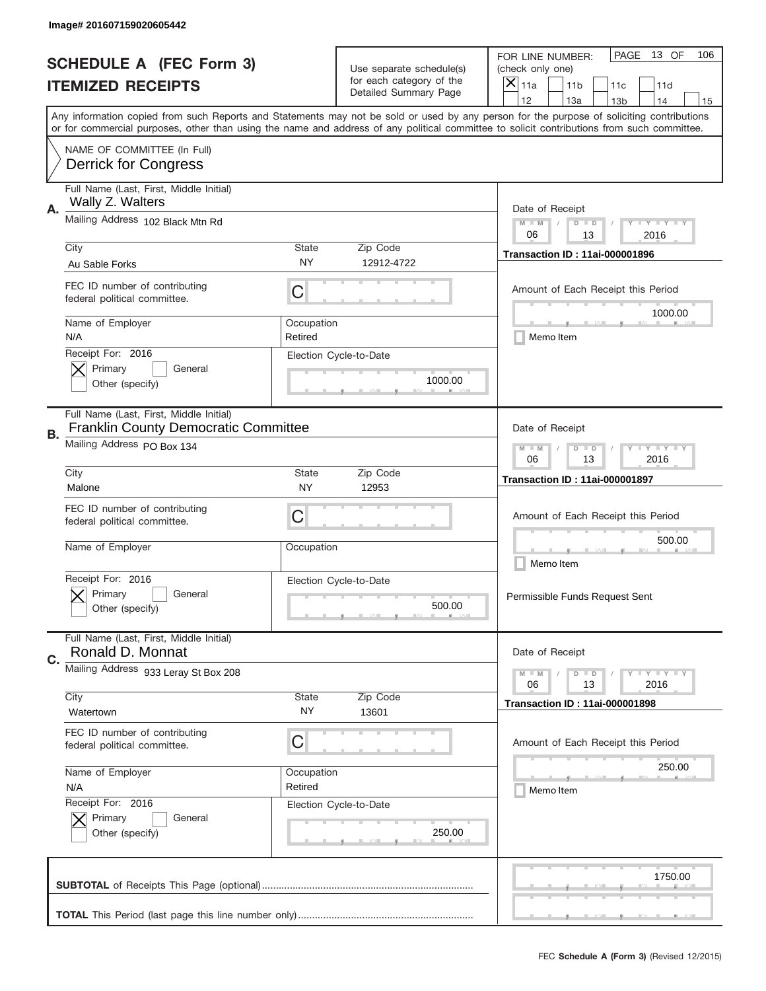|           | Image# 201607159020605442                                                              |                       |                                                   |                                                                                                                                                                                                                                                                                                                                     |
|-----------|----------------------------------------------------------------------------------------|-----------------------|---------------------------------------------------|-------------------------------------------------------------------------------------------------------------------------------------------------------------------------------------------------------------------------------------------------------------------------------------------------------------------------------------|
|           | <b>SCHEDULE A (FEC Form 3)</b>                                                         |                       | Use separate schedule(s)                          | PAGE<br>13 OF<br>106<br>FOR LINE NUMBER:<br>(check only one)                                                                                                                                                                                                                                                                        |
|           | <b>ITEMIZED RECEIPTS</b>                                                               |                       | for each category of the<br>Detailed Summary Page | $\times$<br>11a<br>11 <sub>b</sub><br>11c<br>11d                                                                                                                                                                                                                                                                                    |
|           |                                                                                        |                       |                                                   | 12<br>13a<br>14<br>13 <sub>b</sub><br>15<br>Any information copied from such Reports and Statements may not be sold or used by any person for the purpose of soliciting contributions<br>or for commercial purposes, other than using the name and address of any political committee to solicit contributions from such committee. |
|           | NAME OF COMMITTEE (In Full)<br><b>Derrick for Congress</b>                             |                       |                                                   |                                                                                                                                                                                                                                                                                                                                     |
| Α.        | Full Name (Last, First, Middle Initial)<br>Wally Z. Walters                            |                       |                                                   | Date of Receipt                                                                                                                                                                                                                                                                                                                     |
|           | Mailing Address 102 Black Mtn Rd                                                       |                       |                                                   | <b>LYLYLY</b><br>$M - M$<br>$D$ $D$<br>06<br>13<br>2016                                                                                                                                                                                                                                                                             |
|           | City<br>Au Sable Forks                                                                 | <b>State</b><br>NY.   | Zip Code<br>12912-4722                            | <b>Transaction ID: 11ai-000001896</b>                                                                                                                                                                                                                                                                                               |
|           | FEC ID number of contributing<br>federal political committee.                          | C                     |                                                   | Amount of Each Receipt this Period<br>1000.00                                                                                                                                                                                                                                                                                       |
|           | Name of Employer<br>N/A                                                                | Occupation<br>Retired |                                                   | Memo Item                                                                                                                                                                                                                                                                                                                           |
|           | Receipt For: 2016<br>Primary<br>General<br>Other (specify)                             |                       | Election Cycle-to-Date<br>1000.00                 |                                                                                                                                                                                                                                                                                                                                     |
| <b>B.</b> | Full Name (Last, First, Middle Initial)<br><b>Franklin County Democratic Committee</b> |                       |                                                   | Date of Receipt                                                                                                                                                                                                                                                                                                                     |
|           | Mailing Address PO Box 134                                                             |                       |                                                   | <b>LY LY LY</b><br>$M - M$<br>$D$ $D$<br>06<br>13<br>2016                                                                                                                                                                                                                                                                           |
|           | City<br>Malone                                                                         | <b>State</b><br>NY    | Zip Code<br>12953                                 | <b>Transaction ID: 11ai-000001897</b>                                                                                                                                                                                                                                                                                               |
|           | FEC ID number of contributing<br>federal political committee.                          | С                     |                                                   | Amount of Each Receipt this Period                                                                                                                                                                                                                                                                                                  |
|           | Name of Employer                                                                       | Occupation            |                                                   | 500.00<br>Memo Item                                                                                                                                                                                                                                                                                                                 |
|           | Receipt For: 2016<br>General<br>Primary<br>Other (specify)                             |                       | Election Cycle-to-Date<br>500.00                  | Permissible Funds Request Sent                                                                                                                                                                                                                                                                                                      |
| C.        | Full Name (Last, First, Middle Initial)<br>Ronald D. Monnat                            |                       |                                                   | Date of Receipt                                                                                                                                                                                                                                                                                                                     |
|           | Mailing Address 933 Leray St Box 208                                                   |                       |                                                   | <b>LYLYLY</b><br>$M - M$<br>$D$ $D$<br>2016<br>06<br>13                                                                                                                                                                                                                                                                             |
|           | City<br>Watertown                                                                      | <b>State</b><br>NY.   | Zip Code<br>13601                                 | <b>Transaction ID: 11ai-000001898</b>                                                                                                                                                                                                                                                                                               |
|           | FEC ID number of contributing<br>federal political committee.                          | С                     |                                                   | Amount of Each Receipt this Period                                                                                                                                                                                                                                                                                                  |
|           | Name of Employer<br>N/A                                                                | Occupation<br>Retired |                                                   | 250.00<br>Memo Item                                                                                                                                                                                                                                                                                                                 |
|           | Receipt For: 2016<br>Primary<br>General<br>Other (specify)                             |                       | Election Cycle-to-Date<br>250.00                  |                                                                                                                                                                                                                                                                                                                                     |
|           |                                                                                        |                       |                                                   | 1750.00                                                                                                                                                                                                                                                                                                                             |
|           |                                                                                        |                       |                                                   |                                                                                                                                                                                                                                                                                                                                     |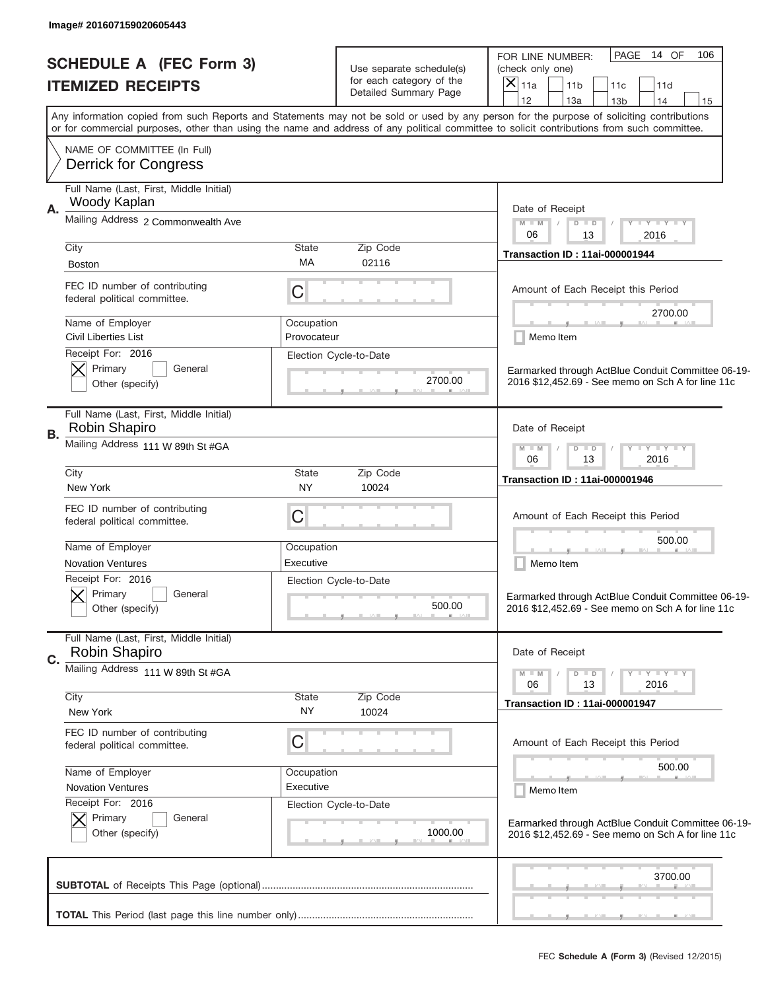| Image# 201607159020605443                                             |                                                                                                                                                                                                                                                                                         |                                                                                                                                                           |
|-----------------------------------------------------------------------|-----------------------------------------------------------------------------------------------------------------------------------------------------------------------------------------------------------------------------------------------------------------------------------------|-----------------------------------------------------------------------------------------------------------------------------------------------------------|
| <b>SCHEDULE A</b> (FEC Form 3)<br><b>ITEMIZED RECEIPTS</b>            | Use separate schedule(s)<br>for each category of the<br>Detailed Summary Page                                                                                                                                                                                                           | PAGE 14 OF<br>106<br>FOR LINE NUMBER:<br>(check only one)<br>$\times$<br>11a<br>11 <sub>b</sub><br>11c<br>11d<br>12<br>13a<br>13 <sub>b</sub><br>14<br>15 |
|                                                                       | Any information copied from such Reports and Statements may not be sold or used by any person for the purpose of soliciting contributions<br>or for commercial purposes, other than using the name and address of any political committee to solicit contributions from such committee. |                                                                                                                                                           |
| NAME OF COMMITTEE (In Full)<br><b>Derrick for Congress</b>            |                                                                                                                                                                                                                                                                                         |                                                                                                                                                           |
| Full Name (Last, First, Middle Initial)<br>Woody Kaplan<br>Α.         |                                                                                                                                                                                                                                                                                         | Date of Receipt                                                                                                                                           |
| Mailing Address 2 Commonwealth Ave                                    |                                                                                                                                                                                                                                                                                         | $M$ M<br>Y TY TY TY<br>$D$ $D$<br>$\sqrt{2}$<br>2016<br>06<br>13                                                                                          |
| City<br><b>Boston</b>                                                 | State<br>Zip Code<br>МA<br>02116                                                                                                                                                                                                                                                        | <b>Transaction ID: 11ai-000001944</b>                                                                                                                     |
| FEC ID number of contributing<br>federal political committee.         | $\mathsf C$                                                                                                                                                                                                                                                                             | Amount of Each Receipt this Period<br>2700.00                                                                                                             |
| Name of Employer<br><b>Civil Liberties List</b><br>Receipt For: 2016  | Occupation<br>Provocateur<br>Election Cycle-to-Date                                                                                                                                                                                                                                     | Memo Item                                                                                                                                                 |
| Primary<br>General<br>Other (specify)                                 | 2700.00                                                                                                                                                                                                                                                                                 | Earmarked through ActBlue Conduit Committee 06-19-<br>2016 \$12,452.69 - See memo on Sch A for line 11c                                                   |
| Full Name (Last, First, Middle Initial)<br>Robin Shapiro<br>В.        |                                                                                                                                                                                                                                                                                         | Date of Receipt                                                                                                                                           |
| Mailing Address 111 W 89th St #GA                                     |                                                                                                                                                                                                                                                                                         | $Y - Y - Y - Y$<br>$M - M$<br>$D$ $D$<br>2016<br>06<br>13                                                                                                 |
| City<br>New York                                                      | State<br>Zip Code<br><b>NY</b><br>10024                                                                                                                                                                                                                                                 | <b>Transaction ID: 11ai-000001946</b>                                                                                                                     |
| FEC ID number of contributing<br>federal political committee.         | C                                                                                                                                                                                                                                                                                       | Amount of Each Receipt this Period                                                                                                                        |
| Name of Employer<br><b>Novation Ventures</b>                          | Occupation<br>Executive                                                                                                                                                                                                                                                                 | 500.00<br>Memo Item                                                                                                                                       |
| Receipt For: 2016<br>Primary<br>General<br>Other (specify)            | Election Cycle-to-Date<br>500.00                                                                                                                                                                                                                                                        | Earmarked through ActBlue Conduit Committee 06-19-<br>2016 \$12,452.69 - See memo on Sch A for line 11c                                                   |
| Full Name (Last, First, Middle Initial)<br><b>Robin Shapiro</b><br>C. |                                                                                                                                                                                                                                                                                         | Date of Receipt                                                                                                                                           |
|                                                                       | Mailing Address 111 W 89th St #GA                                                                                                                                                                                                                                                       |                                                                                                                                                           |
| City<br>New York                                                      | Zip Code<br>State<br>NY.<br>10024                                                                                                                                                                                                                                                       | <b>Transaction ID: 11ai-000001947</b>                                                                                                                     |
| FEC ID number of contributing<br>federal political committee.         | C                                                                                                                                                                                                                                                                                       | Amount of Each Receipt this Period                                                                                                                        |
| Name of Employer<br><b>Novation Ventures</b><br>Receipt For: 2016     | Occupation<br>Executive<br>Election Cycle-to-Date                                                                                                                                                                                                                                       | 500.00<br>Memo Item                                                                                                                                       |
| Primary<br>General<br>Other (specify)                                 | 1000.00                                                                                                                                                                                                                                                                                 | Earmarked through ActBlue Conduit Committee 06-19-<br>2016 \$12,452.69 - See memo on Sch A for line 11c                                                   |
|                                                                       |                                                                                                                                                                                                                                                                                         | 3700.00                                                                                                                                                   |
|                                                                       |                                                                                                                                                                                                                                                                                         |                                                                                                                                                           |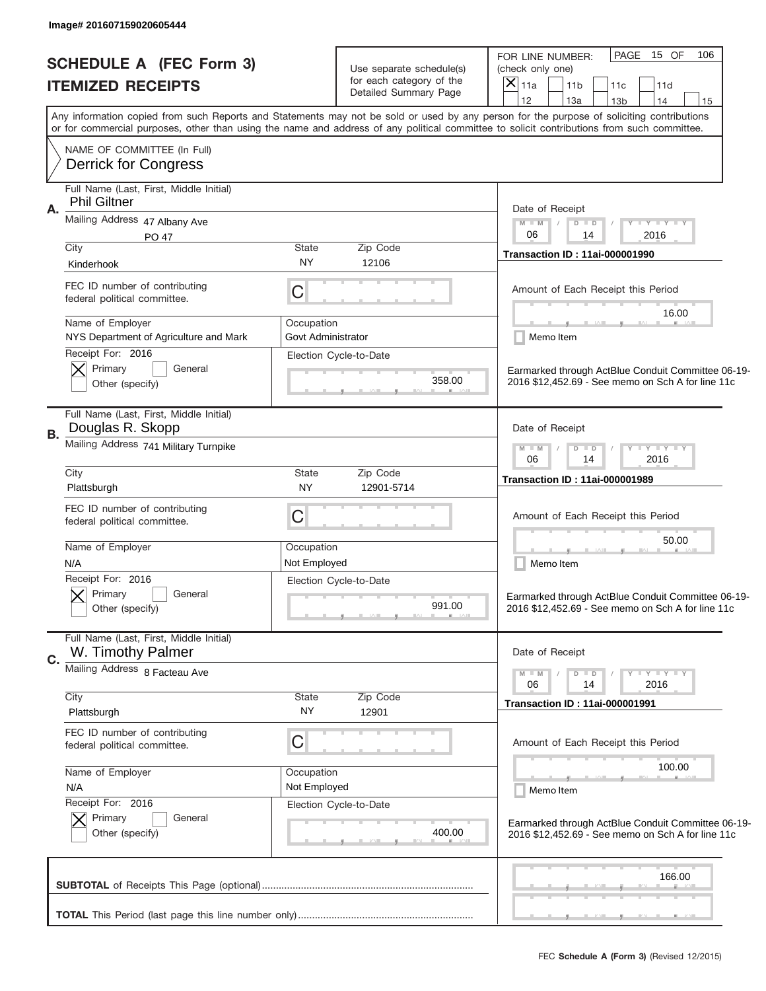| Image# 201607159020605444                                                                                                                                                                                                                                                               |                                                                               |                                                                                                                                         |  |
|-----------------------------------------------------------------------------------------------------------------------------------------------------------------------------------------------------------------------------------------------------------------------------------------|-------------------------------------------------------------------------------|-----------------------------------------------------------------------------------------------------------------------------------------|--|
| <b>SCHEDULE A (FEC Form 3)</b><br><b>ITEMIZED RECEIPTS</b>                                                                                                                                                                                                                              | Use separate schedule(s)<br>for each category of the<br>Detailed Summary Page | PAGE 15 OF<br>106<br>FOR LINE NUMBER:<br>(check only one)<br>$\boldsymbol{\times}$<br>11a<br>11 <sub>b</sub><br>11c<br>11d<br>12<br>13a |  |
| Any information copied from such Reports and Statements may not be sold or used by any person for the purpose of soliciting contributions<br>or for commercial purposes, other than using the name and address of any political committee to solicit contributions from such committee. |                                                                               | 13 <sub>b</sub><br>14<br>15                                                                                                             |  |
| NAME OF COMMITTEE (In Full)<br><b>Derrick for Congress</b>                                                                                                                                                                                                                              |                                                                               |                                                                                                                                         |  |
| Full Name (Last, First, Middle Initial)<br><b>Phil Giltner</b><br>А.                                                                                                                                                                                                                    |                                                                               | Date of Receipt                                                                                                                         |  |
| Mailing Address 47 Albany Ave<br>PO 47                                                                                                                                                                                                                                                  |                                                                               | $M$ M<br>Y FY FY FY<br>$D$ $D$<br>$\sqrt{2}$<br>06<br>2016<br>14                                                                        |  |
| City<br>Kinderhook                                                                                                                                                                                                                                                                      | State<br>Zip Code<br><b>NY</b><br>12106                                       | <b>Transaction ID: 11ai-000001990</b>                                                                                                   |  |
| FEC ID number of contributing<br>federal political committee.                                                                                                                                                                                                                           | C                                                                             | Amount of Each Receipt this Period                                                                                                      |  |
| Name of Employer<br>NYS Department of Agriculture and Mark                                                                                                                                                                                                                              | Occupation<br>Govt Administrator                                              | 16.00<br>Memo Item                                                                                                                      |  |
| Receipt For: 2016<br>Primary<br>General<br>Other (specify)                                                                                                                                                                                                                              | Election Cycle-to-Date<br>358.00                                              | Earmarked through ActBlue Conduit Committee 06-19-<br>2016 \$12,452.69 - See memo on Sch A for line 11c                                 |  |
| Full Name (Last, First, Middle Initial)<br>Douglas R. Skopp<br>Β.                                                                                                                                                                                                                       |                                                                               | Date of Receipt                                                                                                                         |  |
| Mailing Address 741 Military Turnpike                                                                                                                                                                                                                                                   |                                                                               | $M - M$<br>Y TY TY TY<br>$D$ $D$<br>14<br>2016<br>06                                                                                    |  |
| City<br>Plattsburgh                                                                                                                                                                                                                                                                     | State<br>Zip Code<br><b>NY</b><br>12901-5714                                  | <b>Transaction ID: 11ai-000001989</b>                                                                                                   |  |
| FEC ID number of contributing<br>federal political committee.                                                                                                                                                                                                                           | C                                                                             | Amount of Each Receipt this Period                                                                                                      |  |
| Name of Employer<br>N/A                                                                                                                                                                                                                                                                 | Occupation<br>Not Employed                                                    | 50.00<br>Memo Item                                                                                                                      |  |
| Receipt For: 2016<br>Primary<br>General<br>Other (specify)                                                                                                                                                                                                                              | Election Cycle-to-Date<br>991.00                                              | Earmarked through ActBlue Conduit Committee 06-19-<br>2016 \$12,452.69 - See memo on Sch A for line 11c                                 |  |
| Full Name (Last, First, Middle Initial)<br>W. Timothy Palmer<br>C.                                                                                                                                                                                                                      |                                                                               | Date of Receipt                                                                                                                         |  |
|                                                                                                                                                                                                                                                                                         | Mailing Address 8 Facteau Ave                                                 |                                                                                                                                         |  |
| City<br>Plattsburgh                                                                                                                                                                                                                                                                     | Zip Code<br>State<br>NY<br>12901                                              | <b>Transaction ID: 11ai-000001991</b>                                                                                                   |  |
| FEC ID number of contributing<br>federal political committee.                                                                                                                                                                                                                           | C                                                                             | Amount of Each Receipt this Period                                                                                                      |  |
| Name of Employer<br>N/A<br>Receipt For: 2016                                                                                                                                                                                                                                            | Occupation<br>Not Employed                                                    | 100.00<br>Memo Item                                                                                                                     |  |
| Primary<br>General<br>$\times$<br>Other (specify)                                                                                                                                                                                                                                       | Election Cycle-to-Date<br>400.00                                              | Earmarked through ActBlue Conduit Committee 06-19-<br>2016 \$12,452.69 - See memo on Sch A for line 11c                                 |  |
|                                                                                                                                                                                                                                                                                         |                                                                               | 166.00                                                                                                                                  |  |
|                                                                                                                                                                                                                                                                                         |                                                                               | , , ,                                                                                                                                   |  |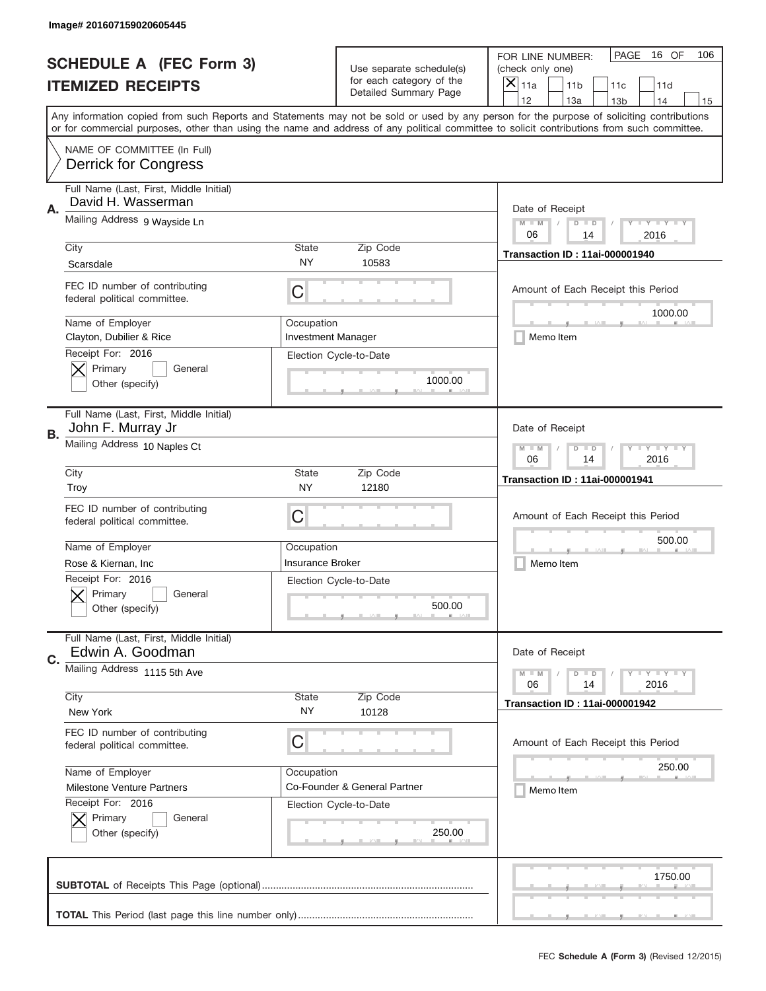|                          | Image# 201607159020605445                                     |                                                         |                                                   |                                                                                                                                                                                                                                                                                                                                     |
|--------------------------|---------------------------------------------------------------|---------------------------------------------------------|---------------------------------------------------|-------------------------------------------------------------------------------------------------------------------------------------------------------------------------------------------------------------------------------------------------------------------------------------------------------------------------------------|
|                          | <b>SCHEDULE A (FEC Form 3)</b>                                |                                                         | Use separate schedule(s)                          | PAGE<br>16 OF<br>106<br>FOR LINE NUMBER:<br>(check only one)                                                                                                                                                                                                                                                                        |
| <b>ITEMIZED RECEIPTS</b> |                                                               |                                                         | for each category of the<br>Detailed Summary Page | ×<br>11a<br>11 <sub>b</sub><br>11c<br>11d                                                                                                                                                                                                                                                                                           |
|                          |                                                               |                                                         |                                                   | 12<br>13a<br>14<br>13 <sub>b</sub><br>15<br>Any information copied from such Reports and Statements may not be sold or used by any person for the purpose of soliciting contributions<br>or for commercial purposes, other than using the name and address of any political committee to solicit contributions from such committee. |
|                          | NAME OF COMMITTEE (In Full)<br><b>Derrick for Congress</b>    |                                                         |                                                   |                                                                                                                                                                                                                                                                                                                                     |
| Α.                       | Full Name (Last, First, Middle Initial)<br>David H. Wasserman |                                                         |                                                   | Date of Receipt                                                                                                                                                                                                                                                                                                                     |
|                          | Mailing Address 9 Wayside Ln                                  |                                                         |                                                   | $M - M$<br><b>LYLYLY</b><br>$D$ $D$<br>06<br>2016<br>14                                                                                                                                                                                                                                                                             |
|                          | City<br>Scarsdale                                             | State<br>NY                                             | Zip Code<br>10583                                 | <b>Transaction ID: 11ai-000001940</b>                                                                                                                                                                                                                                                                                               |
|                          | FEC ID number of contributing<br>federal political committee. | C                                                       |                                                   | Amount of Each Receipt this Period<br>1000.00                                                                                                                                                                                                                                                                                       |
|                          | Name of Employer<br>Clayton, Dubilier & Rice                  | Occupation<br><b>Investment Manager</b>                 |                                                   | Memo Item                                                                                                                                                                                                                                                                                                                           |
|                          | Receipt For: 2016<br>Primary<br>General<br>Other (specify)    |                                                         | Election Cycle-to-Date<br>1000.00                 |                                                                                                                                                                                                                                                                                                                                     |
| <b>B.</b>                | Full Name (Last, First, Middle Initial)<br>John F. Murray Jr  |                                                         |                                                   | Date of Receipt                                                                                                                                                                                                                                                                                                                     |
|                          | Mailing Address 10 Naples Ct                                  | $M - M$<br><b>LYLYLY</b><br>$D$ $D$<br>06<br>14<br>2016 |                                                   |                                                                                                                                                                                                                                                                                                                                     |
|                          | City<br>Troy                                                  | <b>State</b><br>NY                                      | Zip Code<br>12180                                 | <b>Transaction ID: 11ai-000001941</b>                                                                                                                                                                                                                                                                                               |
|                          | FEC ID number of contributing<br>federal political committee. | C                                                       |                                                   | Amount of Each Receipt this Period                                                                                                                                                                                                                                                                                                  |
|                          |                                                               |                                                         |                                                   | 500.00                                                                                                                                                                                                                                                                                                                              |
|                          | Name of Employer                                              | Occupation                                              |                                                   |                                                                                                                                                                                                                                                                                                                                     |
|                          | Rose & Kiernan, Inc                                           | Insurance Broker                                        |                                                   | Memo Item                                                                                                                                                                                                                                                                                                                           |
|                          | Receipt For: 2016<br>General<br>Primary<br>Other (specify)    |                                                         | Election Cycle-to-Date<br>500.00                  |                                                                                                                                                                                                                                                                                                                                     |
| C.                       | Full Name (Last, First, Middle Initial)<br>Edwin A. Goodman   |                                                         |                                                   | Date of Receipt                                                                                                                                                                                                                                                                                                                     |
|                          | Mailing Address 1115 5th Ave                                  |                                                         |                                                   | <b>LEY LEY LEY</b><br>$M - M$<br>$D$ $D$<br>06<br>2016<br>14                                                                                                                                                                                                                                                                        |
|                          | City<br>New York                                              | State<br>NY                                             | Zip Code<br>10128                                 | <b>Transaction ID: 11ai-000001942</b>                                                                                                                                                                                                                                                                                               |
|                          | FEC ID number of contributing<br>federal political committee. | С                                                       |                                                   | Amount of Each Receipt this Period                                                                                                                                                                                                                                                                                                  |
|                          | Name of Employer                                              | Occupation                                              |                                                   | 250.00                                                                                                                                                                                                                                                                                                                              |
|                          | Milestone Venture Partners                                    |                                                         | Co-Founder & General Partner                      | Memo Item                                                                                                                                                                                                                                                                                                                           |
|                          | Receipt For: 2016<br>Primary<br>General<br>Other (specify)    |                                                         | Election Cycle-to-Date<br>250.00                  |                                                                                                                                                                                                                                                                                                                                     |
|                          |                                                               |                                                         |                                                   | 1750.00                                                                                                                                                                                                                                                                                                                             |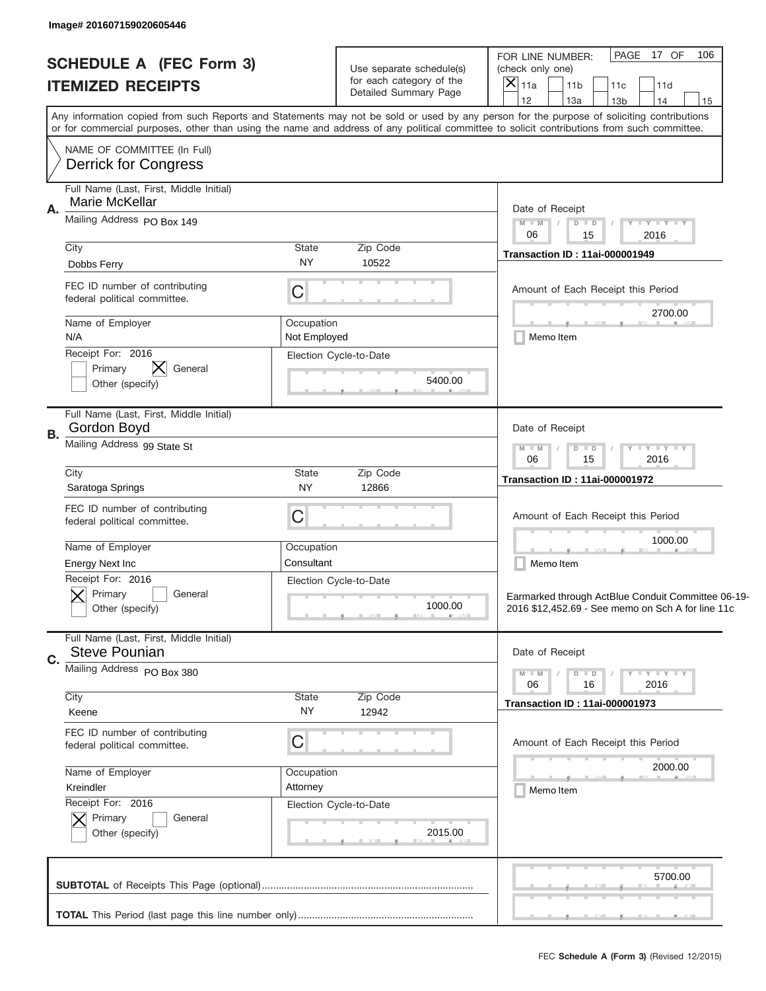| Image# 201607159020605446                                                                                                                                                                                                                                                               |                                                                               |                                                                                                                                                                          |
|-----------------------------------------------------------------------------------------------------------------------------------------------------------------------------------------------------------------------------------------------------------------------------------------|-------------------------------------------------------------------------------|--------------------------------------------------------------------------------------------------------------------------------------------------------------------------|
| <b>SCHEDULE A (FEC Form 3)</b><br><b>ITEMIZED RECEIPTS</b>                                                                                                                                                                                                                              | Use separate schedule(s)<br>for each category of the<br>Detailed Summary Page | PAGE 17 OF<br>106<br>FOR LINE NUMBER:<br>(check only one)<br>$\overline{\mathsf{x}}$<br>11a<br>11 <sub>b</sub><br>11d<br>11c<br>12<br>13a<br>13 <sub>b</sub><br>14<br>15 |
| Any information copied from such Reports and Statements may not be sold or used by any person for the purpose of soliciting contributions<br>or for commercial purposes, other than using the name and address of any political committee to solicit contributions from such committee. |                                                                               |                                                                                                                                                                          |
| NAME OF COMMITTEE (In Full)<br><b>Derrick for Congress</b>                                                                                                                                                                                                                              |                                                                               |                                                                                                                                                                          |
| Full Name (Last, First, Middle Initial)<br>Marie McKellar<br>Α.                                                                                                                                                                                                                         |                                                                               | Date of Receipt                                                                                                                                                          |
| Mailing Address PO Box 149                                                                                                                                                                                                                                                              |                                                                               | $M$ M<br>$Y - Y - Y - Y$<br>$D$ $D$<br>06<br>15<br>2016                                                                                                                  |
| City<br>Dobbs Ferry                                                                                                                                                                                                                                                                     | State<br>Zip Code<br><b>NY</b><br>10522                                       | <b>Transaction ID: 11ai-000001949</b>                                                                                                                                    |
| FEC ID number of contributing<br>federal political committee.                                                                                                                                                                                                                           | C                                                                             | Amount of Each Receipt this Period<br>2700.00                                                                                                                            |
| Name of Employer<br>N/A                                                                                                                                                                                                                                                                 | Occupation<br>Not Employed                                                    | Memo Item                                                                                                                                                                |
| Receipt For: 2016<br>General<br>Primary<br>Other (specify)                                                                                                                                                                                                                              | Election Cycle-to-Date<br>5400.00                                             |                                                                                                                                                                          |
| Full Name (Last, First, Middle Initial)<br>Gordon Boyd<br>В.                                                                                                                                                                                                                            |                                                                               | Date of Receipt                                                                                                                                                          |
| Mailing Address 99 State St                                                                                                                                                                                                                                                             |                                                                               | $Y - Y - Y - Y - Y$<br>$M - M$<br>$D$ $D$<br>06<br>2016<br>15                                                                                                            |
| City<br>Saratoga Springs                                                                                                                                                                                                                                                                | State<br>Zip Code<br><b>NY</b><br>12866                                       | <b>Transaction ID: 11ai-000001972</b>                                                                                                                                    |
| FEC ID number of contributing<br>federal political committee.                                                                                                                                                                                                                           | C                                                                             | Amount of Each Receipt this Period                                                                                                                                       |
| Name of Employer<br>Energy Next Inc                                                                                                                                                                                                                                                     | Occupation<br>Consultant                                                      | 1000.00<br>Memo Item                                                                                                                                                     |
| Receipt For: 2016<br>Primary<br>General<br>Other (specify)                                                                                                                                                                                                                              | Election Cycle-to-Date<br>1000.00                                             | Earmarked through ActBlue Conduit Committee 06-19-<br>2016 \$12,452.69 - See memo on Sch A for line 11c                                                                  |
| Full Name (Last, First, Middle Initial)<br><b>Steve Pounian</b><br>C.                                                                                                                                                                                                                   |                                                                               | Date of Receipt                                                                                                                                                          |
| Mailing Address PO Box 380<br>City                                                                                                                                                                                                                                                      | Zip Code<br>State                                                             | Y LY LY LY<br>$M - M$<br>$D$ $D$<br>06<br>2016<br>16                                                                                                                     |
| Keene                                                                                                                                                                                                                                                                                   | ΝY<br>12942                                                                   | <b>Transaction ID: 11ai-000001973</b>                                                                                                                                    |
| FEC ID number of contributing<br>federal political committee.                                                                                                                                                                                                                           | C                                                                             | Amount of Each Receipt this Period                                                                                                                                       |
| Name of Employer<br>Kreindler<br>Receipt For: 2016<br>Primary<br>General<br>$\bm{\times}$<br>Other (specify)                                                                                                                                                                            | Occupation<br>Attorney<br>Election Cycle-to-Date<br>2015.00                   | 2000.00<br>Memo Item                                                                                                                                                     |
|                                                                                                                                                                                                                                                                                         |                                                                               | 5700.00                                                                                                                                                                  |
|                                                                                                                                                                                                                                                                                         |                                                                               |                                                                                                                                                                          |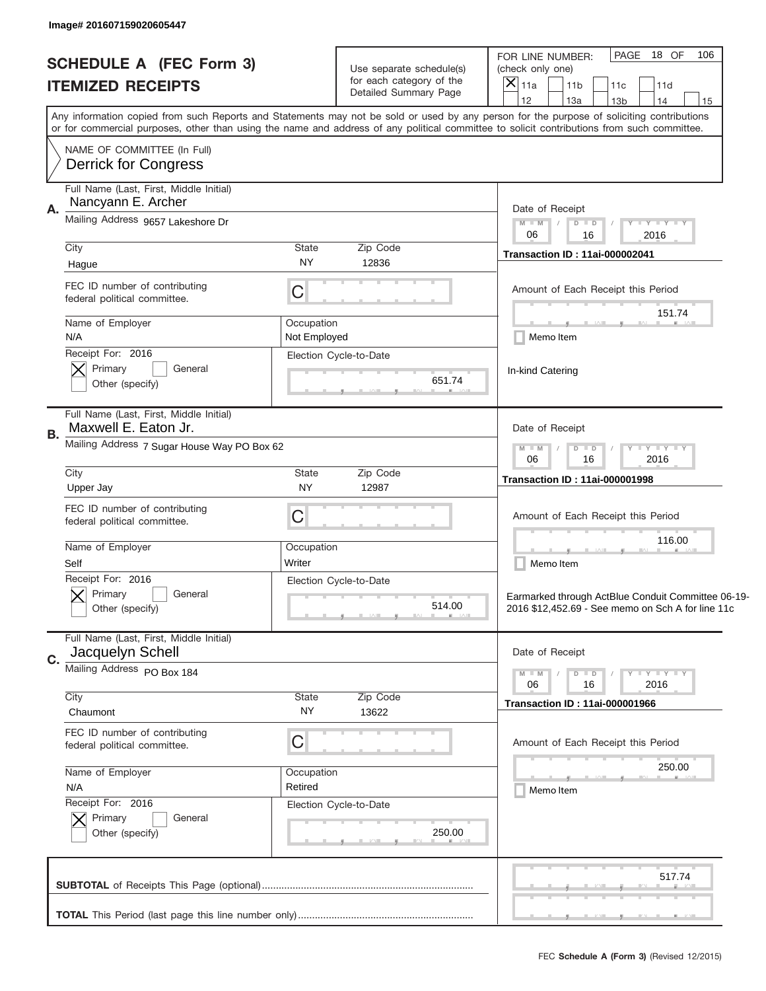| Image# 201607159020605447                                                                                                                                                                                                                                                               |                                                                               |                                                                                                                                                                          |  |  |
|-----------------------------------------------------------------------------------------------------------------------------------------------------------------------------------------------------------------------------------------------------------------------------------------|-------------------------------------------------------------------------------|--------------------------------------------------------------------------------------------------------------------------------------------------------------------------|--|--|
| <b>SCHEDULE A (FEC Form 3)</b><br><b>ITEMIZED RECEIPTS</b>                                                                                                                                                                                                                              | Use separate schedule(s)<br>for each category of the<br>Detailed Summary Page | PAGE 18 OF<br>106<br>FOR LINE NUMBER:<br>(check only one)<br>$\overline{\mathsf{x}}$<br>11a<br>11 <sub>b</sub><br>11d<br>11c<br>12<br>13a<br>13 <sub>b</sub><br>14<br>15 |  |  |
| Any information copied from such Reports and Statements may not be sold or used by any person for the purpose of soliciting contributions<br>or for commercial purposes, other than using the name and address of any political committee to solicit contributions from such committee. |                                                                               |                                                                                                                                                                          |  |  |
| NAME OF COMMITTEE (In Full)<br><b>Derrick for Congress</b>                                                                                                                                                                                                                              |                                                                               |                                                                                                                                                                          |  |  |
| Full Name (Last, First, Middle Initial)<br>Nancyann E. Archer                                                                                                                                                                                                                           |                                                                               | Date of Receipt                                                                                                                                                          |  |  |
| Α.<br>Mailing Address 9657 Lakeshore Dr                                                                                                                                                                                                                                                 |                                                                               |                                                                                                                                                                          |  |  |
| City<br>Hague                                                                                                                                                                                                                                                                           | State<br>Zip Code<br><b>NY</b><br>12836                                       | 2016<br><b>Transaction ID: 11ai-000002041</b>                                                                                                                            |  |  |
| FEC ID number of contributing<br>federal political committee.                                                                                                                                                                                                                           | C                                                                             | Amount of Each Receipt this Period<br>151.74                                                                                                                             |  |  |
| Name of Employer<br>N/A                                                                                                                                                                                                                                                                 | Occupation<br>Not Employed                                                    | Memo Item                                                                                                                                                                |  |  |
| Receipt For: 2016<br>Primary<br>General<br>Other (specify)                                                                                                                                                                                                                              | Election Cycle-to-Date<br>651.74                                              | In-kind Catering                                                                                                                                                         |  |  |
| Full Name (Last, First, Middle Initial)<br>Maxwell E. Eaton Jr.<br>В.                                                                                                                                                                                                                   |                                                                               | Date of Receipt                                                                                                                                                          |  |  |
| Mailing Address 7 Sugar House Way PO Box 62                                                                                                                                                                                                                                             | $D$ $D$<br>$Y - Y - Y - Y - Y$<br>$M - M$<br>06<br>16<br>2016                 |                                                                                                                                                                          |  |  |
| City<br>Upper Jay                                                                                                                                                                                                                                                                       | State<br>Zip Code<br><b>NY</b><br>12987                                       | <b>Transaction ID: 11ai-000001998</b>                                                                                                                                    |  |  |
| FEC ID number of contributing<br>federal political committee.                                                                                                                                                                                                                           | C                                                                             | Amount of Each Receipt this Period                                                                                                                                       |  |  |
| Name of Employer<br>Self                                                                                                                                                                                                                                                                | Occupation<br>Writer                                                          | 116.00<br>Memo Item                                                                                                                                                      |  |  |
| Receipt For: 2016<br>Primary<br>General<br>Other (specify)                                                                                                                                                                                                                              | Election Cycle-to-Date<br>514.00                                              | Earmarked through ActBlue Conduit Committee 06-19-<br>2016 \$12,452.69 - See memo on Sch A for line 11c                                                                  |  |  |
| Full Name (Last, First, Middle Initial)<br>Jacquelyn Schell<br>C.                                                                                                                                                                                                                       |                                                                               | Date of Receipt                                                                                                                                                          |  |  |
| City                                                                                                                                                                                                                                                                                    | Mailing Address PO Box 184                                                    |                                                                                                                                                                          |  |  |
| Chaumont                                                                                                                                                                                                                                                                                | Zip Code<br>State<br>ΝY<br>13622                                              | <b>Transaction ID: 11ai-000001966</b>                                                                                                                                    |  |  |
| FEC ID number of contributing<br>federal political committee.                                                                                                                                                                                                                           | C                                                                             | Amount of Each Receipt this Period                                                                                                                                       |  |  |
| Name of Employer<br>N/A<br>Receipt For: 2016                                                                                                                                                                                                                                            | Occupation<br>Retired<br>Election Cycle-to-Date                               | 250.00<br>Memo Item                                                                                                                                                      |  |  |
| Primary<br>General<br>Other (specify)                                                                                                                                                                                                                                                   | 250.00                                                                        |                                                                                                                                                                          |  |  |
|                                                                                                                                                                                                                                                                                         |                                                                               | 517.74                                                                                                                                                                   |  |  |
|                                                                                                                                                                                                                                                                                         |                                                                               |                                                                                                                                                                          |  |  |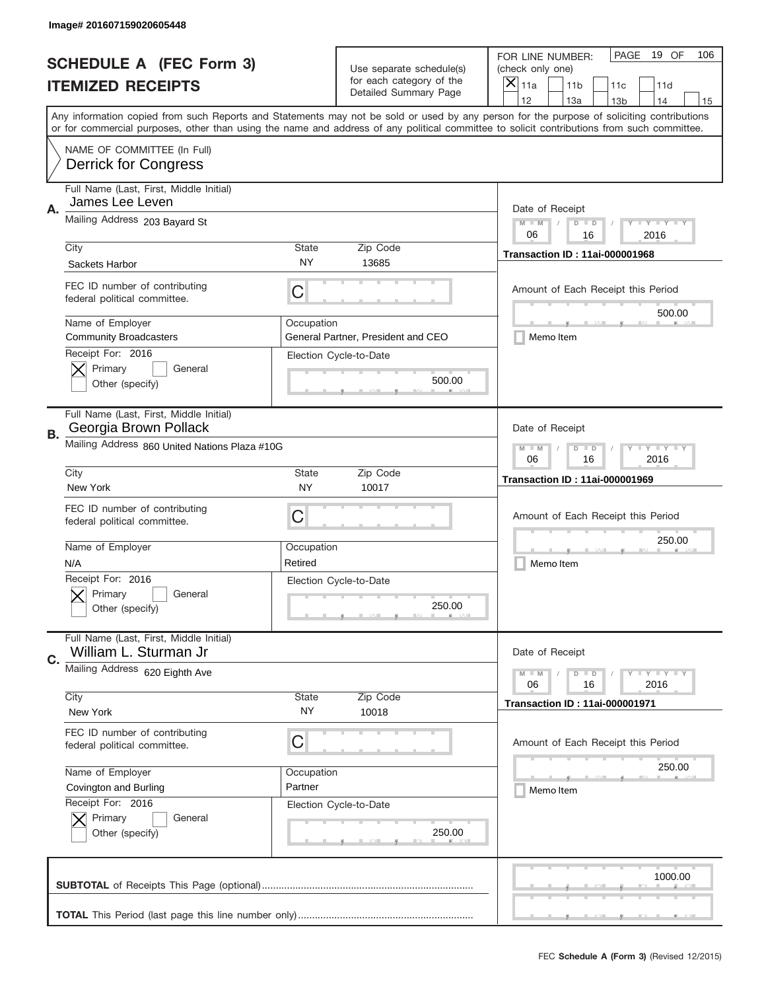|    | Image# 201607159020605448                                        |                       |                                                      |                                                                                                                                                                                                                                                                                                                                     |
|----|------------------------------------------------------------------|-----------------------|------------------------------------------------------|-------------------------------------------------------------------------------------------------------------------------------------------------------------------------------------------------------------------------------------------------------------------------------------------------------------------------------------|
|    | <b>SCHEDULE A (FEC Form 3)</b>                                   |                       | Use separate schedule(s)<br>for each category of the | PAGE<br>19 OF<br>106<br>FOR LINE NUMBER:<br>(check only one)                                                                                                                                                                                                                                                                        |
|    | <b>ITEMIZED RECEIPTS</b>                                         |                       | Detailed Summary Page                                | X<br>11a<br>11 <sub>b</sub><br>11c<br>11d                                                                                                                                                                                                                                                                                           |
|    | NAME OF COMMITTEE (In Full)                                      |                       |                                                      | 12<br>13a<br>13 <sub>b</sub><br>14<br>15<br>Any information copied from such Reports and Statements may not be sold or used by any person for the purpose of soliciting contributions<br>or for commercial purposes, other than using the name and address of any political committee to solicit contributions from such committee. |
|    | <b>Derrick for Congress</b>                                      |                       |                                                      |                                                                                                                                                                                                                                                                                                                                     |
| Α. | Full Name (Last, First, Middle Initial)<br>James Lee Leven       |                       |                                                      | Date of Receipt                                                                                                                                                                                                                                                                                                                     |
|    | Mailing Address 203 Bayard St                                    |                       |                                                      | $M - M$<br><b>LEY LEY LEY</b><br>$D$ $D$<br>06<br>16<br>2016                                                                                                                                                                                                                                                                        |
|    | City<br>Sackets Harbor                                           | State<br>NY           | Zip Code<br>13685                                    | <b>Transaction ID: 11ai-000001968</b>                                                                                                                                                                                                                                                                                               |
|    | FEC ID number of contributing<br>federal political committee.    | C                     |                                                      | Amount of Each Receipt this Period<br>500.00                                                                                                                                                                                                                                                                                        |
|    | Name of Employer<br><b>Community Broadcasters</b>                | Occupation            | General Partner, President and CEO                   | Memo Item                                                                                                                                                                                                                                                                                                                           |
|    | Receipt For: 2016<br>Primary<br>General<br>Other (specify)       |                       | Election Cycle-to-Date<br>500.00                     |                                                                                                                                                                                                                                                                                                                                     |
| В. | Full Name (Last, First, Middle Initial)<br>Georgia Brown Pollack |                       |                                                      | Date of Receipt                                                                                                                                                                                                                                                                                                                     |
|    | Mailing Address 860 United Nations Plaza #10G                    |                       |                                                      | <b>LY LY LY</b><br>$M$ M<br>$D$ $D$<br>06<br>16<br>2016                                                                                                                                                                                                                                                                             |
|    | City<br>New York                                                 | State<br><b>NY</b>    | Zip Code<br>10017                                    | <b>Transaction ID: 11ai-000001969</b>                                                                                                                                                                                                                                                                                               |
|    | FEC ID number of contributing<br>federal political committee.    | C                     |                                                      | Amount of Each Receipt this Period<br>250.00                                                                                                                                                                                                                                                                                        |
|    |                                                                  |                       |                                                      |                                                                                                                                                                                                                                                                                                                                     |
|    | Name of Employer<br>N/A                                          | Occupation<br>Retired |                                                      | Memo Item                                                                                                                                                                                                                                                                                                                           |
|    | Receipt For: 2016<br>General<br>Primary<br>Other (specify)       |                       | Election Cycle-to-Date<br>250.00                     |                                                                                                                                                                                                                                                                                                                                     |
| C. | Full Name (Last, First, Middle Initial)<br>William L. Sturman Jr |                       |                                                      | Date of Receipt                                                                                                                                                                                                                                                                                                                     |
|    | Mailing Address 620 Eighth Ave                                   |                       |                                                      | $M - M$<br><b>LYLYLY</b><br>$D$ $D$<br>06<br>2016<br>16                                                                                                                                                                                                                                                                             |
|    | City<br>New York                                                 | State<br>NY.          | Zip Code<br>10018                                    | <b>Transaction ID: 11ai-000001971</b>                                                                                                                                                                                                                                                                                               |
|    | FEC ID number of contributing<br>federal political committee.    | C                     |                                                      | Amount of Each Receipt this Period                                                                                                                                                                                                                                                                                                  |
|    | Name of Employer                                                 | Occupation            |                                                      | 250.00                                                                                                                                                                                                                                                                                                                              |
|    | Covington and Burling<br>Receipt For: 2016                       | Partner               | Election Cycle-to-Date                               | Memo Item                                                                                                                                                                                                                                                                                                                           |
|    | Primary<br>General<br>Other (specify)                            |                       | 250.00                                               |                                                                                                                                                                                                                                                                                                                                     |
|    |                                                                  |                       |                                                      | 1000.00                                                                                                                                                                                                                                                                                                                             |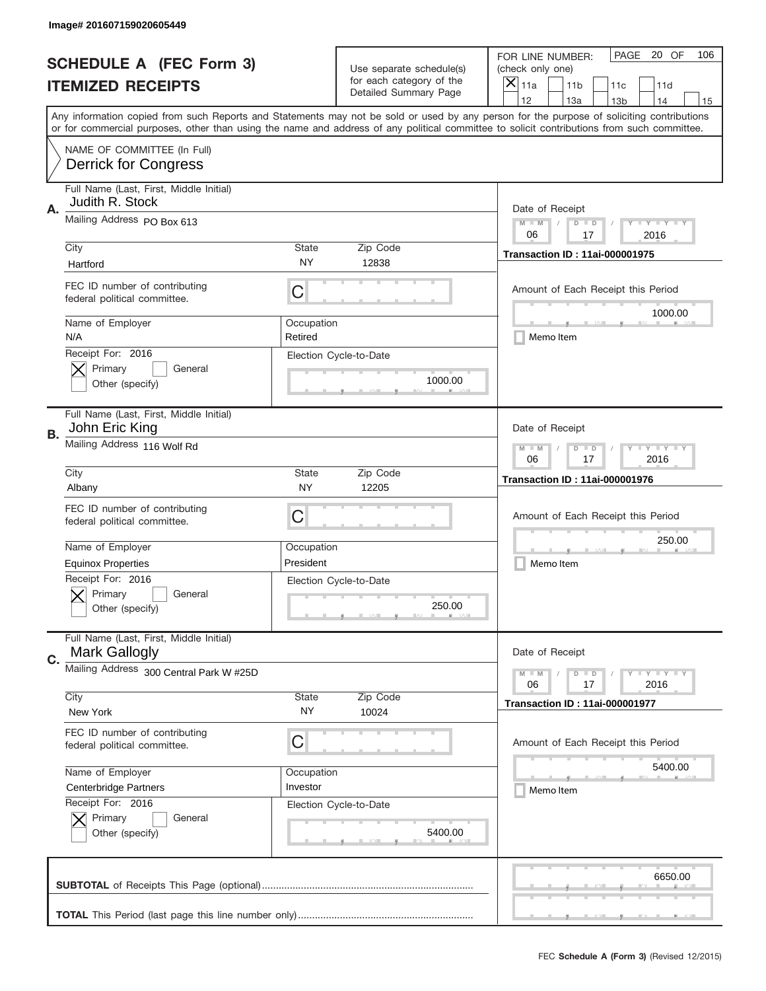|                          | Image# 201607159020605449                                       |                                                           |                                                   |                                                                                                                                                                                                                                                                                         |
|--------------------------|-----------------------------------------------------------------|-----------------------------------------------------------|---------------------------------------------------|-----------------------------------------------------------------------------------------------------------------------------------------------------------------------------------------------------------------------------------------------------------------------------------------|
|                          | <b>SCHEDULE A (FEC Form 3)</b>                                  |                                                           | Use separate schedule(s)                          | PAGE<br>20 OF<br>106<br>FOR LINE NUMBER:<br>(check only one)                                                                                                                                                                                                                            |
| <b>ITEMIZED RECEIPTS</b> |                                                                 |                                                           | for each category of the<br>Detailed Summary Page | $\boldsymbol{\times}$<br>11a<br>11 <sub>b</sub><br>11c<br>11d                                                                                                                                                                                                                           |
|                          |                                                                 |                                                           |                                                   | 12<br>13a<br>14<br>13 <sub>b</sub><br>15                                                                                                                                                                                                                                                |
|                          |                                                                 |                                                           |                                                   | Any information copied from such Reports and Statements may not be sold or used by any person for the purpose of soliciting contributions<br>or for commercial purposes, other than using the name and address of any political committee to solicit contributions from such committee. |
|                          | NAME OF COMMITTEE (In Full)<br><b>Derrick for Congress</b>      |                                                           |                                                   |                                                                                                                                                                                                                                                                                         |
|                          | Full Name (Last, First, Middle Initial)<br>Judith R. Stock      |                                                           |                                                   |                                                                                                                                                                                                                                                                                         |
| Α.                       | Mailing Address PO Box 613                                      |                                                           |                                                   | Date of Receipt<br><b>LYLYLY</b><br>$M - M$<br>$D$ $D$<br>06<br>17<br>2016                                                                                                                                                                                                              |
|                          | City                                                            | <b>State</b>                                              | Zip Code                                          |                                                                                                                                                                                                                                                                                         |
|                          | Hartford                                                        | NY                                                        | 12838                                             | <b>Transaction ID: 11ai-000001975</b>                                                                                                                                                                                                                                                   |
|                          | FEC ID number of contributing<br>federal political committee.   | С                                                         |                                                   | Amount of Each Receipt this Period                                                                                                                                                                                                                                                      |
|                          | Name of Employer<br>N/A                                         | Occupation<br>Retired                                     |                                                   | 1000.00<br>Memo Item                                                                                                                                                                                                                                                                    |
|                          | Receipt For: 2016<br>Primary<br>General<br>Other (specify)      |                                                           | Election Cycle-to-Date<br>1000.00                 |                                                                                                                                                                                                                                                                                         |
| В.                       | Full Name (Last, First, Middle Initial)<br>John Eric King       |                                                           |                                                   | Date of Receipt                                                                                                                                                                                                                                                                         |
|                          | Mailing Address 116 Wolf Rd                                     | <b>LY LY LY</b><br>$M - M$<br>$D$ $D$<br>06<br>17<br>2016 |                                                   |                                                                                                                                                                                                                                                                                         |
|                          | City                                                            | <b>State</b>                                              | Zip Code                                          | <b>Transaction ID: 11ai-000001976</b>                                                                                                                                                                                                                                                   |
|                          | Albany                                                          | NY                                                        | 12205                                             |                                                                                                                                                                                                                                                                                         |
|                          | FEC ID number of contributing<br>federal political committee.   | С                                                         |                                                   | Amount of Each Receipt this Period                                                                                                                                                                                                                                                      |
|                          | Name of Employer                                                | Occupation                                                |                                                   | 250.00                                                                                                                                                                                                                                                                                  |
|                          | <b>Equinox Properties</b>                                       | President                                                 |                                                   | Memo Item                                                                                                                                                                                                                                                                               |
|                          | Receipt For: 2016<br>General<br>Primary<br>Other (specify)      |                                                           | Election Cycle-to-Date<br>250.00                  |                                                                                                                                                                                                                                                                                         |
| C.                       | Full Name (Last, First, Middle Initial)<br><b>Mark Gallogly</b> |                                                           |                                                   | Date of Receipt                                                                                                                                                                                                                                                                         |
|                          | Mailing Address 300 Central Park W #25D                         |                                                           |                                                   | <b>LYLYLY</b><br>$M - M$<br>$D$ $D$<br>2016<br>06<br>17                                                                                                                                                                                                                                 |
|                          | City                                                            | <b>State</b>                                              | Zip Code                                          | <b>Transaction ID: 11ai-000001977</b>                                                                                                                                                                                                                                                   |
|                          | New York                                                        | NY.                                                       | 10024                                             |                                                                                                                                                                                                                                                                                         |
|                          | FEC ID number of contributing<br>federal political committee.   | С                                                         |                                                   | Amount of Each Receipt this Period                                                                                                                                                                                                                                                      |
|                          | Name of Employer                                                | Occupation                                                |                                                   | 5400.00                                                                                                                                                                                                                                                                                 |
|                          | Centerbridge Partners                                           | Investor                                                  |                                                   | Memo Item                                                                                                                                                                                                                                                                               |
|                          | Receipt For: 2016<br>Primary<br>General<br>Other (specify)      |                                                           | Election Cycle-to-Date<br>5400.00                 |                                                                                                                                                                                                                                                                                         |
|                          |                                                                 |                                                           |                                                   | 6650.00                                                                                                                                                                                                                                                                                 |
|                          |                                                                 |                                                           |                                                   |                                                                                                                                                                                                                                                                                         |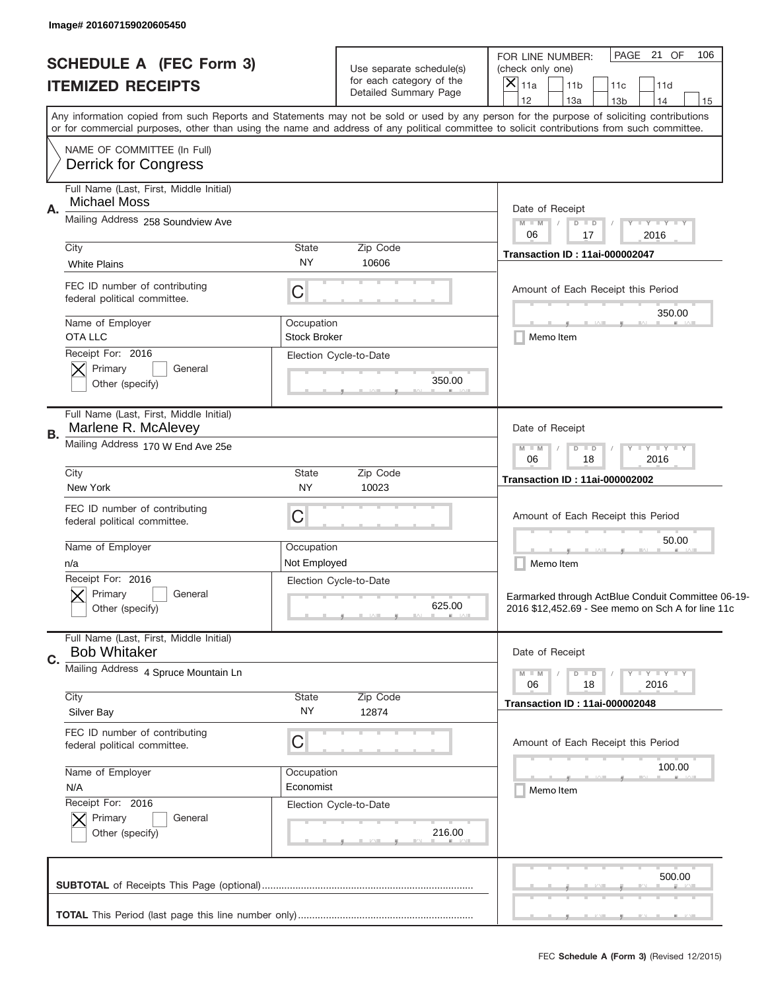| Image# 201607159020605450                                                                                                                                                                                                                                                               |                                                                               |                                                                                                                                                                          |  |
|-----------------------------------------------------------------------------------------------------------------------------------------------------------------------------------------------------------------------------------------------------------------------------------------|-------------------------------------------------------------------------------|--------------------------------------------------------------------------------------------------------------------------------------------------------------------------|--|
| <b>SCHEDULE A (FEC Form 3)</b><br><b>ITEMIZED RECEIPTS</b>                                                                                                                                                                                                                              | Use separate schedule(s)<br>for each category of the<br>Detailed Summary Page | PAGE 21 OF<br>106<br>FOR LINE NUMBER:<br>(check only one)<br>$\overline{\mathsf{x}}$<br>11a<br>11 <sub>b</sub><br>11d<br>11c<br>12<br>13a<br>13 <sub>b</sub><br>14<br>15 |  |
| Any information copied from such Reports and Statements may not be sold or used by any person for the purpose of soliciting contributions<br>or for commercial purposes, other than using the name and address of any political committee to solicit contributions from such committee. |                                                                               |                                                                                                                                                                          |  |
| NAME OF COMMITTEE (In Full)<br><b>Derrick for Congress</b>                                                                                                                                                                                                                              |                                                                               |                                                                                                                                                                          |  |
| Full Name (Last, First, Middle Initial)<br>Michael Moss<br>Α.                                                                                                                                                                                                                           |                                                                               | Date of Receipt                                                                                                                                                          |  |
| Mailing Address 258 Soundview Ave                                                                                                                                                                                                                                                       |                                                                               | $M$ M<br>$Y - Y - Y - Y$<br>$D$ $D$<br>06<br>17<br>2016                                                                                                                  |  |
| City<br><b>White Plains</b>                                                                                                                                                                                                                                                             | State<br>Zip Code<br><b>NY</b><br>10606                                       | <b>Transaction ID: 11ai-000002047</b>                                                                                                                                    |  |
| FEC ID number of contributing<br>C<br>federal political committee.                                                                                                                                                                                                                      |                                                                               | Amount of Each Receipt this Period<br>350.00                                                                                                                             |  |
| Name of Employer<br>OTA LLC                                                                                                                                                                                                                                                             | Occupation<br><b>Stock Broker</b>                                             | Memo Item                                                                                                                                                                |  |
| Receipt For: 2016<br>Primary<br>General<br>Other (specify)                                                                                                                                                                                                                              | Election Cycle-to-Date<br>350.00                                              |                                                                                                                                                                          |  |
| Full Name (Last, First, Middle Initial)<br>Marlene R. McAlevey<br>В.                                                                                                                                                                                                                    |                                                                               | Date of Receipt                                                                                                                                                          |  |
| Mailing Address 170 W End Ave 25e                                                                                                                                                                                                                                                       |                                                                               | $D$ $D$<br>$Y - Y - Y - Y - Y$<br>$M - M$<br>06<br>2016<br>18                                                                                                            |  |
| City<br>New York                                                                                                                                                                                                                                                                        | State<br>Zip Code<br><b>NY</b><br>10023                                       | <b>Transaction ID: 11ai-000002002</b>                                                                                                                                    |  |
| FEC ID number of contributing<br>C<br>federal political committee.                                                                                                                                                                                                                      |                                                                               | Amount of Each Receipt this Period                                                                                                                                       |  |
| Name of Employer<br>n/a                                                                                                                                                                                                                                                                 | Occupation<br>Not Employed                                                    | 50.00<br>Memo Item                                                                                                                                                       |  |
| Receipt For: 2016<br>Primary<br>General<br>Other (specify)                                                                                                                                                                                                                              | Election Cycle-to-Date<br>625.00                                              | Earmarked through ActBlue Conduit Committee 06-19-<br>2016 \$12,452.69 - See memo on Sch A for line 11c                                                                  |  |
| Full Name (Last, First, Middle Initial)<br><b>Bob Whitaker</b><br>C.                                                                                                                                                                                                                    |                                                                               | Date of Receipt                                                                                                                                                          |  |
|                                                                                                                                                                                                                                                                                         | Mailing Address 4 Spruce Mountain Ln                                          |                                                                                                                                                                          |  |
| City<br>Silver Bay                                                                                                                                                                                                                                                                      | Zip Code<br>State<br>NY.<br>12874                                             | <b>Transaction ID: 11ai-000002048</b>                                                                                                                                    |  |
| FEC ID number of contributing<br>C<br>federal political committee.                                                                                                                                                                                                                      |                                                                               | Amount of Each Receipt this Period                                                                                                                                       |  |
| Name of Employer<br>N/A<br>Receipt For: 2016                                                                                                                                                                                                                                            | Occupation<br>Economist<br>Election Cycle-to-Date                             | 100.00<br>Memo Item                                                                                                                                                      |  |
| Primary<br>General<br>Other (specify)                                                                                                                                                                                                                                                   | 216.00                                                                        |                                                                                                                                                                          |  |
|                                                                                                                                                                                                                                                                                         |                                                                               | 500.00                                                                                                                                                                   |  |
|                                                                                                                                                                                                                                                                                         |                                                                               |                                                                                                                                                                          |  |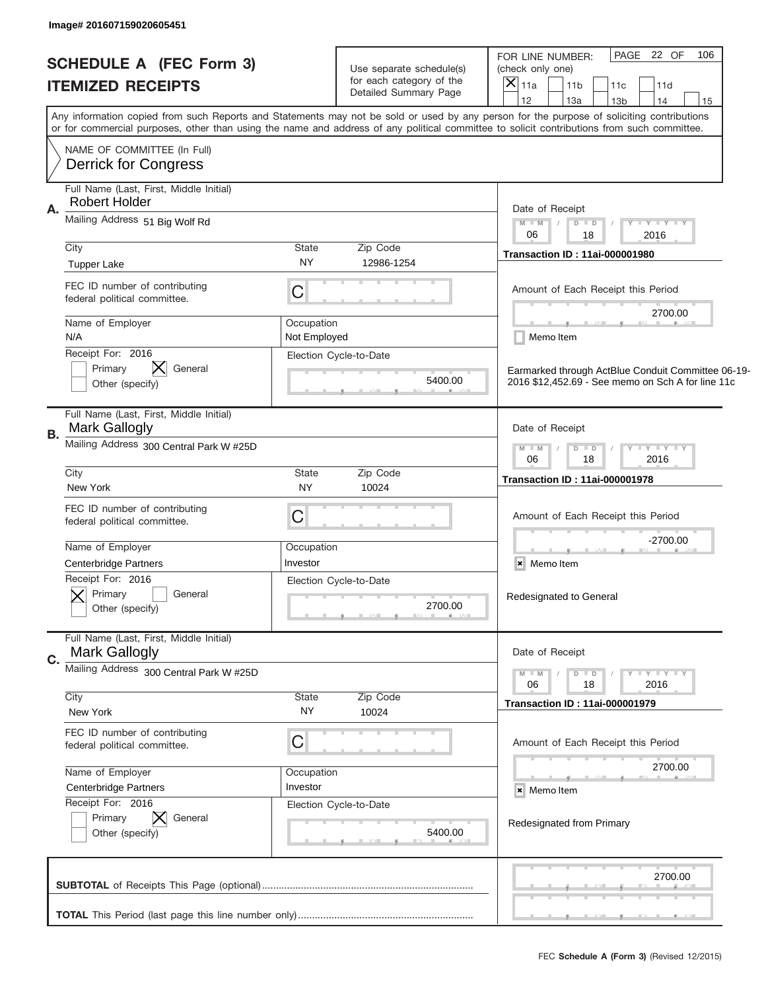| Image# 201607159020605451                                                           |                                                                               |                                                                                                                                                                                                                                                                                         |
|-------------------------------------------------------------------------------------|-------------------------------------------------------------------------------|-----------------------------------------------------------------------------------------------------------------------------------------------------------------------------------------------------------------------------------------------------------------------------------------|
| <b>SCHEDULE A (FEC Form 3)</b><br><b>ITEMIZED RECEIPTS</b>                          | Use separate schedule(s)<br>for each category of the<br>Detailed Summary Page | PAGE 22 OF<br>106<br>FOR LINE NUMBER:<br>(check only one)<br>×<br>11a<br>11 <sub>b</sub><br>11c<br>11d<br>12<br>13a<br>14<br>13 <sub>b</sub><br>15                                                                                                                                      |
|                                                                                     |                                                                               | Any information copied from such Reports and Statements may not be sold or used by any person for the purpose of soliciting contributions<br>or for commercial purposes, other than using the name and address of any political committee to solicit contributions from such committee. |
| NAME OF COMMITTEE (In Full)<br><b>Derrick for Congress</b>                          |                                                                               |                                                                                                                                                                                                                                                                                         |
| Full Name (Last, First, Middle Initial)<br>Robert Holder                            |                                                                               |                                                                                                                                                                                                                                                                                         |
| Α.<br>Mailing Address 51 Big Wolf Rd                                                |                                                                               | Date of Receipt<br>$M$ M<br>$D$ $D$<br>$Y - Y - Y - Y$<br>06<br>18<br>2016                                                                                                                                                                                                              |
| City<br><b>Tupper Lake</b>                                                          | State<br>Zip Code<br><b>NY</b><br>12986-1254                                  | <b>Transaction ID: 11ai-000001980</b>                                                                                                                                                                                                                                                   |
| FEC ID number of contributing<br>federal political committee.                       | C                                                                             | Amount of Each Receipt this Period                                                                                                                                                                                                                                                      |
| Name of Employer<br>N/A<br>Receipt For: 2016                                        | Occupation<br>Not Employed                                                    | 2700.00<br>Memo Item                                                                                                                                                                                                                                                                    |
| General<br>Primary<br>Other (specify)                                               | Election Cycle-to-Date<br>5400.00                                             | Earmarked through ActBlue Conduit Committee 06-19-<br>2016 \$12,452,69 - See memo on Sch A for line 11c                                                                                                                                                                                 |
| Full Name (Last, First, Middle Initial)<br><b>Mark Gallogly</b><br>В.               |                                                                               | Date of Receipt                                                                                                                                                                                                                                                                         |
| Mailing Address 300 Central Park W #25D                                             | $D$ $D$<br>$Y - Y - Y - Y - Y$<br>$M - M$<br>2016<br>06<br>18                 |                                                                                                                                                                                                                                                                                         |
| City<br>New York                                                                    | State<br>Zip Code<br><b>NY</b><br>10024                                       | <b>Transaction ID: 11ai-000001978</b>                                                                                                                                                                                                                                                   |
| FEC ID number of contributing<br>federal political committee.                       | C                                                                             | Amount of Each Receipt this Period                                                                                                                                                                                                                                                      |
| Name of Employer                                                                    | Occupation                                                                    | $-2700.00$                                                                                                                                                                                                                                                                              |
| Centerbridge Partners<br>Receipt For: 2016<br>General<br>Primary<br>Other (specify) | Investor<br>Election Cycle-to-Date<br>2700.00                                 | Memo Item<br>$\mathbf{x}$<br>Redesignated to General                                                                                                                                                                                                                                    |
| Full Name (Last, First, Middle Initial)<br><b>Mark Gallogly</b><br>C.               |                                                                               | Date of Receipt                                                                                                                                                                                                                                                                         |
| Mailing Address 300 Central Park W #25D                                             |                                                                               | $D$ $D$<br>Y LY LY LY<br>$M - M$<br>06<br>2016<br>18                                                                                                                                                                                                                                    |
| City<br>New York                                                                    | Zip Code<br>State<br><b>NY</b><br>10024                                       | <b>Transaction ID: 11ai-000001979</b>                                                                                                                                                                                                                                                   |
| FEC ID number of contributing<br>federal political committee.                       | C                                                                             | Amount of Each Receipt this Period                                                                                                                                                                                                                                                      |
| Name of Employer                                                                    | Occupation                                                                    | 2700.00                                                                                                                                                                                                                                                                                 |
| Centerbridge Partners<br>Receipt For: 2016<br>Primary<br>General<br>Other (specify) | Investor<br>Election Cycle-to-Date<br>5400.00                                 | × Memo Item<br>Redesignated from Primary                                                                                                                                                                                                                                                |
|                                                                                     |                                                                               | 2700.00                                                                                                                                                                                                                                                                                 |
|                                                                                     |                                                                               | , , ,                                                                                                                                                                                                                                                                                   |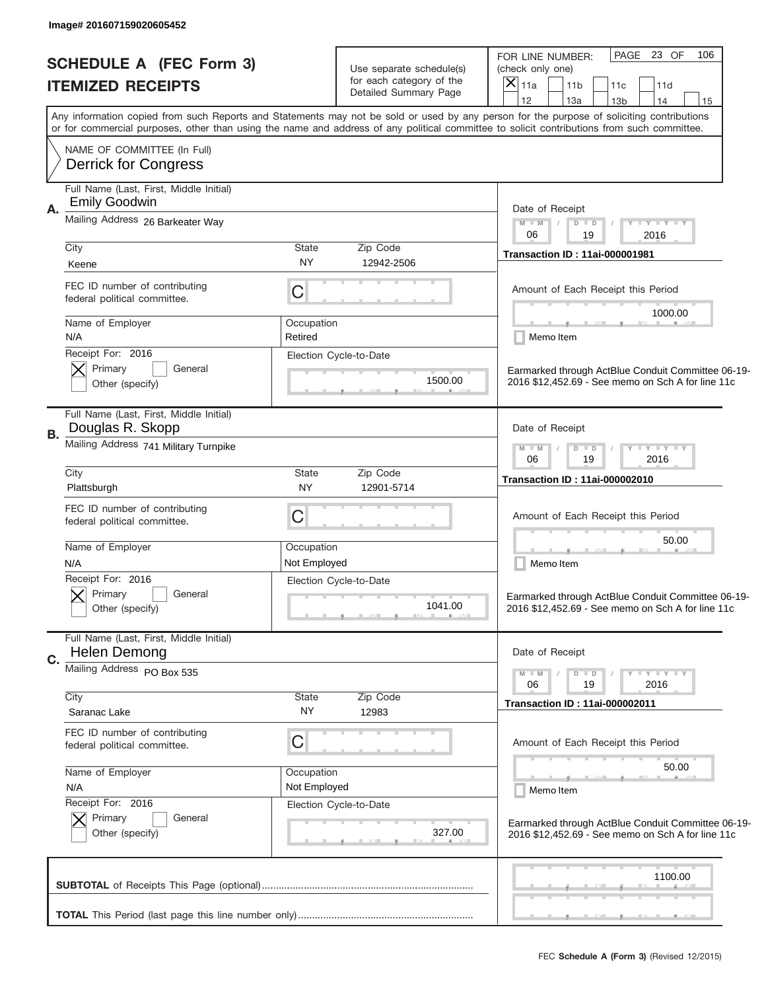| Image# 201607159020605452                                             |                                                                                                                                                                                                                                                                                         |                                                                                                                                                           |  |
|-----------------------------------------------------------------------|-----------------------------------------------------------------------------------------------------------------------------------------------------------------------------------------------------------------------------------------------------------------------------------------|-----------------------------------------------------------------------------------------------------------------------------------------------------------|--|
| <b>SCHEDULE A</b> (FEC Form 3)<br><b>ITEMIZED RECEIPTS</b>            | Use separate schedule(s)<br>for each category of the<br>Detailed Summary Page                                                                                                                                                                                                           | PAGE 23 OF<br>106<br>FOR LINE NUMBER:<br>(check only one)<br>$\times$<br>11a<br>11 <sub>b</sub><br>11c<br>11d<br>12<br>13a<br>13 <sub>b</sub><br>14<br>15 |  |
|                                                                       | Any information copied from such Reports and Statements may not be sold or used by any person for the purpose of soliciting contributions<br>or for commercial purposes, other than using the name and address of any political committee to solicit contributions from such committee. |                                                                                                                                                           |  |
| NAME OF COMMITTEE (In Full)<br><b>Derrick for Congress</b>            |                                                                                                                                                                                                                                                                                         |                                                                                                                                                           |  |
| Full Name (Last, First, Middle Initial)<br><b>Emily Goodwin</b><br>Α. |                                                                                                                                                                                                                                                                                         | Date of Receipt                                                                                                                                           |  |
|                                                                       | Mailing Address 26 Barkeater Way                                                                                                                                                                                                                                                        |                                                                                                                                                           |  |
| City<br>Keene                                                         | State<br>Zip Code<br><b>NY</b><br>12942-2506                                                                                                                                                                                                                                            | 06<br>2016<br>19<br><b>Transaction ID: 11ai-000001981</b>                                                                                                 |  |
| FEC ID number of contributing<br>federal political committee.         | C                                                                                                                                                                                                                                                                                       | Amount of Each Receipt this Period<br>1000.00                                                                                                             |  |
| Name of Employer<br>N/A<br>Receipt For: 2016                          | Occupation<br>Retired                                                                                                                                                                                                                                                                   | Memo Item                                                                                                                                                 |  |
| Primary<br>General<br>Other (specify)                                 | Election Cycle-to-Date<br>1500.00                                                                                                                                                                                                                                                       | Earmarked through ActBlue Conduit Committee 06-19-<br>2016 \$12,452.69 - See memo on Sch A for line 11c                                                   |  |
| Full Name (Last, First, Middle Initial)<br>Douglas R. Skopp<br>В.     |                                                                                                                                                                                                                                                                                         | Date of Receipt                                                                                                                                           |  |
| Mailing Address 741 Military Turnpike                                 | $M \perp M$<br>$Y = Y = Y = Y$<br>$D$ $D$<br>19<br>2016<br>06                                                                                                                                                                                                                           |                                                                                                                                                           |  |
| City<br>Plattsburgh                                                   | State<br>Zip Code<br><b>NY</b><br>12901-5714                                                                                                                                                                                                                                            | <b>Transaction ID: 11ai-000002010</b>                                                                                                                     |  |
| FEC ID number of contributing<br>federal political committee.         | C                                                                                                                                                                                                                                                                                       | Amount of Each Receipt this Period                                                                                                                        |  |
| Name of Employer<br>N/A                                               | Occupation<br>Not Employed                                                                                                                                                                                                                                                              | 50.00<br>Memo Item                                                                                                                                        |  |
| Receipt For: 2016<br>Primary<br>General<br>Other (specify)            | Election Cycle-to-Date<br>1041.00                                                                                                                                                                                                                                                       | Earmarked through ActBlue Conduit Committee 06-19-<br>2016 \$12,452.69 - See memo on Sch A for line 11c                                                   |  |
| Full Name (Last, First, Middle Initial)<br><b>Helen Demong</b><br>C.  |                                                                                                                                                                                                                                                                                         | Date of Receipt                                                                                                                                           |  |
| Mailing Address PO Box 535                                            |                                                                                                                                                                                                                                                                                         | Y FY FY FY<br>$M - M$<br>$D$ $D$<br>2016<br>06<br>19                                                                                                      |  |
| City<br>Saranac Lake                                                  | Zip Code<br>State<br>NY.<br>12983                                                                                                                                                                                                                                                       | <b>Transaction ID: 11ai-000002011</b>                                                                                                                     |  |
| FEC ID number of contributing<br>federal political committee.         | C                                                                                                                                                                                                                                                                                       | Amount of Each Receipt this Period                                                                                                                        |  |
| Name of Employer<br>N/A<br>Receipt For: 2016                          | Occupation<br>Not Employed                                                                                                                                                                                                                                                              | 50.00<br>Memo Item                                                                                                                                        |  |
| Primary<br>General<br>Other (specify)                                 | Election Cycle-to-Date<br>327.00                                                                                                                                                                                                                                                        | Earmarked through ActBlue Conduit Committee 06-19-<br>2016 \$12,452.69 - See memo on Sch A for line 11c                                                   |  |
|                                                                       |                                                                                                                                                                                                                                                                                         | 1100.00                                                                                                                                                   |  |
|                                                                       |                                                                                                                                                                                                                                                                                         |                                                                                                                                                           |  |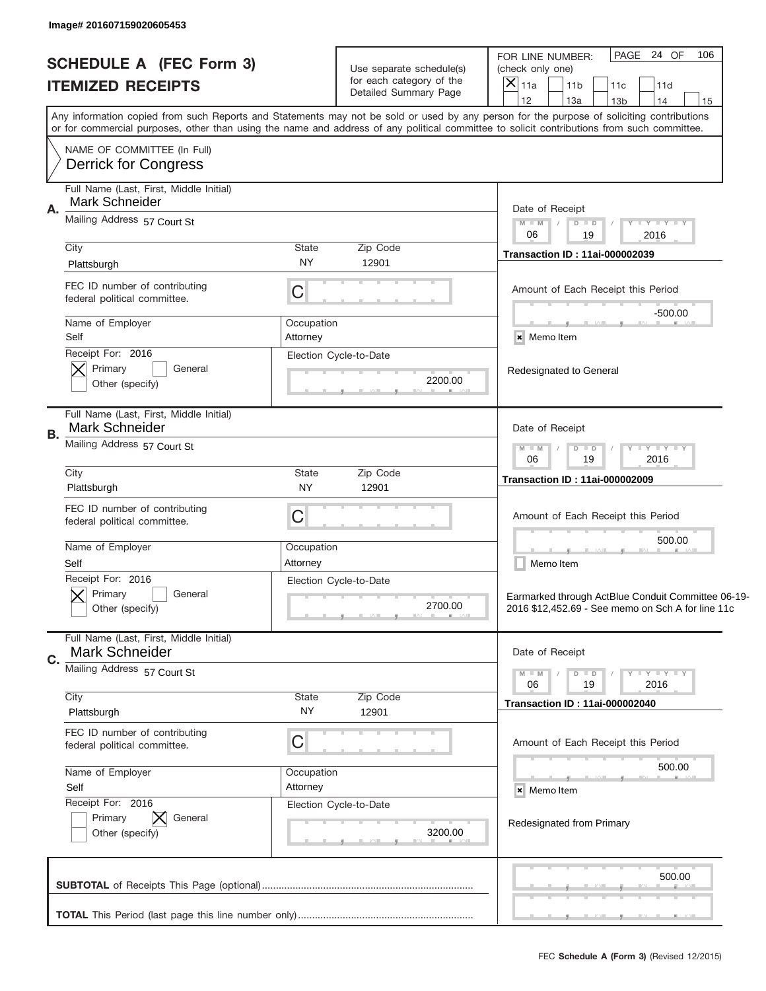| Image# 201607159020605453                                                                                                                  |                                                                               |                                                                                                                                                                          |  |
|--------------------------------------------------------------------------------------------------------------------------------------------|-------------------------------------------------------------------------------|--------------------------------------------------------------------------------------------------------------------------------------------------------------------------|--|
| <b>SCHEDULE A (FEC Form 3)</b><br><b>ITEMIZED RECEIPTS</b>                                                                                 | Use separate schedule(s)<br>for each category of the<br>Detailed Summary Page | PAGE 24 OF<br>106<br>FOR LINE NUMBER:<br>(check only one)<br>$\overline{\mathsf{x}}$<br>11a<br>11 <sub>b</sub><br>11d<br>11c<br>12<br>13a<br>13 <sub>b</sub><br>14<br>15 |  |
| or for commercial purposes, other than using the name and address of any political committee to solicit contributions from such committee. |                                                                               | Any information copied from such Reports and Statements may not be sold or used by any person for the purpose of soliciting contributions                                |  |
| NAME OF COMMITTEE (In Full)<br><b>Derrick for Congress</b>                                                                                 |                                                                               |                                                                                                                                                                          |  |
| Full Name (Last, First, Middle Initial)<br>Mark Schneider<br>Α.                                                                            |                                                                               | Date of Receipt                                                                                                                                                          |  |
| Mailing Address 57 Court St                                                                                                                |                                                                               | $M$ M<br>$Y - Y - Y - Y$<br>$D$ $D$<br>06<br>19<br>2016                                                                                                                  |  |
| City<br>Plattsburgh                                                                                                                        | State<br>Zip Code<br><b>NY</b><br>12901                                       | <b>Transaction ID: 11ai-000002039</b>                                                                                                                                    |  |
| FEC ID number of contributing<br>federal political committee.                                                                              | C                                                                             | Amount of Each Receipt this Period<br>$-500.00$                                                                                                                          |  |
| Name of Employer<br>Self                                                                                                                   | Occupation<br>Attorney                                                        | × Memo Item                                                                                                                                                              |  |
| Receipt For: 2016<br>Primary<br>General<br>Other (specify)                                                                                 | Election Cycle-to-Date<br>2200.00                                             | Redesignated to General                                                                                                                                                  |  |
| Full Name (Last, First, Middle Initial)<br><b>Mark Schneider</b><br>В.                                                                     |                                                                               | Date of Receipt                                                                                                                                                          |  |
| Mailing Address 57 Court St                                                                                                                |                                                                               |                                                                                                                                                                          |  |
| City<br>Plattsburgh                                                                                                                        | State<br>Zip Code<br><b>NY</b><br>12901                                       | <b>Transaction ID: 11ai-000002009</b>                                                                                                                                    |  |
| FEC ID number of contributing<br>federal political committee.                                                                              | C                                                                             | Amount of Each Receipt this Period                                                                                                                                       |  |
| Name of Employer<br>Self                                                                                                                   | Occupation<br>Attorney                                                        | 500.00<br>Memo Item                                                                                                                                                      |  |
| Receipt For: 2016<br>Primary<br>General<br>Other (specify)                                                                                 | Election Cycle-to-Date<br>2700.00                                             | Earmarked through ActBlue Conduit Committee 06-19-<br>2016 \$12,452.69 - See memo on Sch A for line 11c                                                                  |  |
| Full Name (Last, First, Middle Initial)<br>Mark Schneider<br>C.                                                                            |                                                                               | Date of Receipt                                                                                                                                                          |  |
| Mailing Address 57 Court St                                                                                                                |                                                                               | Y LY LY LY<br>$M - M$<br>$D$ $D$<br>06<br>19<br>2016                                                                                                                     |  |
| City<br>Plattsburgh                                                                                                                        | Zip Code<br><b>State</b><br>ΝY<br>12901                                       | <b>Transaction ID: 11ai-000002040</b>                                                                                                                                    |  |
| FEC ID number of contributing<br>federal political committee.                                                                              | C                                                                             | Amount of Each Receipt this Period                                                                                                                                       |  |
| Name of Employer<br>Self<br>Receipt For: 2016                                                                                              | Occupation<br>Attorney                                                        | 500.00<br>× Memo Item                                                                                                                                                    |  |
| Primary<br>General<br>Other (specify)                                                                                                      | Election Cycle-to-Date<br>3200.00                                             | Redesignated from Primary                                                                                                                                                |  |
|                                                                                                                                            |                                                                               | 500.00                                                                                                                                                                   |  |
|                                                                                                                                            |                                                                               |                                                                                                                                                                          |  |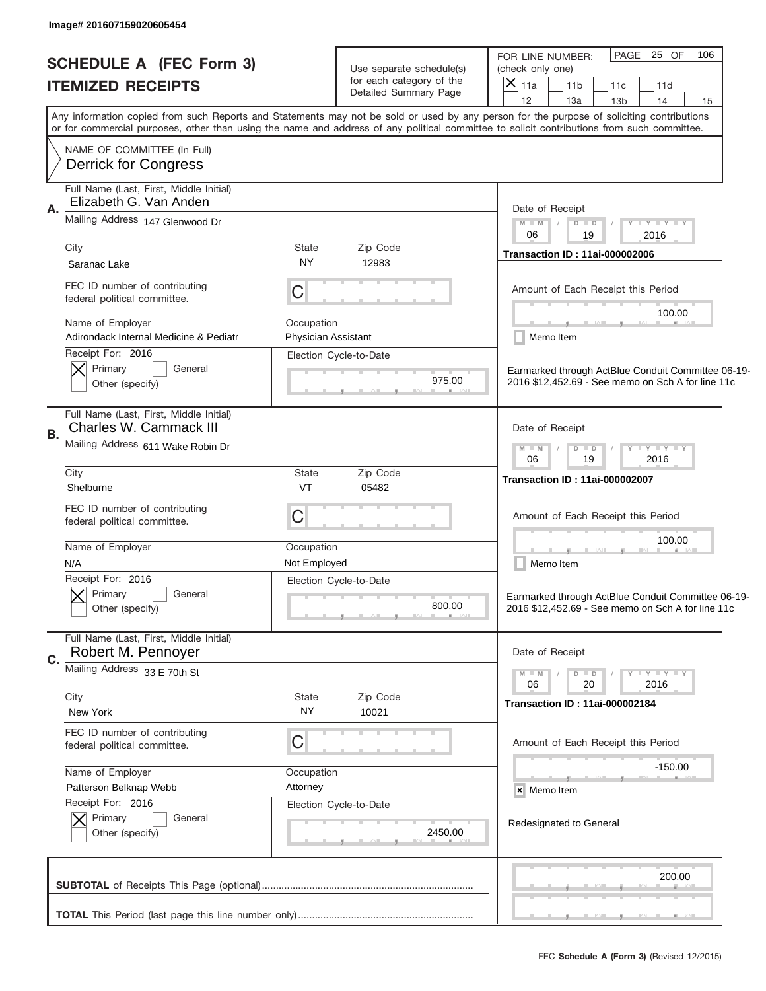| Image# 201607159020605454                                                                                                                                                                                                                                                               |                                                                               |                                                                                                                                                    |
|-----------------------------------------------------------------------------------------------------------------------------------------------------------------------------------------------------------------------------------------------------------------------------------------|-------------------------------------------------------------------------------|----------------------------------------------------------------------------------------------------------------------------------------------------|
| <b>SCHEDULE A</b> (FEC Form 3)<br><b>ITEMIZED RECEIPTS</b>                                                                                                                                                                                                                              | Use separate schedule(s)<br>for each category of the<br>Detailed Summary Page | PAGE 25 OF<br>106<br>FOR LINE NUMBER:<br>(check only one)<br>×<br>11a<br>11 <sub>b</sub><br>11c<br>11d<br>12<br>13a<br>14<br>13 <sub>b</sub><br>15 |
| Any information copied from such Reports and Statements may not be sold or used by any person for the purpose of soliciting contributions<br>or for commercial purposes, other than using the name and address of any political committee to solicit contributions from such committee. |                                                                               |                                                                                                                                                    |
| NAME OF COMMITTEE (In Full)<br><b>Derrick for Congress</b>                                                                                                                                                                                                                              |                                                                               |                                                                                                                                                    |
| Full Name (Last, First, Middle Initial)<br>Elizabeth G. Van Anden<br>Α.                                                                                                                                                                                                                 |                                                                               | Date of Receipt                                                                                                                                    |
| Mailing Address 147 Glenwood Dr                                                                                                                                                                                                                                                         |                                                                               | $M$ M<br>$Y - Y - Y - Y$<br>$D$ $D$<br>06<br>19<br>2016                                                                                            |
| City<br>Saranac Lake                                                                                                                                                                                                                                                                    | State<br>Zip Code<br><b>NY</b><br>12983                                       | <b>Transaction ID: 11ai-000002006</b>                                                                                                              |
| FEC ID number of contributing<br>federal political committee.                                                                                                                                                                                                                           | C                                                                             | Amount of Each Receipt this Period<br>100.00                                                                                                       |
| Name of Employer<br>Adirondack Internal Medicine & Pediatr<br>Receipt For: 2016                                                                                                                                                                                                         | Occupation<br><b>Physician Assistant</b><br>Election Cycle-to-Date            | Memo Item                                                                                                                                          |
| Primary<br>General<br>Other (specify)                                                                                                                                                                                                                                                   | 975.00                                                                        | Earmarked through ActBlue Conduit Committee 06-19-<br>2016 \$12,452,69 - See memo on Sch A for line 11c                                            |
| Full Name (Last, First, Middle Initial)<br>Charles W. Cammack III<br>В.                                                                                                                                                                                                                 |                                                                               | Date of Receipt                                                                                                                                    |
| Mailing Address 611 Wake Robin Dr                                                                                                                                                                                                                                                       | $M - M$<br>$D$ $D$<br>$Y - Y - Y - Y - Y$<br>19<br>2016<br>06                 |                                                                                                                                                    |
| City<br>Shelburne                                                                                                                                                                                                                                                                       | State<br>Zip Code<br>VT<br>05482                                              | <b>Transaction ID: 11ai-000002007</b>                                                                                                              |
| FEC ID number of contributing<br>federal political committee.                                                                                                                                                                                                                           | C                                                                             | Amount of Each Receipt this Period                                                                                                                 |
| Name of Employer<br>N/A                                                                                                                                                                                                                                                                 | Occupation<br>Not Employed                                                    | 100.00<br>Memo Item                                                                                                                                |
| Receipt For: 2016<br>Primary<br>General<br>Other (specify)                                                                                                                                                                                                                              | Election Cycle-to-Date<br>800.00                                              | Earmarked through ActBlue Conduit Committee 06-19-<br>2016 \$12,452.69 - See memo on Sch A for line 11c                                            |
| Full Name (Last, First, Middle Initial)<br>Robert M. Pennoyer<br>C.                                                                                                                                                                                                                     |                                                                               | Date of Receipt                                                                                                                                    |
| Mailing Address 33 E 70th St                                                                                                                                                                                                                                                            |                                                                               | Y FY FY FY<br>$M - M$<br>$D$ $D$<br>20<br>2016<br>06                                                                                               |
| City<br>New York                                                                                                                                                                                                                                                                        | Zip Code<br>State<br>NY<br>10021                                              | <b>Transaction ID: 11ai-000002184</b>                                                                                                              |
| FEC ID number of contributing<br>federal political committee.                                                                                                                                                                                                                           | C                                                                             | Amount of Each Receipt this Period                                                                                                                 |
| Name of Employer<br>Patterson Belknap Webb                                                                                                                                                                                                                                              | Occupation<br>Attorney                                                        | $-150.00$<br>× Memo Item                                                                                                                           |
| Receipt For: 2016<br>Primary<br>General<br>Other (specify)                                                                                                                                                                                                                              | Election Cycle-to-Date<br>2450.00                                             | Redesignated to General                                                                                                                            |
|                                                                                                                                                                                                                                                                                         |                                                                               | 200.00                                                                                                                                             |
|                                                                                                                                                                                                                                                                                         |                                                                               |                                                                                                                                                    |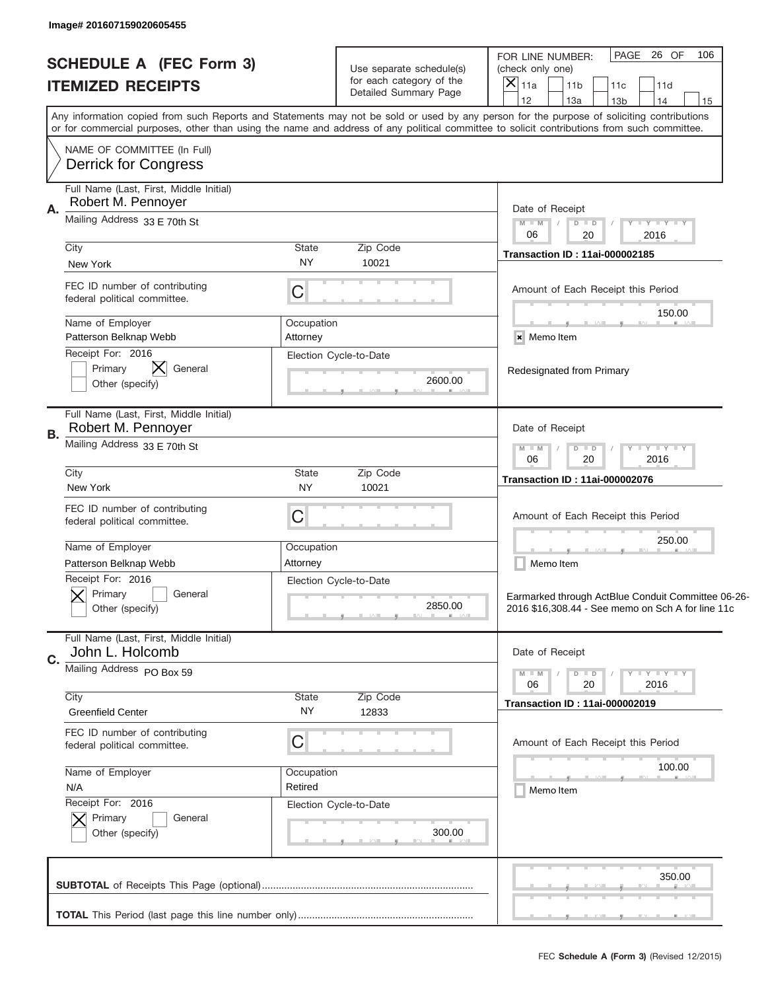| Image# 201607159020605455                                                                                                                                                                                                                                                                                              |                                                                               |                                                                                                                                                                          |  |
|------------------------------------------------------------------------------------------------------------------------------------------------------------------------------------------------------------------------------------------------------------------------------------------------------------------------|-------------------------------------------------------------------------------|--------------------------------------------------------------------------------------------------------------------------------------------------------------------------|--|
| <b>SCHEDULE A (FEC Form 3)</b><br><b>ITEMIZED RECEIPTS</b>                                                                                                                                                                                                                                                             | Use separate schedule(s)<br>for each category of the<br>Detailed Summary Page | PAGE 26 OF<br>106<br>FOR LINE NUMBER:<br>(check only one)<br>$\overline{\mathsf{x}}$<br>11a<br>11 <sub>b</sub><br>11d<br>11c<br>12<br>13a<br>13 <sub>b</sub><br>14<br>15 |  |
| Any information copied from such Reports and Statements may not be sold or used by any person for the purpose of soliciting contributions<br>or for commercial purposes, other than using the name and address of any political committee to solicit contributions from such committee.<br>NAME OF COMMITTEE (In Full) |                                                                               |                                                                                                                                                                          |  |
| <b>Derrick for Congress</b>                                                                                                                                                                                                                                                                                            |                                                                               |                                                                                                                                                                          |  |
| Full Name (Last, First, Middle Initial)<br>Robert M. Pennoyer<br>Α.                                                                                                                                                                                                                                                    |                                                                               | Date of Receipt                                                                                                                                                          |  |
| Mailing Address 33 E 70th St                                                                                                                                                                                                                                                                                           |                                                                               | $M$ M<br>$Y - Y - Y - Y$<br>$D$ $D$<br>06<br>20<br>2016                                                                                                                  |  |
| City<br>New York                                                                                                                                                                                                                                                                                                       | State<br>Zip Code<br><b>NY</b><br>10021                                       | <b>Transaction ID: 11ai-000002185</b>                                                                                                                                    |  |
| FEC ID number of contributing<br>federal political committee.                                                                                                                                                                                                                                                          | C                                                                             | Amount of Each Receipt this Period<br>150.00                                                                                                                             |  |
| Name of Employer<br>Patterson Belknap Webb                                                                                                                                                                                                                                                                             | Occupation<br>Attorney                                                        | × Memo Item                                                                                                                                                              |  |
| Receipt For: 2016<br>Primary<br>General<br>Other (specify)                                                                                                                                                                                                                                                             | Election Cycle-to-Date<br>2600.00                                             | Redesignated from Primary                                                                                                                                                |  |
| Full Name (Last, First, Middle Initial)<br>Robert M. Pennoyer<br>В.                                                                                                                                                                                                                                                    |                                                                               | Date of Receipt                                                                                                                                                          |  |
| Mailing Address 33 E 70th St                                                                                                                                                                                                                                                                                           |                                                                               |                                                                                                                                                                          |  |
| City<br>New York                                                                                                                                                                                                                                                                                                       | State<br>Zip Code<br><b>NY</b><br>10021                                       | <b>Transaction ID: 11ai-000002076</b>                                                                                                                                    |  |
| FEC ID number of contributing<br>federal political committee.                                                                                                                                                                                                                                                          | C                                                                             | Amount of Each Receipt this Period                                                                                                                                       |  |
| Name of Employer<br>Patterson Belknap Webb                                                                                                                                                                                                                                                                             | Occupation<br>Attorney                                                        | 250.00<br>Memo Item                                                                                                                                                      |  |
| Receipt For: 2016<br>Primary<br>General<br>Other (specify)                                                                                                                                                                                                                                                             | Election Cycle-to-Date<br>2850.00                                             | Earmarked through ActBlue Conduit Committee 06-26-<br>2016 \$16,308.44 - See memo on Sch A for line 11c                                                                  |  |
| Full Name (Last, First, Middle Initial)<br>John L. Holcomb<br>C.                                                                                                                                                                                                                                                       |                                                                               | Date of Receipt                                                                                                                                                          |  |
| Mailing Address PO Box 59                                                                                                                                                                                                                                                                                              |                                                                               | Y FY FY FY<br>$M - M$<br>$D$ $D$<br>20<br>2016<br>06                                                                                                                     |  |
| City<br><b>Greenfield Center</b>                                                                                                                                                                                                                                                                                       | Zip Code<br>State<br>ΝY<br>12833                                              | <b>Transaction ID: 11ai-000002019</b>                                                                                                                                    |  |
| FEC ID number of contributing<br>federal political committee.                                                                                                                                                                                                                                                          | C                                                                             | Amount of Each Receipt this Period                                                                                                                                       |  |
| Name of Employer<br>N/A<br>Receipt For: 2016                                                                                                                                                                                                                                                                           | Occupation<br>Retired<br>Election Cycle-to-Date                               | 100.00<br>Memo Item                                                                                                                                                      |  |
| Primary<br>General<br>Other (specify)                                                                                                                                                                                                                                                                                  | 300.00                                                                        |                                                                                                                                                                          |  |
|                                                                                                                                                                                                                                                                                                                        |                                                                               | 350.00                                                                                                                                                                   |  |
|                                                                                                                                                                                                                                                                                                                        |                                                                               |                                                                                                                                                                          |  |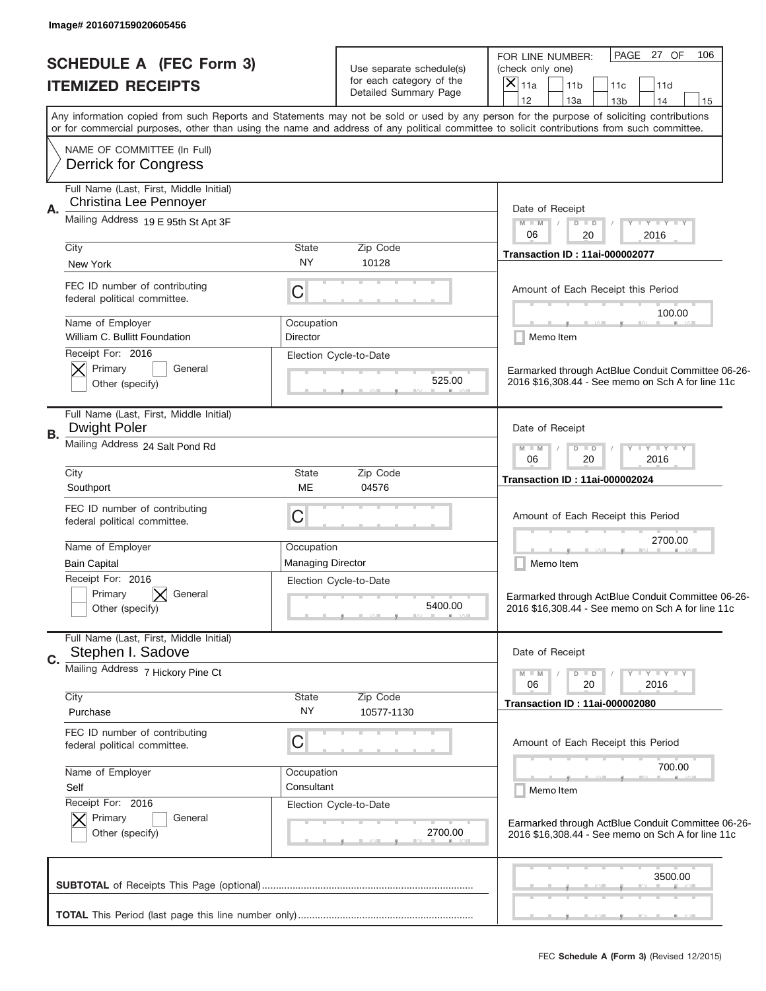| Image# 201607159020605456                                               |                                                                                                                                                                                                                                                                                         |                                                                                                                                                              |
|-------------------------------------------------------------------------|-----------------------------------------------------------------------------------------------------------------------------------------------------------------------------------------------------------------------------------------------------------------------------------------|--------------------------------------------------------------------------------------------------------------------------------------------------------------|
| <b>SCHEDULE A</b> (FEC Form 3)<br><b>ITEMIZED RECEIPTS</b>              | Use separate schedule(s)<br>for each category of the<br>Detailed Summary Page                                                                                                                                                                                                           | PAGE<br>27 OF<br>106<br>FOR LINE NUMBER:<br>(check only one)<br>$\times$<br>11a<br>11 <sub>b</sub><br>11c<br>11d<br>12<br>13a<br>13 <sub>b</sub><br>14<br>15 |
|                                                                         | Any information copied from such Reports and Statements may not be sold or used by any person for the purpose of soliciting contributions<br>or for commercial purposes, other than using the name and address of any political committee to solicit contributions from such committee. |                                                                                                                                                              |
| NAME OF COMMITTEE (In Full)<br><b>Derrick for Congress</b>              |                                                                                                                                                                                                                                                                                         |                                                                                                                                                              |
| Full Name (Last, First, Middle Initial)<br>Christina Lee Pennoyer<br>Α. |                                                                                                                                                                                                                                                                                         | Date of Receipt                                                                                                                                              |
| Mailing Address 19 E 95th St Apt 3F                                     |                                                                                                                                                                                                                                                                                         | $M - M$<br>Y TY TY TY<br>$D$ $D$<br>$\sqrt{2}$<br>06<br>20<br>2016                                                                                           |
| City<br>New York                                                        | State<br>Zip Code<br><b>NY</b><br>10128                                                                                                                                                                                                                                                 | <b>Transaction ID: 11ai-000002077</b>                                                                                                                        |
| FEC ID number of contributing<br>federal political committee.           | C                                                                                                                                                                                                                                                                                       | Amount of Each Receipt this Period<br>100.00                                                                                                                 |
| Name of Employer<br>William C. Bullitt Foundation<br>Receipt For: 2016  | Occupation<br>Director<br>Election Cycle-to-Date                                                                                                                                                                                                                                        | Memo Item                                                                                                                                                    |
| Primary<br>General<br>Other (specify)                                   | 525.00                                                                                                                                                                                                                                                                                  | Earmarked through ActBlue Conduit Committee 06-26-<br>2016 \$16,308.44 - See memo on Sch A for line 11c                                                      |
| Full Name (Last, First, Middle Initial)<br><b>Dwight Poler</b><br>В.    |                                                                                                                                                                                                                                                                                         | Date of Receipt                                                                                                                                              |
| Mailing Address 24 Salt Pond Rd                                         |                                                                                                                                                                                                                                                                                         | $Y = Y = Y = Y$<br>$M$ M<br>$D$ $D$<br>20<br>2016<br>06                                                                                                      |
| City<br>Southport                                                       | State<br>Zip Code<br>ME<br>04576                                                                                                                                                                                                                                                        | <b>Transaction ID: 11ai-000002024</b>                                                                                                                        |
| FEC ID number of contributing<br>federal political committee.           | C                                                                                                                                                                                                                                                                                       | Amount of Each Receipt this Period                                                                                                                           |
| Name of Employer<br><b>Bain Capital</b>                                 | Occupation<br><b>Managing Director</b>                                                                                                                                                                                                                                                  | 2700.00<br>Memo Item                                                                                                                                         |
| Receipt For: 2016<br>Primary<br>General<br>Other (specify)              | Election Cycle-to-Date<br>5400.00                                                                                                                                                                                                                                                       | Earmarked through ActBlue Conduit Committee 06-26-<br>2016 \$16,308.44 - See memo on Sch A for line 11c                                                      |
| Full Name (Last, First, Middle Initial)<br>Stephen I. Sadove<br>C.      |                                                                                                                                                                                                                                                                                         | Date of Receipt                                                                                                                                              |
| Mailing Address 7 Hickory Pine Ct                                       |                                                                                                                                                                                                                                                                                         | Y FY FY FY<br>$M - M$<br>$D$ $D$<br>2016<br>06<br>20                                                                                                         |
| City<br>Purchase                                                        | Zip Code<br>State<br>NY.<br>10577-1130                                                                                                                                                                                                                                                  | <b>Transaction ID: 11ai-000002080</b>                                                                                                                        |
| FEC ID number of contributing<br>federal political committee.           | C                                                                                                                                                                                                                                                                                       | Amount of Each Receipt this Period                                                                                                                           |
| Name of Employer<br>Self<br>Receipt For: 2016                           | Occupation<br>Consultant<br>Election Cycle-to-Date                                                                                                                                                                                                                                      | 700.00<br>Memo Item                                                                                                                                          |
| Primary<br>General<br>$\times$<br>Other (specify)                       | 2700.00                                                                                                                                                                                                                                                                                 | Earmarked through ActBlue Conduit Committee 06-26-<br>2016 \$16,308.44 - See memo on Sch A for line 11c                                                      |
|                                                                         |                                                                                                                                                                                                                                                                                         | 3500.00                                                                                                                                                      |
|                                                                         |                                                                                                                                                                                                                                                                                         | , , ,                                                                                                                                                        |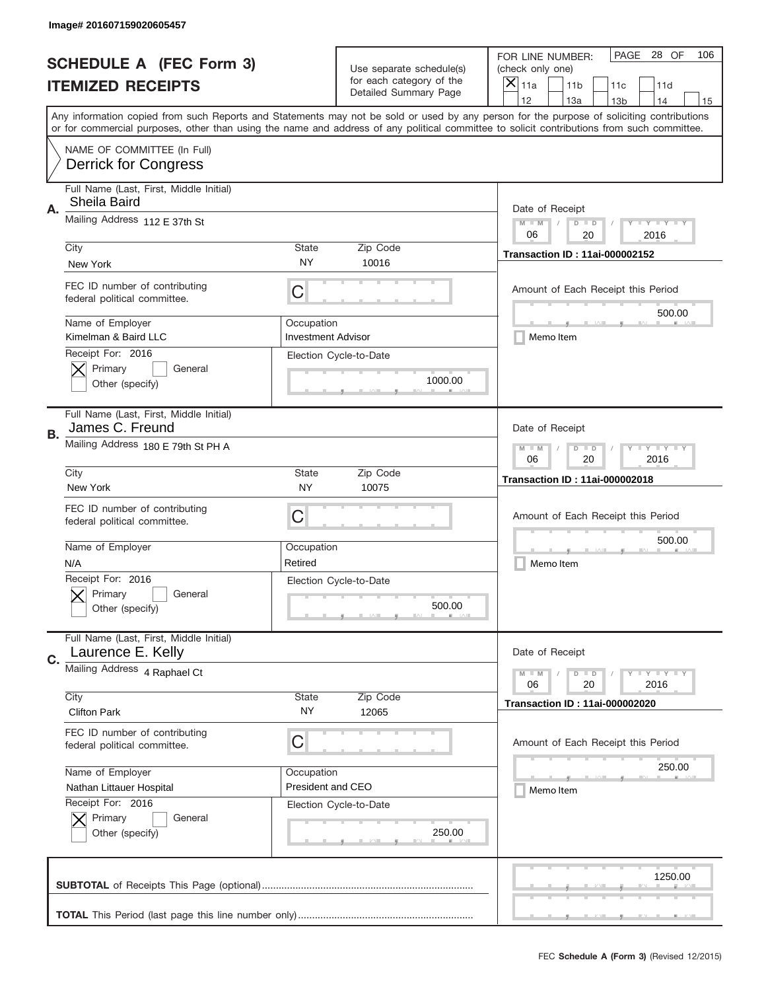|                          | Image# 201607159020605457                                     |                                         |                                                      |                                                                                                                                                                                                                                                                                                                                     |
|--------------------------|---------------------------------------------------------------|-----------------------------------------|------------------------------------------------------|-------------------------------------------------------------------------------------------------------------------------------------------------------------------------------------------------------------------------------------------------------------------------------------------------------------------------------------|
|                          | <b>SCHEDULE A (FEC Form 3)</b>                                |                                         | Use separate schedule(s)<br>for each category of the | PAGE 28 OF<br>106<br>FOR LINE NUMBER:<br>(check only one)                                                                                                                                                                                                                                                                           |
| <b>ITEMIZED RECEIPTS</b> |                                                               |                                         | Detailed Summary Page                                | ×<br>11a<br>11 <sub>b</sub><br>11c<br>11d                                                                                                                                                                                                                                                                                           |
|                          |                                                               |                                         |                                                      | 12<br>13a<br>14<br>13 <sub>b</sub><br>15<br>Any information copied from such Reports and Statements may not be sold or used by any person for the purpose of soliciting contributions<br>or for commercial purposes, other than using the name and address of any political committee to solicit contributions from such committee. |
|                          | NAME OF COMMITTEE (In Full)<br><b>Derrick for Congress</b>    |                                         |                                                      |                                                                                                                                                                                                                                                                                                                                     |
| Α.                       | Full Name (Last, First, Middle Initial)<br>Sheila Baird       |                                         |                                                      | Date of Receipt                                                                                                                                                                                                                                                                                                                     |
|                          | Mailing Address 112 E 37th St                                 |                                         |                                                      | $M - M$<br><b>LYLYLY</b><br>$D$ $D$<br>06<br>20<br>2016                                                                                                                                                                                                                                                                             |
|                          | City<br>New York                                              | State<br>NY                             | Zip Code<br>10016                                    | <b>Transaction ID: 11ai-000002152</b>                                                                                                                                                                                                                                                                                               |
|                          | FEC ID number of contributing<br>federal political committee. | C                                       |                                                      | Amount of Each Receipt this Period<br>500.00                                                                                                                                                                                                                                                                                        |
|                          | Name of Employer<br>Kimelman & Baird LLC                      | Occupation<br><b>Investment Advisor</b> |                                                      | Memo Item                                                                                                                                                                                                                                                                                                                           |
|                          | Receipt For: 2016<br>Primary<br>General<br>Other (specify)    |                                         | Election Cycle-to-Date<br>1000.00                    |                                                                                                                                                                                                                                                                                                                                     |
| В.                       | Full Name (Last, First, Middle Initial)<br>James C. Freund    |                                         |                                                      | Date of Receipt                                                                                                                                                                                                                                                                                                                     |
|                          | Mailing Address 180 E 79th St PH A                            |                                         |                                                      | $M - M$<br><b>LYLYLY</b><br>$D$ $D$<br>06<br>20<br>2016                                                                                                                                                                                                                                                                             |
|                          | City<br>New York                                              | <b>State</b><br>NY                      | Zip Code<br>10075                                    | <b>Transaction ID: 11ai-000002018</b>                                                                                                                                                                                                                                                                                               |
|                          | FEC ID number of contributing<br>federal political committee. | C                                       |                                                      | Amount of Each Receipt this Period                                                                                                                                                                                                                                                                                                  |
|                          | Name of Employer<br>N/A                                       | Occupation<br>Retired                   |                                                      | 500.00<br>Memo Item                                                                                                                                                                                                                                                                                                                 |
|                          | Receipt For: 2016<br>General<br>Primary<br>Other (specify)    |                                         | Election Cycle-to-Date<br>500.00                     |                                                                                                                                                                                                                                                                                                                                     |
| C.                       | Full Name (Last, First, Middle Initial)<br>Laurence E. Kelly  |                                         |                                                      | Date of Receipt                                                                                                                                                                                                                                                                                                                     |
|                          | Mailing Address 4 Raphael Ct                                  |                                         |                                                      | <b>LEY LEY LEY</b><br>$M - M$<br>$D$ $D$<br>06<br>2016<br>20                                                                                                                                                                                                                                                                        |
|                          | City<br><b>Clifton Park</b>                                   | State<br>NY                             | Zip Code<br>12065                                    | <b>Transaction ID: 11ai-000002020</b>                                                                                                                                                                                                                                                                                               |
|                          | FEC ID number of contributing<br>federal political committee. | С                                       |                                                      | Amount of Each Receipt this Period                                                                                                                                                                                                                                                                                                  |
|                          | Name of Employer                                              | Occupation                              |                                                      | 250.00                                                                                                                                                                                                                                                                                                                              |
|                          | Nathan Littauer Hospital<br>Receipt For: 2016                 | President and CEO                       |                                                      | Memo Item                                                                                                                                                                                                                                                                                                                           |
|                          | Primary<br>General<br>Other (specify)                         |                                         | Election Cycle-to-Date<br>250.00                     |                                                                                                                                                                                                                                                                                                                                     |
|                          |                                                               |                                         |                                                      |                                                                                                                                                                                                                                                                                                                                     |
|                          |                                                               |                                         |                                                      | 1250.00                                                                                                                                                                                                                                                                                                                             |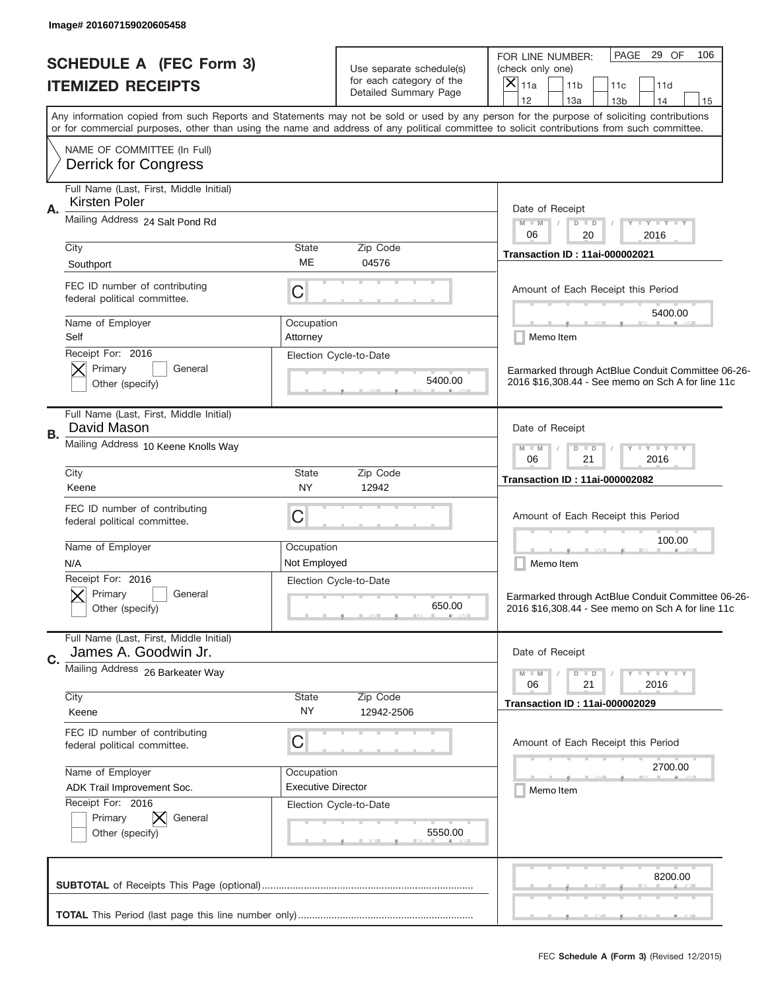| Image# 201607159020605458                                             |                                                                               |                                                                                                                                                                                                                                                                                         |
|-----------------------------------------------------------------------|-------------------------------------------------------------------------------|-----------------------------------------------------------------------------------------------------------------------------------------------------------------------------------------------------------------------------------------------------------------------------------------|
| <b>SCHEDULE A</b> (FEC Form 3)<br><b>ITEMIZED RECEIPTS</b>            | Use separate schedule(s)<br>for each category of the<br>Detailed Summary Page | PAGE 29 OF<br>106<br>FOR LINE NUMBER:<br>(check only one)<br>×<br>11a<br>11 <sub>b</sub><br>11c<br>11d<br>12<br>13a<br>14<br>13 <sub>b</sub><br>15                                                                                                                                      |
|                                                                       |                                                                               | Any information copied from such Reports and Statements may not be sold or used by any person for the purpose of soliciting contributions<br>or for commercial purposes, other than using the name and address of any political committee to solicit contributions from such committee. |
| NAME OF COMMITTEE (In Full)<br><b>Derrick for Congress</b>            |                                                                               |                                                                                                                                                                                                                                                                                         |
| Full Name (Last, First, Middle Initial)<br><b>Kirsten Poler</b><br>Α. |                                                                               | Date of Receipt                                                                                                                                                                                                                                                                         |
| Mailing Address 24 Salt Pond Rd                                       |                                                                               | $M - M$<br>$D$ $D$<br>$Y - Y - Y - Y$<br>06<br>20<br>2016                                                                                                                                                                                                                               |
| City<br>Southport                                                     | <b>State</b><br>Zip Code<br>ME<br>04576                                       | <b>Transaction ID: 11ai-000002021</b>                                                                                                                                                                                                                                                   |
| FEC ID number of contributing<br>federal political committee.         | C                                                                             | Amount of Each Receipt this Period<br>5400.00                                                                                                                                                                                                                                           |
| Name of Employer<br>Self<br>Receipt For: 2016                         | Occupation<br>Attorney                                                        | Memo Item                                                                                                                                                                                                                                                                               |
| Primary<br>General<br>Other (specify)                                 | Election Cycle-to-Date<br>5400.00                                             | Earmarked through ActBlue Conduit Committee 06-26-<br>2016 \$16,308,44 - See memo on Sch A for line 11c                                                                                                                                                                                 |
| Full Name (Last, First, Middle Initial)<br>David Mason<br>В.          |                                                                               | Date of Receipt                                                                                                                                                                                                                                                                         |
| Mailing Address 10 Keene Knolls Way                                   | $M - M$<br>$D$ $D$<br>$Y - Y - Y - Y - Y$<br>21<br>2016<br>06                 |                                                                                                                                                                                                                                                                                         |
| City<br>Keene                                                         | State<br>Zip Code<br><b>NY</b><br>12942                                       | <b>Transaction ID: 11ai-000002082</b>                                                                                                                                                                                                                                                   |
| FEC ID number of contributing<br>federal political committee.         | C                                                                             | Amount of Each Receipt this Period                                                                                                                                                                                                                                                      |
| Name of Employer<br>N/A                                               | Occupation<br>Not Employed                                                    | 100.00<br>Memo Item                                                                                                                                                                                                                                                                     |
| Receipt For: 2016<br>Primary<br>General<br>Other (specify)            | Election Cycle-to-Date<br>650.00                                              | Earmarked through ActBlue Conduit Committee 06-26-<br>2016 \$16,308.44 - See memo on Sch A for line 11c                                                                                                                                                                                 |
| Full Name (Last, First, Middle Initial)<br>James A. Goodwin Jr.<br>C. |                                                                               | Date of Receipt                                                                                                                                                                                                                                                                         |
| Mailing Address 26 Barkeater Way<br>City                              | State                                                                         | Y FY FY FY<br>$M - M$<br>$D$ $D$<br>21<br>2016<br>06                                                                                                                                                                                                                                    |
| Keene                                                                 | Zip Code<br>NY<br>12942-2506                                                  | <b>Transaction ID: 11ai-000002029</b>                                                                                                                                                                                                                                                   |
| FEC ID number of contributing<br>federal political committee.         | C                                                                             | Amount of Each Receipt this Period                                                                                                                                                                                                                                                      |
| Name of Employer<br>ADK Trail Improvement Soc.<br>Receipt For: 2016   | Occupation<br><b>Executive Director</b><br>Election Cycle-to-Date             | 2700.00<br>Memo Item                                                                                                                                                                                                                                                                    |
| Primary<br>General<br>Other (specify)                                 | 5550.00                                                                       |                                                                                                                                                                                                                                                                                         |
|                                                                       |                                                                               | 8200.00                                                                                                                                                                                                                                                                                 |
|                                                                       |                                                                               |                                                                                                                                                                                                                                                                                         |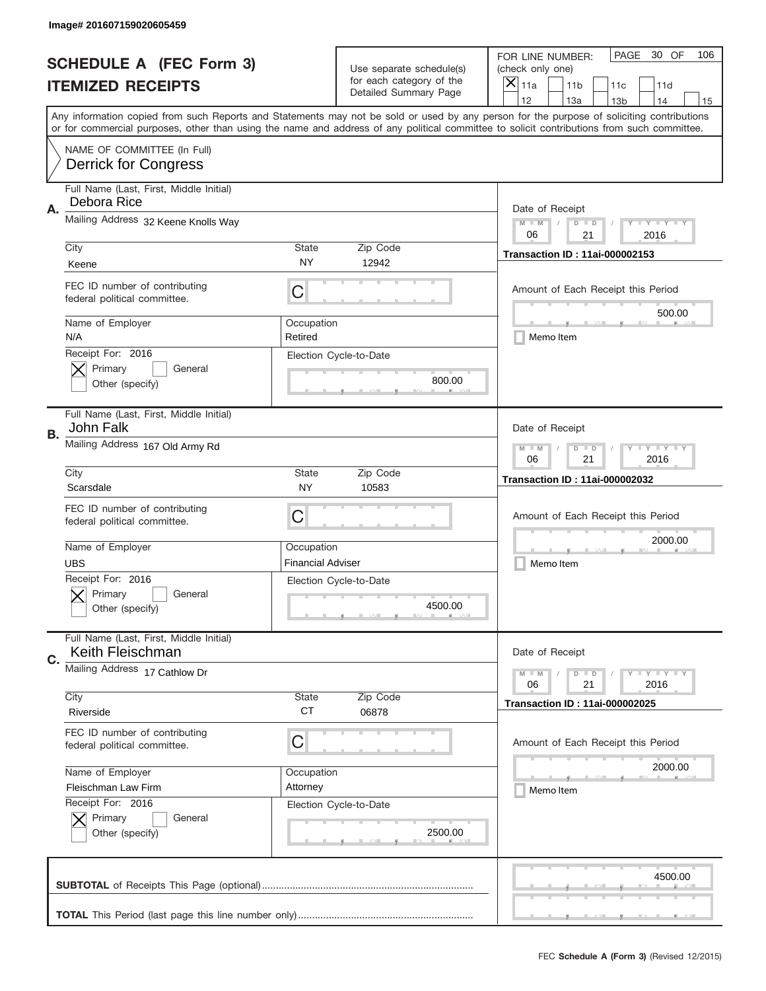|                          | Image# 201607159020605459                                     |                                        |                                                          |                                                                                                                                                                                                                                                                                                                                     |
|--------------------------|---------------------------------------------------------------|----------------------------------------|----------------------------------------------------------|-------------------------------------------------------------------------------------------------------------------------------------------------------------------------------------------------------------------------------------------------------------------------------------------------------------------------------------|
|                          | <b>SCHEDULE A (FEC Form 3)</b>                                |                                        | Use separate schedule(s)                                 | PAGE<br>30 OF<br>106<br>FOR LINE NUMBER:<br>(check only one)                                                                                                                                                                                                                                                                        |
| <b>ITEMIZED RECEIPTS</b> |                                                               |                                        | for each category of the<br><b>Detailed Summary Page</b> | ×<br>11a<br>11 <sub>b</sub><br>11c<br>11d                                                                                                                                                                                                                                                                                           |
|                          |                                                               |                                        |                                                          | 12<br>13a<br>14<br>13 <sub>b</sub><br>15<br>Any information copied from such Reports and Statements may not be sold or used by any person for the purpose of soliciting contributions<br>or for commercial purposes, other than using the name and address of any political committee to solicit contributions from such committee. |
|                          | NAME OF COMMITTEE (In Full)                                   |                                        |                                                          |                                                                                                                                                                                                                                                                                                                                     |
|                          | <b>Derrick for Congress</b>                                   |                                        |                                                          |                                                                                                                                                                                                                                                                                                                                     |
| Α.                       | Full Name (Last, First, Middle Initial)<br>Debora Rice        |                                        |                                                          | Date of Receipt                                                                                                                                                                                                                                                                                                                     |
|                          | Mailing Address 32 Keene Knolls Way                           |                                        |                                                          | $M - M$<br><b>LYLYLY</b><br>$D$ $D$<br>06<br>21<br>2016                                                                                                                                                                                                                                                                             |
|                          | City                                                          | State                                  | Zip Code                                                 | <b>Transaction ID: 11ai-000002153</b>                                                                                                                                                                                                                                                                                               |
|                          | Keene                                                         | NY                                     | 12942                                                    |                                                                                                                                                                                                                                                                                                                                     |
|                          | FEC ID number of contributing<br>federal political committee. | C                                      |                                                          | Amount of Each Receipt this Period                                                                                                                                                                                                                                                                                                  |
|                          | Name of Employer<br>N/A                                       | Occupation<br>Retired                  |                                                          | 500.00<br>Memo Item                                                                                                                                                                                                                                                                                                                 |
|                          | Receipt For: 2016<br>Primary<br>General<br>Other (specify)    |                                        | Election Cycle-to-Date<br>800.00                         |                                                                                                                                                                                                                                                                                                                                     |
| В.                       | Full Name (Last, First, Middle Initial)<br>John Falk          |                                        |                                                          | Date of Receipt                                                                                                                                                                                                                                                                                                                     |
|                          | Mailing Address 167 Old Army Rd                               |                                        |                                                          | $M$ M<br><b>LYLYLY</b><br>$D$ $D$<br>06<br>21<br>2016                                                                                                                                                                                                                                                                               |
|                          | City<br>Scarsdale                                             | State<br>NY                            | Zip Code<br>10583                                        | <b>Transaction ID: 11ai-000002032</b>                                                                                                                                                                                                                                                                                               |
|                          | FEC ID number of contributing<br>federal political committee. | C                                      |                                                          | Amount of Each Receipt this Period                                                                                                                                                                                                                                                                                                  |
|                          | Name of Employer<br><b>UBS</b>                                | Occupation<br><b>Financial Adviser</b> |                                                          | 2000.00<br>Memo Item                                                                                                                                                                                                                                                                                                                |
|                          | Receipt For: 2016<br>General<br>Primary<br>Other (specify)    |                                        | Election Cycle-to-Date<br>4500.00                        |                                                                                                                                                                                                                                                                                                                                     |
| C.                       | Full Name (Last, First, Middle Initial)<br>Keith Fleischman   |                                        |                                                          | Date of Receipt                                                                                                                                                                                                                                                                                                                     |
|                          | Mailing Address 17 Cathlow Dr                                 |                                        |                                                          | <b>LEY LEY LEY</b><br>$M - M$<br>$D$ $D$<br>06<br>2016<br>21                                                                                                                                                                                                                                                                        |
|                          | City<br>Riverside                                             | <b>State</b><br><b>CT</b>              | Zip Code<br>06878                                        | <b>Transaction ID: 11ai-000002025</b>                                                                                                                                                                                                                                                                                               |
|                          | FEC ID number of contributing<br>federal political committee. | C                                      |                                                          | Amount of Each Receipt this Period                                                                                                                                                                                                                                                                                                  |
|                          | Name of Employer                                              | Occupation                             |                                                          | 2000.00                                                                                                                                                                                                                                                                                                                             |
|                          | Fleischman Law Firm                                           | Attorney                               |                                                          | Memo Item                                                                                                                                                                                                                                                                                                                           |
|                          | Receipt For: 2016<br>Primary<br>General<br>Other (specify)    |                                        | Election Cycle-to-Date<br>2500.00                        |                                                                                                                                                                                                                                                                                                                                     |
|                          |                                                               |                                        |                                                          | 4500.00                                                                                                                                                                                                                                                                                                                             |
|                          |                                                               |                                        |                                                          |                                                                                                                                                                                                                                                                                                                                     |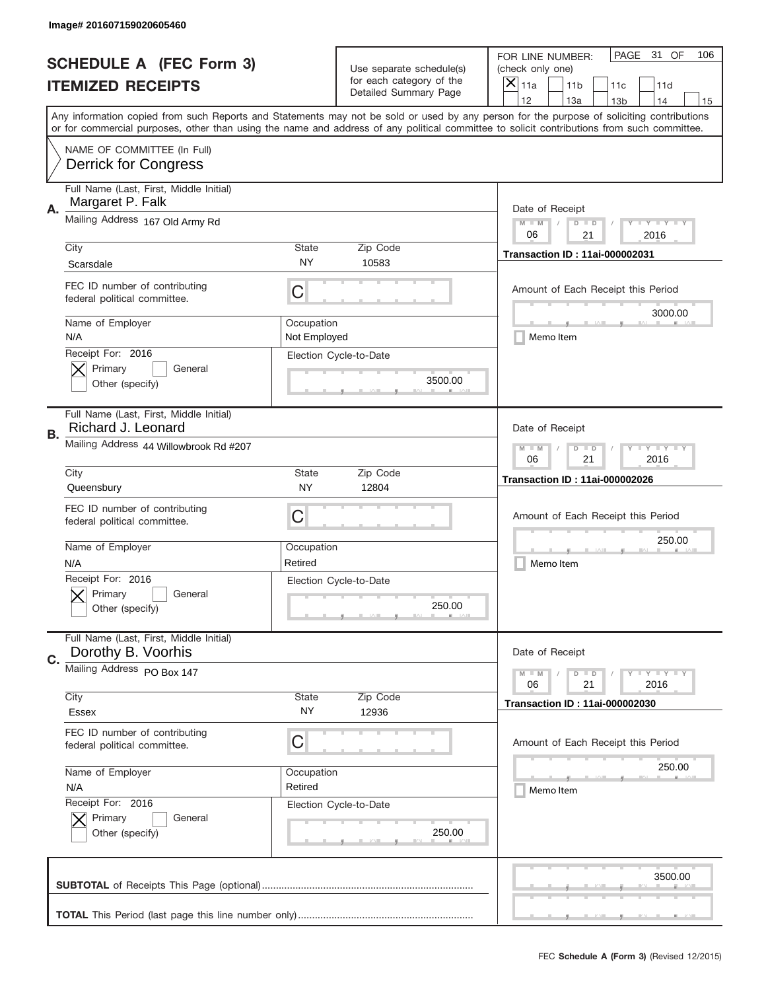|                          | Image# 201607159020605460                                     |                            |                                                   |                                                                                                                                                                                                                                                                                                                                     |
|--------------------------|---------------------------------------------------------------|----------------------------|---------------------------------------------------|-------------------------------------------------------------------------------------------------------------------------------------------------------------------------------------------------------------------------------------------------------------------------------------------------------------------------------------|
|                          | <b>SCHEDULE A (FEC Form 3)</b>                                |                            | Use separate schedule(s)                          | PAGE<br>31 OF<br>106<br>FOR LINE NUMBER:<br>(check only one)                                                                                                                                                                                                                                                                        |
| <b>ITEMIZED RECEIPTS</b> |                                                               |                            | for each category of the<br>Detailed Summary Page | ×<br>11a<br>11 <sub>b</sub><br>11c<br>11d                                                                                                                                                                                                                                                                                           |
|                          |                                                               |                            |                                                   | 12<br>13a<br>14<br>13 <sub>b</sub><br>15<br>Any information copied from such Reports and Statements may not be sold or used by any person for the purpose of soliciting contributions<br>or for commercial purposes, other than using the name and address of any political committee to solicit contributions from such committee. |
|                          | NAME OF COMMITTEE (In Full)<br><b>Derrick for Congress</b>    |                            |                                                   |                                                                                                                                                                                                                                                                                                                                     |
| Α.                       | Full Name (Last, First, Middle Initial)<br>Margaret P. Falk   |                            |                                                   | Date of Receipt                                                                                                                                                                                                                                                                                                                     |
|                          | Mailing Address 167 Old Army Rd                               |                            |                                                   | $M - M$<br><b>LEY LEY LEY</b><br>$D$ $D$<br>06<br>21<br>2016                                                                                                                                                                                                                                                                        |
|                          | City<br>Scarsdale                                             | State<br>NY                | Zip Code<br>10583                                 | <b>Transaction ID: 11ai-000002031</b>                                                                                                                                                                                                                                                                                               |
|                          | FEC ID number of contributing<br>federal political committee. | C                          |                                                   | Amount of Each Receipt this Period<br>3000.00                                                                                                                                                                                                                                                                                       |
|                          | Name of Employer<br>N/A                                       | Occupation<br>Not Employed |                                                   | Memo Item                                                                                                                                                                                                                                                                                                                           |
|                          | Receipt For: 2016<br>Primary<br>General<br>Other (specify)    |                            | Election Cycle-to-Date<br>3500.00                 |                                                                                                                                                                                                                                                                                                                                     |
| <b>B.</b>                | Full Name (Last, First, Middle Initial)<br>Richard J. Leonard |                            |                                                   | Date of Receipt                                                                                                                                                                                                                                                                                                                     |
|                          | Mailing Address 44 Willowbrook Rd #207                        |                            |                                                   | $M - M$<br><b>LEYTEY LEY</b><br>$D$ $D$<br>06<br>21<br>2016                                                                                                                                                                                                                                                                         |
|                          | City<br>Queensbury                                            | <b>State</b><br>NY         | Zip Code<br>12804                                 | <b>Transaction ID: 11ai-000002026</b>                                                                                                                                                                                                                                                                                               |
|                          | FEC ID number of contributing<br>federal political committee. | C                          |                                                   | Amount of Each Receipt this Period                                                                                                                                                                                                                                                                                                  |
|                          | Name of Employer<br>N/A                                       | Occupation<br>Retired      |                                                   | 250.00<br>Memo Item                                                                                                                                                                                                                                                                                                                 |
|                          | Receipt For: 2016<br>General<br>Primary<br>Other (specify)    |                            | Election Cycle-to-Date<br>250.00                  |                                                                                                                                                                                                                                                                                                                                     |
| C.                       | Full Name (Last, First, Middle Initial)<br>Dorothy B. Voorhis |                            |                                                   | Date of Receipt                                                                                                                                                                                                                                                                                                                     |
|                          | Mailing Address PO Box 147                                    |                            |                                                   | <b>LYLYLY</b><br>$M - M$<br>$D$ $D$<br>06<br>2016<br>21                                                                                                                                                                                                                                                                             |
|                          | City<br>Essex                                                 | State<br>NY                | Zip Code<br>12936                                 | <b>Transaction ID: 11ai-000002030</b>                                                                                                                                                                                                                                                                                               |
|                          | FEC ID number of contributing<br>federal political committee. | С                          |                                                   | Amount of Each Receipt this Period                                                                                                                                                                                                                                                                                                  |
|                          | Name of Employer<br>N/A                                       | Occupation<br>Retired      |                                                   | 250.00<br>Memo Item                                                                                                                                                                                                                                                                                                                 |
|                          | Receipt For: 2016<br>Primary<br>General<br>Other (specify)    |                            | Election Cycle-to-Date<br>250.00                  |                                                                                                                                                                                                                                                                                                                                     |
|                          |                                                               |                            |                                                   | 3500.00                                                                                                                                                                                                                                                                                                                             |
|                          |                                                               |                            |                                                   |                                                                                                                                                                                                                                                                                                                                     |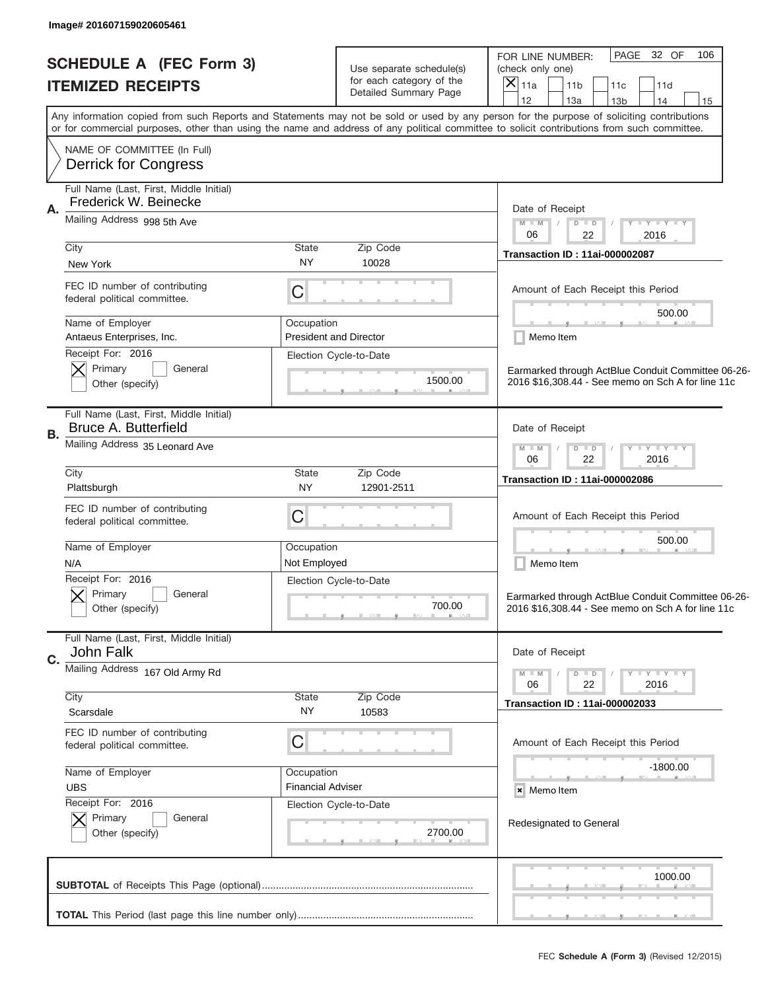| Image# 201607159020605461                                                                                                                                                                                                                                                               |                                                                               |                                                                                                                                                    |  |
|-----------------------------------------------------------------------------------------------------------------------------------------------------------------------------------------------------------------------------------------------------------------------------------------|-------------------------------------------------------------------------------|----------------------------------------------------------------------------------------------------------------------------------------------------|--|
| <b>SCHEDULE A (FEC Form 3)</b><br><b>ITEMIZED RECEIPTS</b>                                                                                                                                                                                                                              | Use separate schedule(s)<br>for each category of the<br>Detailed Summary Page | PAGE 32 OF<br>106<br>FOR LINE NUMBER:<br>(check only one)<br>×<br>11a<br>11 <sub>b</sub><br>11c<br>11d<br>12<br>13a<br>14<br>13 <sub>b</sub><br>15 |  |
| Any information copied from such Reports and Statements may not be sold or used by any person for the purpose of soliciting contributions<br>or for commercial purposes, other than using the name and address of any political committee to solicit contributions from such committee. |                                                                               |                                                                                                                                                    |  |
| NAME OF COMMITTEE (In Full)<br><b>Derrick for Congress</b>                                                                                                                                                                                                                              |                                                                               |                                                                                                                                                    |  |
| Full Name (Last, First, Middle Initial)<br>Frederick W. Beinecke<br>Α.                                                                                                                                                                                                                  |                                                                               | Date of Receipt                                                                                                                                    |  |
|                                                                                                                                                                                                                                                                                         | Mailing Address 998 5th Ave                                                   |                                                                                                                                                    |  |
| City<br>New York                                                                                                                                                                                                                                                                        | State<br>Zip Code<br><b>NY</b><br>10028                                       | <b>Transaction ID: 11ai-000002087</b>                                                                                                              |  |
| FEC ID number of contributing<br>federal political committee.                                                                                                                                                                                                                           | C                                                                             | Amount of Each Receipt this Period<br>500.00                                                                                                       |  |
| Name of Employer<br>Antaeus Enterprises, Inc.<br>Receipt For: 2016                                                                                                                                                                                                                      | Occupation<br><b>President and Director</b><br>Election Cycle-to-Date         | Memo Item                                                                                                                                          |  |
| Primary<br>General<br>Other (specify)                                                                                                                                                                                                                                                   | 1500.00                                                                       | Earmarked through ActBlue Conduit Committee 06-26-<br>2016 \$16,308,44 - See memo on Sch A for line 11c                                            |  |
| Full Name (Last, First, Middle Initial)<br><b>Bruce A. Butterfield</b><br>В.                                                                                                                                                                                                            |                                                                               | Date of Receipt                                                                                                                                    |  |
| Mailing Address 35 Leonard Ave                                                                                                                                                                                                                                                          | $M - M$<br>$D$ $D$<br>$Y - Y - Y - Y - Y$<br>22<br>2016<br>06                 |                                                                                                                                                    |  |
| City<br>Plattsburgh                                                                                                                                                                                                                                                                     | State<br>Zip Code<br><b>NY</b><br>12901-2511                                  | <b>Transaction ID: 11ai-000002086</b>                                                                                                              |  |
| FEC ID number of contributing<br>federal political committee.                                                                                                                                                                                                                           | C                                                                             | Amount of Each Receipt this Period                                                                                                                 |  |
| Name of Employer<br>N/A                                                                                                                                                                                                                                                                 | Occupation<br>Not Employed                                                    | 500.00<br>Memo Item                                                                                                                                |  |
| Receipt For: 2016<br>Primary<br>General<br>Other (specify)                                                                                                                                                                                                                              | Election Cycle-to-Date<br>700.00                                              | Earmarked through ActBlue Conduit Committee 06-26-<br>2016 \$16,308.44 - See memo on Sch A for line 11c                                            |  |
| Full Name (Last, First, Middle Initial)<br>John Falk<br>C.                                                                                                                                                                                                                              |                                                                               | Date of Receipt                                                                                                                                    |  |
| Mailing Address 167 Old Army Rd                                                                                                                                                                                                                                                         |                                                                               | $D$ $D$<br>Y FY FY FY<br>$M - M$<br>22<br>2016<br>06                                                                                               |  |
| City<br>Scarsdale                                                                                                                                                                                                                                                                       | Zip Code<br>State<br>NY<br>10583                                              | <b>Transaction ID: 11ai-000002033</b>                                                                                                              |  |
| FEC ID number of contributing<br>federal political committee.                                                                                                                                                                                                                           | C                                                                             | Amount of Each Receipt this Period                                                                                                                 |  |
| Name of Employer<br><b>UBS</b><br>Receipt For: 2016                                                                                                                                                                                                                                     | Occupation<br><b>Financial Adviser</b><br>Election Cycle-to-Date              | -1800.00<br>× Memo Item                                                                                                                            |  |
| Primary<br>General<br>Other (specify)                                                                                                                                                                                                                                                   | 2700.00                                                                       | Redesignated to General                                                                                                                            |  |
|                                                                                                                                                                                                                                                                                         |                                                                               | 1000.00                                                                                                                                            |  |
|                                                                                                                                                                                                                                                                                         |                                                                               |                                                                                                                                                    |  |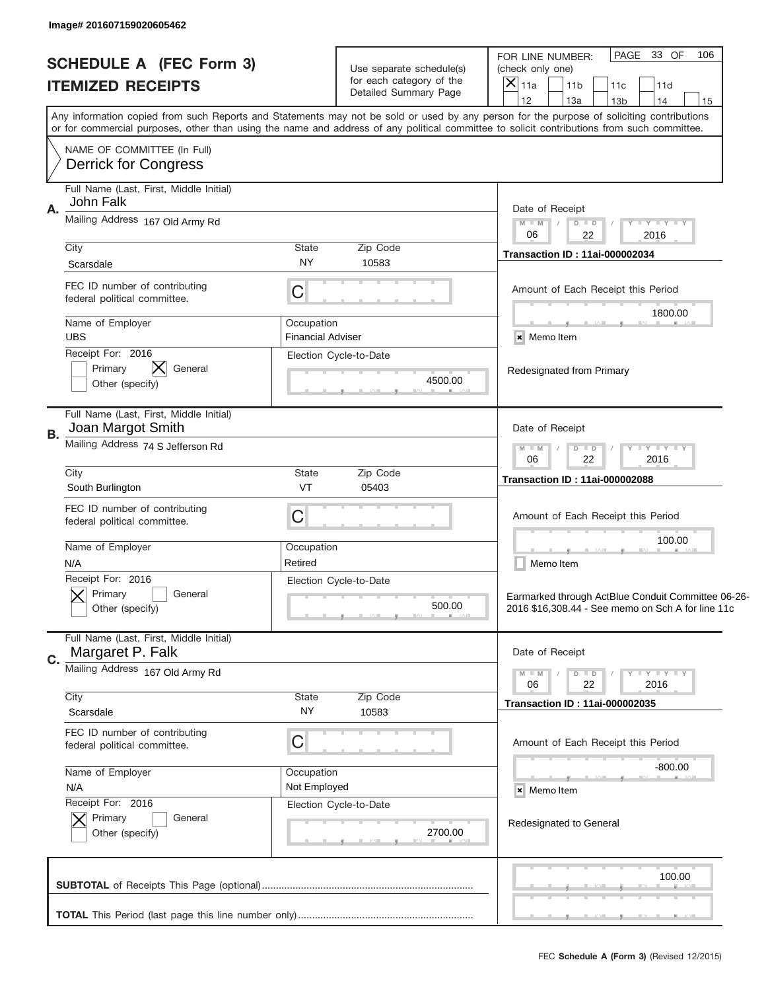| Image# 201607159020605462                                                                                                                                                                                                                                                                                              |                                                                               |                                                                                                                                                                          |  |
|------------------------------------------------------------------------------------------------------------------------------------------------------------------------------------------------------------------------------------------------------------------------------------------------------------------------|-------------------------------------------------------------------------------|--------------------------------------------------------------------------------------------------------------------------------------------------------------------------|--|
| <b>SCHEDULE A (FEC Form 3)</b><br><b>ITEMIZED RECEIPTS</b>                                                                                                                                                                                                                                                             | Use separate schedule(s)<br>for each category of the<br>Detailed Summary Page | PAGE 33 OF<br>106<br>FOR LINE NUMBER:<br>(check only one)<br>$\overline{\mathsf{x}}$<br>11a<br>11 <sub>b</sub><br>11d<br>11c<br>12<br>13a<br>13 <sub>b</sub><br>14<br>15 |  |
| Any information copied from such Reports and Statements may not be sold or used by any person for the purpose of soliciting contributions<br>or for commercial purposes, other than using the name and address of any political committee to solicit contributions from such committee.<br>NAME OF COMMITTEE (In Full) |                                                                               |                                                                                                                                                                          |  |
| <b>Derrick for Congress</b>                                                                                                                                                                                                                                                                                            |                                                                               |                                                                                                                                                                          |  |
| Full Name (Last, First, Middle Initial)<br>John Falk<br>А.                                                                                                                                                                                                                                                             |                                                                               | Date of Receipt                                                                                                                                                          |  |
| Mailing Address 167 Old Army Rd                                                                                                                                                                                                                                                                                        |                                                                               | $M - M$<br>$Y - Y - Y - Y$<br>$D$ $D$<br>06<br>22<br>2016                                                                                                                |  |
| City                                                                                                                                                                                                                                                                                                                   | State<br>Zip Code<br><b>NY</b>                                                | <b>Transaction ID: 11ai-000002034</b>                                                                                                                                    |  |
| Scarsdale<br>FEC ID number of contributing<br>federal political committee.                                                                                                                                                                                                                                             | 10583<br>C                                                                    | Amount of Each Receipt this Period                                                                                                                                       |  |
| Name of Employer<br><b>UBS</b>                                                                                                                                                                                                                                                                                         | Occupation<br><b>Financial Adviser</b>                                        | 1800.00<br>× Memo Item                                                                                                                                                   |  |
| Receipt For: 2016<br>General<br>Primary<br>Other (specify)                                                                                                                                                                                                                                                             | Election Cycle-to-Date<br>4500.00                                             | Redesignated from Primary                                                                                                                                                |  |
| Full Name (Last, First, Middle Initial)<br>Joan Margot Smith<br>В.                                                                                                                                                                                                                                                     |                                                                               | Date of Receipt                                                                                                                                                          |  |
| Mailing Address 74 S Jefferson Rd                                                                                                                                                                                                                                                                                      | $D$ $D$<br>$Y - Y - Y - Y - Y$<br>$M - M$<br>06<br>22<br>2016                 |                                                                                                                                                                          |  |
| City<br>South Burlington                                                                                                                                                                                                                                                                                               | State<br>Zip Code<br>VT<br>05403                                              | <b>Transaction ID: 11ai-000002088</b>                                                                                                                                    |  |
| FEC ID number of contributing<br>federal political committee.                                                                                                                                                                                                                                                          | C                                                                             | Amount of Each Receipt this Period                                                                                                                                       |  |
| Name of Employer<br>N/A                                                                                                                                                                                                                                                                                                | Occupation<br>Retired                                                         | 100.00<br>Memo Item                                                                                                                                                      |  |
| Receipt For: 2016<br>Primary<br>General<br>Other (specify)                                                                                                                                                                                                                                                             | Election Cycle-to-Date<br>500.00                                              | Earmarked through ActBlue Conduit Committee 06-26-<br>2016 \$16,308.44 - See memo on Sch A for line 11c                                                                  |  |
| Full Name (Last, First, Middle Initial)<br>Margaret P. Falk<br>C.                                                                                                                                                                                                                                                      |                                                                               |                                                                                                                                                                          |  |
| Mailing Address 167 Old Army Rd                                                                                                                                                                                                                                                                                        |                                                                               | Y FY FY FY<br>$M - M$<br>$D$ $D$<br>06<br>22<br>2016                                                                                                                     |  |
| City<br>Scarsdale                                                                                                                                                                                                                                                                                                      | Zip Code<br><b>State</b><br>ΝY<br>10583                                       | <b>Transaction ID: 11ai-000002035</b>                                                                                                                                    |  |
| FEC ID number of contributing<br>federal political committee.                                                                                                                                                                                                                                                          | C                                                                             | Amount of Each Receipt this Period                                                                                                                                       |  |
| Name of Employer                                                                                                                                                                                                                                                                                                       | Occupation                                                                    | -800.00                                                                                                                                                                  |  |
| N/A<br>Receipt For: 2016                                                                                                                                                                                                                                                                                               | Not Employed<br>Election Cycle-to-Date                                        | × Memo Item                                                                                                                                                              |  |
| Primary<br>General<br>Other (specify)                                                                                                                                                                                                                                                                                  | 2700.00                                                                       | Redesignated to General                                                                                                                                                  |  |
|                                                                                                                                                                                                                                                                                                                        |                                                                               | 100.00                                                                                                                                                                   |  |
|                                                                                                                                                                                                                                                                                                                        |                                                                               |                                                                                                                                                                          |  |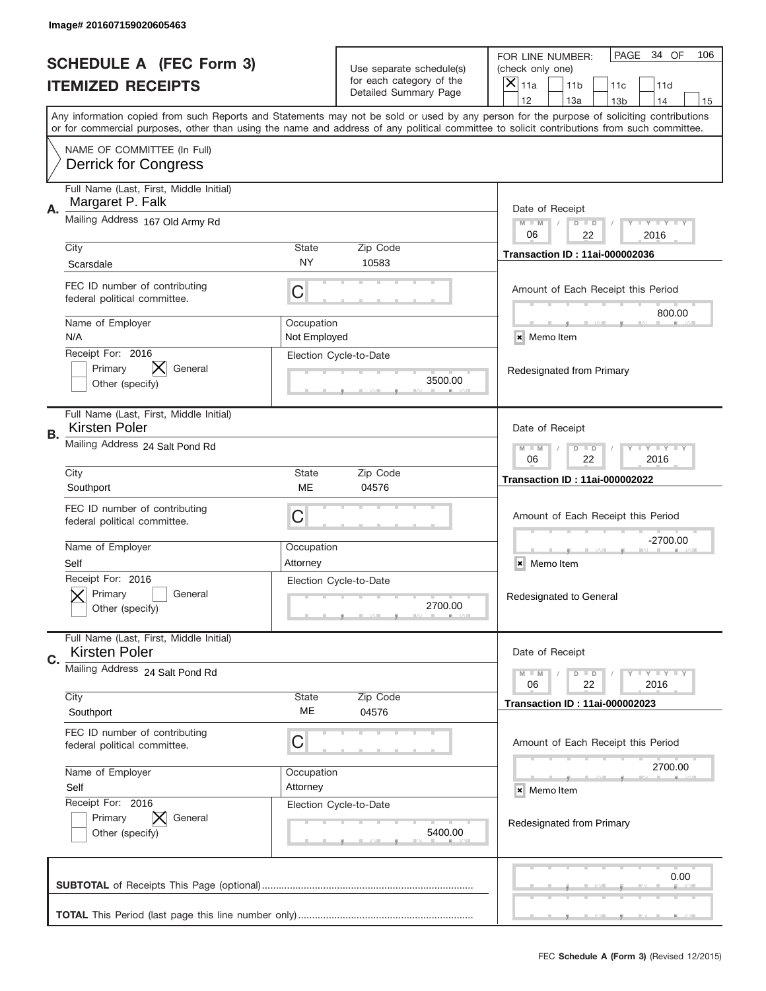|    | Image# 201607159020605463                                       |                            |                                                      |                                                                                                                                                                                                                                                                                                                         |
|----|-----------------------------------------------------------------|----------------------------|------------------------------------------------------|-------------------------------------------------------------------------------------------------------------------------------------------------------------------------------------------------------------------------------------------------------------------------------------------------------------------------|
|    | <b>SCHEDULE A (FEC Form 3)</b>                                  |                            | Use separate schedule(s)<br>for each category of the | PAGE<br>34 OF<br>106<br>FOR LINE NUMBER:<br>(check only one)                                                                                                                                                                                                                                                            |
|    | <b>ITEMIZED RECEIPTS</b>                                        |                            | Detailed Summary Page                                | ×<br>11a<br>11 <sub>b</sub><br>11c<br>11d<br>12<br>14                                                                                                                                                                                                                                                                   |
|    |                                                                 |                            |                                                      | 13a<br>13 <sub>b</sub><br>15<br>Any information copied from such Reports and Statements may not be sold or used by any person for the purpose of soliciting contributions<br>or for commercial purposes, other than using the name and address of any political committee to solicit contributions from such committee. |
|    | NAME OF COMMITTEE (In Full)<br><b>Derrick for Congress</b>      |                            |                                                      |                                                                                                                                                                                                                                                                                                                         |
| Α. | Full Name (Last, First, Middle Initial)<br>Margaret P. Falk     |                            |                                                      | Date of Receipt                                                                                                                                                                                                                                                                                                         |
|    | Mailing Address 167 Old Army Rd                                 |                            |                                                      | $M - M$<br><b>LEY LEY LEY</b><br>$D$ $D$<br>06<br>22<br>2016                                                                                                                                                                                                                                                            |
|    | City<br>Scarsdale                                               | State<br>NY                | Zip Code<br>10583                                    | <b>Transaction ID: 11ai-000002036</b>                                                                                                                                                                                                                                                                                   |
|    | FEC ID number of contributing<br>federal political committee.   | C                          |                                                      | Amount of Each Receipt this Period<br>800.00                                                                                                                                                                                                                                                                            |
|    | Name of Employer<br>N/A                                         | Occupation<br>Not Employed |                                                      | × Memo Item                                                                                                                                                                                                                                                                                                             |
|    | Receipt For: 2016<br>Primary<br>General<br>Other (specify)      |                            | Election Cycle-to-Date<br>3500.00                    | Redesignated from Primary                                                                                                                                                                                                                                                                                               |
| В. | Full Name (Last, First, Middle Initial)<br>Kirsten Poler        |                            |                                                      | Date of Receipt                                                                                                                                                                                                                                                                                                         |
|    | Mailing Address 24 Salt Pond Rd                                 |                            |                                                      | <b>LEYTEY LEY</b><br>$M - M$<br>$D$ $D$<br>06<br>22<br>2016                                                                                                                                                                                                                                                             |
|    | City<br>Southport                                               | State<br>ME                | Zip Code<br>04576                                    | <b>Transaction ID: 11ai-000002022</b>                                                                                                                                                                                                                                                                                   |
|    | FEC ID number of contributing<br>federal political committee.   | C                          |                                                      | Amount of Each Receipt this Period                                                                                                                                                                                                                                                                                      |
|    | Name of Employer<br>Self                                        | Occupation<br>Attorney     |                                                      | $-2700.00$<br>×<br>Memo Item                                                                                                                                                                                                                                                                                            |
|    | Receipt For: 2016<br>General<br>Primary<br>Other (specify)      |                            | Election Cycle-to-Date<br>2700.00                    | Redesignated to General                                                                                                                                                                                                                                                                                                 |
| C. | Full Name (Last, First, Middle Initial)<br><b>Kirsten Poler</b> |                            |                                                      | Date of Receipt                                                                                                                                                                                                                                                                                                         |
|    | Mailing Address 24 Salt Pond Rd<br>City                         | <b>State</b>               | Zip Code                                             | <b>LY LY LY</b><br>$M - M$<br>$D$ $D$<br>2016<br>06<br>22                                                                                                                                                                                                                                                               |
|    | Southport                                                       | МE                         | 04576                                                | <b>Transaction ID: 11ai-000002023</b>                                                                                                                                                                                                                                                                                   |
|    | FEC ID number of contributing<br>federal political committee.   | C                          |                                                      | Amount of Each Receipt this Period                                                                                                                                                                                                                                                                                      |
|    | Name of Employer<br>Self                                        | Occupation<br>Attorney     |                                                      | 2700.00<br>× Memo Item                                                                                                                                                                                                                                                                                                  |
|    | Receipt For: 2016<br>Primary<br>General<br>Other (specify)      |                            | Election Cycle-to-Date<br>5400.00                    | Redesignated from Primary                                                                                                                                                                                                                                                                                               |
|    |                                                                 |                            |                                                      | 0.00                                                                                                                                                                                                                                                                                                                    |
|    |                                                                 |                            |                                                      | __                                                                                                                                                                                                                                                                                                                      |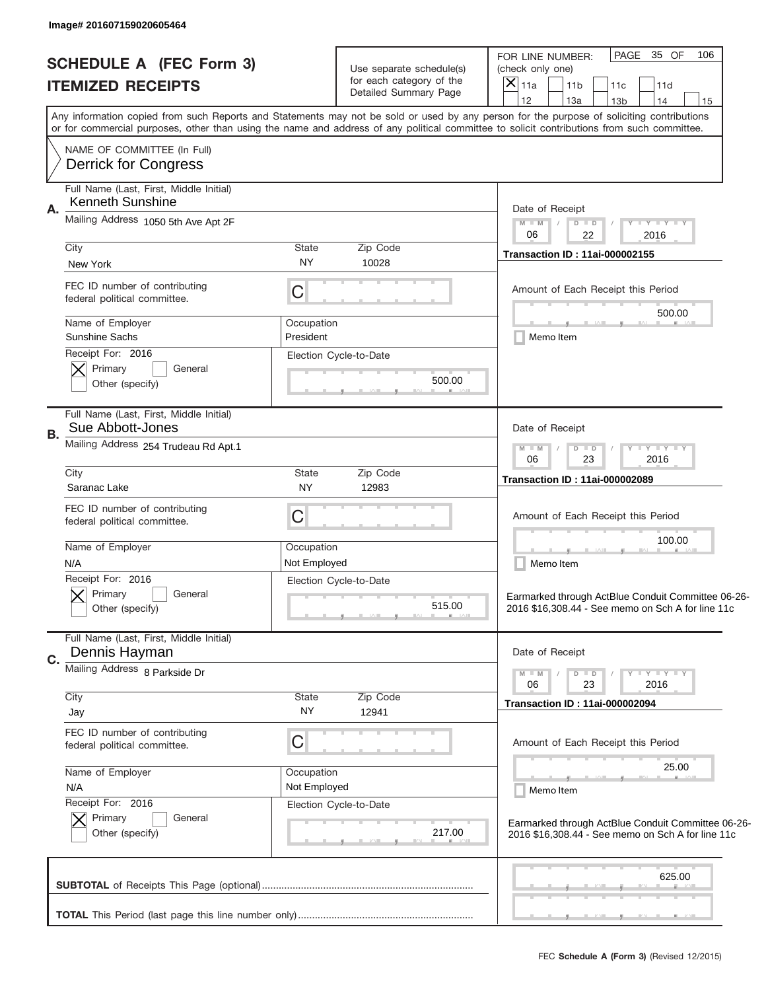| Image# 201607159020605464                                                |                                                                                                                                            |                                                                                                                                                              |
|--------------------------------------------------------------------------|--------------------------------------------------------------------------------------------------------------------------------------------|--------------------------------------------------------------------------------------------------------------------------------------------------------------|
| <b>SCHEDULE A (FEC Form 3)</b><br><b>ITEMIZED RECEIPTS</b>               | Use separate schedule(s)<br>for each category of the<br>Detailed Summary Page                                                              | PAGE<br>35 OF<br>106<br>FOR LINE NUMBER:<br>(check only one)<br>$\times$<br>11a<br>11 <sub>b</sub><br>11c<br>11d<br>12<br>13a<br>13 <sub>b</sub><br>14<br>15 |
|                                                                          | or for commercial purposes, other than using the name and address of any political committee to solicit contributions from such committee. | Any information copied from such Reports and Statements may not be sold or used by any person for the purpose of soliciting contributions                    |
| NAME OF COMMITTEE (In Full)<br><b>Derrick for Congress</b>               |                                                                                                                                            |                                                                                                                                                              |
| Full Name (Last, First, Middle Initial)<br><b>Kenneth Sunshine</b><br>Α. |                                                                                                                                            | Date of Receipt                                                                                                                                              |
| Mailing Address 1050 5th Ave Apt 2F                                      |                                                                                                                                            | $M - M$<br>Y TY TY TY<br>$D$ $D$<br>$\sqrt{2}$<br>06<br>22<br>2016                                                                                           |
| City<br>New York                                                         | State<br>Zip Code<br><b>NY</b><br>10028                                                                                                    | <b>Transaction ID: 11ai-000002155</b>                                                                                                                        |
| FEC ID number of contributing<br>federal political committee.            | $\mathsf C$                                                                                                                                | Amount of Each Receipt this Period<br>500.00                                                                                                                 |
| Name of Employer<br><b>Sunshine Sachs</b>                                | Occupation<br>President                                                                                                                    | Memo Item                                                                                                                                                    |
| Receipt For: 2016<br>Primary<br>General<br>Other (specify)               | Election Cycle-to-Date<br>500.00                                                                                                           |                                                                                                                                                              |
| Full Name (Last, First, Middle Initial)<br>Sue Abbott-Jones<br>В.        |                                                                                                                                            | Date of Receipt                                                                                                                                              |
| Mailing Address 254 Trudeau Rd Apt.1                                     | $M$ M<br>$Y = Y = Y = Y$<br>$D$ $D$<br>06<br>23<br>2016                                                                                    |                                                                                                                                                              |
| City<br>Saranac Lake                                                     | State<br>Zip Code<br><b>NY</b><br>12983                                                                                                    | <b>Transaction ID: 11ai-000002089</b>                                                                                                                        |
| FEC ID number of contributing<br>federal political committee.            | C                                                                                                                                          | Amount of Each Receipt this Period                                                                                                                           |
| Name of Employer<br>N/A                                                  | Occupation<br>Not Employed                                                                                                                 | 100.00<br>Memo Item                                                                                                                                          |
| Receipt For: 2016<br>Primary<br>General<br>Other (specify)               | Election Cycle-to-Date<br>515.00                                                                                                           | Earmarked through ActBlue Conduit Committee 06-26-<br>2016 \$16,308.44 - See memo on Sch A for line 11c                                                      |
| Full Name (Last, First, Middle Initial)<br>Dennis Hayman<br>C.           |                                                                                                                                            | Date of Receipt                                                                                                                                              |
| Mailing Address 8 Parkside Dr                                            |                                                                                                                                            | Y FY FY FY<br>$M - M$<br>$D$ $D$<br>06<br>2016<br>23                                                                                                         |
| City<br>Jay                                                              | Zip Code<br>State<br>NY.<br>12941                                                                                                          | <b>Transaction ID: 11ai-000002094</b>                                                                                                                        |
| FEC ID number of contributing<br>federal political committee.            | C                                                                                                                                          | Amount of Each Receipt this Period                                                                                                                           |
| Name of Employer<br>N/A<br>Receipt For: 2016                             | Occupation<br>Not Employed                                                                                                                 | 25.00<br>Memo Item                                                                                                                                           |
| Primary<br>General<br>$\times$<br>Other (specify)                        | Election Cycle-to-Date<br>217.00                                                                                                           | Earmarked through ActBlue Conduit Committee 06-26-<br>2016 \$16,308.44 - See memo on Sch A for line 11c                                                      |
|                                                                          |                                                                                                                                            | 625.00                                                                                                                                                       |
|                                                                          |                                                                                                                                            |                                                                                                                                                              |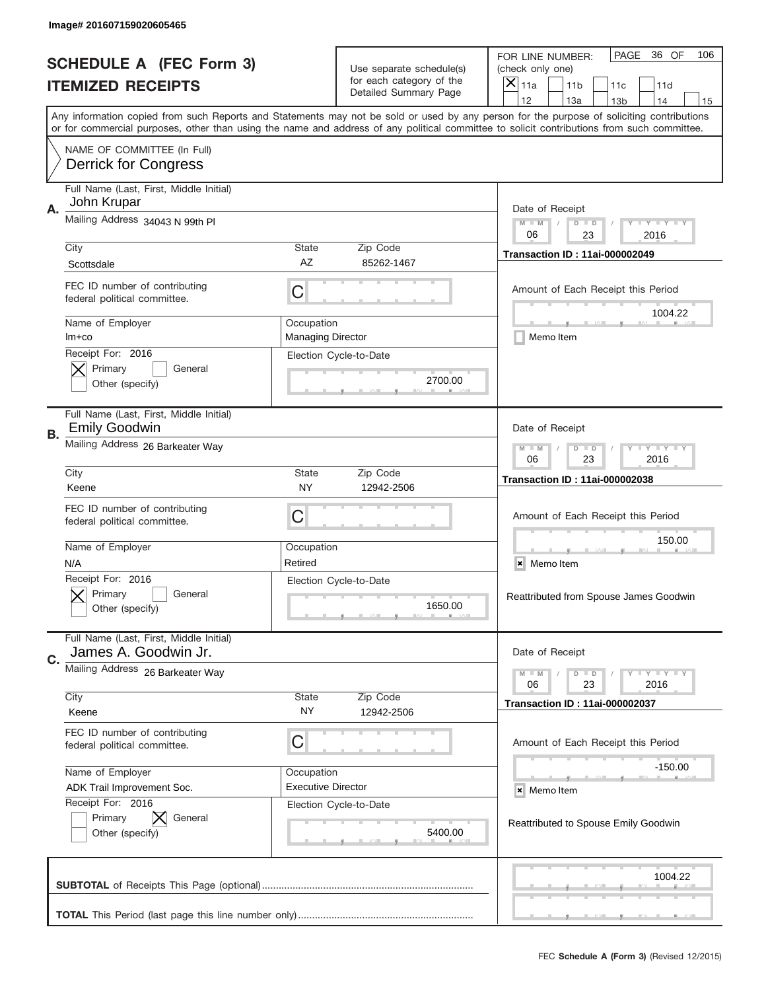|                          | Image# 201607159020605465                                                                                  |                                         |                                                   |                                                                                                                                                                                                                                                                                                                                     |
|--------------------------|------------------------------------------------------------------------------------------------------------|-----------------------------------------|---------------------------------------------------|-------------------------------------------------------------------------------------------------------------------------------------------------------------------------------------------------------------------------------------------------------------------------------------------------------------------------------------|
|                          | <b>SCHEDULE A (FEC Form 3)</b><br>Mailing Address 34043 N 99th PI<br>Primary<br>General<br>Other (specify) |                                         | Use separate schedule(s)                          | PAGE<br>36 OF<br>106<br>FOR LINE NUMBER:<br>(check only one)                                                                                                                                                                                                                                                                        |
| <b>ITEMIZED RECEIPTS</b> |                                                                                                            |                                         | for each category of the<br>Detailed Summary Page | ×<br>11a<br>11 <sub>b</sub><br>11c<br>11d                                                                                                                                                                                                                                                                                           |
|                          |                                                                                                            |                                         |                                                   | 12<br>13a<br>13 <sub>b</sub><br>14<br>15<br>Any information copied from such Reports and Statements may not be sold or used by any person for the purpose of soliciting contributions<br>or for commercial purposes, other than using the name and address of any political committee to solicit contributions from such committee. |
|                          | NAME OF COMMITTEE (In Full)<br><b>Derrick for Congress</b>                                                 |                                         |                                                   |                                                                                                                                                                                                                                                                                                                                     |
| А.                       | Full Name (Last, First, Middle Initial)<br>John Krupar                                                     |                                         |                                                   | Date of Receipt                                                                                                                                                                                                                                                                                                                     |
|                          |                                                                                                            |                                         |                                                   | $M - M$<br><b>LYLYLY</b><br>$D$ $D$<br>06<br>23<br>2016                                                                                                                                                                                                                                                                             |
|                          | City<br>Scottsdale                                                                                         | State<br>AZ                             | Zip Code<br>85262-1467                            | <b>Transaction ID: 11ai-000002049</b>                                                                                                                                                                                                                                                                                               |
|                          | FEC ID number of contributing<br>federal political committee.                                              | C                                       |                                                   | Amount of Each Receipt this Period<br>1004.22                                                                                                                                                                                                                                                                                       |
|                          | Name of Employer<br>$Im+co$                                                                                | Occupation<br><b>Managing Director</b>  |                                                   | Memo Item                                                                                                                                                                                                                                                                                                                           |
|                          | Receipt For: 2016                                                                                          |                                         | Election Cycle-to-Date<br>2700.00                 |                                                                                                                                                                                                                                                                                                                                     |
| В.                       | Full Name (Last, First, Middle Initial)<br><b>Emily Goodwin</b>                                            |                                         |                                                   | Date of Receipt                                                                                                                                                                                                                                                                                                                     |
|                          | Mailing Address 26 Barkeater Way                                                                           |                                         |                                                   | <b>LEYTEY LEY</b><br>$M$ $M$<br>$D$ $D$<br>06<br>23<br>2016                                                                                                                                                                                                                                                                         |
|                          | City<br>Keene                                                                                              | <b>State</b><br>NY                      | Zip Code<br>12942-2506                            | <b>Transaction ID: 11ai-000002038</b>                                                                                                                                                                                                                                                                                               |
|                          | FEC ID number of contributing<br>federal political committee.                                              | C                                       |                                                   | Amount of Each Receipt this Period                                                                                                                                                                                                                                                                                                  |
|                          | Name of Employer<br>N/A                                                                                    | Occupation<br>Retired                   |                                                   | 150.00<br>Memo Item                                                                                                                                                                                                                                                                                                                 |
|                          | Receipt For: 2016<br>General<br>Primary<br>Other (specify)                                                 |                                         | Election Cycle-to-Date<br>1650.00                 | Reattributed from Spouse James Goodwin                                                                                                                                                                                                                                                                                              |
| C.                       | Full Name (Last, First, Middle Initial)<br>James A. Goodwin Jr.                                            |                                         |                                                   | Date of Receipt                                                                                                                                                                                                                                                                                                                     |
|                          | Mailing Address 26 Barkeater Way<br>City<br>Zip Code<br>State                                              |                                         |                                                   | <b>LYLYLY</b><br>$M - M$<br>$D$ $D$<br>06<br>2016<br>23                                                                                                                                                                                                                                                                             |
|                          | Keene                                                                                                      | NY                                      | 12942-2506                                        | <b>Transaction ID: 11ai-000002037</b>                                                                                                                                                                                                                                                                                               |
|                          | FEC ID number of contributing<br>federal political committee.                                              | С                                       |                                                   | Amount of Each Receipt this Period                                                                                                                                                                                                                                                                                                  |
|                          | Name of Employer<br>ADK Trail Improvement Soc.                                                             | Occupation<br><b>Executive Director</b> |                                                   | $-150.00$<br>× Memo Item                                                                                                                                                                                                                                                                                                            |
|                          | Receipt For: 2016<br>Primary<br>General<br>Other (specify)                                                 |                                         | Election Cycle-to-Date<br>5400.00                 | Reattributed to Spouse Emily Goodwin                                                                                                                                                                                                                                                                                                |
|                          |                                                                                                            |                                         |                                                   | 1004.22                                                                                                                                                                                                                                                                                                                             |
|                          |                                                                                                            |                                         |                                                   |                                                                                                                                                                                                                                                                                                                                     |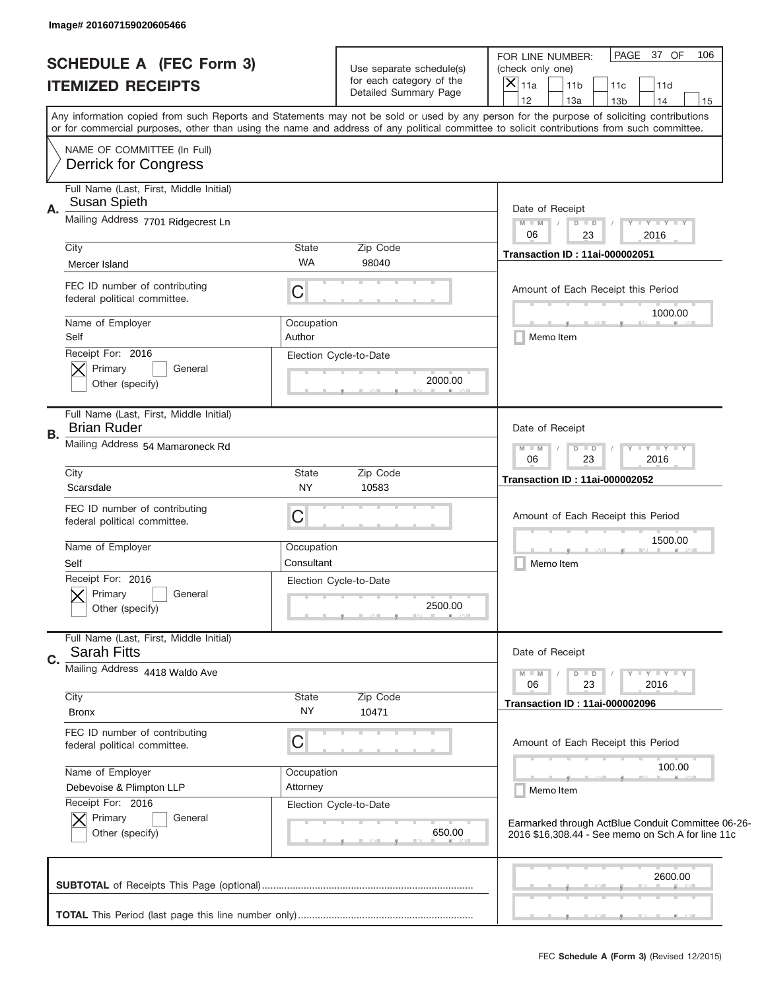| Image# 201607159020605466                                                                                                                                                                                                                                                               |                                                                               |                                                                                                                                                    |
|-----------------------------------------------------------------------------------------------------------------------------------------------------------------------------------------------------------------------------------------------------------------------------------------|-------------------------------------------------------------------------------|----------------------------------------------------------------------------------------------------------------------------------------------------|
| <b>SCHEDULE A (FEC Form 3)</b><br><b>ITEMIZED RECEIPTS</b>                                                                                                                                                                                                                              | Use separate schedule(s)<br>for each category of the<br>Detailed Summary Page | PAGE 37 OF<br>106<br>FOR LINE NUMBER:<br>(check only one)<br>×<br>11a<br>11 <sub>b</sub><br>11c<br>11d<br>12<br>13a<br>13 <sub>b</sub><br>14<br>15 |
| Any information copied from such Reports and Statements may not be sold or used by any person for the purpose of soliciting contributions<br>or for commercial purposes, other than using the name and address of any political committee to solicit contributions from such committee. |                                                                               |                                                                                                                                                    |
| NAME OF COMMITTEE (In Full)<br><b>Derrick for Congress</b>                                                                                                                                                                                                                              |                                                                               |                                                                                                                                                    |
| Full Name (Last, First, Middle Initial)<br><b>Susan Spieth</b><br>Α.<br>Mailing Address 7701 Ridgecrest Ln                                                                                                                                                                              |                                                                               | Date of Receipt                                                                                                                                    |
|                                                                                                                                                                                                                                                                                         |                                                                               | $M$ M<br>$Y - Y - Y - Y$<br>$D$ $D$<br>$\sqrt{2}$<br>06<br>2016<br>23                                                                              |
| City<br>Mercer Island                                                                                                                                                                                                                                                                   | State<br>Zip Code<br><b>WA</b><br>98040                                       | <b>Transaction ID: 11ai-000002051</b>                                                                                                              |
| FEC ID number of contributing<br>federal political committee.                                                                                                                                                                                                                           | C                                                                             | Amount of Each Receipt this Period<br>1000.00                                                                                                      |
| Name of Employer<br>Self                                                                                                                                                                                                                                                                | Occupation<br>Author                                                          | Memo Item                                                                                                                                          |
| Receipt For: 2016<br>Primary<br>General<br>Other (specify)                                                                                                                                                                                                                              | Election Cycle-to-Date<br>2000.00                                             |                                                                                                                                                    |
| Full Name (Last, First, Middle Initial)<br><b>Brian Ruder</b><br>В.                                                                                                                                                                                                                     |                                                                               | Date of Receipt                                                                                                                                    |
| Mailing Address 54 Mamaroneck Rd                                                                                                                                                                                                                                                        | $Y - Y - Y - Y - Y$<br>$M - M$<br>$D$ $D$<br>06<br>23<br>2016                 |                                                                                                                                                    |
| City<br>Scarsdale                                                                                                                                                                                                                                                                       | State<br>Zip Code<br><b>NY</b><br>10583                                       | <b>Transaction ID: 11ai-000002052</b>                                                                                                              |
| FEC ID number of contributing<br>federal political committee.                                                                                                                                                                                                                           | C                                                                             | Amount of Each Receipt this Period                                                                                                                 |
| Name of Employer<br>Self                                                                                                                                                                                                                                                                | Occupation<br>Consultant                                                      | 1500.00<br>Memo Item                                                                                                                               |
| Receipt For: 2016<br>General<br>Primary<br>Other (specify)                                                                                                                                                                                                                              | Election Cycle-to-Date<br>2500.00                                             |                                                                                                                                                    |
| Full Name (Last, First, Middle Initial)<br><b>Sarah Fitts</b><br>C.                                                                                                                                                                                                                     |                                                                               | Date of Receipt                                                                                                                                    |
| Mailing Address 4418 Waldo Ave                                                                                                                                                                                                                                                          |                                                                               | Y FY FY FY<br>$M - M$<br>$D$ $D$<br>06<br>23<br>2016                                                                                               |
| City<br><b>Bronx</b>                                                                                                                                                                                                                                                                    | Zip Code<br>State<br><b>NY</b><br>10471                                       | <b>Transaction ID: 11ai-000002096</b>                                                                                                              |
| FEC ID number of contributing<br>federal political committee.                                                                                                                                                                                                                           | C                                                                             | Amount of Each Receipt this Period                                                                                                                 |
| Name of Employer<br>Debevoise & Plimpton LLP                                                                                                                                                                                                                                            | Occupation<br>Attorney                                                        | 100.00<br>Memo Item                                                                                                                                |
| Receipt For: 2016<br>Primary<br>General<br>Other (specify)                                                                                                                                                                                                                              | Election Cycle-to-Date<br>650.00                                              | Earmarked through ActBlue Conduit Committee 06-26-<br>2016 \$16,308.44 - See memo on Sch A for line 11c                                            |
|                                                                                                                                                                                                                                                                                         |                                                                               | 2600.00                                                                                                                                            |
|                                                                                                                                                                                                                                                                                         |                                                                               |                                                                                                                                                    |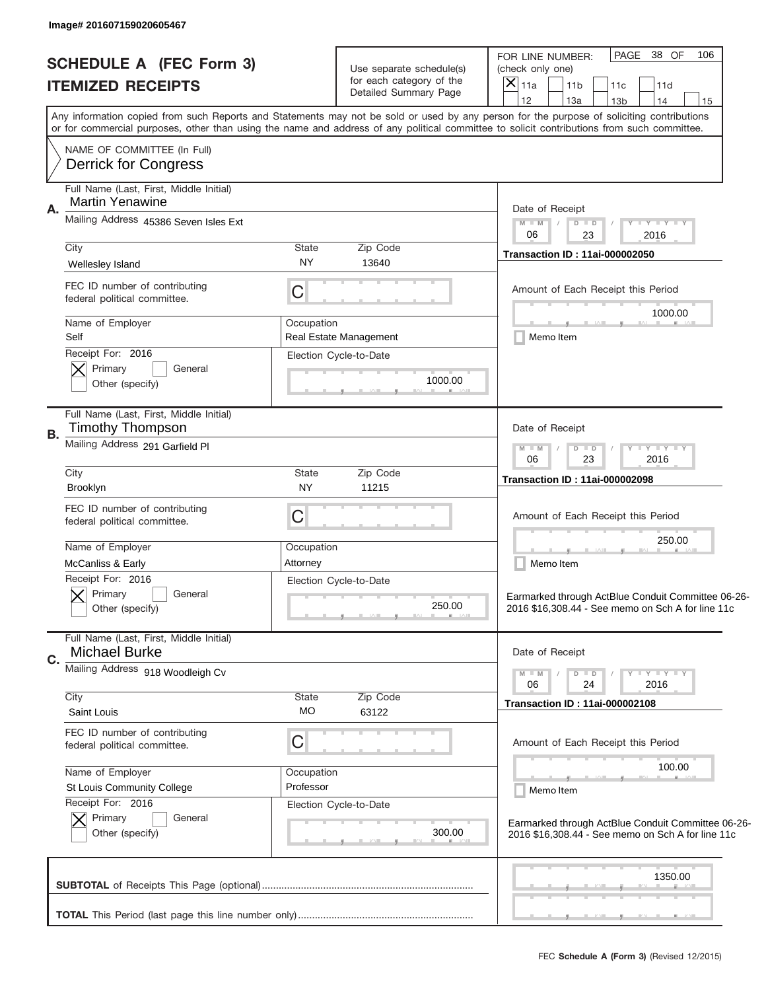| Image# 201607159020605467                                                                        |                                                                                                                                                                                                                                                                                         |                                                                                                                                                              |
|--------------------------------------------------------------------------------------------------|-----------------------------------------------------------------------------------------------------------------------------------------------------------------------------------------------------------------------------------------------------------------------------------------|--------------------------------------------------------------------------------------------------------------------------------------------------------------|
| <b>SCHEDULE A</b> (FEC Form 3)<br><b>ITEMIZED RECEIPTS</b>                                       | Use separate schedule(s)<br>for each category of the<br>Detailed Summary Page                                                                                                                                                                                                           | PAGE<br>38 OF<br>106<br>FOR LINE NUMBER:<br>(check only one)<br>$\times$<br>11a<br>11 <sub>b</sub><br>11c<br>11d<br>12<br>13a<br>13 <sub>b</sub><br>14<br>15 |
|                                                                                                  | Any information copied from such Reports and Statements may not be sold or used by any person for the purpose of soliciting contributions<br>or for commercial purposes, other than using the name and address of any political committee to solicit contributions from such committee. |                                                                                                                                                              |
| NAME OF COMMITTEE (In Full)<br><b>Derrick for Congress</b>                                       |                                                                                                                                                                                                                                                                                         |                                                                                                                                                              |
| Full Name (Last, First, Middle Initial)<br><b>Martin Yenawine</b><br>Α.                          |                                                                                                                                                                                                                                                                                         | Date of Receipt                                                                                                                                              |
| Mailing Address 45386 Seven Isles Ext                                                            |                                                                                                                                                                                                                                                                                         | $M - M$<br>Y TY TY TY<br>$D$ $D$<br>$\sqrt{2}$<br>06<br>23<br>2016                                                                                           |
| City<br>Wellesley Island                                                                         | State<br>Zip Code<br><b>NY</b><br>13640                                                                                                                                                                                                                                                 | <b>Transaction ID: 11ai-000002050</b>                                                                                                                        |
| FEC ID number of contributing<br>federal political committee.                                    | $\mathsf C$                                                                                                                                                                                                                                                                             | Amount of Each Receipt this Period<br>1000.00                                                                                                                |
| Name of Employer<br>Self<br>Receipt For: 2016                                                    | Occupation<br><b>Real Estate Management</b>                                                                                                                                                                                                                                             | Memo Item                                                                                                                                                    |
| Primary<br>General<br>Other (specify)                                                            | Election Cycle-to-Date<br>1000.00                                                                                                                                                                                                                                                       |                                                                                                                                                              |
| Full Name (Last, First, Middle Initial)<br><b>Timothy Thompson</b><br>В.                         |                                                                                                                                                                                                                                                                                         | Date of Receipt                                                                                                                                              |
| Mailing Address 291 Garfield PI                                                                  |                                                                                                                                                                                                                                                                                         | $Y = Y = Y = Y$<br>$M - M$<br>$D$ $D$<br>23<br>2016<br>06                                                                                                    |
| City<br><b>Brooklyn</b>                                                                          | State<br>Zip Code<br><b>NY</b><br>11215                                                                                                                                                                                                                                                 | <b>Transaction ID: 11ai-000002098</b>                                                                                                                        |
| FEC ID number of contributing<br>federal political committee.                                    | C                                                                                                                                                                                                                                                                                       | Amount of Each Receipt this Period                                                                                                                           |
| Name of Employer<br>McCanliss & Early                                                            | Occupation<br>Attorney                                                                                                                                                                                                                                                                  | 250.00<br>Memo Item                                                                                                                                          |
| Receipt For: 2016<br>Primary<br>General<br>Other (specify)                                       | Election Cycle-to-Date<br>250.00                                                                                                                                                                                                                                                        | Earmarked through ActBlue Conduit Committee 06-26-<br>2016 \$16,308.44 - See memo on Sch A for line 11c                                                      |
| Full Name (Last, First, Middle Initial)<br><b>Michael Burke</b><br>C.                            |                                                                                                                                                                                                                                                                                         | Date of Receipt                                                                                                                                              |
| Mailing Address 918 Woodleigh Cv                                                                 |                                                                                                                                                                                                                                                                                         | Y FY FY FY<br>$M - M$<br>$D$ $D$<br>2016<br>06<br>24                                                                                                         |
| City<br>Saint Louis                                                                              | Zip Code<br>State<br>MO<br>63122                                                                                                                                                                                                                                                        | <b>Transaction ID: 11ai-000002108</b>                                                                                                                        |
| FEC ID number of contributing<br>federal political committee.                                    | C                                                                                                                                                                                                                                                                                       | Amount of Each Receipt this Period                                                                                                                           |
| Name of Employer<br><b>St Louis Community College</b><br>Receipt For: 2016<br>Primary<br>General | Occupation<br>Professor<br>Election Cycle-to-Date                                                                                                                                                                                                                                       | 100.00<br>Memo Item<br>Earmarked through ActBlue Conduit Committee 06-26-                                                                                    |
| Other (specify)                                                                                  | 300.00                                                                                                                                                                                                                                                                                  | 2016 \$16,308.44 - See memo on Sch A for line 11c                                                                                                            |
|                                                                                                  |                                                                                                                                                                                                                                                                                         | 1350.00                                                                                                                                                      |
|                                                                                                  |                                                                                                                                                                                                                                                                                         |                                                                                                                                                              |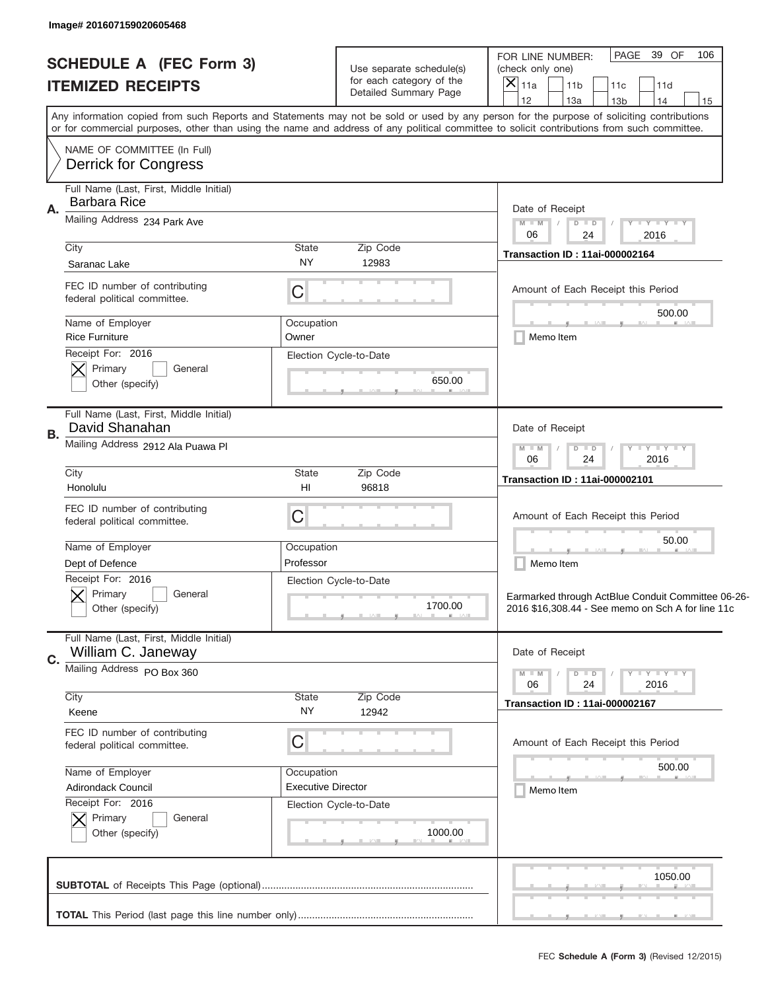| Image# 201607159020605468                                            |                                                                               |                                                                                                                                                                                                                                                                                         |
|----------------------------------------------------------------------|-------------------------------------------------------------------------------|-----------------------------------------------------------------------------------------------------------------------------------------------------------------------------------------------------------------------------------------------------------------------------------------|
| <b>SCHEDULE A (FEC Form 3)</b><br><b>ITEMIZED RECEIPTS</b>           | Use separate schedule(s)<br>for each category of the<br>Detailed Summary Page | PAGE 39 OF<br>106<br>FOR LINE NUMBER:<br>(check only one)<br>$\overline{\mathsf{x}}$<br>11a<br>11 <sub>b</sub><br>11d<br>11c<br>12<br>13a<br>13 <sub>b</sub><br>14<br>15                                                                                                                |
|                                                                      |                                                                               | Any information copied from such Reports and Statements may not be sold or used by any person for the purpose of soliciting contributions<br>or for commercial purposes, other than using the name and address of any political committee to solicit contributions from such committee. |
| NAME OF COMMITTEE (In Full)<br><b>Derrick for Congress</b>           |                                                                               |                                                                                                                                                                                                                                                                                         |
| Full Name (Last, First, Middle Initial)<br><b>Barbara Rice</b><br>Α. |                                                                               | Date of Receipt                                                                                                                                                                                                                                                                         |
| Mailing Address 234 Park Ave                                         |                                                                               | $M - M$<br>$Y - Y - Y - Y$<br>$D$ $D$<br>06<br>24<br>2016                                                                                                                                                                                                                               |
| City<br>Saranac Lake                                                 | State<br>Zip Code<br><b>NY</b><br>12983                                       | <b>Transaction ID: 11ai-000002164</b>                                                                                                                                                                                                                                                   |
| FEC ID number of contributing<br>federal political committee.        | C                                                                             | Amount of Each Receipt this Period<br>500.00                                                                                                                                                                                                                                            |
| Name of Employer<br><b>Rice Furniture</b><br>Receipt For: 2016       | Occupation<br>Owner                                                           | Memo Item                                                                                                                                                                                                                                                                               |
| Primary<br>General<br>Other (specify)                                | Election Cycle-to-Date<br>650.00                                              |                                                                                                                                                                                                                                                                                         |
| Full Name (Last, First, Middle Initial)<br>David Shanahan<br>В.      |                                                                               | Date of Receipt                                                                                                                                                                                                                                                                         |
| Mailing Address 2912 Ala Puawa Pl                                    |                                                                               | $Y - Y - Y - Y - Y$<br>$M - M$<br>$D$ $D$<br>06<br>24<br>2016                                                                                                                                                                                                                           |
| City<br>Honolulu                                                     | State<br>Zip Code<br>HI<br>96818                                              | <b>Transaction ID: 11ai-000002101</b>                                                                                                                                                                                                                                                   |
| FEC ID number of contributing<br>federal political committee.        | C                                                                             | Amount of Each Receipt this Period                                                                                                                                                                                                                                                      |
| Name of Employer<br>Dept of Defence                                  | Occupation<br>Professor                                                       | 50.00<br>Memo Item                                                                                                                                                                                                                                                                      |
| Receipt For: 2016<br>Primary<br>General<br>Other (specify)           | Election Cycle-to-Date<br>1700.00                                             | Earmarked through ActBlue Conduit Committee 06-26-<br>2016 \$16,308.44 - See memo on Sch A for line 11c                                                                                                                                                                                 |
| Full Name (Last, First, Middle Initial)<br>William C. Janeway<br>C.  |                                                                               | Date of Receipt                                                                                                                                                                                                                                                                         |
| Mailing Address PO Box 360                                           |                                                                               | Y LY LY LY<br>$M - M$<br>$D$ $D$<br>06<br>24<br>2016                                                                                                                                                                                                                                    |
| City<br>Keene                                                        | Zip Code<br>State<br>ΝY<br>12942                                              | <b>Transaction ID: 11ai-000002167</b>                                                                                                                                                                                                                                                   |
| FEC ID number of contributing<br>federal political committee.        | C                                                                             | Amount of Each Receipt this Period                                                                                                                                                                                                                                                      |
| Name of Employer<br>Adirondack Council<br>Receipt For: 2016          | Occupation<br><b>Executive Director</b>                                       | 500.00<br>Memo Item                                                                                                                                                                                                                                                                     |
| Primary<br>General<br>Other (specify)                                | Election Cycle-to-Date<br>1000.00                                             |                                                                                                                                                                                                                                                                                         |
|                                                                      |                                                                               | 1050.00                                                                                                                                                                                                                                                                                 |
|                                                                      |                                                                               |                                                                                                                                                                                                                                                                                         |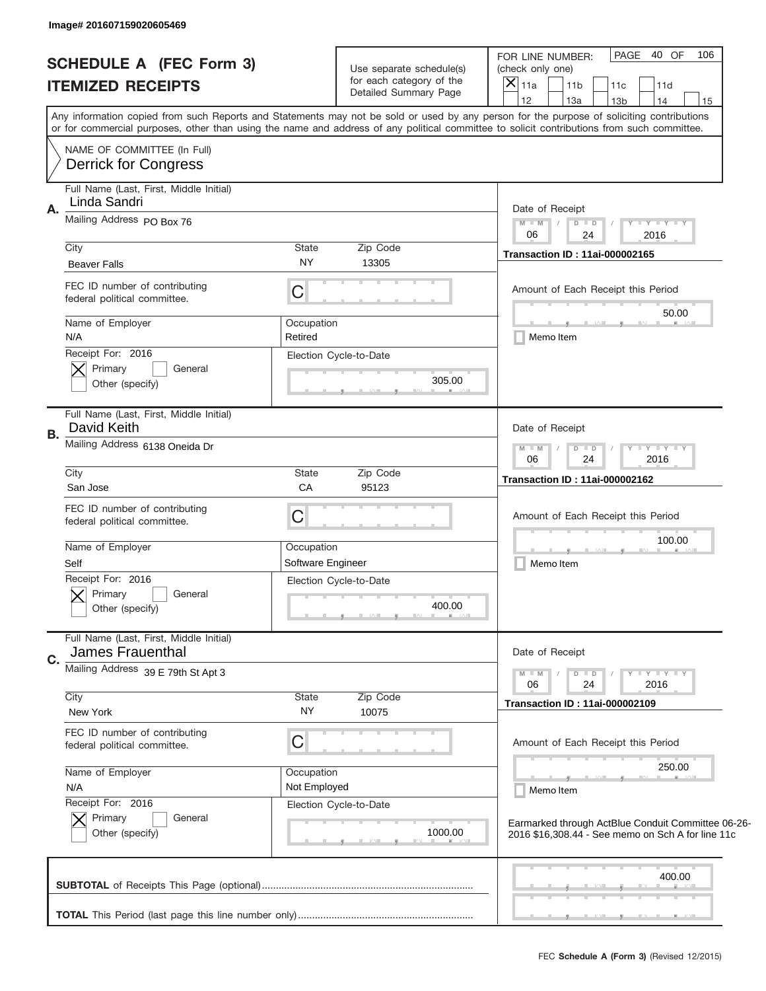| Image# 201607159020605469                                                                                                                                                                                                                                                               |                                                                               |                                                                                                                                                    |  |
|-----------------------------------------------------------------------------------------------------------------------------------------------------------------------------------------------------------------------------------------------------------------------------------------|-------------------------------------------------------------------------------|----------------------------------------------------------------------------------------------------------------------------------------------------|--|
| <b>SCHEDULE A (FEC Form 3)</b><br><b>ITEMIZED RECEIPTS</b>                                                                                                                                                                                                                              | Use separate schedule(s)<br>for each category of the<br>Detailed Summary Page | PAGE 40 OF<br>106<br>FOR LINE NUMBER:<br>(check only one)<br>×<br>11a<br>11 <sub>b</sub><br>11c<br>11d<br>12<br>13a<br>13 <sub>b</sub><br>14<br>15 |  |
| Any information copied from such Reports and Statements may not be sold or used by any person for the purpose of soliciting contributions<br>or for commercial purposes, other than using the name and address of any political committee to solicit contributions from such committee. |                                                                               |                                                                                                                                                    |  |
| NAME OF COMMITTEE (In Full)<br><b>Derrick for Congress</b>                                                                                                                                                                                                                              |                                                                               |                                                                                                                                                    |  |
| Full Name (Last, First, Middle Initial)<br>Linda Sandri<br>Α.                                                                                                                                                                                                                           |                                                                               | Date of Receipt                                                                                                                                    |  |
| Mailing Address PO Box 76                                                                                                                                                                                                                                                               |                                                                               | $M$ M<br>$Y - Y - Y - Y$<br>$\sqrt{2}$<br>$D$ $D$<br>06<br>2016<br>24                                                                              |  |
| City<br><b>Beaver Falls</b>                                                                                                                                                                                                                                                             | State<br>Zip Code<br><b>NY</b><br>13305                                       | <b>Transaction ID: 11ai-000002165</b>                                                                                                              |  |
| FEC ID number of contributing<br>federal political committee.                                                                                                                                                                                                                           | C                                                                             | Amount of Each Receipt this Period<br>50.00                                                                                                        |  |
| Name of Employer<br>N/A                                                                                                                                                                                                                                                                 | Occupation<br>Retired                                                         | Memo Item                                                                                                                                          |  |
| Receipt For: 2016<br>Primary<br>General<br>Other (specify)                                                                                                                                                                                                                              | Election Cycle-to-Date<br>305.00                                              |                                                                                                                                                    |  |
| Full Name (Last, First, Middle Initial)<br>David Keith<br>В.                                                                                                                                                                                                                            |                                                                               | Date of Receipt                                                                                                                                    |  |
| Mailing Address 6138 Oneida Dr                                                                                                                                                                                                                                                          |                                                                               | $Y - Y - Y - Y - Y$<br>$M - M$<br>$D$ $D$<br>06<br>24<br>2016                                                                                      |  |
| City<br>San Jose                                                                                                                                                                                                                                                                        | State<br>Zip Code<br>CA<br>95123                                              | <b>Transaction ID: 11ai-000002162</b>                                                                                                              |  |
| FEC ID number of contributing<br>federal political committee.                                                                                                                                                                                                                           | C                                                                             | Amount of Each Receipt this Period                                                                                                                 |  |
| Name of Employer<br>Self                                                                                                                                                                                                                                                                | Occupation<br>Software Engineer                                               | 100.00<br>Memo Item                                                                                                                                |  |
| Receipt For: 2016<br>General<br>Primary<br>Other (specify)                                                                                                                                                                                                                              | Election Cycle-to-Date<br>400.00                                              |                                                                                                                                                    |  |
| Full Name (Last, First, Middle Initial)<br>James Frauenthal<br>C.                                                                                                                                                                                                                       |                                                                               | Date of Receipt                                                                                                                                    |  |
| Mailing Address 39 E 79th St Apt 3                                                                                                                                                                                                                                                      |                                                                               | Y FY FY FY<br>$M - M$<br>$D$ $D$<br>06<br>2016<br>24                                                                                               |  |
| City<br>New York                                                                                                                                                                                                                                                                        | Zip Code<br>State<br><b>NY</b><br>10075                                       | <b>Transaction ID: 11ai-000002109</b>                                                                                                              |  |
| FEC ID number of contributing<br>federal political committee.                                                                                                                                                                                                                           | C                                                                             | Amount of Each Receipt this Period                                                                                                                 |  |
| Name of Employer<br>N/A<br>Receipt For: 2016                                                                                                                                                                                                                                            | Occupation<br>Not Employed<br>Election Cycle-to-Date                          | 250.00<br>Memo Item                                                                                                                                |  |
| Primary<br>General<br>Other (specify)                                                                                                                                                                                                                                                   | 1000.00                                                                       | Earmarked through ActBlue Conduit Committee 06-26-<br>2016 \$16,308.44 - See memo on Sch A for line 11c                                            |  |
|                                                                                                                                                                                                                                                                                         |                                                                               | 400.00                                                                                                                                             |  |
|                                                                                                                                                                                                                                                                                         |                                                                               | , , ,                                                                                                                                              |  |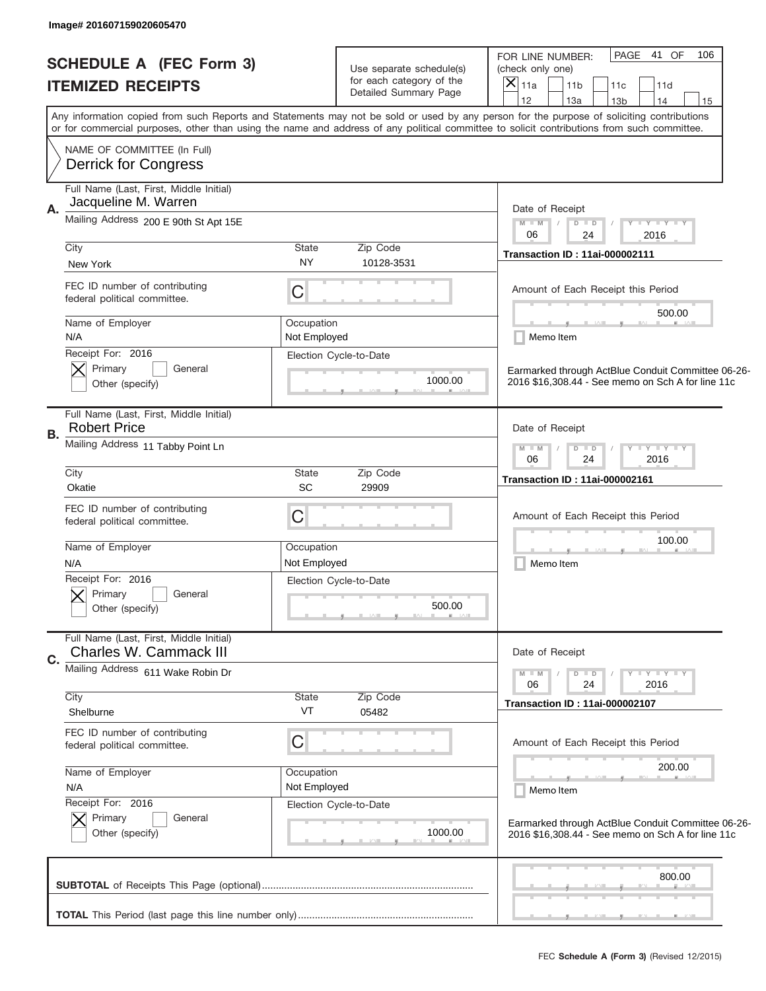| Image# 201607159020605470                                               |                                                                                                                                            |                                                                                                                                                           |  |
|-------------------------------------------------------------------------|--------------------------------------------------------------------------------------------------------------------------------------------|-----------------------------------------------------------------------------------------------------------------------------------------------------------|--|
| <b>SCHEDULE A (FEC Form 3)</b><br><b>ITEMIZED RECEIPTS</b>              | Use separate schedule(s)<br>for each category of the<br>Detailed Summary Page                                                              | PAGE 41 OF<br>106<br>FOR LINE NUMBER:<br>(check only one)<br>$\times$<br>11a<br>11 <sub>b</sub><br>11c<br>11d<br>12<br>13a<br>13 <sub>b</sub><br>14<br>15 |  |
|                                                                         | or for commercial purposes, other than using the name and address of any political committee to solicit contributions from such committee. | Any information copied from such Reports and Statements may not be sold or used by any person for the purpose of soliciting contributions                 |  |
| NAME OF COMMITTEE (In Full)<br><b>Derrick for Congress</b>              |                                                                                                                                            |                                                                                                                                                           |  |
| Full Name (Last, First, Middle Initial)<br>Jacqueline M. Warren<br>Α.   |                                                                                                                                            | Date of Receipt                                                                                                                                           |  |
|                                                                         | Mailing Address 200 E 90th St Apt 15E                                                                                                      |                                                                                                                                                           |  |
| City<br>New York                                                        | State<br>Zip Code<br><b>NY</b><br>10128-3531                                                                                               | 24<br>2016<br><b>Transaction ID: 11ai-000002111</b>                                                                                                       |  |
| FEC ID number of contributing<br>federal political committee.           | $\mathsf C$                                                                                                                                | Amount of Each Receipt this Period<br>500.00                                                                                                              |  |
| Name of Employer<br>N/A<br>Receipt For: 2016                            | Occupation<br>Not Employed                                                                                                                 | Memo Item                                                                                                                                                 |  |
| Primary<br>General<br>Other (specify)                                   | Election Cycle-to-Date<br>1000.00                                                                                                          | Earmarked through ActBlue Conduit Committee 06-26-<br>2016 \$16,308.44 - See memo on Sch A for line 11c                                                   |  |
| Full Name (Last, First, Middle Initial)<br><b>Robert Price</b>          |                                                                                                                                            | Date of Receipt                                                                                                                                           |  |
| В.<br>Mailing Address 11 Tabby Point Ln                                 |                                                                                                                                            | $M$ M<br>$Y = Y = Y = Y$<br>$D$ $D$<br>06<br>24<br>2016                                                                                                   |  |
| City<br>Okatie                                                          | State<br>Zip Code<br>SC<br>29909                                                                                                           | <b>Transaction ID: 11ai-000002161</b>                                                                                                                     |  |
| FEC ID number of contributing<br>federal political committee.           | C                                                                                                                                          | Amount of Each Receipt this Period                                                                                                                        |  |
| Name of Employer<br>N/A                                                 | Occupation<br>Not Employed                                                                                                                 | 100.00<br>Memo Item                                                                                                                                       |  |
| Receipt For: 2016<br>Primary<br>General<br>Other (specify)              | Election Cycle-to-Date<br>500.00                                                                                                           |                                                                                                                                                           |  |
| Full Name (Last, First, Middle Initial)<br>Charles W. Cammack III<br>C. |                                                                                                                                            | Date of Receipt                                                                                                                                           |  |
| Mailing Address 611 Wake Robin Dr                                       |                                                                                                                                            | Y FY FY FY<br>$M - M$<br>$D$ $D$<br>06<br>2016<br>24                                                                                                      |  |
| City<br>Shelburne                                                       | Zip Code<br>State<br>VT<br>05482                                                                                                           | <b>Transaction ID: 11ai-000002107</b>                                                                                                                     |  |
| FEC ID number of contributing<br>federal political committee.           | C                                                                                                                                          | Amount of Each Receipt this Period                                                                                                                        |  |
| Name of Employer<br>N/A<br>Receipt For: 2016                            | Occupation<br>Not Employed<br>Election Cycle-to-Date                                                                                       | 200.00<br>Memo Item                                                                                                                                       |  |
| Primary<br>General<br>Other (specify)                                   | 1000.00                                                                                                                                    | Earmarked through ActBlue Conduit Committee 06-26-<br>2016 \$16,308.44 - See memo on Sch A for line 11c                                                   |  |
|                                                                         |                                                                                                                                            | 800.00                                                                                                                                                    |  |
|                                                                         |                                                                                                                                            | , , ,                                                                                                                                                     |  |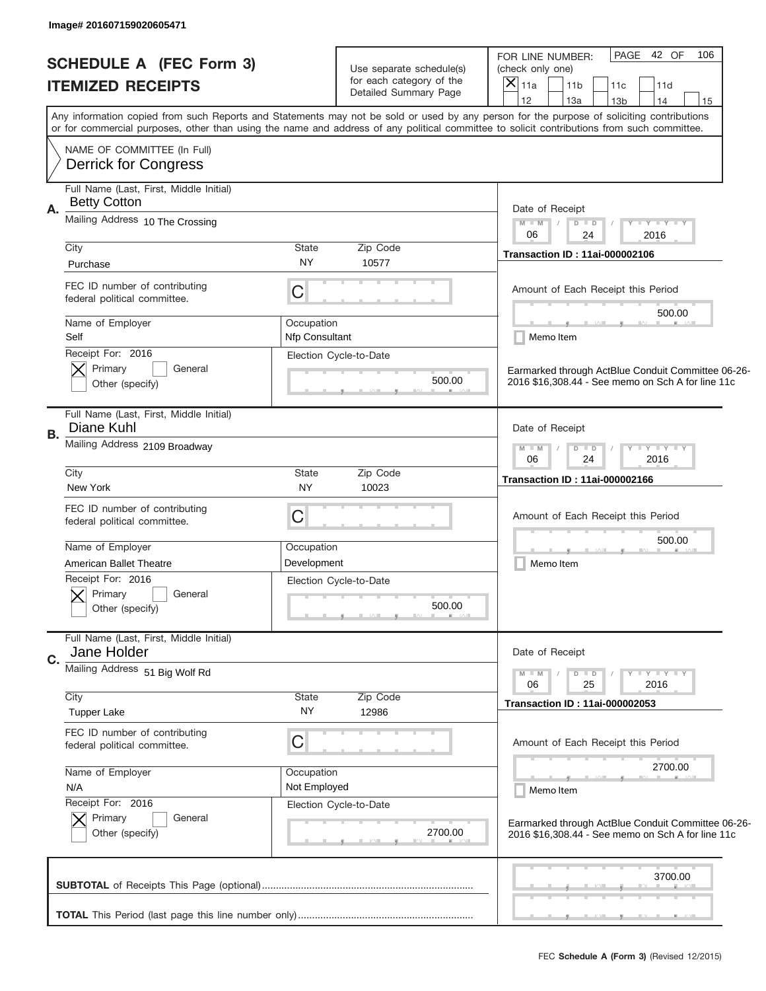| PAGE 42 OF<br>106<br>FOR LINE NUMBER:<br><b>SCHEDULE A (FEC Form 3)</b><br>Use separate schedule(s)<br>(check only one)<br>for each category of the<br>×<br><b>ITEMIZED RECEIPTS</b><br>11a<br>11 <sub>b</sub><br>11c<br>11d<br>Detailed Summary Page<br>12<br>13a<br>13 <sub>b</sub><br>14<br>15<br>Any information copied from such Reports and Statements may not be sold or used by any person for the purpose of soliciting contributions<br>or for commercial purposes, other than using the name and address of any political committee to solicit contributions from such committee.<br>NAME OF COMMITTEE (In Full)<br><b>Derrick for Congress</b><br>Full Name (Last, First, Middle Initial)<br><b>Betty Cotton</b><br>А.<br>Date of Receipt<br>Mailing Address 10 The Crossing<br>$M$ M<br>$Y - Y - Y - Y$<br>$D$ $D$<br>$\sqrt{2}$<br>06<br>2016<br>24<br>City<br>State<br>Zip Code<br><b>Transaction ID: 11ai-000002106</b><br><b>NY</b><br>10577<br>Purchase<br>FEC ID number of contributing<br>C<br>Amount of Each Receipt this Period<br>federal political committee.<br>500.00<br>Name of Employer<br>Occupation<br>Self<br>Nfp Consultant<br>Memo Item<br>Receipt For: 2016<br>Election Cycle-to-Date<br>Primary<br>General<br>Earmarked through ActBlue Conduit Committee 06-26-<br>500.00<br>2016 \$16,308,44 - See memo on Sch A for line 11c<br>Other (specify)<br>Full Name (Last, First, Middle Initial)<br>Diane Kuhl<br>Date of Receipt<br>В.<br>Mailing Address 2109 Broadway<br>$Y - Y - Y - Y - Y$<br>$M - M$<br>$D$ $D$<br>06<br>24<br>2016<br>City<br>State<br>Zip Code<br><b>Transaction ID: 11ai-000002166</b><br><b>NY</b><br>New York<br>10023<br>FEC ID number of contributing<br>C<br>Amount of Each Receipt this Period<br>federal political committee.<br>500.00<br>Name of Employer<br>Occupation<br>Development<br>American Ballet Theatre<br>Memo Item<br>Receipt For: 2016<br>Election Cycle-to-Date<br>General<br>Primary<br>500.00<br>Other (specify)<br>Full Name (Last, First, Middle Initial)<br>Jane Holder<br>Date of Receipt<br>C.<br>Mailing Address 51 Big Wolf Rd<br>Y FY FY FY<br>$M - M$<br>$D$ $D$<br>06<br>25<br>2016<br>City<br>Zip Code<br>State<br><b>Transaction ID: 11ai-000002053</b><br>ΝY<br><b>Tupper Lake</b><br>12986<br>FEC ID number of contributing<br>C<br>Amount of Each Receipt this Period<br>federal political committee.<br>2700.00<br>Name of Employer<br>Occupation<br>N/A<br>Not Employed<br>Memo Item<br>Receipt For: 2016<br>Election Cycle-to-Date<br>Primary<br>General<br>2700.00<br>Other (specify)<br>2016 \$16,308.44 - See memo on Sch A for line 11c | Image# 201607159020605471 |  |                                                    |
|-------------------------------------------------------------------------------------------------------------------------------------------------------------------------------------------------------------------------------------------------------------------------------------------------------------------------------------------------------------------------------------------------------------------------------------------------------------------------------------------------------------------------------------------------------------------------------------------------------------------------------------------------------------------------------------------------------------------------------------------------------------------------------------------------------------------------------------------------------------------------------------------------------------------------------------------------------------------------------------------------------------------------------------------------------------------------------------------------------------------------------------------------------------------------------------------------------------------------------------------------------------------------------------------------------------------------------------------------------------------------------------------------------------------------------------------------------------------------------------------------------------------------------------------------------------------------------------------------------------------------------------------------------------------------------------------------------------------------------------------------------------------------------------------------------------------------------------------------------------------------------------------------------------------------------------------------------------------------------------------------------------------------------------------------------------------------------------------------------------------------------------------------------------------------------------------------------------------------------------------------------------------------------------------------------------------------------------------------------------------------------------------------------------------------------------------------------------------------------------------------------------------------------------------------------------------------------------------------------------------------------------------------|---------------------------|--|----------------------------------------------------|
|                                                                                                                                                                                                                                                                                                                                                                                                                                                                                                                                                                                                                                                                                                                                                                                                                                                                                                                                                                                                                                                                                                                                                                                                                                                                                                                                                                                                                                                                                                                                                                                                                                                                                                                                                                                                                                                                                                                                                                                                                                                                                                                                                                                                                                                                                                                                                                                                                                                                                                                                                                                                                                                 |                           |  |                                                    |
|                                                                                                                                                                                                                                                                                                                                                                                                                                                                                                                                                                                                                                                                                                                                                                                                                                                                                                                                                                                                                                                                                                                                                                                                                                                                                                                                                                                                                                                                                                                                                                                                                                                                                                                                                                                                                                                                                                                                                                                                                                                                                                                                                                                                                                                                                                                                                                                                                                                                                                                                                                                                                                                 |                           |  |                                                    |
|                                                                                                                                                                                                                                                                                                                                                                                                                                                                                                                                                                                                                                                                                                                                                                                                                                                                                                                                                                                                                                                                                                                                                                                                                                                                                                                                                                                                                                                                                                                                                                                                                                                                                                                                                                                                                                                                                                                                                                                                                                                                                                                                                                                                                                                                                                                                                                                                                                                                                                                                                                                                                                                 |                           |  |                                                    |
|                                                                                                                                                                                                                                                                                                                                                                                                                                                                                                                                                                                                                                                                                                                                                                                                                                                                                                                                                                                                                                                                                                                                                                                                                                                                                                                                                                                                                                                                                                                                                                                                                                                                                                                                                                                                                                                                                                                                                                                                                                                                                                                                                                                                                                                                                                                                                                                                                                                                                                                                                                                                                                                 |                           |  |                                                    |
|                                                                                                                                                                                                                                                                                                                                                                                                                                                                                                                                                                                                                                                                                                                                                                                                                                                                                                                                                                                                                                                                                                                                                                                                                                                                                                                                                                                                                                                                                                                                                                                                                                                                                                                                                                                                                                                                                                                                                                                                                                                                                                                                                                                                                                                                                                                                                                                                                                                                                                                                                                                                                                                 |                           |  |                                                    |
|                                                                                                                                                                                                                                                                                                                                                                                                                                                                                                                                                                                                                                                                                                                                                                                                                                                                                                                                                                                                                                                                                                                                                                                                                                                                                                                                                                                                                                                                                                                                                                                                                                                                                                                                                                                                                                                                                                                                                                                                                                                                                                                                                                                                                                                                                                                                                                                                                                                                                                                                                                                                                                                 |                           |  |                                                    |
|                                                                                                                                                                                                                                                                                                                                                                                                                                                                                                                                                                                                                                                                                                                                                                                                                                                                                                                                                                                                                                                                                                                                                                                                                                                                                                                                                                                                                                                                                                                                                                                                                                                                                                                                                                                                                                                                                                                                                                                                                                                                                                                                                                                                                                                                                                                                                                                                                                                                                                                                                                                                                                                 |                           |  |                                                    |
|                                                                                                                                                                                                                                                                                                                                                                                                                                                                                                                                                                                                                                                                                                                                                                                                                                                                                                                                                                                                                                                                                                                                                                                                                                                                                                                                                                                                                                                                                                                                                                                                                                                                                                                                                                                                                                                                                                                                                                                                                                                                                                                                                                                                                                                                                                                                                                                                                                                                                                                                                                                                                                                 |                           |  |                                                    |
|                                                                                                                                                                                                                                                                                                                                                                                                                                                                                                                                                                                                                                                                                                                                                                                                                                                                                                                                                                                                                                                                                                                                                                                                                                                                                                                                                                                                                                                                                                                                                                                                                                                                                                                                                                                                                                                                                                                                                                                                                                                                                                                                                                                                                                                                                                                                                                                                                                                                                                                                                                                                                                                 |                           |  |                                                    |
|                                                                                                                                                                                                                                                                                                                                                                                                                                                                                                                                                                                                                                                                                                                                                                                                                                                                                                                                                                                                                                                                                                                                                                                                                                                                                                                                                                                                                                                                                                                                                                                                                                                                                                                                                                                                                                                                                                                                                                                                                                                                                                                                                                                                                                                                                                                                                                                                                                                                                                                                                                                                                                                 |                           |  |                                                    |
|                                                                                                                                                                                                                                                                                                                                                                                                                                                                                                                                                                                                                                                                                                                                                                                                                                                                                                                                                                                                                                                                                                                                                                                                                                                                                                                                                                                                                                                                                                                                                                                                                                                                                                                                                                                                                                                                                                                                                                                                                                                                                                                                                                                                                                                                                                                                                                                                                                                                                                                                                                                                                                                 |                           |  |                                                    |
|                                                                                                                                                                                                                                                                                                                                                                                                                                                                                                                                                                                                                                                                                                                                                                                                                                                                                                                                                                                                                                                                                                                                                                                                                                                                                                                                                                                                                                                                                                                                                                                                                                                                                                                                                                                                                                                                                                                                                                                                                                                                                                                                                                                                                                                                                                                                                                                                                                                                                                                                                                                                                                                 |                           |  |                                                    |
|                                                                                                                                                                                                                                                                                                                                                                                                                                                                                                                                                                                                                                                                                                                                                                                                                                                                                                                                                                                                                                                                                                                                                                                                                                                                                                                                                                                                                                                                                                                                                                                                                                                                                                                                                                                                                                                                                                                                                                                                                                                                                                                                                                                                                                                                                                                                                                                                                                                                                                                                                                                                                                                 |                           |  |                                                    |
|                                                                                                                                                                                                                                                                                                                                                                                                                                                                                                                                                                                                                                                                                                                                                                                                                                                                                                                                                                                                                                                                                                                                                                                                                                                                                                                                                                                                                                                                                                                                                                                                                                                                                                                                                                                                                                                                                                                                                                                                                                                                                                                                                                                                                                                                                                                                                                                                                                                                                                                                                                                                                                                 |                           |  |                                                    |
|                                                                                                                                                                                                                                                                                                                                                                                                                                                                                                                                                                                                                                                                                                                                                                                                                                                                                                                                                                                                                                                                                                                                                                                                                                                                                                                                                                                                                                                                                                                                                                                                                                                                                                                                                                                                                                                                                                                                                                                                                                                                                                                                                                                                                                                                                                                                                                                                                                                                                                                                                                                                                                                 |                           |  |                                                    |
|                                                                                                                                                                                                                                                                                                                                                                                                                                                                                                                                                                                                                                                                                                                                                                                                                                                                                                                                                                                                                                                                                                                                                                                                                                                                                                                                                                                                                                                                                                                                                                                                                                                                                                                                                                                                                                                                                                                                                                                                                                                                                                                                                                                                                                                                                                                                                                                                                                                                                                                                                                                                                                                 |                           |  |                                                    |
|                                                                                                                                                                                                                                                                                                                                                                                                                                                                                                                                                                                                                                                                                                                                                                                                                                                                                                                                                                                                                                                                                                                                                                                                                                                                                                                                                                                                                                                                                                                                                                                                                                                                                                                                                                                                                                                                                                                                                                                                                                                                                                                                                                                                                                                                                                                                                                                                                                                                                                                                                                                                                                                 |                           |  |                                                    |
|                                                                                                                                                                                                                                                                                                                                                                                                                                                                                                                                                                                                                                                                                                                                                                                                                                                                                                                                                                                                                                                                                                                                                                                                                                                                                                                                                                                                                                                                                                                                                                                                                                                                                                                                                                                                                                                                                                                                                                                                                                                                                                                                                                                                                                                                                                                                                                                                                                                                                                                                                                                                                                                 |                           |  |                                                    |
|                                                                                                                                                                                                                                                                                                                                                                                                                                                                                                                                                                                                                                                                                                                                                                                                                                                                                                                                                                                                                                                                                                                                                                                                                                                                                                                                                                                                                                                                                                                                                                                                                                                                                                                                                                                                                                                                                                                                                                                                                                                                                                                                                                                                                                                                                                                                                                                                                                                                                                                                                                                                                                                 |                           |  |                                                    |
|                                                                                                                                                                                                                                                                                                                                                                                                                                                                                                                                                                                                                                                                                                                                                                                                                                                                                                                                                                                                                                                                                                                                                                                                                                                                                                                                                                                                                                                                                                                                                                                                                                                                                                                                                                                                                                                                                                                                                                                                                                                                                                                                                                                                                                                                                                                                                                                                                                                                                                                                                                                                                                                 |                           |  |                                                    |
|                                                                                                                                                                                                                                                                                                                                                                                                                                                                                                                                                                                                                                                                                                                                                                                                                                                                                                                                                                                                                                                                                                                                                                                                                                                                                                                                                                                                                                                                                                                                                                                                                                                                                                                                                                                                                                                                                                                                                                                                                                                                                                                                                                                                                                                                                                                                                                                                                                                                                                                                                                                                                                                 |                           |  |                                                    |
|                                                                                                                                                                                                                                                                                                                                                                                                                                                                                                                                                                                                                                                                                                                                                                                                                                                                                                                                                                                                                                                                                                                                                                                                                                                                                                                                                                                                                                                                                                                                                                                                                                                                                                                                                                                                                                                                                                                                                                                                                                                                                                                                                                                                                                                                                                                                                                                                                                                                                                                                                                                                                                                 |                           |  |                                                    |
|                                                                                                                                                                                                                                                                                                                                                                                                                                                                                                                                                                                                                                                                                                                                                                                                                                                                                                                                                                                                                                                                                                                                                                                                                                                                                                                                                                                                                                                                                                                                                                                                                                                                                                                                                                                                                                                                                                                                                                                                                                                                                                                                                                                                                                                                                                                                                                                                                                                                                                                                                                                                                                                 |                           |  |                                                    |
|                                                                                                                                                                                                                                                                                                                                                                                                                                                                                                                                                                                                                                                                                                                                                                                                                                                                                                                                                                                                                                                                                                                                                                                                                                                                                                                                                                                                                                                                                                                                                                                                                                                                                                                                                                                                                                                                                                                                                                                                                                                                                                                                                                                                                                                                                                                                                                                                                                                                                                                                                                                                                                                 |                           |  |                                                    |
|                                                                                                                                                                                                                                                                                                                                                                                                                                                                                                                                                                                                                                                                                                                                                                                                                                                                                                                                                                                                                                                                                                                                                                                                                                                                                                                                                                                                                                                                                                                                                                                                                                                                                                                                                                                                                                                                                                                                                                                                                                                                                                                                                                                                                                                                                                                                                                                                                                                                                                                                                                                                                                                 |                           |  |                                                    |
|                                                                                                                                                                                                                                                                                                                                                                                                                                                                                                                                                                                                                                                                                                                                                                                                                                                                                                                                                                                                                                                                                                                                                                                                                                                                                                                                                                                                                                                                                                                                                                                                                                                                                                                                                                                                                                                                                                                                                                                                                                                                                                                                                                                                                                                                                                                                                                                                                                                                                                                                                                                                                                                 |                           |  |                                                    |
|                                                                                                                                                                                                                                                                                                                                                                                                                                                                                                                                                                                                                                                                                                                                                                                                                                                                                                                                                                                                                                                                                                                                                                                                                                                                                                                                                                                                                                                                                                                                                                                                                                                                                                                                                                                                                                                                                                                                                                                                                                                                                                                                                                                                                                                                                                                                                                                                                                                                                                                                                                                                                                                 |                           |  |                                                    |
|                                                                                                                                                                                                                                                                                                                                                                                                                                                                                                                                                                                                                                                                                                                                                                                                                                                                                                                                                                                                                                                                                                                                                                                                                                                                                                                                                                                                                                                                                                                                                                                                                                                                                                                                                                                                                                                                                                                                                                                                                                                                                                                                                                                                                                                                                                                                                                                                                                                                                                                                                                                                                                                 |                           |  |                                                    |
|                                                                                                                                                                                                                                                                                                                                                                                                                                                                                                                                                                                                                                                                                                                                                                                                                                                                                                                                                                                                                                                                                                                                                                                                                                                                                                                                                                                                                                                                                                                                                                                                                                                                                                                                                                                                                                                                                                                                                                                                                                                                                                                                                                                                                                                                                                                                                                                                                                                                                                                                                                                                                                                 |                           |  |                                                    |
|                                                                                                                                                                                                                                                                                                                                                                                                                                                                                                                                                                                                                                                                                                                                                                                                                                                                                                                                                                                                                                                                                                                                                                                                                                                                                                                                                                                                                                                                                                                                                                                                                                                                                                                                                                                                                                                                                                                                                                                                                                                                                                                                                                                                                                                                                                                                                                                                                                                                                                                                                                                                                                                 |                           |  |                                                    |
|                                                                                                                                                                                                                                                                                                                                                                                                                                                                                                                                                                                                                                                                                                                                                                                                                                                                                                                                                                                                                                                                                                                                                                                                                                                                                                                                                                                                                                                                                                                                                                                                                                                                                                                                                                                                                                                                                                                                                                                                                                                                                                                                                                                                                                                                                                                                                                                                                                                                                                                                                                                                                                                 |                           |  |                                                    |
|                                                                                                                                                                                                                                                                                                                                                                                                                                                                                                                                                                                                                                                                                                                                                                                                                                                                                                                                                                                                                                                                                                                                                                                                                                                                                                                                                                                                                                                                                                                                                                                                                                                                                                                                                                                                                                                                                                                                                                                                                                                                                                                                                                                                                                                                                                                                                                                                                                                                                                                                                                                                                                                 |                           |  |                                                    |
|                                                                                                                                                                                                                                                                                                                                                                                                                                                                                                                                                                                                                                                                                                                                                                                                                                                                                                                                                                                                                                                                                                                                                                                                                                                                                                                                                                                                                                                                                                                                                                                                                                                                                                                                                                                                                                                                                                                                                                                                                                                                                                                                                                                                                                                                                                                                                                                                                                                                                                                                                                                                                                                 |                           |  |                                                    |
|                                                                                                                                                                                                                                                                                                                                                                                                                                                                                                                                                                                                                                                                                                                                                                                                                                                                                                                                                                                                                                                                                                                                                                                                                                                                                                                                                                                                                                                                                                                                                                                                                                                                                                                                                                                                                                                                                                                                                                                                                                                                                                                                                                                                                                                                                                                                                                                                                                                                                                                                                                                                                                                 |                           |  |                                                    |
|                                                                                                                                                                                                                                                                                                                                                                                                                                                                                                                                                                                                                                                                                                                                                                                                                                                                                                                                                                                                                                                                                                                                                                                                                                                                                                                                                                                                                                                                                                                                                                                                                                                                                                                                                                                                                                                                                                                                                                                                                                                                                                                                                                                                                                                                                                                                                                                                                                                                                                                                                                                                                                                 |                           |  |                                                    |
|                                                                                                                                                                                                                                                                                                                                                                                                                                                                                                                                                                                                                                                                                                                                                                                                                                                                                                                                                                                                                                                                                                                                                                                                                                                                                                                                                                                                                                                                                                                                                                                                                                                                                                                                                                                                                                                                                                                                                                                                                                                                                                                                                                                                                                                                                                                                                                                                                                                                                                                                                                                                                                                 |                           |  |                                                    |
|                                                                                                                                                                                                                                                                                                                                                                                                                                                                                                                                                                                                                                                                                                                                                                                                                                                                                                                                                                                                                                                                                                                                                                                                                                                                                                                                                                                                                                                                                                                                                                                                                                                                                                                                                                                                                                                                                                                                                                                                                                                                                                                                                                                                                                                                                                                                                                                                                                                                                                                                                                                                                                                 |                           |  |                                                    |
|                                                                                                                                                                                                                                                                                                                                                                                                                                                                                                                                                                                                                                                                                                                                                                                                                                                                                                                                                                                                                                                                                                                                                                                                                                                                                                                                                                                                                                                                                                                                                                                                                                                                                                                                                                                                                                                                                                                                                                                                                                                                                                                                                                                                                                                                                                                                                                                                                                                                                                                                                                                                                                                 |                           |  | Earmarked through ActBlue Conduit Committee 06-26- |
|                                                                                                                                                                                                                                                                                                                                                                                                                                                                                                                                                                                                                                                                                                                                                                                                                                                                                                                                                                                                                                                                                                                                                                                                                                                                                                                                                                                                                                                                                                                                                                                                                                                                                                                                                                                                                                                                                                                                                                                                                                                                                                                                                                                                                                                                                                                                                                                                                                                                                                                                                                                                                                                 |                           |  |                                                    |
| 3700.00                                                                                                                                                                                                                                                                                                                                                                                                                                                                                                                                                                                                                                                                                                                                                                                                                                                                                                                                                                                                                                                                                                                                                                                                                                                                                                                                                                                                                                                                                                                                                                                                                                                                                                                                                                                                                                                                                                                                                                                                                                                                                                                                                                                                                                                                                                                                                                                                                                                                                                                                                                                                                                         |                           |  |                                                    |
|                                                                                                                                                                                                                                                                                                                                                                                                                                                                                                                                                                                                                                                                                                                                                                                                                                                                                                                                                                                                                                                                                                                                                                                                                                                                                                                                                                                                                                                                                                                                                                                                                                                                                                                                                                                                                                                                                                                                                                                                                                                                                                                                                                                                                                                                                                                                                                                                                                                                                                                                                                                                                                                 |                           |  |                                                    |
|                                                                                                                                                                                                                                                                                                                                                                                                                                                                                                                                                                                                                                                                                                                                                                                                                                                                                                                                                                                                                                                                                                                                                                                                                                                                                                                                                                                                                                                                                                                                                                                                                                                                                                                                                                                                                                                                                                                                                                                                                                                                                                                                                                                                                                                                                                                                                                                                                                                                                                                                                                                                                                                 |                           |  |                                                    |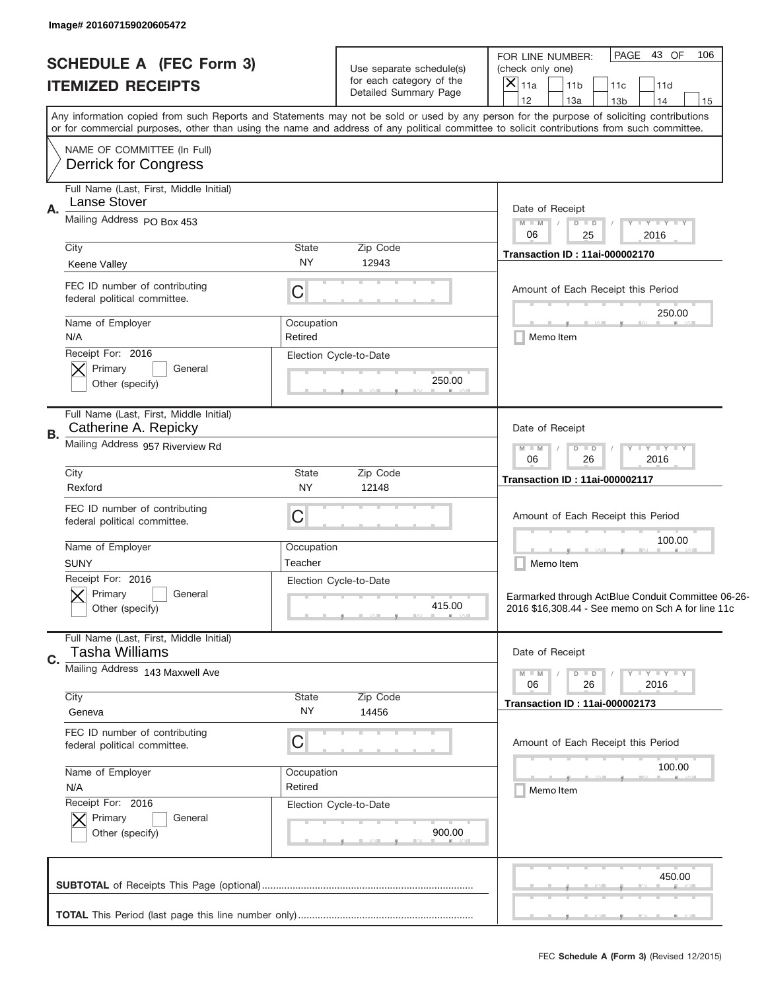| Image# 201607159020605472                                              |                                                                               |                                                                                                                                                                                                                                                                                         |
|------------------------------------------------------------------------|-------------------------------------------------------------------------------|-----------------------------------------------------------------------------------------------------------------------------------------------------------------------------------------------------------------------------------------------------------------------------------------|
| <b>SCHEDULE A (FEC Form 3)</b><br><b>ITEMIZED RECEIPTS</b>             | Use separate schedule(s)<br>for each category of the<br>Detailed Summary Page | PAGE 43 OF<br>106<br>FOR LINE NUMBER:<br>(check only one)<br>$\overline{\mathsf{x}}$<br>11a<br>11 <sub>b</sub><br>11d<br>11c<br>12<br>13a<br>13 <sub>b</sub><br>14<br>15                                                                                                                |
|                                                                        |                                                                               | Any information copied from such Reports and Statements may not be sold or used by any person for the purpose of soliciting contributions<br>or for commercial purposes, other than using the name and address of any political committee to solicit contributions from such committee. |
| NAME OF COMMITTEE (In Full)<br><b>Derrick for Congress</b>             |                                                                               |                                                                                                                                                                                                                                                                                         |
| Full Name (Last, First, Middle Initial)<br><b>Lanse Stover</b><br>Α.   |                                                                               | Date of Receipt                                                                                                                                                                                                                                                                         |
| Mailing Address PO Box 453                                             |                                                                               | $M$ M<br>$Y - Y - Y - Y$<br>$D$ $D$<br>06<br>25<br>2016                                                                                                                                                                                                                                 |
| City<br>Keene Valley                                                   | State<br>Zip Code<br><b>NY</b><br>12943                                       | <b>Transaction ID: 11ai-000002170</b>                                                                                                                                                                                                                                                   |
| FEC ID number of contributing<br>federal political committee.          | C                                                                             | Amount of Each Receipt this Period<br>250.00                                                                                                                                                                                                                                            |
| Name of Employer<br>N/A                                                | Occupation<br>Retired                                                         | Memo Item                                                                                                                                                                                                                                                                               |
| Receipt For: 2016<br>Primary<br>General<br>Other (specify)             | Election Cycle-to-Date<br>250.00                                              |                                                                                                                                                                                                                                                                                         |
| Full Name (Last, First, Middle Initial)<br>Catherine A. Repicky<br>В.  |                                                                               | Date of Receipt                                                                                                                                                                                                                                                                         |
| Mailing Address 957 Riverview Rd                                       |                                                                               | $D$ $D$<br>$Y - Y - Y - Y - Y$<br>$M - M$<br>06<br>26<br>2016                                                                                                                                                                                                                           |
| City<br>Rexford                                                        | State<br>Zip Code<br><b>NY</b><br>12148                                       | <b>Transaction ID: 11ai-000002117</b>                                                                                                                                                                                                                                                   |
| FEC ID number of contributing<br>federal political committee.          | C                                                                             | Amount of Each Receipt this Period                                                                                                                                                                                                                                                      |
| Name of Employer<br><b>SUNY</b>                                        | Occupation<br>Teacher                                                         | 100.00<br>Memo Item                                                                                                                                                                                                                                                                     |
| Receipt For: 2016<br>Primary<br>General<br>Other (specify)             | Election Cycle-to-Date<br>415.00                                              | Earmarked through ActBlue Conduit Committee 06-26-<br>2016 \$16,308.44 - See memo on Sch A for line 11c                                                                                                                                                                                 |
| Full Name (Last, First, Middle Initial)<br><b>Tasha Williams</b><br>C. |                                                                               | Date of Receipt                                                                                                                                                                                                                                                                         |
| Mailing Address 143 Maxwell Ave<br>City                                | Zip Code<br><b>State</b>                                                      | Y LY LY LY<br>$M - M$<br>$D$ $D$<br>06<br>26<br>2016                                                                                                                                                                                                                                    |
| Geneva                                                                 | NY.<br>14456                                                                  | <b>Transaction ID: 11ai-000002173</b>                                                                                                                                                                                                                                                   |
| FEC ID number of contributing<br>federal political committee.          | C                                                                             | Amount of Each Receipt this Period<br>100.00                                                                                                                                                                                                                                            |
| Name of Employer<br>N/A<br>Receipt For: 2016<br>Primary<br>General     | Occupation<br>Retired<br>Election Cycle-to-Date                               | Memo Item                                                                                                                                                                                                                                                                               |
| Other (specify)                                                        | 900.00                                                                        | 450.00                                                                                                                                                                                                                                                                                  |
|                                                                        |                                                                               |                                                                                                                                                                                                                                                                                         |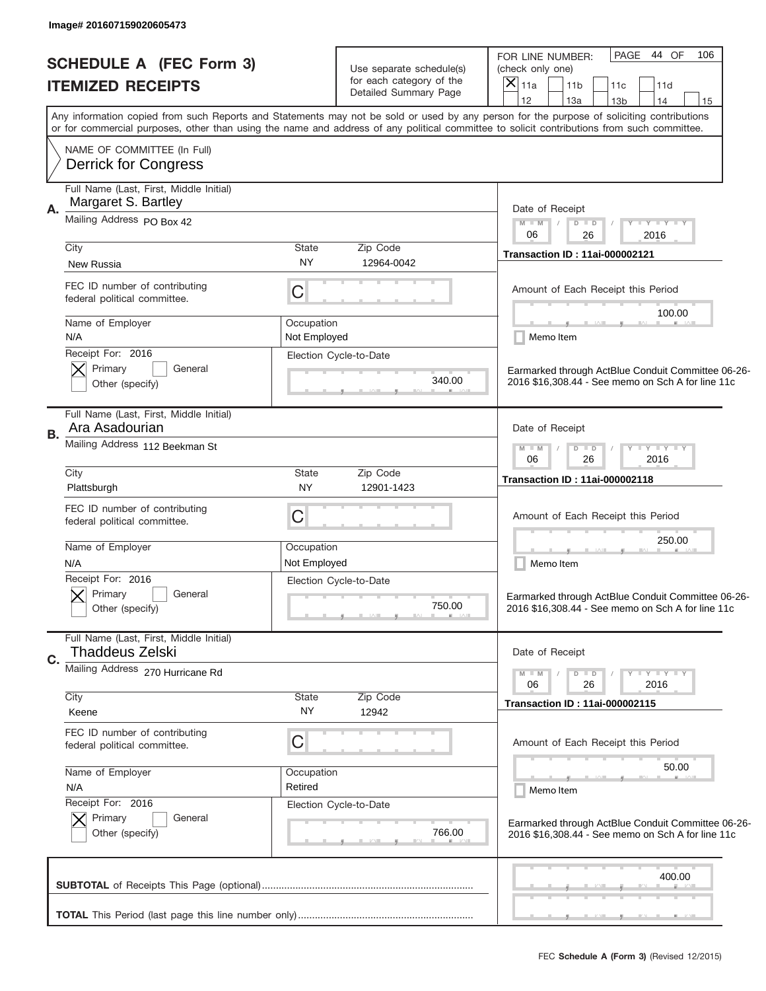| Image# 201607159020605473                                               |                                                                                                                                            |                                                                                                                                                           |
|-------------------------------------------------------------------------|--------------------------------------------------------------------------------------------------------------------------------------------|-----------------------------------------------------------------------------------------------------------------------------------------------------------|
| <b>SCHEDULE A</b> (FEC Form 3)<br><b>ITEMIZED RECEIPTS</b>              | Use separate schedule(s)<br>for each category of the<br>Detailed Summary Page                                                              | PAGE 44 OF<br>106<br>FOR LINE NUMBER:<br>(check only one)<br>$\times$<br>11a<br>11 <sub>b</sub><br>11c<br>11d<br>12<br>13a<br>13 <sub>b</sub><br>14<br>15 |
|                                                                         | or for commercial purposes, other than using the name and address of any political committee to solicit contributions from such committee. | Any information copied from such Reports and Statements may not be sold or used by any person for the purpose of soliciting contributions                 |
| NAME OF COMMITTEE (In Full)<br><b>Derrick for Congress</b>              |                                                                                                                                            |                                                                                                                                                           |
| Full Name (Last, First, Middle Initial)<br>Margaret S. Bartley<br>Α.    |                                                                                                                                            | Date of Receipt                                                                                                                                           |
| Mailing Address PO Box 42                                               |                                                                                                                                            | $M - M$<br>Y TY TY TY<br>$D$ $D$<br>$\sqrt{2}$<br>06<br>26<br>2016                                                                                        |
| City<br>New Russia                                                      | State<br>Zip Code<br><b>NY</b><br>12964-0042                                                                                               | <b>Transaction ID: 11ai-000002121</b>                                                                                                                     |
| FEC ID number of contributing<br>federal political committee.           | $\mathsf C$                                                                                                                                | Amount of Each Receipt this Period                                                                                                                        |
| Name of Employer<br>N/A<br>Receipt For: 2016                            | Occupation<br>Not Employed                                                                                                                 | 100.00<br>Memo Item                                                                                                                                       |
| Primary<br>General<br>Other (specify)                                   | Election Cycle-to-Date<br>340.00                                                                                                           | Earmarked through ActBlue Conduit Committee 06-26-<br>2016 \$16,308.44 - See memo on Sch A for line 11c                                                   |
| Full Name (Last, First, Middle Initial)<br>Ara Asadourian<br>В.         |                                                                                                                                            | Date of Receipt                                                                                                                                           |
| Mailing Address 112 Beekman St                                          |                                                                                                                                            | $M - M$<br>$Y = Y = Y = Y$<br>$D$ $D$<br>26<br>2016<br>06                                                                                                 |
| City<br>Plattsburgh                                                     | State<br>Zip Code<br><b>NY</b><br>12901-1423                                                                                               | <b>Transaction ID: 11ai-000002118</b>                                                                                                                     |
| FEC ID number of contributing<br>federal political committee.           | C                                                                                                                                          | Amount of Each Receipt this Period                                                                                                                        |
| Name of Employer<br>N/A                                                 | Occupation<br>Not Employed                                                                                                                 | 250.00<br>Memo Item                                                                                                                                       |
| Receipt For: 2016<br>Primary<br>General<br>Other (specify)              | Election Cycle-to-Date<br>750.00                                                                                                           | Earmarked through ActBlue Conduit Committee 06-26-<br>2016 \$16,308.44 - See memo on Sch A for line 11c                                                   |
| Full Name (Last, First, Middle Initial)<br><b>Thaddeus Zelski</b><br>C. |                                                                                                                                            | Date of Receipt                                                                                                                                           |
| Mailing Address 270 Hurricane Rd                                        |                                                                                                                                            | Y FY FY FY<br>$M - M$<br>$D$ $D$<br>2016<br>06<br>26                                                                                                      |
| City<br>Keene                                                           | Zip Code<br>State<br>NY<br>12942                                                                                                           | <b>Transaction ID: 11ai-000002115</b>                                                                                                                     |
| FEC ID number of contributing<br>federal political committee.           | C                                                                                                                                          | Amount of Each Receipt this Period                                                                                                                        |
| Name of Employer<br>N/A<br>Receipt For: 2016                            | Occupation<br>Retired<br>Election Cycle-to-Date                                                                                            | 50.00<br>Memo Item                                                                                                                                        |
| Primary<br>General<br>Other (specify)                                   | 766.00                                                                                                                                     | Earmarked through ActBlue Conduit Committee 06-26-<br>2016 \$16,308.44 - See memo on Sch A for line 11c                                                   |
|                                                                         |                                                                                                                                            | 400.00                                                                                                                                                    |
|                                                                         |                                                                                                                                            |                                                                                                                                                           |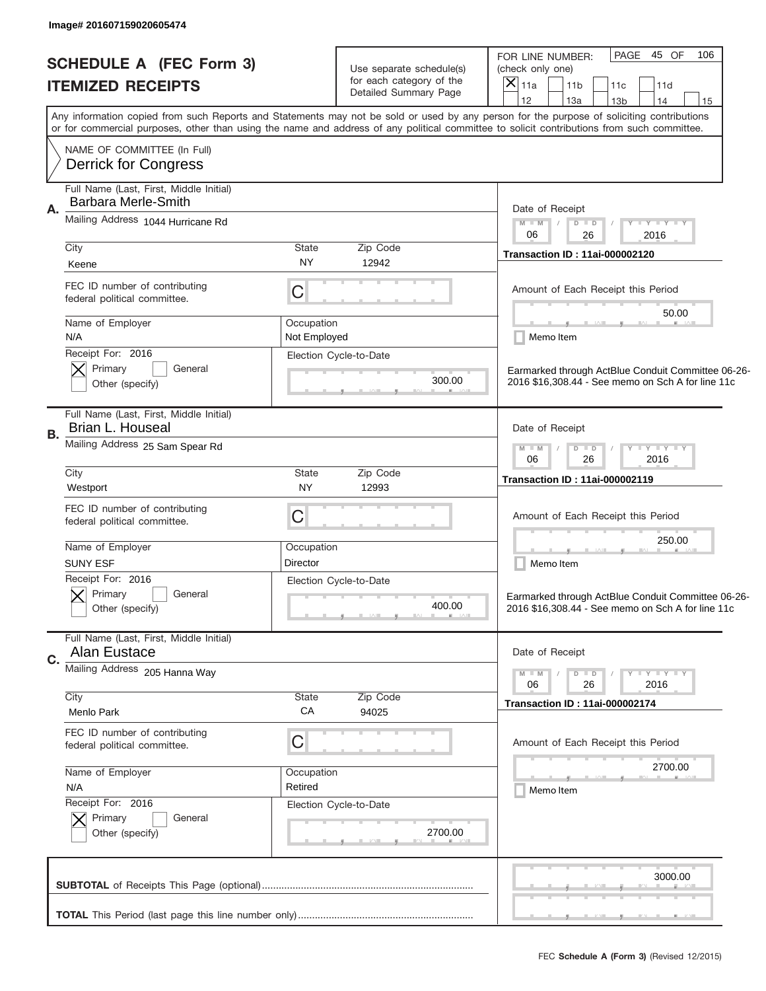| Image# 201607159020605474                                                                                                                                                                                                                                                               |                                                                               |                                                                                                                                                    |
|-----------------------------------------------------------------------------------------------------------------------------------------------------------------------------------------------------------------------------------------------------------------------------------------|-------------------------------------------------------------------------------|----------------------------------------------------------------------------------------------------------------------------------------------------|
| <b>SCHEDULE A</b> (FEC Form 3)<br><b>ITEMIZED RECEIPTS</b>                                                                                                                                                                                                                              | Use separate schedule(s)<br>for each category of the<br>Detailed Summary Page | PAGE 45 OF<br>106<br>FOR LINE NUMBER:<br>(check only one)<br>×<br>11a<br>11 <sub>b</sub><br>11c<br>11d<br>12<br>13a<br>14<br>13 <sub>b</sub><br>15 |
| Any information copied from such Reports and Statements may not be sold or used by any person for the purpose of soliciting contributions<br>or for commercial purposes, other than using the name and address of any political committee to solicit contributions from such committee. |                                                                               |                                                                                                                                                    |
| NAME OF COMMITTEE (In Full)<br><b>Derrick for Congress</b>                                                                                                                                                                                                                              |                                                                               |                                                                                                                                                    |
| Full Name (Last, First, Middle Initial)<br><b>Barbara Merle-Smith</b><br>Α.                                                                                                                                                                                                             |                                                                               | Date of Receipt                                                                                                                                    |
| Mailing Address 1044 Hurricane Rd                                                                                                                                                                                                                                                       |                                                                               | $M - M$<br>$D$ $D$<br>$Y - Y - Y - Y$<br>06<br>26<br>2016                                                                                          |
| City<br>Keene                                                                                                                                                                                                                                                                           | State<br>Zip Code<br><b>NY</b><br>12942                                       | <b>Transaction ID: 11ai-000002120</b>                                                                                                              |
| FEC ID number of contributing<br>C<br>federal political committee.                                                                                                                                                                                                                      |                                                                               | Amount of Each Receipt this Period<br>50.00                                                                                                        |
| Name of Employer<br>N/A<br>Receipt For: 2016                                                                                                                                                                                                                                            | Occupation<br>Not Employed<br>Election Cycle-to-Date                          | Memo Item                                                                                                                                          |
| Primary<br>General<br>Other (specify)                                                                                                                                                                                                                                                   | 300.00                                                                        | Earmarked through ActBlue Conduit Committee 06-26-<br>2016 \$16,308,44 - See memo on Sch A for line 11c                                            |
| Full Name (Last, First, Middle Initial)<br>Brian L. Houseal<br>В.                                                                                                                                                                                                                       |                                                                               | Date of Receipt                                                                                                                                    |
| Mailing Address 25 Sam Spear Rd                                                                                                                                                                                                                                                         |                                                                               | $M - M$<br>$D$ $D$<br>$Y - Y - Y - Y - Y$<br>26<br>2016<br>06                                                                                      |
| City<br>Westport                                                                                                                                                                                                                                                                        | State<br>Zip Code<br><b>NY</b><br>12993                                       | <b>Transaction ID: 11ai-000002119</b>                                                                                                              |
| FEC ID number of contributing<br>C<br>federal political committee.                                                                                                                                                                                                                      |                                                                               | Amount of Each Receipt this Period                                                                                                                 |
| Name of Employer<br><b>SUNY ESF</b>                                                                                                                                                                                                                                                     | Occupation<br>Director                                                        | 250.00<br>Memo Item                                                                                                                                |
| Receipt For: 2016<br>Primary<br>General<br>Other (specify)                                                                                                                                                                                                                              | Election Cycle-to-Date<br>400.00                                              | Earmarked through ActBlue Conduit Committee 06-26-<br>2016 \$16,308.44 - See memo on Sch A for line 11c                                            |
| Full Name (Last, First, Middle Initial)<br>Alan Eustace<br>C.                                                                                                                                                                                                                           |                                                                               | Date of Receipt                                                                                                                                    |
| Mailing Address 205 Hanna Way<br>City                                                                                                                                                                                                                                                   | State<br>Zip Code                                                             | $D$ $D$<br>Y FY FY FY<br>$M - M$<br>26<br>2016<br>06                                                                                               |
| Menlo Park                                                                                                                                                                                                                                                                              | СA<br>94025                                                                   | <b>Transaction ID: 11ai-000002174</b>                                                                                                              |
| FEC ID number of contributing<br>C<br>federal political committee.                                                                                                                                                                                                                      |                                                                               | Amount of Each Receipt this Period                                                                                                                 |
| Name of Employer<br>N/A<br>Receipt For: 2016                                                                                                                                                                                                                                            | Occupation<br>Retired<br>Election Cycle-to-Date                               | 2700.00<br>Memo Item                                                                                                                               |
| Primary<br>General<br>Other (specify)                                                                                                                                                                                                                                                   | 2700.00                                                                       |                                                                                                                                                    |
|                                                                                                                                                                                                                                                                                         |                                                                               | 3000.00                                                                                                                                            |
|                                                                                                                                                                                                                                                                                         |                                                                               |                                                                                                                                                    |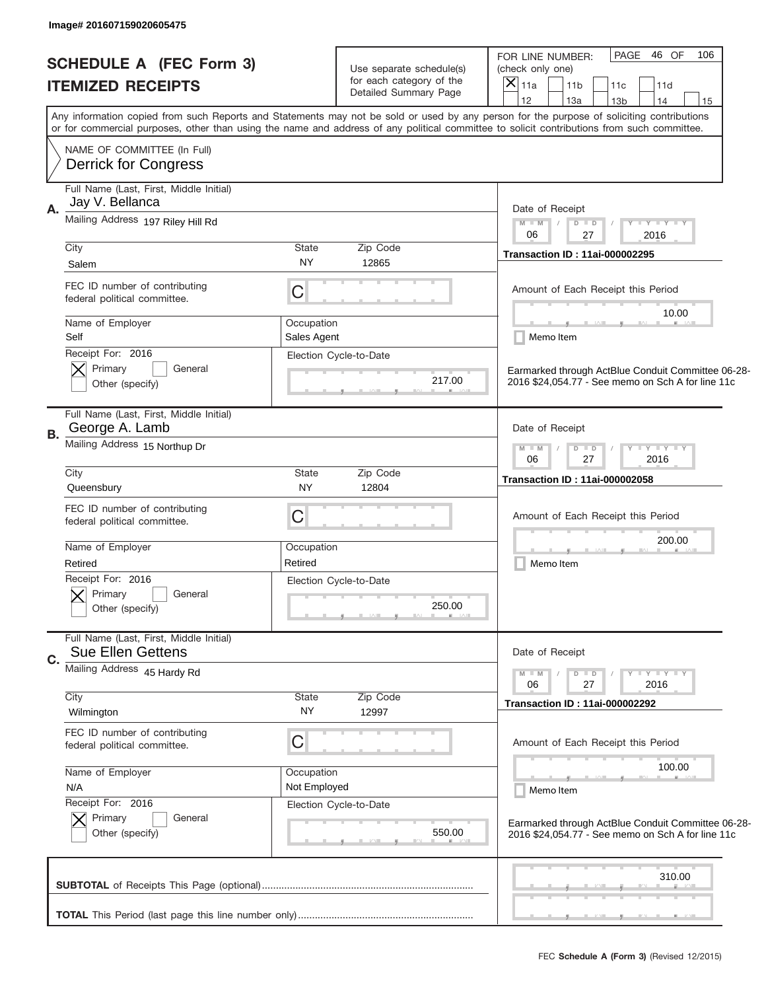| Image# 201607159020605475                                                                                                                  |                                                                               |                                                                                                                                                           |
|--------------------------------------------------------------------------------------------------------------------------------------------|-------------------------------------------------------------------------------|-----------------------------------------------------------------------------------------------------------------------------------------------------------|
| <b>SCHEDULE A (FEC Form 3)</b><br><b>ITEMIZED RECEIPTS</b>                                                                                 | Use separate schedule(s)<br>for each category of the<br>Detailed Summary Page | PAGE 46 OF<br>106<br>FOR LINE NUMBER:<br>(check only one)<br>$\times$<br>11a<br>11 <sub>b</sub><br>11c<br>11d<br>12<br>13a<br>13 <sub>b</sub><br>14<br>15 |
| or for commercial purposes, other than using the name and address of any political committee to solicit contributions from such committee. |                                                                               | Any information copied from such Reports and Statements may not be sold or used by any person for the purpose of soliciting contributions                 |
| NAME OF COMMITTEE (In Full)<br><b>Derrick for Congress</b>                                                                                 |                                                                               |                                                                                                                                                           |
| Full Name (Last, First, Middle Initial)<br>Jay V. Bellanca<br>Α.                                                                           |                                                                               | Date of Receipt                                                                                                                                           |
| Mailing Address 197 Riley Hill Rd                                                                                                          |                                                                               | $M - M$<br>Y TY TY TY<br>$D$ $D$<br>$\sqrt{2}$<br>06<br>27<br>2016                                                                                        |
| City<br>Salem                                                                                                                              | State<br>Zip Code<br>NY<br>12865                                              | <b>Transaction ID: 11ai-000002295</b>                                                                                                                     |
| FEC ID number of contributing<br>federal political committee.                                                                              | $\mathsf C$                                                                   | Amount of Each Receipt this Period<br>10.00                                                                                                               |
| Name of Employer<br>Self<br>Receipt For: 2016                                                                                              | Occupation<br>Sales Agent                                                     | Memo Item                                                                                                                                                 |
| Primary<br>General<br>Other (specify)                                                                                                      | Election Cycle-to-Date<br>217.00                                              | Earmarked through ActBlue Conduit Committee 06-28-<br>2016 \$24,054.77 - See memo on Sch A for line 11c                                                   |
| Full Name (Last, First, Middle Initial)<br>George A. Lamb<br>В.                                                                            |                                                                               | Date of Receipt                                                                                                                                           |
| Mailing Address 15 Northup Dr                                                                                                              |                                                                               | $M$ M<br>$Y - Y - Y - Y$<br>$D$ $D$<br>27<br>2016<br>06                                                                                                   |
| City<br>Queensbury                                                                                                                         | State<br>Zip Code<br><b>NY</b><br>12804                                       | <b>Transaction ID: 11ai-000002058</b>                                                                                                                     |
| FEC ID number of contributing<br>federal political committee.                                                                              | C                                                                             | Amount of Each Receipt this Period                                                                                                                        |
| Name of Employer<br>Retired                                                                                                                | Occupation<br>Retired                                                         | 200.00<br>Memo Item                                                                                                                                       |
| Receipt For: 2016<br>Primary<br>General<br>Other (specify)                                                                                 | Election Cycle-to-Date<br>250.00                                              |                                                                                                                                                           |
| Full Name (Last, First, Middle Initial)<br><b>Sue Ellen Gettens</b><br>C.                                                                  |                                                                               | Date of Receipt                                                                                                                                           |
|                                                                                                                                            | Mailing Address 45 Hardy Rd                                                   |                                                                                                                                                           |
| City<br>Wilmington                                                                                                                         | Zip Code<br>State<br>NY<br>12997                                              | <b>Transaction ID: 11ai-000002292</b>                                                                                                                     |
| FEC ID number of contributing<br>federal political committee.                                                                              | C                                                                             | Amount of Each Receipt this Period                                                                                                                        |
| Name of Employer<br>N/A<br>Receipt For: 2016                                                                                               | Occupation<br>Not Employed<br>Election Cycle-to-Date                          | 100.00<br>Memo Item                                                                                                                                       |
| Primary<br>General<br>Other (specify)                                                                                                      | 550.00                                                                        | Earmarked through ActBlue Conduit Committee 06-28-<br>2016 \$24,054.77 - See memo on Sch A for line 11c                                                   |
|                                                                                                                                            |                                                                               | 310.00                                                                                                                                                    |
|                                                                                                                                            |                                                                               |                                                                                                                                                           |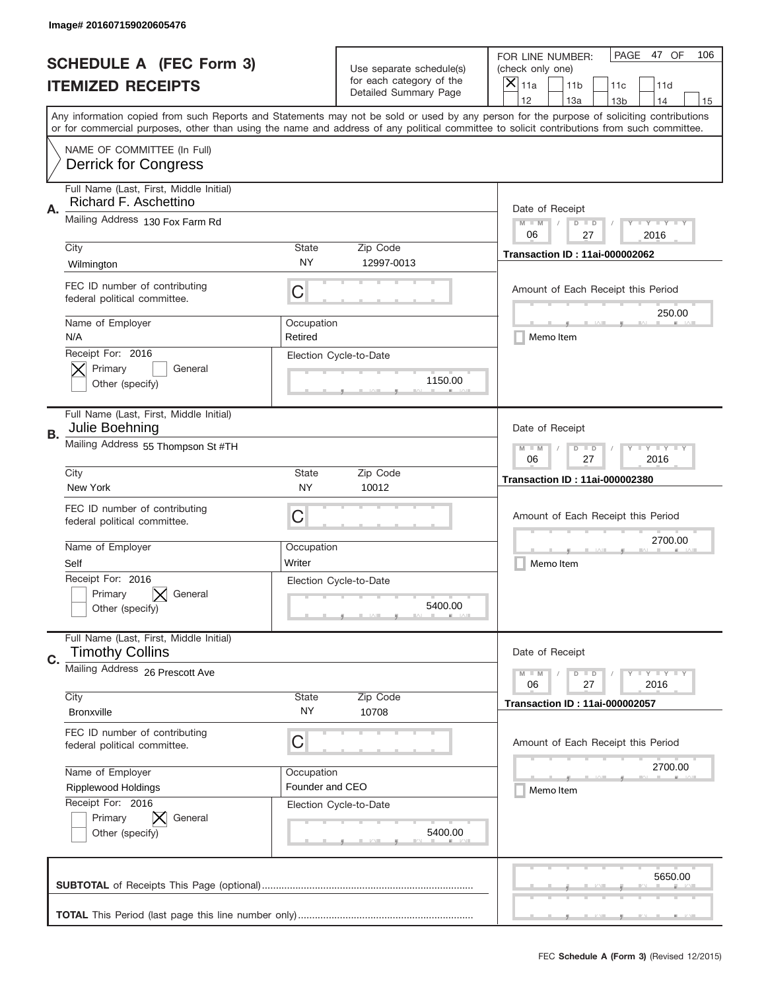|    | Image# 201607159020605476                                         |                               |                                                   |                                                                                                                                                                                                                                                                                                                                     |
|----|-------------------------------------------------------------------|-------------------------------|---------------------------------------------------|-------------------------------------------------------------------------------------------------------------------------------------------------------------------------------------------------------------------------------------------------------------------------------------------------------------------------------------|
|    | <b>SCHEDULE A (FEC Form 3)</b>                                    |                               | Use separate schedule(s)                          | PAGE<br>47 OF<br>106<br>FOR LINE NUMBER:<br>(check only one)                                                                                                                                                                                                                                                                        |
|    | <b>ITEMIZED RECEIPTS</b>                                          |                               | for each category of the<br>Detailed Summary Page | ×<br>11a<br>11 <sub>b</sub><br>11c<br>11d                                                                                                                                                                                                                                                                                           |
|    |                                                                   |                               |                                                   | 12<br>13a<br>14<br>13 <sub>b</sub><br>15<br>Any information copied from such Reports and Statements may not be sold or used by any person for the purpose of soliciting contributions<br>or for commercial purposes, other than using the name and address of any political committee to solicit contributions from such committee. |
|    | NAME OF COMMITTEE (In Full)<br><b>Derrick for Congress</b>        |                               |                                                   |                                                                                                                                                                                                                                                                                                                                     |
| Α. | Full Name (Last, First, Middle Initial)<br>Richard F. Aschettino  |                               |                                                   | Date of Receipt                                                                                                                                                                                                                                                                                                                     |
|    | Mailing Address 130 Fox Farm Rd                                   |                               |                                                   | $M - M$<br><b>LYLYLY</b><br>$D$ $D$<br>06<br>27<br>2016                                                                                                                                                                                                                                                                             |
|    | City<br>Wilmington                                                | State<br>NY                   | Zip Code<br>12997-0013                            | <b>Transaction ID: 11ai-000002062</b>                                                                                                                                                                                                                                                                                               |
|    | FEC ID number of contributing<br>federal political committee.     | C                             |                                                   | Amount of Each Receipt this Period<br>250.00                                                                                                                                                                                                                                                                                        |
|    | Name of Employer<br>N/A                                           | Occupation<br>Retired         |                                                   | Memo Item                                                                                                                                                                                                                                                                                                                           |
|    | Receipt For: 2016<br>Primary<br>General<br>Other (specify)        |                               | Election Cycle-to-Date<br>1150.00                 |                                                                                                                                                                                                                                                                                                                                     |
| В. | Full Name (Last, First, Middle Initial)<br>Julie Boehning         |                               |                                                   | Date of Receipt                                                                                                                                                                                                                                                                                                                     |
|    | Mailing Address 55 Thompson St #TH                                |                               |                                                   | $M - M$<br><b>LEYTEY LEY</b><br>$D$ $D$<br>06<br>27<br>2016                                                                                                                                                                                                                                                                         |
|    | City<br>New York                                                  | <b>State</b><br>NY            | Zip Code<br>10012                                 | <b>Transaction ID: 11ai-000002380</b>                                                                                                                                                                                                                                                                                               |
|    | FEC ID number of contributing<br>federal political committee.     | C                             |                                                   | Amount of Each Receipt this Period                                                                                                                                                                                                                                                                                                  |
|    | Name of Employer<br>Self                                          | Occupation<br>Writer          |                                                   | 2700.00<br>Memo Item                                                                                                                                                                                                                                                                                                                |
|    | Receipt For: 2016<br>Primary<br>General<br>Other (specify)        |                               | Election Cycle-to-Date<br>5400.00                 |                                                                                                                                                                                                                                                                                                                                     |
| C. | Full Name (Last, First, Middle Initial)<br><b>Timothy Collins</b> |                               |                                                   | Date of Receipt                                                                                                                                                                                                                                                                                                                     |
|    | Mailing Address 26 Prescott Ave                                   |                               |                                                   | <b>LY LY LY</b><br>$M - M$<br>$D$ $D$<br>06<br>2016<br>27                                                                                                                                                                                                                                                                           |
|    | City<br><b>Bronxville</b>                                         | State<br><b>NY</b>            | Zip Code<br>10708                                 | <b>Transaction ID: 11ai-000002057</b>                                                                                                                                                                                                                                                                                               |
|    | FEC ID number of contributing<br>federal political committee.     | С                             |                                                   | Amount of Each Receipt this Period                                                                                                                                                                                                                                                                                                  |
|    | Name of Employer<br><b>Ripplewood Holdings</b>                    | Occupation<br>Founder and CEO |                                                   | 2700.00<br>Memo Item                                                                                                                                                                                                                                                                                                                |
|    |                                                                   |                               |                                                   |                                                                                                                                                                                                                                                                                                                                     |
|    | Receipt For: 2016<br>Primary<br>General<br>Other (specify)        | Election Cycle-to-Date        | 5400.00                                           |                                                                                                                                                                                                                                                                                                                                     |
|    |                                                                   |                               |                                                   | 5650.00                                                                                                                                                                                                                                                                                                                             |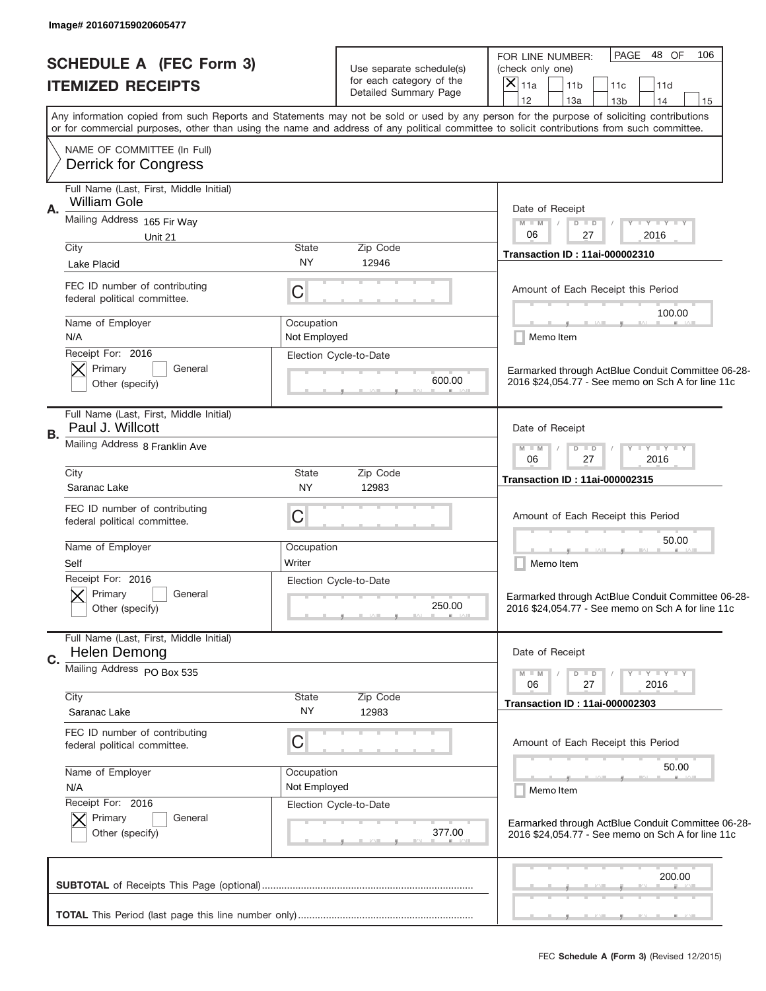| Image# 201607159020605477                                                                                                                  |                                                                               |                                                                                                                                                           |
|--------------------------------------------------------------------------------------------------------------------------------------------|-------------------------------------------------------------------------------|-----------------------------------------------------------------------------------------------------------------------------------------------------------|
| <b>SCHEDULE A</b> (FEC Form 3)<br><b>ITEMIZED RECEIPTS</b>                                                                                 | Use separate schedule(s)<br>for each category of the<br>Detailed Summary Page | PAGE 48 OF<br>106<br>FOR LINE NUMBER:<br>(check only one)<br>$\times$<br>11a<br>11 <sub>b</sub><br>11c<br>11d<br>12<br>13a<br>13 <sub>b</sub><br>14<br>15 |
| or for commercial purposes, other than using the name and address of any political committee to solicit contributions from such committee. |                                                                               | Any information copied from such Reports and Statements may not be sold or used by any person for the purpose of soliciting contributions                 |
| NAME OF COMMITTEE (In Full)<br><b>Derrick for Congress</b>                                                                                 |                                                                               |                                                                                                                                                           |
| Full Name (Last, First, Middle Initial)<br>William Gole                                                                                    |                                                                               | Date of Receipt                                                                                                                                           |
| Α.<br>Mailing Address 165 Fir Way<br>Unit 21                                                                                               |                                                                               | $M - M$<br>Y TY TY TY<br>$D$ $D$<br>$\sqrt{2}$<br>06<br>27<br>2016                                                                                        |
| City<br>Lake Placid                                                                                                                        | State<br>Zip Code<br><b>NY</b><br>12946                                       | <b>Transaction ID: 11ai-000002310</b>                                                                                                                     |
| FEC ID number of contributing<br>federal political committee.                                                                              | $\mathsf C$                                                                   | Amount of Each Receipt this Period                                                                                                                        |
| Name of Employer<br>N/A                                                                                                                    | Occupation<br>Not Employed                                                    | 100.00<br>Memo Item                                                                                                                                       |
| Receipt For: 2016<br>Primary<br>General<br>Other (specify)                                                                                 | Election Cycle-to-Date<br>600.00                                              | Earmarked through ActBlue Conduit Committee 06-28-<br>2016 \$24,054.77 - See memo on Sch A for line 11c                                                   |
| Full Name (Last, First, Middle Initial)<br>Paul J. Willcott                                                                                |                                                                               | Date of Receipt                                                                                                                                           |
| В.<br>Mailing Address 8 Franklin Ave                                                                                                       |                                                                               | $Y - Y - Y - Y$<br>$M - M$<br>$D$ $D$<br>27<br>2016<br>06                                                                                                 |
| City<br>Saranac Lake                                                                                                                       | State<br>Zip Code<br><b>NY</b><br>12983                                       | <b>Transaction ID: 11ai-000002315</b>                                                                                                                     |
| FEC ID number of contributing<br>federal political committee.                                                                              | C                                                                             | Amount of Each Receipt this Period                                                                                                                        |
| Name of Employer<br>Self                                                                                                                   | Occupation<br>Writer                                                          | 50.00<br>Memo Item                                                                                                                                        |
| Receipt For: 2016<br>Primary<br>General<br>Other (specify)                                                                                 | Election Cycle-to-Date<br>250.00                                              | Earmarked through ActBlue Conduit Committee 06-28-<br>2016 \$24,054.77 - See memo on Sch A for line 11c                                                   |
| Full Name (Last, First, Middle Initial)<br>Helen Demong<br>C.                                                                              |                                                                               | Date of Receipt                                                                                                                                           |
| Mailing Address PO Box 535                                                                                                                 |                                                                               | Y FY FY FY<br>$M - M$<br>$D$ $D$<br>2016<br>06<br>27                                                                                                      |
| City<br>Saranac Lake                                                                                                                       | Zip Code<br>State<br>NY<br>12983                                              | <b>Transaction ID: 11ai-000002303</b>                                                                                                                     |
| FEC ID number of contributing<br>federal political committee.                                                                              | C                                                                             | Amount of Each Receipt this Period                                                                                                                        |
| Name of Employer<br>N/A<br>Receipt For: 2016                                                                                               | Occupation<br>Not Employed<br>Election Cycle-to-Date                          | 50.00<br>Memo Item                                                                                                                                        |
| Primary<br>General<br>Other (specify)                                                                                                      | 377.00                                                                        | Earmarked through ActBlue Conduit Committee 06-28-<br>2016 \$24,054.77 - See memo on Sch A for line 11c                                                   |
|                                                                                                                                            |                                                                               | 200.00                                                                                                                                                    |
|                                                                                                                                            |                                                                               |                                                                                                                                                           |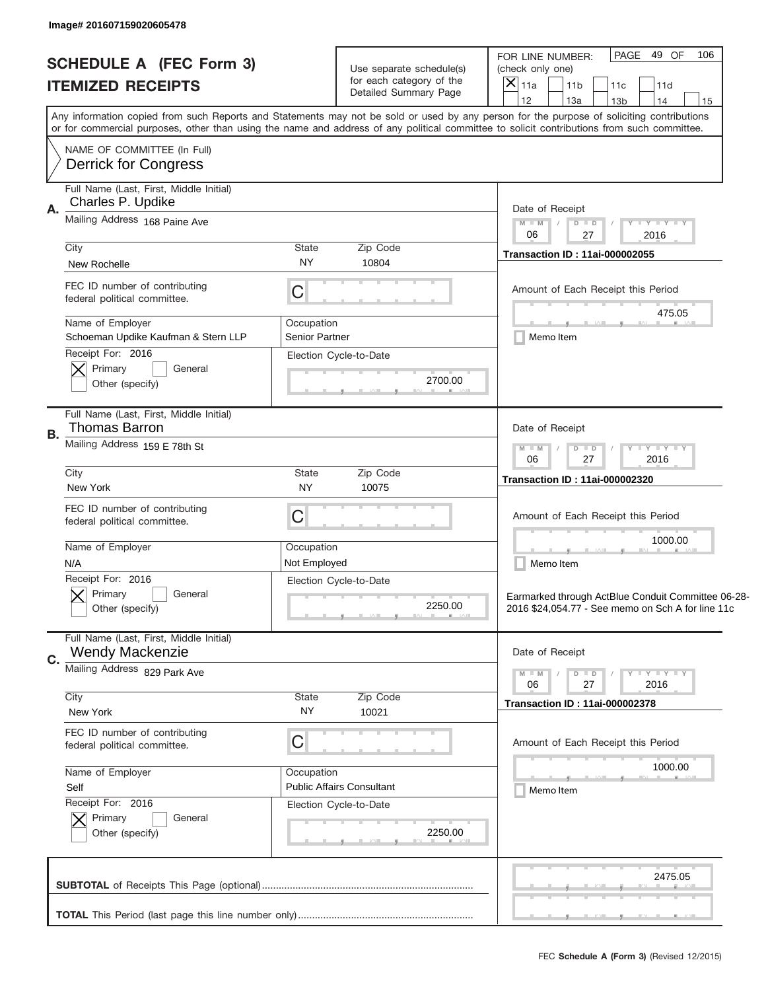| Image# 201607159020605478                                                                                                                                                                                                                                                               |                                                                               |                                                                                                                                                                          |
|-----------------------------------------------------------------------------------------------------------------------------------------------------------------------------------------------------------------------------------------------------------------------------------------|-------------------------------------------------------------------------------|--------------------------------------------------------------------------------------------------------------------------------------------------------------------------|
| <b>SCHEDULE A (FEC Form 3)</b><br><b>ITEMIZED RECEIPTS</b>                                                                                                                                                                                                                              | Use separate schedule(s)<br>for each category of the<br>Detailed Summary Page | PAGE 49 OF<br>106<br>FOR LINE NUMBER:<br>(check only one)<br>$\overline{\mathsf{x}}$<br>11a<br>11 <sub>b</sub><br>11c<br>11d<br>12<br>13a<br>13 <sub>b</sub><br>14<br>15 |
| Any information copied from such Reports and Statements may not be sold or used by any person for the purpose of soliciting contributions<br>or for commercial purposes, other than using the name and address of any political committee to solicit contributions from such committee. |                                                                               |                                                                                                                                                                          |
| NAME OF COMMITTEE (In Full)<br><b>Derrick for Congress</b>                                                                                                                                                                                                                              |                                                                               |                                                                                                                                                                          |
| Full Name (Last, First, Middle Initial)<br>Charles P. Updike<br>А.                                                                                                                                                                                                                      |                                                                               | Date of Receipt                                                                                                                                                          |
| Mailing Address 168 Paine Ave                                                                                                                                                                                                                                                           |                                                                               | $M$ M<br>$Y - Y - Y - Y$<br>$D$ $D$<br>06<br>27<br>2016                                                                                                                  |
| City<br>New Rochelle                                                                                                                                                                                                                                                                    | State<br>Zip Code<br><b>NY</b><br>10804                                       | <b>Transaction ID: 11ai-000002055</b>                                                                                                                                    |
| FEC ID number of contributing<br>federal political committee.                                                                                                                                                                                                                           | C                                                                             | Amount of Each Receipt this Period<br>475.05                                                                                                                             |
| Name of Employer<br>Schoeman Updike Kaufman & Stern LLP<br>Receipt For: 2016                                                                                                                                                                                                            | Occupation<br><b>Senior Partner</b>                                           | Memo Item                                                                                                                                                                |
| Primary<br>General<br>Other (specify)                                                                                                                                                                                                                                                   | Election Cycle-to-Date<br>2700.00                                             |                                                                                                                                                                          |
| Full Name (Last, First, Middle Initial)<br>Thomas Barron<br>В.                                                                                                                                                                                                                          |                                                                               | Date of Receipt                                                                                                                                                          |
| Mailing Address 159 E 78th St                                                                                                                                                                                                                                                           |                                                                               | $D$ $D$<br>$Y - Y - Y - Y - Y$<br>$M - M$<br>06<br>27<br>2016                                                                                                            |
| City<br>New York                                                                                                                                                                                                                                                                        | State<br>Zip Code<br><b>NY</b><br>10075                                       | <b>Transaction ID: 11ai-000002320</b>                                                                                                                                    |
| FEC ID number of contributing<br>federal political committee.                                                                                                                                                                                                                           | C                                                                             | Amount of Each Receipt this Period                                                                                                                                       |
| Name of Employer<br>N/A                                                                                                                                                                                                                                                                 | Occupation<br>Not Employed                                                    | 1000.00<br>Memo Item                                                                                                                                                     |
| Receipt For: 2016<br>Primary<br>General<br>Other (specify)                                                                                                                                                                                                                              | Election Cycle-to-Date<br>2250.00                                             | Earmarked through ActBlue Conduit Committee 06-28-<br>2016 \$24,054.77 - See memo on Sch A for line 11c                                                                  |
| Full Name (Last, First, Middle Initial)<br><b>Wendy Mackenzie</b><br>C.                                                                                                                                                                                                                 |                                                                               | Date of Receipt                                                                                                                                                          |
| Mailing Address 829 Park Ave<br>City                                                                                                                                                                                                                                                    | Zip Code<br>State                                                             | Y FY FY FY<br>$M - M$<br>$D$ $D$<br>27<br>2016<br>06                                                                                                                     |
| New York                                                                                                                                                                                                                                                                                | ΝY<br>10021                                                                   | <b>Transaction ID: 11ai-000002378</b>                                                                                                                                    |
| FEC ID number of contributing<br>federal political committee.                                                                                                                                                                                                                           | C                                                                             | Amount of Each Receipt this Period                                                                                                                                       |
| Name of Employer<br>Self<br>Receipt For: 2016                                                                                                                                                                                                                                           | Occupation<br><b>Public Affairs Consultant</b><br>Election Cycle-to-Date      | 1000.00<br>Memo Item                                                                                                                                                     |
| Primary<br>General<br>Other (specify)                                                                                                                                                                                                                                                   | 2250.00                                                                       |                                                                                                                                                                          |
|                                                                                                                                                                                                                                                                                         |                                                                               | 2475.05                                                                                                                                                                  |
|                                                                                                                                                                                                                                                                                         |                                                                               |                                                                                                                                                                          |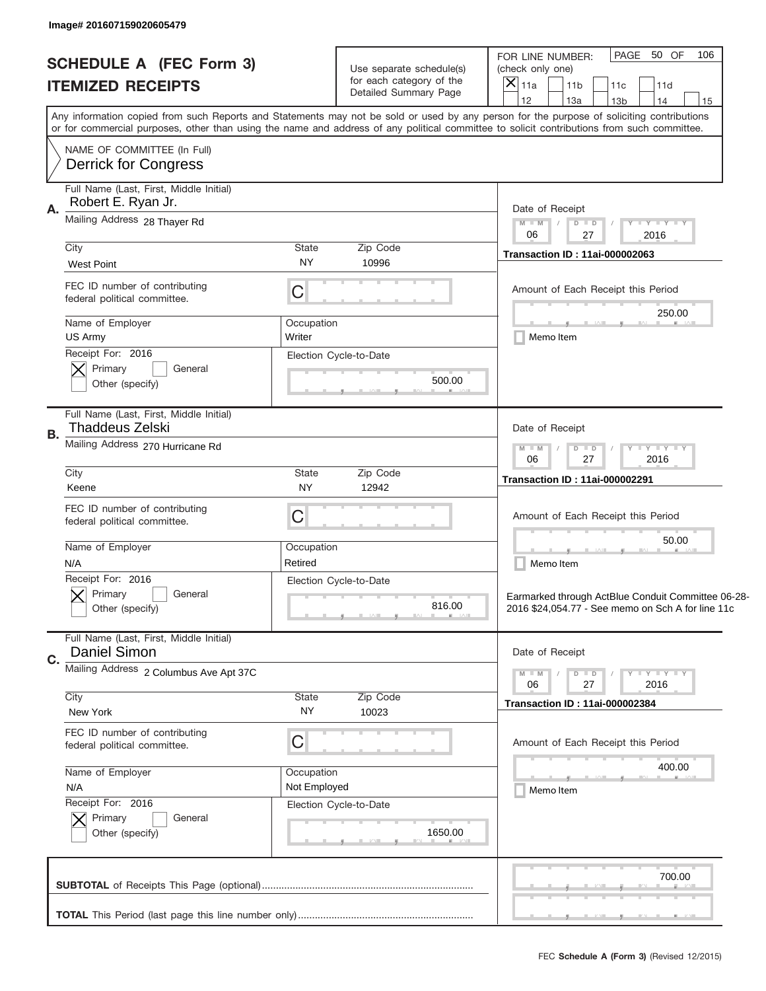| Image# 201607159020605479                                                                                                                                                                                                                                                               |                                                                               |                                                                                                                                                                          |
|-----------------------------------------------------------------------------------------------------------------------------------------------------------------------------------------------------------------------------------------------------------------------------------------|-------------------------------------------------------------------------------|--------------------------------------------------------------------------------------------------------------------------------------------------------------------------|
| <b>SCHEDULE A (FEC Form 3)</b><br><b>ITEMIZED RECEIPTS</b>                                                                                                                                                                                                                              | Use separate schedule(s)<br>for each category of the<br>Detailed Summary Page | PAGE 50 OF<br>106<br>FOR LINE NUMBER:<br>(check only one)<br>$\overline{\mathsf{x}}$<br>11a<br>11 <sub>b</sub><br>11d<br>11c<br>12<br>13a<br>13 <sub>b</sub><br>14<br>15 |
| Any information copied from such Reports and Statements may not be sold or used by any person for the purpose of soliciting contributions<br>or for commercial purposes, other than using the name and address of any political committee to solicit contributions from such committee. |                                                                               |                                                                                                                                                                          |
| NAME OF COMMITTEE (In Full)<br><b>Derrick for Congress</b>                                                                                                                                                                                                                              |                                                                               |                                                                                                                                                                          |
| Full Name (Last, First, Middle Initial)<br>Robert E. Ryan Jr.<br>А.                                                                                                                                                                                                                     |                                                                               | Date of Receipt                                                                                                                                                          |
| Mailing Address 28 Thayer Rd                                                                                                                                                                                                                                                            |                                                                               | $M$ M<br>$Y - Y - Y - Y$<br>$D$ $D$<br>06<br>27<br>2016                                                                                                                  |
| City<br><b>West Point</b>                                                                                                                                                                                                                                                               | State<br>Zip Code<br><b>NY</b><br>10996                                       | <b>Transaction ID: 11ai-000002063</b>                                                                                                                                    |
| FEC ID number of contributing<br>federal political committee.                                                                                                                                                                                                                           | C                                                                             | Amount of Each Receipt this Period<br>250.00                                                                                                                             |
| Name of Employer<br>US Army                                                                                                                                                                                                                                                             | Occupation<br>Writer                                                          | Memo Item                                                                                                                                                                |
| Receipt For: 2016<br>Primary<br>General<br>Other (specify)                                                                                                                                                                                                                              | Election Cycle-to-Date<br>500.00                                              |                                                                                                                                                                          |
| Full Name (Last, First, Middle Initial)<br>Thaddeus Zelski<br>В.                                                                                                                                                                                                                        |                                                                               | Date of Receipt                                                                                                                                                          |
| Mailing Address 270 Hurricane Rd                                                                                                                                                                                                                                                        |                                                                               | $D$ $D$<br>$Y - Y - Y - Y$<br>$M - M$<br>06<br>27<br>2016                                                                                                                |
| City<br>Keene                                                                                                                                                                                                                                                                           | State<br>Zip Code<br><b>NY</b><br>12942                                       | <b>Transaction ID: 11ai-000002291</b>                                                                                                                                    |
| FEC ID number of contributing<br>federal political committee.                                                                                                                                                                                                                           | C                                                                             | Amount of Each Receipt this Period                                                                                                                                       |
| Name of Employer<br>N/A                                                                                                                                                                                                                                                                 | Occupation<br>Retired                                                         | 50.00<br>Memo Item                                                                                                                                                       |
| Receipt For: 2016<br>Primary<br>General<br>Other (specify)                                                                                                                                                                                                                              | Election Cycle-to-Date<br>816.00                                              | Earmarked through ActBlue Conduit Committee 06-28-<br>2016 \$24,054.77 - See memo on Sch A for line 11c                                                                  |
| Full Name (Last, First, Middle Initial)<br>Daniel Simon<br>C.                                                                                                                                                                                                                           |                                                                               | Date of Receipt                                                                                                                                                          |
| Mailing Address 2 Columbus Ave Apt 37C                                                                                                                                                                                                                                                  |                                                                               | Y FY FY FY<br>$M - M$<br>$D$ $D$<br>06<br>27<br>2016                                                                                                                     |
| City<br>New York                                                                                                                                                                                                                                                                        | Zip Code<br>State<br>NY.<br>10023                                             | <b>Transaction ID: 11ai-000002384</b>                                                                                                                                    |
| FEC ID number of contributing<br>federal political committee.                                                                                                                                                                                                                           | C                                                                             | Amount of Each Receipt this Period                                                                                                                                       |
| Name of Employer<br>N/A<br>Receipt For: 2016                                                                                                                                                                                                                                            | Occupation<br>Not Employed<br>Election Cycle-to-Date                          | 400.00<br>Memo Item                                                                                                                                                      |
| Primary<br>General<br>Other (specify)                                                                                                                                                                                                                                                   | 1650.00                                                                       |                                                                                                                                                                          |
|                                                                                                                                                                                                                                                                                         |                                                                               | 700.00                                                                                                                                                                   |
|                                                                                                                                                                                                                                                                                         |                                                                               |                                                                                                                                                                          |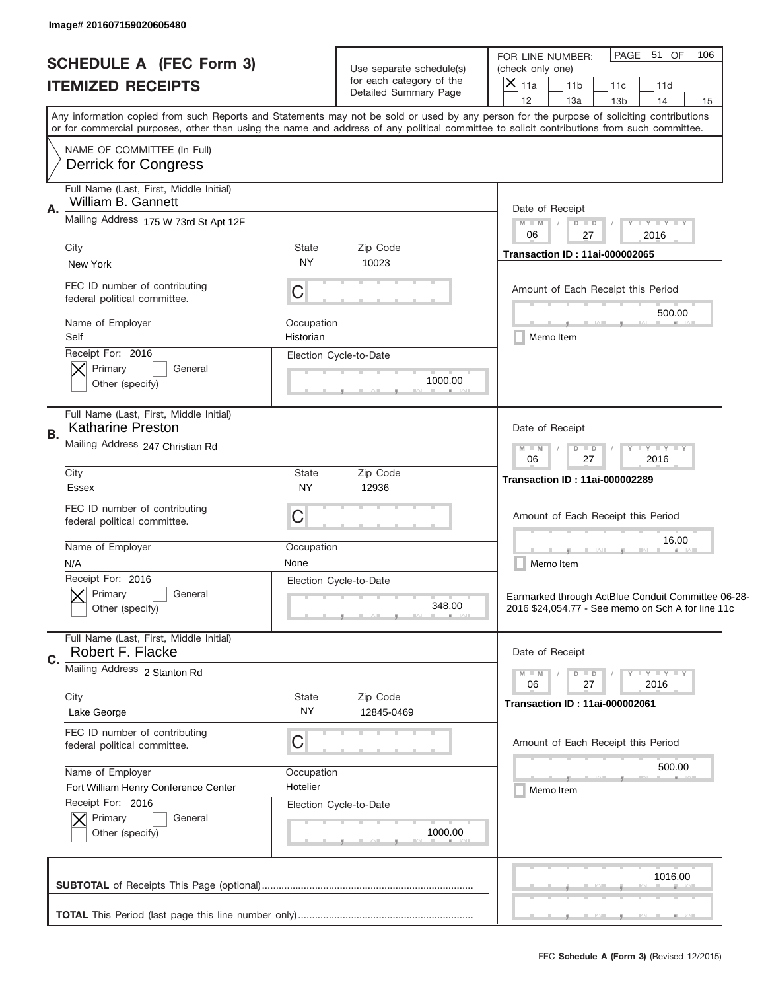| Image# 201607159020605480                                                 |                                                                               |                                                                                                                                                                                                                                                                                         |
|---------------------------------------------------------------------------|-------------------------------------------------------------------------------|-----------------------------------------------------------------------------------------------------------------------------------------------------------------------------------------------------------------------------------------------------------------------------------------|
| <b>SCHEDULE A (FEC Form 3)</b><br><b>ITEMIZED RECEIPTS</b>                | Use separate schedule(s)<br>for each category of the<br>Detailed Summary Page | PAGE 51 OF<br>106<br>FOR LINE NUMBER:<br>(check only one)<br>$\overline{\mathsf{x}}$<br>11a<br>11 <sub>b</sub><br>11d<br>11c<br>12<br>13a<br>13 <sub>b</sub><br>14<br>15                                                                                                                |
|                                                                           |                                                                               | Any information copied from such Reports and Statements may not be sold or used by any person for the purpose of soliciting contributions<br>or for commercial purposes, other than using the name and address of any political committee to solicit contributions from such committee. |
| NAME OF COMMITTEE (In Full)<br><b>Derrick for Congress</b>                |                                                                               |                                                                                                                                                                                                                                                                                         |
| Full Name (Last, First, Middle Initial)<br>William B. Gannett<br>Α.       |                                                                               | Date of Receipt                                                                                                                                                                                                                                                                         |
| Mailing Address 175 W 73rd St Apt 12F                                     |                                                                               | $M$ M<br>$Y - Y - Y - Y$<br>$D$ $D$<br>06<br>27<br>2016                                                                                                                                                                                                                                 |
| City<br>New York                                                          | State<br>Zip Code<br><b>NY</b><br>10023                                       | <b>Transaction ID: 11ai-000002065</b>                                                                                                                                                                                                                                                   |
| FEC ID number of contributing<br>federal political committee.             | C                                                                             | Amount of Each Receipt this Period<br>500.00                                                                                                                                                                                                                                            |
| Name of Employer<br>Self                                                  | Occupation<br>Historian                                                       | Memo Item                                                                                                                                                                                                                                                                               |
| Receipt For: 2016<br>Primary<br>General<br>Other (specify)                | Election Cycle-to-Date<br>1000.00                                             |                                                                                                                                                                                                                                                                                         |
| Full Name (Last, First, Middle Initial)<br><b>Katharine Preston</b><br>В. |                                                                               | Date of Receipt                                                                                                                                                                                                                                                                         |
| Mailing Address 247 Christian Rd                                          |                                                                               | $D$ $D$<br>$Y - Y - Y - Y - Y$<br>$M - M$<br>06<br>27<br>2016                                                                                                                                                                                                                           |
| City<br>Essex                                                             | State<br>Zip Code<br><b>NY</b><br>12936                                       | <b>Transaction ID: 11ai-000002289</b>                                                                                                                                                                                                                                                   |
| FEC ID number of contributing<br>federal political committee.             | C                                                                             | Amount of Each Receipt this Period                                                                                                                                                                                                                                                      |
| Name of Employer<br>N/A                                                   | Occupation<br>None                                                            | 16.00<br>Memo Item                                                                                                                                                                                                                                                                      |
| Receipt For: 2016<br>Primary<br>General<br>Other (specify)                | Election Cycle-to-Date<br>348.00                                              | Earmarked through ActBlue Conduit Committee 06-28-<br>2016 \$24,054.77 - See memo on Sch A for line 11c                                                                                                                                                                                 |
| Full Name (Last, First, Middle Initial)<br>Robert F. Flacke<br>C.         |                                                                               | Date of Receipt                                                                                                                                                                                                                                                                         |
| Mailing Address 2 Stanton Rd<br>City                                      | Zip Code<br>State                                                             | Y FY FY FY<br>$M - M$<br>$D$ $D$<br>06<br>27<br>2016                                                                                                                                                                                                                                    |
| Lake George                                                               | NY.<br>12845-0469                                                             | <b>Transaction ID: 11ai-000002061</b>                                                                                                                                                                                                                                                   |
| FEC ID number of contributing<br>federal political committee.             | C                                                                             | Amount of Each Receipt this Period                                                                                                                                                                                                                                                      |
| Name of Employer<br>Fort William Henry Conference Center                  | Occupation<br>Hotelier                                                        | 500.00<br>Memo Item                                                                                                                                                                                                                                                                     |
| Receipt For: 2016<br>Primary<br>General<br>Other (specify)                | Election Cycle-to-Date<br>1000.00                                             |                                                                                                                                                                                                                                                                                         |
|                                                                           |                                                                               | 1016.00                                                                                                                                                                                                                                                                                 |
|                                                                           |                                                                               |                                                                                                                                                                                                                                                                                         |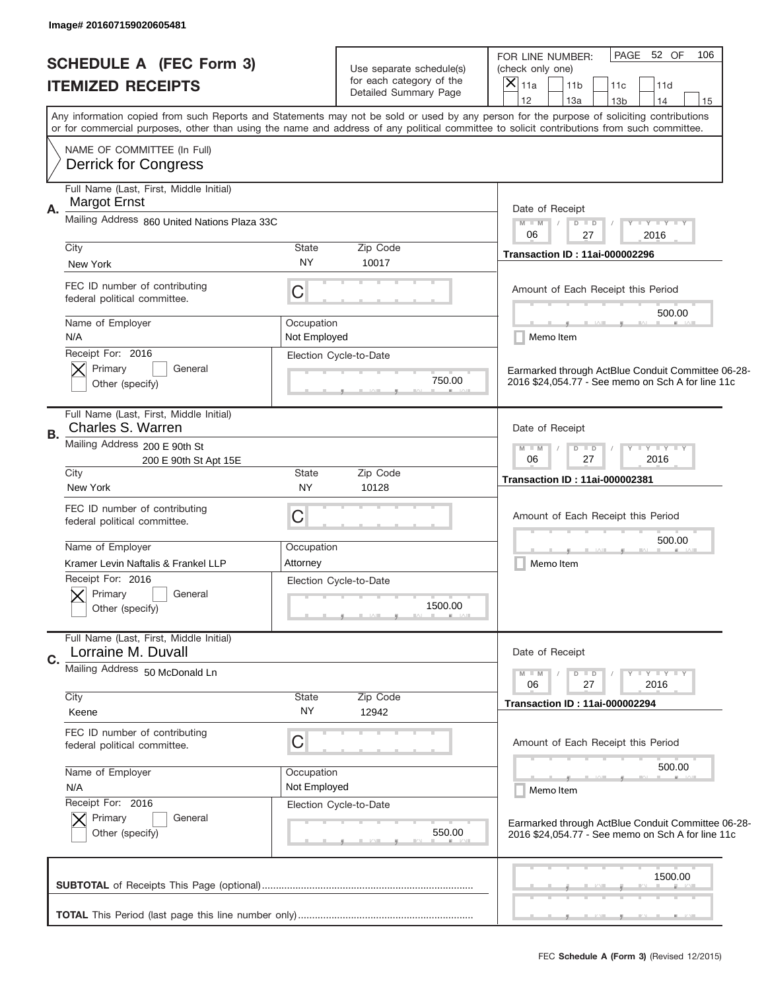| Image# 201607159020605481                                                                                            |                                                                               |                                                                                                                                                                                                                                                                                         |
|----------------------------------------------------------------------------------------------------------------------|-------------------------------------------------------------------------------|-----------------------------------------------------------------------------------------------------------------------------------------------------------------------------------------------------------------------------------------------------------------------------------------|
| <b>SCHEDULE A (FEC Form 3)</b><br><b>ITEMIZED RECEIPTS</b>                                                           | Use separate schedule(s)<br>for each category of the<br>Detailed Summary Page | PAGE 52 OF<br>106<br>FOR LINE NUMBER:<br>(check only one)<br>×<br>11a<br>11 <sub>b</sub><br>11c<br>11d<br>12<br>13a<br>13 <sub>b</sub><br>14<br>15                                                                                                                                      |
|                                                                                                                      |                                                                               | Any information copied from such Reports and Statements may not be sold or used by any person for the purpose of soliciting contributions<br>or for commercial purposes, other than using the name and address of any political committee to solicit contributions from such committee. |
| NAME OF COMMITTEE (In Full)<br><b>Derrick for Congress</b>                                                           |                                                                               |                                                                                                                                                                                                                                                                                         |
| Full Name (Last, First, Middle Initial)<br><b>Margot Ernst</b><br>А.<br>Mailing Address 860 United Nations Plaza 33C |                                                                               | Date of Receipt<br>$M$ $M$<br>Y FY FY FY                                                                                                                                                                                                                                                |
|                                                                                                                      |                                                                               | $\sqrt{2}$<br>$D$ $D$<br>06<br>2016<br>27                                                                                                                                                                                                                                               |
| City<br>New York                                                                                                     | State<br>Zip Code<br><b>NY</b><br>10017                                       | <b>Transaction ID: 11ai-000002296</b>                                                                                                                                                                                                                                                   |
| FEC ID number of contributing<br>federal political committee.                                                        | C                                                                             | Amount of Each Receipt this Period<br>500.00                                                                                                                                                                                                                                            |
| Name of Employer<br>N/A<br>Receipt For: 2016                                                                         | Occupation<br>Not Employed                                                    | Memo Item                                                                                                                                                                                                                                                                               |
| Primary<br>General<br>Other (specify)                                                                                | Election Cycle-to-Date<br>750.00                                              | Earmarked through ActBlue Conduit Committee 06-28-<br>2016 \$24,054.77 - See memo on Sch A for line 11c                                                                                                                                                                                 |
| Full Name (Last, First, Middle Initial)<br>Charles S. Warren<br>В.                                                   |                                                                               | Date of Receipt                                                                                                                                                                                                                                                                         |
| Mailing Address 200 E 90th St<br>200 E 90th St Apt 15E                                                               |                                                                               | $Y - Y - Y - Y - Y$<br>$M - M$<br>$D$ $D$<br>06<br>27<br>2016                                                                                                                                                                                                                           |
| City<br>New York                                                                                                     | <b>State</b><br>Zip Code<br><b>NY</b><br>10128                                | <b>Transaction ID: 11ai-000002381</b>                                                                                                                                                                                                                                                   |
| FEC ID number of contributing<br>federal political committee.                                                        | C                                                                             | Amount of Each Receipt this Period                                                                                                                                                                                                                                                      |
| Name of Employer<br>Kramer Levin Naftalis & Frankel LLP                                                              | Occupation<br>Attorney                                                        | 500.00<br>Memo Item                                                                                                                                                                                                                                                                     |
| Receipt For: 2016<br>General<br>Primary<br>Other (specify)                                                           | Election Cycle-to-Date<br>1500.00                                             |                                                                                                                                                                                                                                                                                         |
| Full Name (Last, First, Middle Initial)<br>Lorraine M. Duvall<br>C.                                                  |                                                                               | Date of Receipt                                                                                                                                                                                                                                                                         |
| Mailing Address 50 McDonald Ln                                                                                       |                                                                               | Y FY FY FY<br>$M - M$<br>$D$ $D$<br>2016<br>06<br>27                                                                                                                                                                                                                                    |
| City<br>Keene                                                                                                        | Zip Code<br>State<br>NY<br>12942                                              | <b>Transaction ID: 11ai-000002294</b>                                                                                                                                                                                                                                                   |
| FEC ID number of contributing<br>federal political committee.                                                        | C                                                                             | Amount of Each Receipt this Period                                                                                                                                                                                                                                                      |
| Name of Employer<br>N/A<br>Receipt For: 2016                                                                         | Occupation<br>Not Employed                                                    | 500.00<br>Memo Item                                                                                                                                                                                                                                                                     |
| Primary<br>General<br>Other (specify)                                                                                | Election Cycle-to-Date<br>550.00                                              | Earmarked through ActBlue Conduit Committee 06-28-<br>2016 \$24,054.77 - See memo on Sch A for line 11c                                                                                                                                                                                 |
|                                                                                                                      |                                                                               | 1500.00                                                                                                                                                                                                                                                                                 |
|                                                                                                                      |                                                                               | , , ,                                                                                                                                                                                                                                                                                   |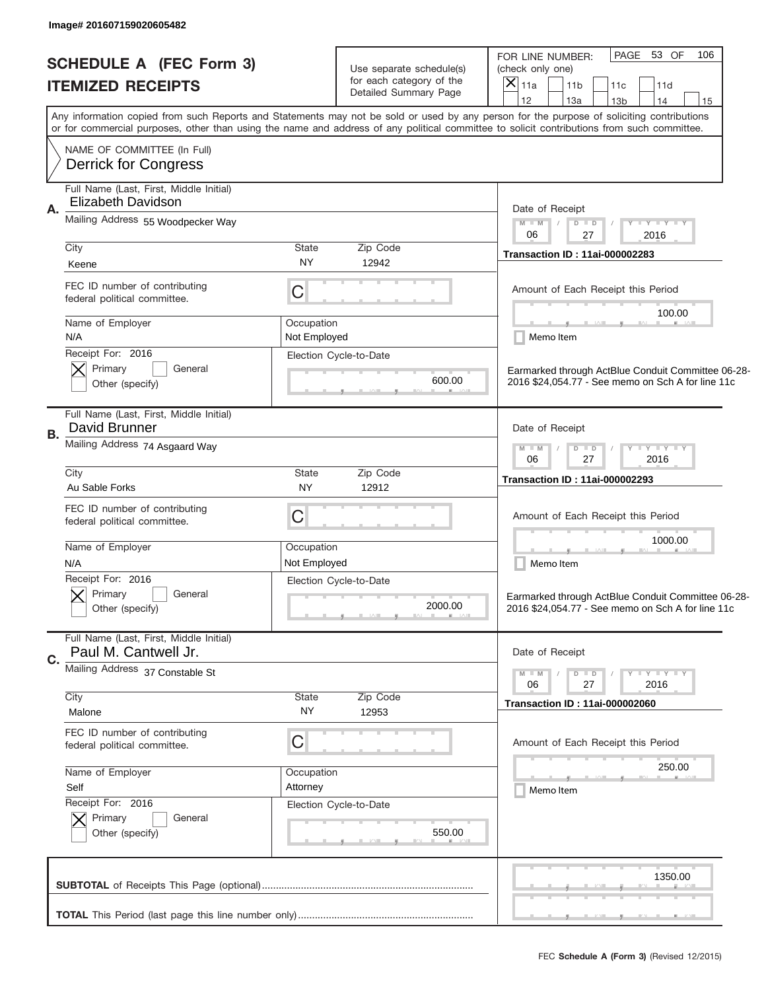| Image# 201607159020605482                                                                                                                                                                                                                                                               |                                                                               |                                                                                                                                                    |
|-----------------------------------------------------------------------------------------------------------------------------------------------------------------------------------------------------------------------------------------------------------------------------------------|-------------------------------------------------------------------------------|----------------------------------------------------------------------------------------------------------------------------------------------------|
| <b>SCHEDULE A</b> (FEC Form 3)<br><b>ITEMIZED RECEIPTS</b>                                                                                                                                                                                                                              | Use separate schedule(s)<br>for each category of the<br>Detailed Summary Page | PAGE 53 OF<br>106<br>FOR LINE NUMBER:<br>(check only one)<br>×<br>11a<br>11 <sub>b</sub><br>11c<br>11d<br>12<br>13a<br>14<br>13 <sub>b</sub><br>15 |
| Any information copied from such Reports and Statements may not be sold or used by any person for the purpose of soliciting contributions<br>or for commercial purposes, other than using the name and address of any political committee to solicit contributions from such committee. |                                                                               |                                                                                                                                                    |
| NAME OF COMMITTEE (In Full)<br><b>Derrick for Congress</b>                                                                                                                                                                                                                              |                                                                               |                                                                                                                                                    |
| Full Name (Last, First, Middle Initial)<br>Elizabeth Davidson<br>Α.                                                                                                                                                                                                                     |                                                                               | Date of Receipt                                                                                                                                    |
| Mailing Address 55 Woodpecker Way                                                                                                                                                                                                                                                       |                                                                               | $M$ M<br>$D$ $D$<br>$Y - Y - Y - Y$<br>06<br>27<br>2016                                                                                            |
| City<br><b>State</b><br><b>NY</b><br>Keene                                                                                                                                                                                                                                              | Zip Code<br>12942                                                             | <b>Transaction ID: 11ai-000002283</b>                                                                                                              |
| FEC ID number of contributing<br>C<br>federal political committee.                                                                                                                                                                                                                      |                                                                               | Amount of Each Receipt this Period<br>100.00                                                                                                       |
| Name of Employer<br>Occupation<br>N/A<br>Receipt For: 2016                                                                                                                                                                                                                              | Not Employed<br>Election Cycle-to-Date                                        | Memo Item                                                                                                                                          |
| Primary<br>General<br>Other (specify)                                                                                                                                                                                                                                                   | 600.00                                                                        | Earmarked through ActBlue Conduit Committee 06-28-<br>2016 \$24,054.77 - See memo on Sch A for line 11c                                            |
| Full Name (Last, First, Middle Initial)<br>David Brunner<br>В.                                                                                                                                                                                                                          |                                                                               | Date of Receipt                                                                                                                                    |
| Mailing Address 74 Asgaard Way                                                                                                                                                                                                                                                          | $M - M$<br>$D$ $D$<br>$Y - Y - Y - Y - Y$<br>27<br>2016<br>06                 |                                                                                                                                                    |
| City<br>State<br><b>NY</b><br>Au Sable Forks                                                                                                                                                                                                                                            | Zip Code<br>12912                                                             | <b>Transaction ID: 11ai-000002293</b>                                                                                                              |
| FEC ID number of contributing<br>C<br>federal political committee.                                                                                                                                                                                                                      |                                                                               | Amount of Each Receipt this Period                                                                                                                 |
| Name of Employer<br>Occupation<br>N/A                                                                                                                                                                                                                                                   | Not Employed                                                                  | 1000.00<br>Memo Item                                                                                                                               |
| Receipt For: 2016<br>Primary<br>General<br>Other (specify)                                                                                                                                                                                                                              | Election Cycle-to-Date<br>2000.00                                             | Earmarked through ActBlue Conduit Committee 06-28-<br>2016 \$24,054.77 - See memo on Sch A for line 11c                                            |
| Full Name (Last, First, Middle Initial)<br>Paul M. Cantwell Jr.                                                                                                                                                                                                                         |                                                                               | Date of Receipt                                                                                                                                    |
| C.<br>Mailing Address 37 Constable St                                                                                                                                                                                                                                                   |                                                                               | Y FY FY FY<br>$M - M$<br>$D$ $D$<br>27<br>2016<br>06                                                                                               |
| City<br>State<br>ΝY<br>Malone                                                                                                                                                                                                                                                           | Zip Code<br>12953                                                             | <b>Transaction ID: 11ai-000002060</b>                                                                                                              |
| FEC ID number of contributing<br>C<br>federal political committee.                                                                                                                                                                                                                      |                                                                               | Amount of Each Receipt this Period                                                                                                                 |
| Name of Employer<br>Occupation<br>Self<br>Attorney<br>Receipt For: 2016                                                                                                                                                                                                                 | Election Cycle-to-Date                                                        | 250.00<br>Memo Item                                                                                                                                |
| Primary<br>General<br>Other (specify)                                                                                                                                                                                                                                                   | 550.00                                                                        |                                                                                                                                                    |
|                                                                                                                                                                                                                                                                                         |                                                                               | 1350.00                                                                                                                                            |
|                                                                                                                                                                                                                                                                                         |                                                                               |                                                                                                                                                    |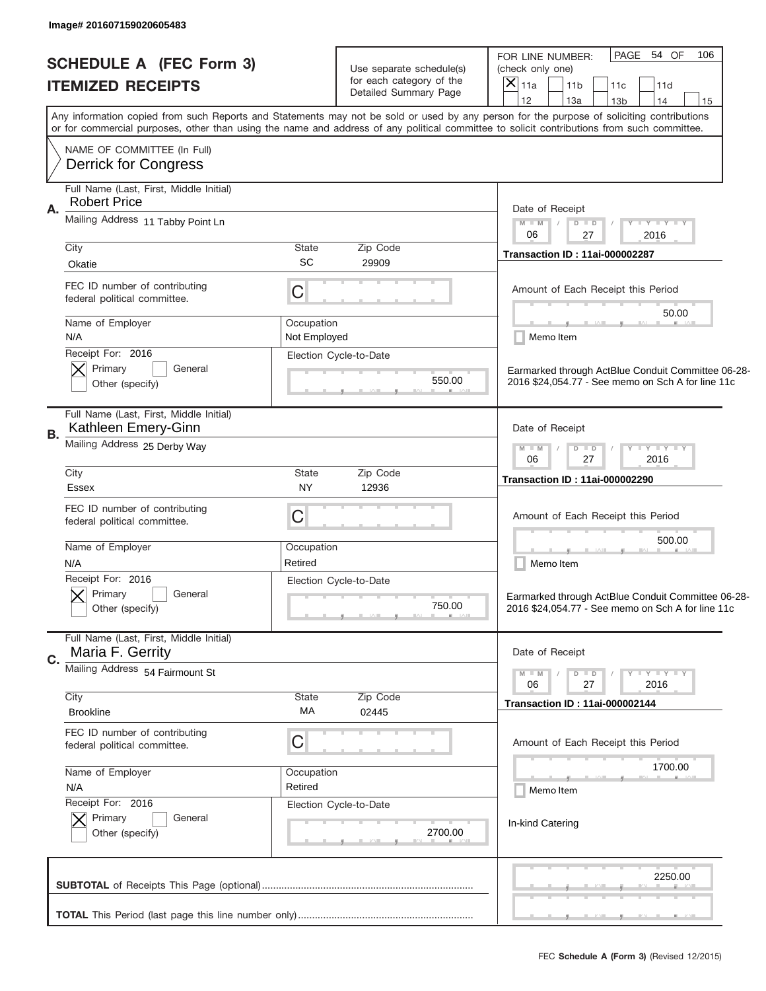| Image# 201607159020605483                                                                                                                                                                                                                                                               |                                                                               |                                                                                                                                                    |
|-----------------------------------------------------------------------------------------------------------------------------------------------------------------------------------------------------------------------------------------------------------------------------------------|-------------------------------------------------------------------------------|----------------------------------------------------------------------------------------------------------------------------------------------------|
| <b>SCHEDULE A (FEC Form 3)</b><br><b>ITEMIZED RECEIPTS</b>                                                                                                                                                                                                                              | Use separate schedule(s)<br>for each category of the<br>Detailed Summary Page | PAGE 54 OF<br>106<br>FOR LINE NUMBER:<br>(check only one)<br>×<br>11a<br>11 <sub>b</sub><br>11c<br>11d<br>12<br>13a<br>14<br>13 <sub>b</sub><br>15 |
| Any information copied from such Reports and Statements may not be sold or used by any person for the purpose of soliciting contributions<br>or for commercial purposes, other than using the name and address of any political committee to solicit contributions from such committee. |                                                                               |                                                                                                                                                    |
| NAME OF COMMITTEE (In Full)<br><b>Derrick for Congress</b>                                                                                                                                                                                                                              |                                                                               |                                                                                                                                                    |
| Full Name (Last, First, Middle Initial)<br><b>Robert Price</b><br>А.                                                                                                                                                                                                                    |                                                                               | Date of Receipt                                                                                                                                    |
| Mailing Address 11 Tabby Point Ln                                                                                                                                                                                                                                                       |                                                                               | $M$ M<br>$D$ $D$<br>$Y - Y - Y - Y$<br>06<br>27<br>2016                                                                                            |
| City<br>Okatie                                                                                                                                                                                                                                                                          | State<br>Zip Code<br>SC<br>29909                                              | <b>Transaction ID: 11ai-000002287</b>                                                                                                              |
| FEC ID number of contributing<br>C<br>federal political committee.                                                                                                                                                                                                                      |                                                                               | Amount of Each Receipt this Period<br>50.00                                                                                                        |
| Name of Employer<br>N/A<br>Receipt For: 2016                                                                                                                                                                                                                                            | Occupation<br>Not Employed                                                    | Memo Item                                                                                                                                          |
| Primary<br>General<br>Other (specify)                                                                                                                                                                                                                                                   | Election Cycle-to-Date<br>550.00                                              | Earmarked through ActBlue Conduit Committee 06-28-<br>2016 \$24,054.77 - See memo on Sch A for line 11c                                            |
| Full Name (Last, First, Middle Initial)<br>Kathleen Emery-Ginn<br>В.                                                                                                                                                                                                                    |                                                                               | Date of Receipt                                                                                                                                    |
| Mailing Address 25 Derby Way                                                                                                                                                                                                                                                            |                                                                               | $M$ M<br>$D$ $D$<br>$Y - Y - Y - Y - Y$<br>27<br>2016<br>06                                                                                        |
| City<br>Essex                                                                                                                                                                                                                                                                           | State<br>Zip Code<br><b>NY</b><br>12936                                       | <b>Transaction ID: 11ai-000002290</b>                                                                                                              |
| FEC ID number of contributing<br>C<br>federal political committee.                                                                                                                                                                                                                      |                                                                               | Amount of Each Receipt this Period                                                                                                                 |
| Name of Employer<br>Retired<br>N/A                                                                                                                                                                                                                                                      | Occupation                                                                    | 500.00<br>Memo Item                                                                                                                                |
| Receipt For: 2016<br>Primary<br>General<br>Other (specify)                                                                                                                                                                                                                              | Election Cycle-to-Date<br>750.00                                              | Earmarked through ActBlue Conduit Committee 06-28-<br>2016 \$24,054.77 - See memo on Sch A for line 11c                                            |
| Full Name (Last, First, Middle Initial)<br>Maria F. Gerrity<br>C.                                                                                                                                                                                                                       |                                                                               | Date of Receipt                                                                                                                                    |
| Mailing Address 54 Fairmount St                                                                                                                                                                                                                                                         |                                                                               | $D$ $D$<br>Y FY FY FY<br>$M - M$<br>27<br>2016<br>06                                                                                               |
| City<br><b>Brookline</b>                                                                                                                                                                                                                                                                | State<br>Zip Code<br>МA<br>02445                                              | <b>Transaction ID: 11ai-000002144</b>                                                                                                              |
| FEC ID number of contributing<br>C<br>federal political committee.                                                                                                                                                                                                                      |                                                                               | Amount of Each Receipt this Period                                                                                                                 |
| Name of Employer<br>N/A<br>Retired<br>Receipt For: 2016                                                                                                                                                                                                                                 | Occupation                                                                    | 1700.00<br>Memo Item                                                                                                                               |
| Primary<br>General<br>Other (specify)                                                                                                                                                                                                                                                   | Election Cycle-to-Date<br>2700.00                                             | In-kind Catering                                                                                                                                   |
|                                                                                                                                                                                                                                                                                         |                                                                               | 2250.00                                                                                                                                            |
|                                                                                                                                                                                                                                                                                         |                                                                               |                                                                                                                                                    |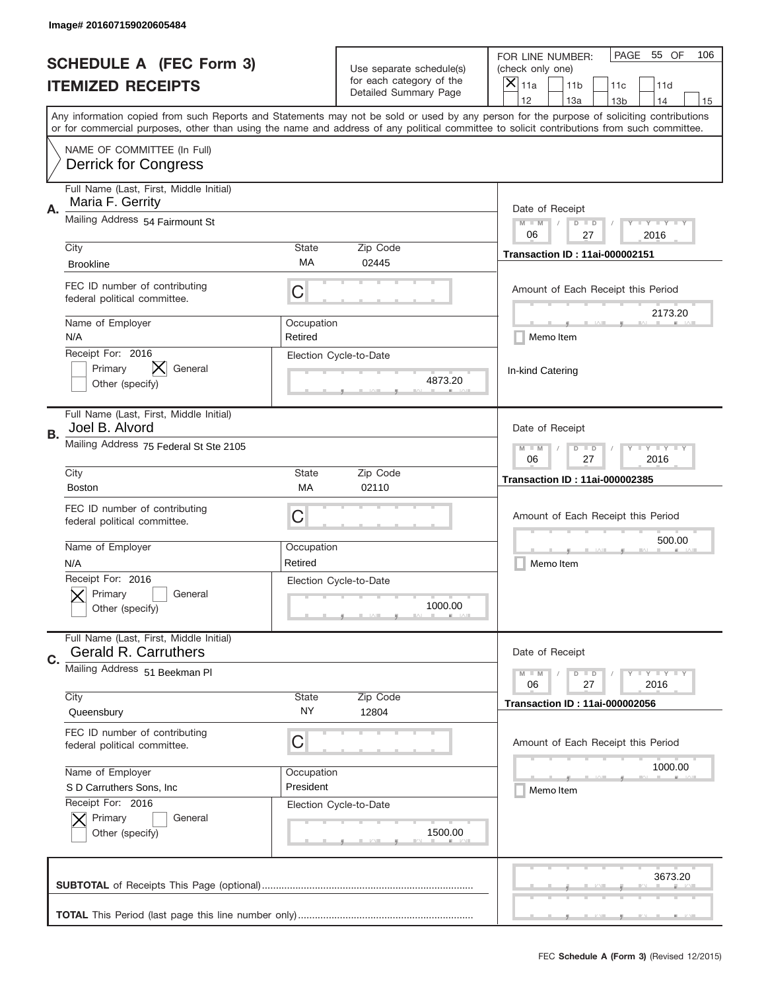|                          | Image# 201607159020605484                                              |                       |                                                   |                                                                                                                                                                                       |
|--------------------------|------------------------------------------------------------------------|-----------------------|---------------------------------------------------|---------------------------------------------------------------------------------------------------------------------------------------------------------------------------------------|
|                          | <b>SCHEDULE A (FEC Form 3)</b>                                         |                       | Use separate schedule(s)                          | PAGE<br>55 OF<br>106<br>FOR LINE NUMBER:<br>(check only one)                                                                                                                          |
| <b>ITEMIZED RECEIPTS</b> |                                                                        |                       | for each category of the<br>Detailed Summary Page | $\overline{X} _{11a}$<br>11 <sub>b</sub><br>11c<br>11d                                                                                                                                |
|                          |                                                                        |                       |                                                   | 12<br>13a<br>14<br>13 <sub>b</sub><br>15<br>Any information copied from such Reports and Statements may not be sold or used by any person for the purpose of soliciting contributions |
|                          |                                                                        |                       |                                                   | or for commercial purposes, other than using the name and address of any political committee to solicit contributions from such committee.                                            |
|                          | NAME OF COMMITTEE (In Full)<br><b>Derrick for Congress</b>             |                       |                                                   |                                                                                                                                                                                       |
| А.                       | Full Name (Last, First, Middle Initial)<br>Maria F. Gerrity            |                       |                                                   | Date of Receipt                                                                                                                                                                       |
|                          | Mailing Address 54 Fairmount St                                        |                       |                                                   | <b>LYLYLY</b><br>$M - M$<br>$D$ $D$<br>06<br>27<br>2016                                                                                                                               |
|                          | City                                                                   | <b>State</b>          | Zip Code                                          | <b>Transaction ID: 11ai-000002151</b>                                                                                                                                                 |
|                          | <b>Brookline</b>                                                       | МA                    | 02445                                             |                                                                                                                                                                                       |
|                          | FEC ID number of contributing<br>federal political committee.          | С                     |                                                   | Amount of Each Receipt this Period<br>2173.20                                                                                                                                         |
|                          | Name of Employer<br>N/A                                                | Occupation<br>Retired |                                                   | Memo Item                                                                                                                                                                             |
|                          | Receipt For: 2016<br>Primary<br>General<br>Other (specify)             |                       | Election Cycle-to-Date<br>4873.20                 | In-kind Catering                                                                                                                                                                      |
| В.                       | Full Name (Last, First, Middle Initial)<br>Joel B. Alvord              |                       |                                                   | Date of Receipt                                                                                                                                                                       |
|                          | Mailing Address 75 Federal St Ste 2105                                 |                       |                                                   | <b>LY LY LY</b><br>$M - M$<br>$D$ $D$<br>06<br>27<br>2016                                                                                                                             |
|                          | City                                                                   | <b>State</b>          | Zip Code                                          | <b>Transaction ID: 11ai-000002385</b>                                                                                                                                                 |
|                          | <b>Boston</b>                                                          | МA                    | 02110                                             |                                                                                                                                                                                       |
|                          | FEC ID number of contributing<br>federal political committee.          | С                     |                                                   | Amount of Each Receipt this Period                                                                                                                                                    |
|                          | Name of Employer                                                       | Occupation            |                                                   | 500.00                                                                                                                                                                                |
|                          | N/A                                                                    | Retired               |                                                   | Memo Item                                                                                                                                                                             |
|                          | Receipt For: 2016<br>General<br>Primary<br>Other (specify)             |                       | Election Cycle-to-Date<br>1000.00                 |                                                                                                                                                                                       |
| C.                       | Full Name (Last, First, Middle Initial)<br><b>Gerald R. Carruthers</b> |                       |                                                   | Date of Receipt                                                                                                                                                                       |
|                          | Mailing Address 51 Beekman Pl                                          |                       |                                                   | <b>LYLYLY</b><br>$M - M$<br>$D$ $D$<br>27<br>2016<br>06                                                                                                                               |
|                          | City<br>Queensbury                                                     | <b>State</b><br>NY.   | Zip Code<br>12804                                 | <b>Transaction ID: 11ai-000002056</b>                                                                                                                                                 |
|                          | FEC ID number of contributing<br>federal political committee.          | С                     |                                                   | Amount of Each Receipt this Period                                                                                                                                                    |
|                          | Name of Employer                                                       | Occupation            |                                                   | 1000.00                                                                                                                                                                               |
|                          | S D Carruthers Sons, Inc                                               | President             |                                                   | Memo Item                                                                                                                                                                             |
|                          | Receipt For: 2016<br>Primary<br>General<br>Other (specify)             |                       | Election Cycle-to-Date<br>1500.00                 |                                                                                                                                                                                       |
|                          |                                                                        |                       |                                                   | 3673.20                                                                                                                                                                               |
|                          |                                                                        |                       |                                                   |                                                                                                                                                                                       |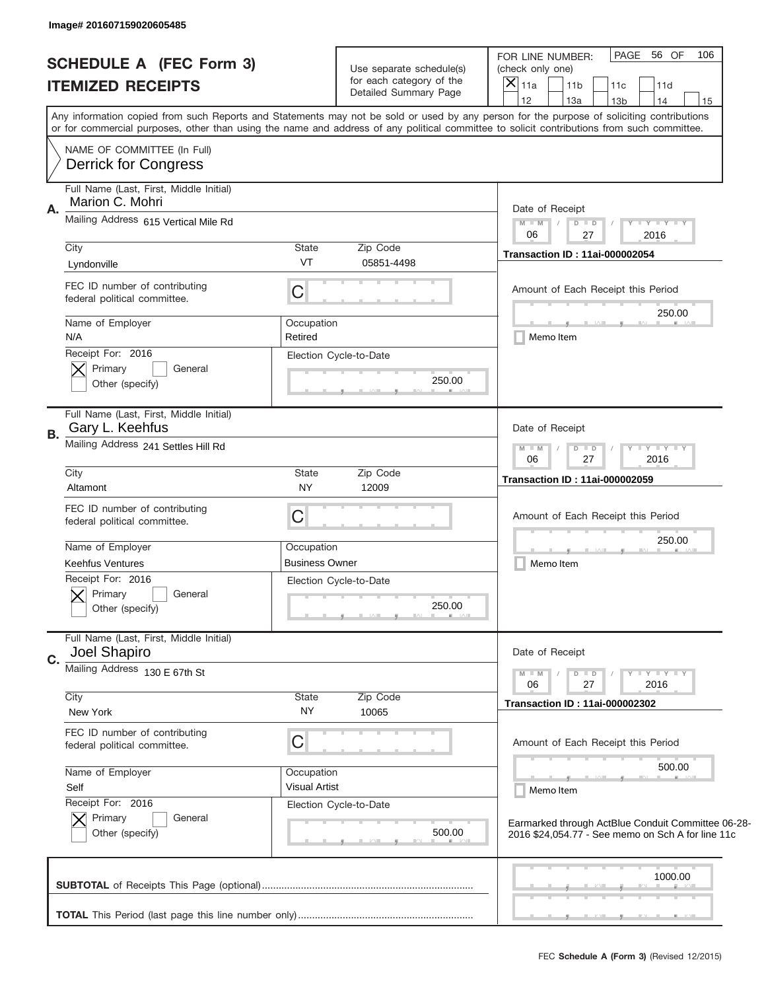| Image# 201607159020605485                                                                                                                                                                                                                                                               |                                                                               |                                                                                                                                                    |
|-----------------------------------------------------------------------------------------------------------------------------------------------------------------------------------------------------------------------------------------------------------------------------------------|-------------------------------------------------------------------------------|----------------------------------------------------------------------------------------------------------------------------------------------------|
| <b>SCHEDULE A (FEC Form 3)</b><br><b>ITEMIZED RECEIPTS</b>                                                                                                                                                                                                                              | Use separate schedule(s)<br>for each category of the<br>Detailed Summary Page | PAGE 56 OF<br>106<br>FOR LINE NUMBER:<br>(check only one)<br>×<br>11a<br>11 <sub>b</sub><br>11c<br>11d<br>12<br>13a<br>13 <sub>b</sub><br>14<br>15 |
| Any information copied from such Reports and Statements may not be sold or used by any person for the purpose of soliciting contributions<br>or for commercial purposes, other than using the name and address of any political committee to solicit contributions from such committee. |                                                                               |                                                                                                                                                    |
| NAME OF COMMITTEE (In Full)<br><b>Derrick for Congress</b>                                                                                                                                                                                                                              |                                                                               |                                                                                                                                                    |
| Full Name (Last, First, Middle Initial)<br>Marion C. Mohri<br>Α.                                                                                                                                                                                                                        |                                                                               | Date of Receipt                                                                                                                                    |
| Mailing Address 615 Vertical Mile Rd                                                                                                                                                                                                                                                    |                                                                               | $M$ $M$<br>$Y - Y - Y - Y$<br>$D$ $D$<br>$\sqrt{2}$<br>06<br>2016<br>27                                                                            |
| City<br>Lyndonville                                                                                                                                                                                                                                                                     | State<br>Zip Code<br>VT<br>05851-4498                                         | <b>Transaction ID: 11ai-000002054</b>                                                                                                              |
| FEC ID number of contributing<br>federal political committee.                                                                                                                                                                                                                           | $\mathsf C$                                                                   | Amount of Each Receipt this Period<br>250.00                                                                                                       |
| Name of Employer<br>N/A                                                                                                                                                                                                                                                                 | Occupation<br>Retired                                                         | Memo Item                                                                                                                                          |
| Receipt For: 2016<br>Primary<br>General<br>Other (specify)                                                                                                                                                                                                                              | Election Cycle-to-Date<br>250.00                                              |                                                                                                                                                    |
| Full Name (Last, First, Middle Initial)<br>Gary L. Keehfus<br>В.                                                                                                                                                                                                                        |                                                                               | Date of Receipt                                                                                                                                    |
| Mailing Address 241 Settles Hill Rd                                                                                                                                                                                                                                                     |                                                                               | $Y - Y - Y - Y - Y$<br>$M - M$<br>$D$ $D$<br>06<br>27<br>2016                                                                                      |
| City<br>Altamont                                                                                                                                                                                                                                                                        | State<br>Zip Code<br><b>NY</b><br>12009                                       | <b>Transaction ID: 11ai-000002059</b>                                                                                                              |
| FEC ID number of contributing<br>federal political committee.                                                                                                                                                                                                                           | C                                                                             | Amount of Each Receipt this Period                                                                                                                 |
| Name of Employer                                                                                                                                                                                                                                                                        | Occupation                                                                    | 250.00                                                                                                                                             |
| <b>Keehfus Ventures</b><br>Receipt For: 2016<br>General<br>Primary<br>Other (specify)                                                                                                                                                                                                   | <b>Business Owner</b><br>Election Cycle-to-Date<br>250.00                     | Memo Item                                                                                                                                          |
| Full Name (Last, First, Middle Initial)<br>Joel Shapiro<br>C.                                                                                                                                                                                                                           |                                                                               | Date of Receipt                                                                                                                                    |
| Mailing Address 130 E 67th St                                                                                                                                                                                                                                                           |                                                                               | Y FY FY FY<br>$M - M$<br>$D$ $D$<br>2016<br>06<br>27                                                                                               |
| City<br>New York                                                                                                                                                                                                                                                                        | Zip Code<br>State<br>NY<br>10065                                              | <b>Transaction ID: 11ai-000002302</b>                                                                                                              |
| FEC ID number of contributing<br>federal political committee.                                                                                                                                                                                                                           | C                                                                             | Amount of Each Receipt this Period                                                                                                                 |
| Name of Employer<br>Self                                                                                                                                                                                                                                                                | Occupation<br><b>Visual Artist</b>                                            | 500.00<br>Memo Item                                                                                                                                |
| Receipt For: 2016<br>Primary<br>General<br>Other (specify)                                                                                                                                                                                                                              | Election Cycle-to-Date<br>500.00                                              | Earmarked through ActBlue Conduit Committee 06-28-<br>2016 \$24,054.77 - See memo on Sch A for line 11c                                            |
|                                                                                                                                                                                                                                                                                         |                                                                               | 1000.00                                                                                                                                            |
|                                                                                                                                                                                                                                                                                         |                                                                               | , , ,                                                                                                                                              |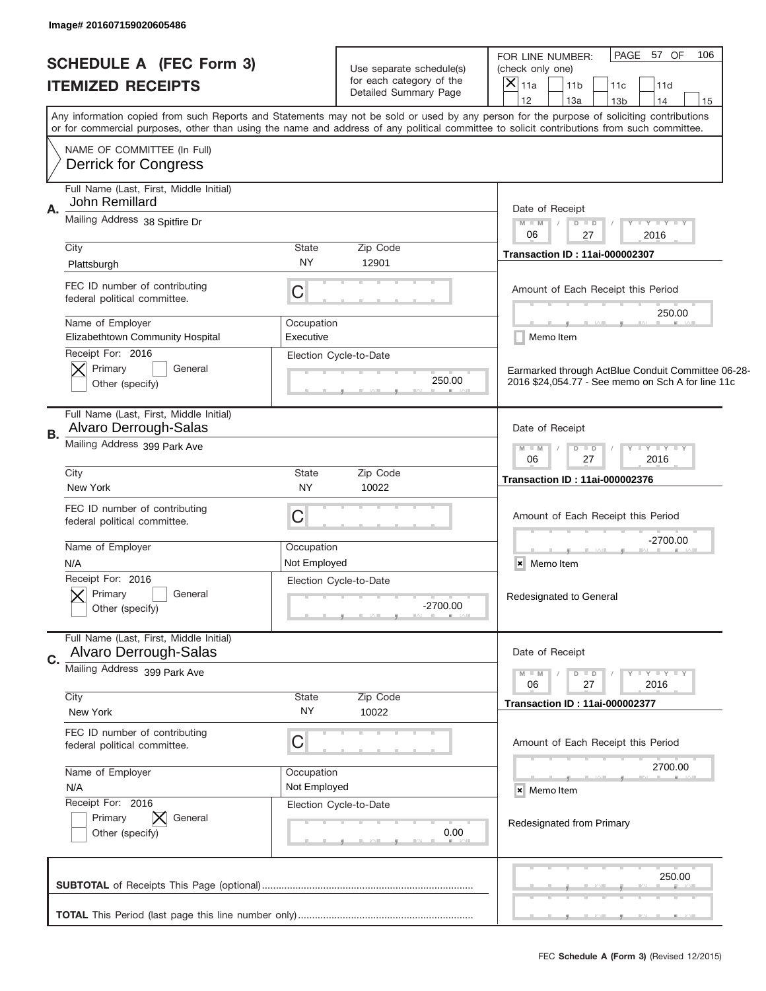| Image# 201607159020605486                                                                                                                                                                                                                                                               |                                                                               |                                                                                                                                                    |
|-----------------------------------------------------------------------------------------------------------------------------------------------------------------------------------------------------------------------------------------------------------------------------------------|-------------------------------------------------------------------------------|----------------------------------------------------------------------------------------------------------------------------------------------------|
| <b>SCHEDULE A (FEC Form 3)</b><br><b>ITEMIZED RECEIPTS</b>                                                                                                                                                                                                                              | Use separate schedule(s)<br>for each category of the<br>Detailed Summary Page | PAGE 57 OF<br>106<br>FOR LINE NUMBER:<br>(check only one)<br>×<br>11a<br>11 <sub>b</sub><br>11c<br>11d<br>12<br>13a<br>14<br>13 <sub>b</sub><br>15 |
| Any information copied from such Reports and Statements may not be sold or used by any person for the purpose of soliciting contributions<br>or for commercial purposes, other than using the name and address of any political committee to solicit contributions from such committee. |                                                                               |                                                                                                                                                    |
| NAME OF COMMITTEE (In Full)<br><b>Derrick for Congress</b>                                                                                                                                                                                                                              |                                                                               |                                                                                                                                                    |
| Full Name (Last, First, Middle Initial)<br>John Remillard                                                                                                                                                                                                                               |                                                                               |                                                                                                                                                    |
| Α.<br>Mailing Address 38 Spitfire Dr                                                                                                                                                                                                                                                    |                                                                               | Date of Receipt<br>$M$ M<br>$D$ $D$<br>$Y - Y - Y - Y$<br>06<br>27<br>2016                                                                         |
| City                                                                                                                                                                                                                                                                                    | State<br>Zip Code<br><b>NY</b><br>12901                                       | <b>Transaction ID: 11ai-000002307</b>                                                                                                              |
| Plattsburgh<br>FEC ID number of contributing<br>federal political committee.                                                                                                                                                                                                            | C                                                                             | Amount of Each Receipt this Period                                                                                                                 |
| Name of Employer<br>Elizabethtown Community Hospital<br>Receipt For: 2016                                                                                                                                                                                                               | Occupation<br>Executive                                                       | 250.00<br>Memo Item                                                                                                                                |
| Primary<br>General<br>Other (specify)                                                                                                                                                                                                                                                   | Election Cycle-to-Date<br>250.00                                              | Earmarked through ActBlue Conduit Committee 06-28-<br>2016 \$24,054.77 - See memo on Sch A for line 11c                                            |
| Full Name (Last, First, Middle Initial)<br>Alvaro Derrough-Salas<br>В.                                                                                                                                                                                                                  | Date of Receipt                                                               |                                                                                                                                                    |
| Mailing Address 399 Park Ave                                                                                                                                                                                                                                                            |                                                                               | $M - M$<br>$D$ $D$<br>$Y - Y - Y - Y - Y$<br>27<br>2016<br>06                                                                                      |
| City<br>New York                                                                                                                                                                                                                                                                        | State<br>Zip Code<br><b>NY</b><br>10022                                       | <b>Transaction ID: 11ai-000002376</b>                                                                                                              |
| FEC ID number of contributing<br>federal political committee.                                                                                                                                                                                                                           | C                                                                             | Amount of Each Receipt this Period                                                                                                                 |
| Name of Employer<br>N/A                                                                                                                                                                                                                                                                 | Occupation<br>Not Employed                                                    | $-2700.00$<br>Memo Item                                                                                                                            |
| Receipt For: 2016<br>Primary<br>General<br>Other (specify)                                                                                                                                                                                                                              | Election Cycle-to-Date<br>$-2700.00$                                          | Redesignated to General                                                                                                                            |
| Full Name (Last, First, Middle Initial)<br>Alvaro Derrough-Salas<br>C.                                                                                                                                                                                                                  |                                                                               | Date of Receipt                                                                                                                                    |
| Mailing Address 399 Park Ave                                                                                                                                                                                                                                                            |                                                                               | $D$ $D$<br>Y FY FY FY<br>$M - M$<br>06<br>27<br>2016                                                                                               |
| City<br>New York                                                                                                                                                                                                                                                                        | Zip Code<br>State<br>ΝY<br>10022                                              | <b>Transaction ID: 11ai-000002377</b>                                                                                                              |
| FEC ID number of contributing<br>federal political committee.                                                                                                                                                                                                                           | C                                                                             | Amount of Each Receipt this Period                                                                                                                 |
| Name of Employer                                                                                                                                                                                                                                                                        | Occupation                                                                    | 2700.00                                                                                                                                            |
| N/A<br>Receipt For: 2016<br>Primary<br>General<br>Other (specify)                                                                                                                                                                                                                       | Not Employed<br>Election Cycle-to-Date<br>0.00                                | × Memo Item<br>Redesignated from Primary                                                                                                           |
|                                                                                                                                                                                                                                                                                         |                                                                               | 250.00                                                                                                                                             |
|                                                                                                                                                                                                                                                                                         |                                                                               |                                                                                                                                                    |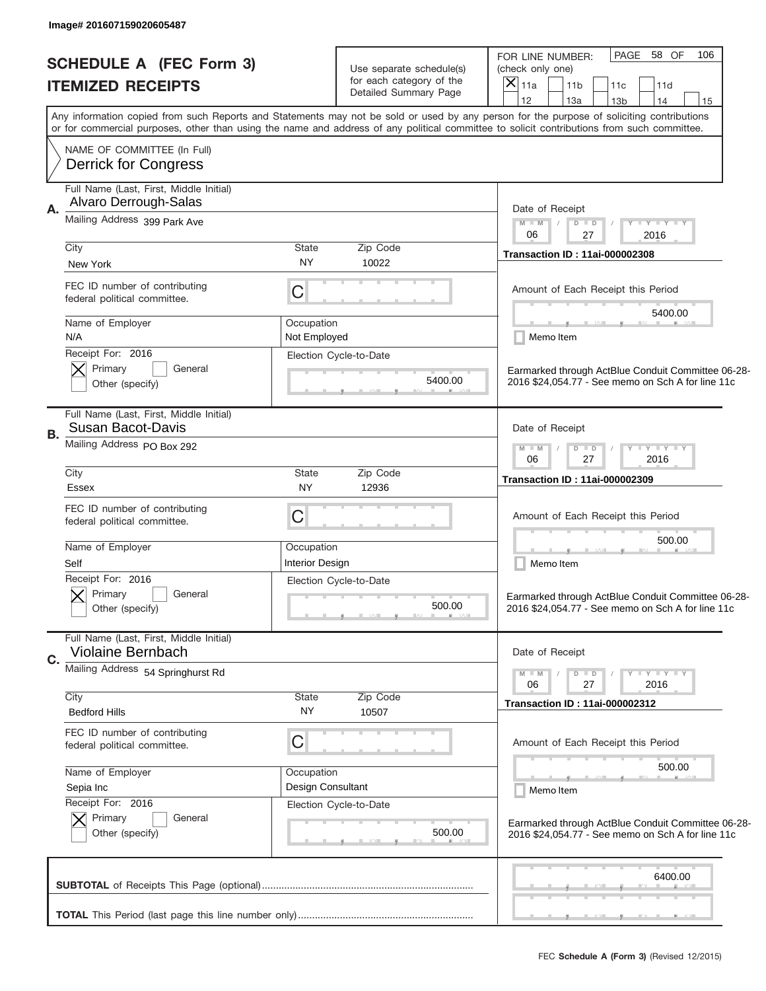| Image# 201607159020605487                                                 |                                                                                                                                            |                                                                                                                                                              |
|---------------------------------------------------------------------------|--------------------------------------------------------------------------------------------------------------------------------------------|--------------------------------------------------------------------------------------------------------------------------------------------------------------|
| <b>SCHEDULE A</b> (FEC Form 3)<br><b>ITEMIZED RECEIPTS</b>                | Use separate schedule(s)<br>for each category of the<br>Detailed Summary Page                                                              | PAGE<br>58 OF<br>106<br>FOR LINE NUMBER:<br>(check only one)<br>$\times$<br>11a<br>11 <sub>b</sub><br>11c<br>11d<br>12<br>13a<br>13 <sub>b</sub><br>14<br>15 |
|                                                                           | or for commercial purposes, other than using the name and address of any political committee to solicit contributions from such committee. | Any information copied from such Reports and Statements may not be sold or used by any person for the purpose of soliciting contributions                    |
| NAME OF COMMITTEE (In Full)<br><b>Derrick for Congress</b>                |                                                                                                                                            |                                                                                                                                                              |
| Full Name (Last, First, Middle Initial)<br>Alvaro Derrough-Salas<br>Α.    |                                                                                                                                            | Date of Receipt                                                                                                                                              |
| Mailing Address 399 Park Ave                                              |                                                                                                                                            | $M - M$<br>Y TY TY TY<br>$D$ $D$<br>$\sqrt{2}$<br>06<br>27<br>2016                                                                                           |
| City<br>New York                                                          | State<br>Zip Code<br><b>NY</b><br>10022                                                                                                    | <b>Transaction ID: 11ai-000002308</b>                                                                                                                        |
| FEC ID number of contributing<br>federal political committee.             | $\mathsf C$                                                                                                                                | Amount of Each Receipt this Period<br>5400.00                                                                                                                |
| Name of Employer<br>N/A<br>Receipt For: 2016                              | Occupation<br>Not Employed                                                                                                                 | Memo Item                                                                                                                                                    |
| Primary<br>General<br>Other (specify)                                     | Election Cycle-to-Date<br>5400.00                                                                                                          | Earmarked through ActBlue Conduit Committee 06-28-<br>2016 \$24,054.77 - See memo on Sch A for line 11c                                                      |
| Full Name (Last, First, Middle Initial)<br><b>Susan Bacot-Davis</b><br>В. |                                                                                                                                            | Date of Receipt                                                                                                                                              |
| Mailing Address PO Box 292                                                |                                                                                                                                            | $Y = Y = Y = Y$<br>$M - M$<br>$D$ $D$<br>27<br>2016<br>06                                                                                                    |
| City<br>Essex                                                             | State<br>Zip Code<br><b>NY</b><br>12936                                                                                                    | <b>Transaction ID: 11ai-000002309</b>                                                                                                                        |
| FEC ID number of contributing<br>federal political committee.             | C                                                                                                                                          | Amount of Each Receipt this Period                                                                                                                           |
| Name of Employer<br>Self                                                  | Occupation<br><b>Interior Design</b>                                                                                                       | 500.00<br>Memo Item                                                                                                                                          |
| Receipt For: 2016<br>Primary<br>General<br>Other (specify)                | Election Cycle-to-Date<br>500.00                                                                                                           | Earmarked through ActBlue Conduit Committee 06-28-<br>2016 \$24,054.77 - See memo on Sch A for line 11c                                                      |
| Full Name (Last, First, Middle Initial)<br>Violaine Bernbach<br>C.        |                                                                                                                                            | Date of Receipt                                                                                                                                              |
| Mailing Address 54 Springhurst Rd                                         |                                                                                                                                            | Y FY FY FY<br>$M - M$<br>$D$ $D$<br>2016<br>06<br>27                                                                                                         |
| City<br><b>Bedford Hills</b>                                              | Zip Code<br>State<br>NY<br>10507                                                                                                           | <b>Transaction ID: 11ai-000002312</b>                                                                                                                        |
| FEC ID number of contributing<br>federal political committee.             | C                                                                                                                                          | Amount of Each Receipt this Period                                                                                                                           |
| Name of Employer<br>Sepia Inc<br>Receipt For: 2016                        | Occupation<br>Design Consultant                                                                                                            | 500.00<br>Memo Item                                                                                                                                          |
| Primary<br>General<br>Other (specify)                                     | Election Cycle-to-Date<br>500.00                                                                                                           | Earmarked through ActBlue Conduit Committee 06-28-<br>2016 \$24,054.77 - See memo on Sch A for line 11c                                                      |
|                                                                           |                                                                                                                                            | 6400.00                                                                                                                                                      |
|                                                                           |                                                                                                                                            |                                                                                                                                                              |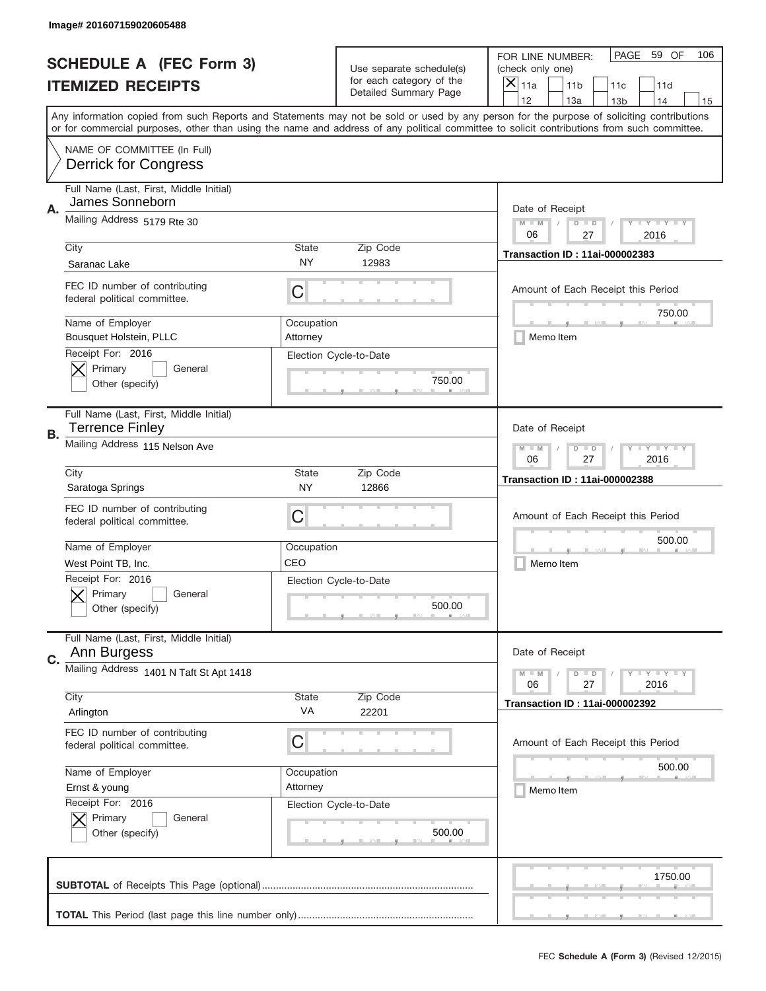|           | Image# 201607159020605488                                                   |                        |                                                   |                                                                                                                                                                                                                                                                                                                                     |
|-----------|-----------------------------------------------------------------------------|------------------------|---------------------------------------------------|-------------------------------------------------------------------------------------------------------------------------------------------------------------------------------------------------------------------------------------------------------------------------------------------------------------------------------------|
|           | <b>SCHEDULE A (FEC Form 3)</b>                                              |                        | Use separate schedule(s)                          | PAGE<br>59 OF<br>106<br>FOR LINE NUMBER:<br>(check only one)                                                                                                                                                                                                                                                                        |
|           | <b>ITEMIZED RECEIPTS</b>                                                    |                        | for each category of the<br>Detailed Summary Page | ×<br>11a<br>11 <sub>b</sub><br>11c<br>11d                                                                                                                                                                                                                                                                                           |
|           |                                                                             |                        |                                                   | 12<br>13a<br>14<br>13 <sub>b</sub><br>15<br>Any information copied from such Reports and Statements may not be sold or used by any person for the purpose of soliciting contributions<br>or for commercial purposes, other than using the name and address of any political committee to solicit contributions from such committee. |
|           | NAME OF COMMITTEE (In Full)<br><b>Derrick for Congress</b>                  |                        |                                                   |                                                                                                                                                                                                                                                                                                                                     |
| Α.        | Full Name (Last, First, Middle Initial)<br>James Sonneborn                  |                        |                                                   | Date of Receipt                                                                                                                                                                                                                                                                                                                     |
|           | Mailing Address 5179 Rte 30                                                 |                        |                                                   | $M - M$<br><b>LYLYLY</b><br>$D$ $D$<br>06<br>27<br>2016                                                                                                                                                                                                                                                                             |
|           | City<br>Saranac Lake                                                        | State<br>NY            | Zip Code<br>12983                                 | <b>Transaction ID: 11ai-000002383</b>                                                                                                                                                                                                                                                                                               |
|           | FEC ID number of contributing<br>federal political committee.               | C                      |                                                   | Amount of Each Receipt this Period<br>750.00                                                                                                                                                                                                                                                                                        |
|           | Name of Employer<br>Bousquet Holstein, PLLC                                 | Occupation<br>Attorney |                                                   | Memo Item                                                                                                                                                                                                                                                                                                                           |
|           | Receipt For: 2016<br>Primary<br>General<br>Other (specify)                  |                        | Election Cycle-to-Date<br>750.00                  |                                                                                                                                                                                                                                                                                                                                     |
| <b>B.</b> | Full Name (Last, First, Middle Initial)<br>Terrence Finley                  |                        |                                                   | Date of Receipt                                                                                                                                                                                                                                                                                                                     |
|           | Mailing Address 115 Nelson Ave                                              |                        |                                                   | $M - M$<br><b>LEYTEY LEY</b><br>$D$ $D$<br>06<br>27<br>2016                                                                                                                                                                                                                                                                         |
|           | City<br>Saratoga Springs                                                    | <b>State</b><br>NY     | Zip Code<br>12866                                 | <b>Transaction ID: 11ai-000002388</b>                                                                                                                                                                                                                                                                                               |
|           | FEC ID number of contributing<br>federal political committee.               | C                      |                                                   | Amount of Each Receipt this Period                                                                                                                                                                                                                                                                                                  |
|           | Name of Employer<br>West Point TB, Inc.                                     | Occupation<br>CEO      |                                                   | 500.00<br>Memo Item                                                                                                                                                                                                                                                                                                                 |
|           | Receipt For: 2016<br>General<br>Primary<br>Other (specify)                  |                        | Election Cycle-to-Date                            |                                                                                                                                                                                                                                                                                                                                     |
|           |                                                                             |                        | 500.00                                            |                                                                                                                                                                                                                                                                                                                                     |
| C.        | Full Name (Last, First, Middle Initial)<br>Ann Burgess                      |                        |                                                   | Date of Receipt                                                                                                                                                                                                                                                                                                                     |
|           | Mailing Address 1401 N Taft St Apt 1418                                     |                        |                                                   | <b>LEY LEY LEY</b><br>$M - M$<br>$D$ $D$<br>06<br>2016<br>27                                                                                                                                                                                                                                                                        |
|           | City<br>Arlington                                                           | State<br>VA            | Zip Code<br>22201                                 | <b>Transaction ID: 11ai-000002392</b>                                                                                                                                                                                                                                                                                               |
|           | FEC ID number of contributing<br>federal political committee.               | С                      |                                                   | Amount of Each Receipt this Period                                                                                                                                                                                                                                                                                                  |
|           | Name of Employer                                                            | Occupation             |                                                   | 500.00                                                                                                                                                                                                                                                                                                                              |
|           | Ernst & young<br>Receipt For: 2016<br>Primary<br>General<br>Other (specify) | Attorney               | Election Cycle-to-Date<br>500.00                  | Memo Item                                                                                                                                                                                                                                                                                                                           |
|           |                                                                             |                        |                                                   | 1750.00                                                                                                                                                                                                                                                                                                                             |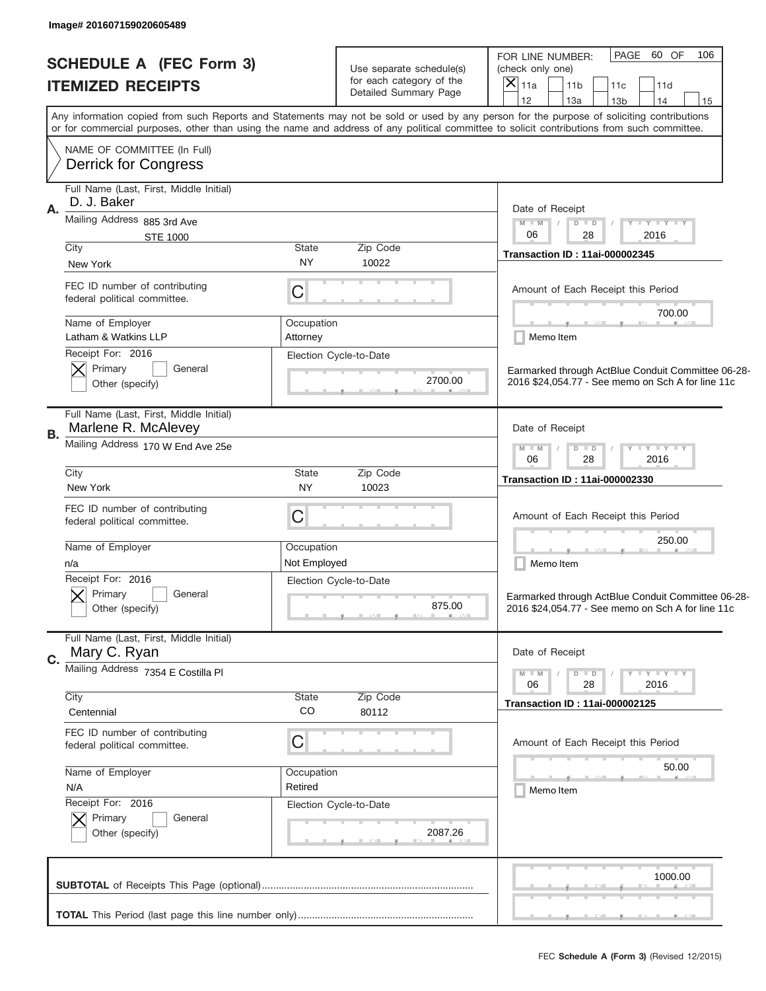| Image# 201607159020605489                                                                                                                                                                                                                                                               |                                                                               |                                                                                                                                                    |
|-----------------------------------------------------------------------------------------------------------------------------------------------------------------------------------------------------------------------------------------------------------------------------------------|-------------------------------------------------------------------------------|----------------------------------------------------------------------------------------------------------------------------------------------------|
| <b>SCHEDULE A</b> (FEC Form 3)<br><b>ITEMIZED RECEIPTS</b>                                                                                                                                                                                                                              | Use separate schedule(s)<br>for each category of the<br>Detailed Summary Page | PAGE 60 OF<br>106<br>FOR LINE NUMBER:<br>(check only one)<br>×<br>11a<br>11 <sub>b</sub><br>11c<br>11d<br>12<br>13a<br>14<br>13 <sub>b</sub><br>15 |
| Any information copied from such Reports and Statements may not be sold or used by any person for the purpose of soliciting contributions<br>or for commercial purposes, other than using the name and address of any political committee to solicit contributions from such committee. |                                                                               |                                                                                                                                                    |
| NAME OF COMMITTEE (In Full)<br><b>Derrick for Congress</b>                                                                                                                                                                                                                              |                                                                               |                                                                                                                                                    |
| Full Name (Last, First, Middle Initial)<br>D. J. Baker<br>Α.                                                                                                                                                                                                                            |                                                                               | Date of Receipt                                                                                                                                    |
| Mailing Address 885 3rd Ave<br><b>STE 1000</b>                                                                                                                                                                                                                                          |                                                                               | $M$ M<br>$D$ $D$<br>$Y - Y - Y - Y$<br>06<br>28<br>2016                                                                                            |
| City<br>State<br><b>NY</b><br>New York                                                                                                                                                                                                                                                  | Zip Code<br>10022                                                             | <b>Transaction ID: 11ai-000002345</b>                                                                                                              |
| FEC ID number of contributing<br>C<br>federal political committee.                                                                                                                                                                                                                      |                                                                               | Amount of Each Receipt this Period<br>700.00                                                                                                       |
| Name of Employer<br>Occupation<br>Latham & Watkins LLP<br>Attorney<br>Receipt For: 2016                                                                                                                                                                                                 |                                                                               | Memo Item                                                                                                                                          |
| Primary<br>General<br>Other (specify)                                                                                                                                                                                                                                                   | Election Cycle-to-Date<br>2700.00                                             | Earmarked through ActBlue Conduit Committee 06-28-<br>2016 \$24,054.77 - See memo on Sch A for line 11c                                            |
| Full Name (Last, First, Middle Initial)<br>Marlene R. McAlevey<br>В.                                                                                                                                                                                                                    | Date of Receipt                                                               |                                                                                                                                                    |
| Mailing Address 170 W End Ave 25e                                                                                                                                                                                                                                                       | $M - M$<br>$D$ $D$<br>$Y - Y - Y - Y - Y$<br>28<br>2016<br>06                 |                                                                                                                                                    |
| City<br>State<br>New York<br><b>NY</b>                                                                                                                                                                                                                                                  | Zip Code<br>10023                                                             | <b>Transaction ID: 11ai-000002330</b>                                                                                                              |
| FEC ID number of contributing<br>C<br>federal political committee.                                                                                                                                                                                                                      |                                                                               | Amount of Each Receipt this Period                                                                                                                 |
| Name of Employer<br>Occupation<br>n/a                                                                                                                                                                                                                                                   | Not Employed                                                                  | 250.00<br>Memo Item                                                                                                                                |
| Receipt For: 2016<br>Primary<br>General<br>Other (specify)                                                                                                                                                                                                                              | Election Cycle-to-Date<br>875.00                                              | Earmarked through ActBlue Conduit Committee 06-28-<br>2016 \$24,054.77 - See memo on Sch A for line 11c                                            |
| Full Name (Last, First, Middle Initial)<br>Mary C. Ryan<br>C.                                                                                                                                                                                                                           |                                                                               | Date of Receipt                                                                                                                                    |
| Mailing Address 7354 E Costilla PI                                                                                                                                                                                                                                                      |                                                                               | $D$ $D$<br>Y FY FY FY<br>$M - M$<br>2016<br>06<br>28                                                                                               |
| City<br>State<br>CO<br>Centennial                                                                                                                                                                                                                                                       | Zip Code<br>80112                                                             | <b>Transaction ID: 11ai-000002125</b>                                                                                                              |
| FEC ID number of contributing<br>C<br>federal political committee.                                                                                                                                                                                                                      |                                                                               | Amount of Each Receipt this Period                                                                                                                 |
| Name of Employer<br>Occupation<br>N/A<br>Retired<br>Receipt For: 2016                                                                                                                                                                                                                   | Election Cycle-to-Date                                                        | 50.00<br>Memo Item                                                                                                                                 |
| Primary<br>General<br>Other (specify)                                                                                                                                                                                                                                                   | 2087.26                                                                       |                                                                                                                                                    |
|                                                                                                                                                                                                                                                                                         |                                                                               | 1000.00                                                                                                                                            |
|                                                                                                                                                                                                                                                                                         |                                                                               |                                                                                                                                                    |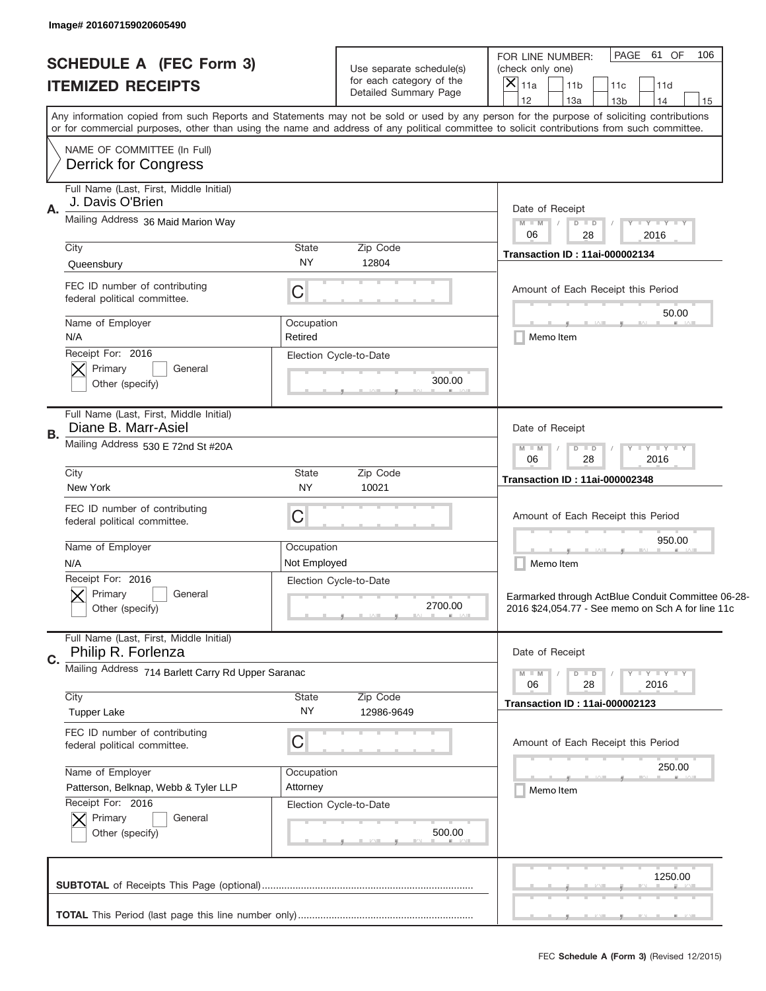| Image# 201607159020605490                                                                                                                  |                                                                               |                                                                                                                                                                          |
|--------------------------------------------------------------------------------------------------------------------------------------------|-------------------------------------------------------------------------------|--------------------------------------------------------------------------------------------------------------------------------------------------------------------------|
| <b>SCHEDULE A (FEC Form 3)</b><br><b>ITEMIZED RECEIPTS</b>                                                                                 | Use separate schedule(s)<br>for each category of the<br>Detailed Summary Page | PAGE 61 OF<br>106<br>FOR LINE NUMBER:<br>(check only one)<br>$\overline{\mathsf{x}}$<br>11a<br>11 <sub>b</sub><br>11d<br>11c<br>12<br>13a<br>13 <sub>b</sub><br>14<br>15 |
| or for commercial purposes, other than using the name and address of any political committee to solicit contributions from such committee. |                                                                               | Any information copied from such Reports and Statements may not be sold or used by any person for the purpose of soliciting contributions                                |
| NAME OF COMMITTEE (In Full)<br><b>Derrick for Congress</b>                                                                                 |                                                                               |                                                                                                                                                                          |
| Full Name (Last, First, Middle Initial)<br>J. Davis O'Brien                                                                                |                                                                               |                                                                                                                                                                          |
| Α.<br>Mailing Address 36 Maid Marion Way                                                                                                   |                                                                               | Date of Receipt<br>$M$ M<br>$Y - Y - Y - Y$<br>$D$ $D$<br>06<br>28<br>2016                                                                                               |
| City                                                                                                                                       | State<br>Zip Code                                                             | <b>Transaction ID: 11ai-000002134</b>                                                                                                                                    |
| Queensbury<br>FEC ID number of contributing<br>federal political committee.                                                                | <b>NY</b><br>12804<br>C                                                       | Amount of Each Receipt this Period                                                                                                                                       |
| Name of Employer<br>N/A                                                                                                                    | Occupation<br>Retired                                                         | 50.00<br>Memo Item                                                                                                                                                       |
| Receipt For: 2016<br>Primary<br>General<br>Other (specify)                                                                                 | Election Cycle-to-Date<br>300.00                                              |                                                                                                                                                                          |
| Full Name (Last, First, Middle Initial)<br>Diane B. Marr-Asiel<br>В.                                                                       |                                                                               | Date of Receipt                                                                                                                                                          |
| Mailing Address 530 E 72nd St #20A                                                                                                         |                                                                               | $D$ $D$<br>$Y - Y - Y - Y - Y$<br>$M - M$<br>06<br>2016<br>28                                                                                                            |
| City<br>New York                                                                                                                           | State<br>Zip Code<br><b>NY</b><br>10021                                       | <b>Transaction ID: 11ai-000002348</b>                                                                                                                                    |
| FEC ID number of contributing<br>federal political committee.                                                                              | C                                                                             | Amount of Each Receipt this Period                                                                                                                                       |
| Name of Employer<br>N/A                                                                                                                    | Occupation<br>Not Employed                                                    | 950.00<br>Memo Item                                                                                                                                                      |
| Receipt For: 2016<br>Primary<br>General<br>Other (specify)                                                                                 | Election Cycle-to-Date<br>2700.00                                             | Earmarked through ActBlue Conduit Committee 06-28-<br>2016 \$24,054.77 - See memo on Sch A for line 11c                                                                  |
| Full Name (Last, First, Middle Initial)<br>Philip R. Forlenza<br>C.                                                                        |                                                                               | Date of Receipt                                                                                                                                                          |
| Mailing Address 714 Barlett Carry Rd Upper Saranac                                                                                         |                                                                               | <b>LYLYLY</b><br>$M - M$<br>$D$ $D$<br>06<br>28<br>2016                                                                                                                  |
| City<br><b>Tupper Lake</b>                                                                                                                 | Zip Code<br><b>State</b><br><b>NY</b><br>12986-9649                           | <b>Transaction ID: 11ai-000002123</b>                                                                                                                                    |
| FEC ID number of contributing<br>federal political committee.                                                                              | C                                                                             | Amount of Each Receipt this Period                                                                                                                                       |
| Name of Employer                                                                                                                           | Occupation                                                                    | 250.00                                                                                                                                                                   |
| Patterson, Belknap, Webb & Tyler LLP<br>Receipt For: 2016<br>Primary<br>General<br>Other (specify)                                         | Attorney<br>Election Cycle-to-Date<br>500.00                                  | Memo Item                                                                                                                                                                |
|                                                                                                                                            |                                                                               | 1250.00                                                                                                                                                                  |
|                                                                                                                                            |                                                                               |                                                                                                                                                                          |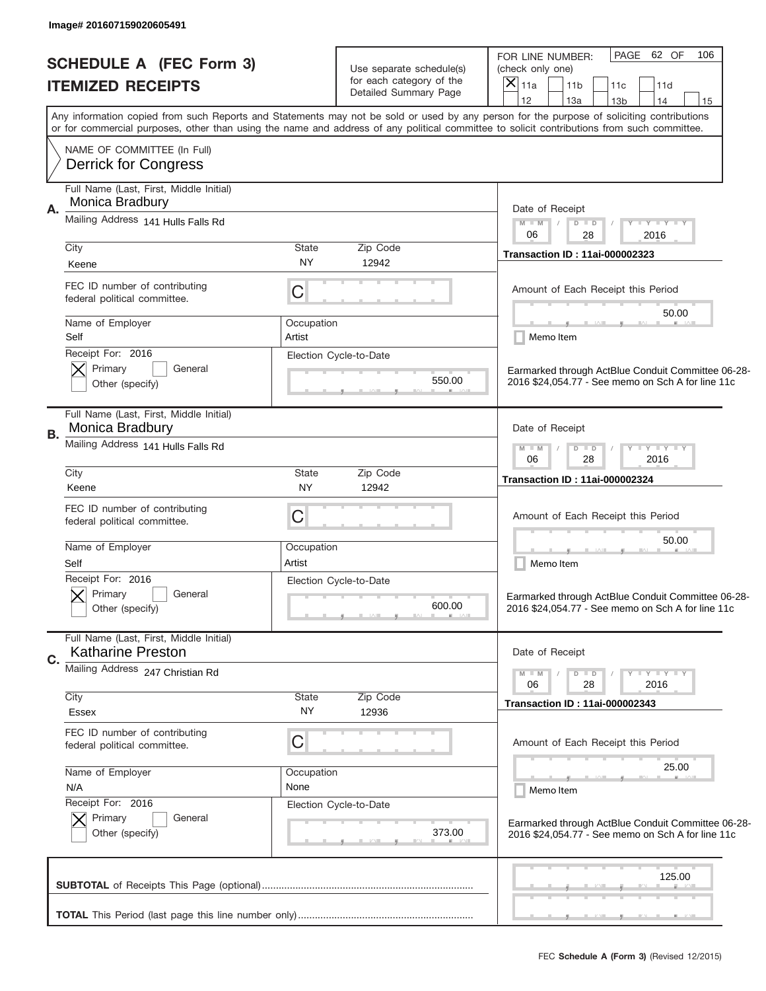| Image# 201607159020605491                                                                                                                                                                                                                                                               |                                                                               |                                                                                                                                                              |
|-----------------------------------------------------------------------------------------------------------------------------------------------------------------------------------------------------------------------------------------------------------------------------------------|-------------------------------------------------------------------------------|--------------------------------------------------------------------------------------------------------------------------------------------------------------|
| <b>SCHEDULE A</b> (FEC Form 3)<br><b>ITEMIZED RECEIPTS</b>                                                                                                                                                                                                                              | Use separate schedule(s)<br>for each category of the<br>Detailed Summary Page | PAGE<br>62 OF<br>106<br>FOR LINE NUMBER:<br>(check only one)<br>$\times$<br>11a<br>11 <sub>b</sub><br>11c<br>11d<br>12<br>13a<br>13 <sub>b</sub><br>14<br>15 |
| Any information copied from such Reports and Statements may not be sold or used by any person for the purpose of soliciting contributions<br>or for commercial purposes, other than using the name and address of any political committee to solicit contributions from such committee. |                                                                               |                                                                                                                                                              |
| NAME OF COMMITTEE (In Full)<br><b>Derrick for Congress</b>                                                                                                                                                                                                                              |                                                                               |                                                                                                                                                              |
| Full Name (Last, First, Middle Initial)<br>Monica Bradbury<br>Α.                                                                                                                                                                                                                        |                                                                               | Date of Receipt                                                                                                                                              |
| Mailing Address 141 Hulls Falls Rd                                                                                                                                                                                                                                                      |                                                                               | $M - M$<br>Y TY TY TY<br>$D$ $D$<br>$\sqrt{2}$<br>06<br>2016<br>28                                                                                           |
| City<br>Keene                                                                                                                                                                                                                                                                           | State<br>Zip Code<br><b>NY</b><br>12942                                       | <b>Transaction ID: 11ai-000002323</b>                                                                                                                        |
| FEC ID number of contributing<br>federal political committee.                                                                                                                                                                                                                           | $\mathsf C$                                                                   | Amount of Each Receipt this Period<br>50.00                                                                                                                  |
| Name of Employer<br>Self                                                                                                                                                                                                                                                                | Occupation<br>Artist                                                          | Memo Item                                                                                                                                                    |
| Receipt For: 2016<br>Primary<br>General<br>Other (specify)                                                                                                                                                                                                                              | Election Cycle-to-Date<br>550.00                                              | Earmarked through ActBlue Conduit Committee 06-28-<br>2016 \$24,054,77 - See memo on Sch A for line 11c                                                      |
| Full Name (Last, First, Middle Initial)<br>Monica Bradbury<br>В.                                                                                                                                                                                                                        |                                                                               | Date of Receipt                                                                                                                                              |
| Mailing Address 141 Hulls Falls Rd                                                                                                                                                                                                                                                      |                                                                               | $Y - Y - Y - Y$<br>$M$ M<br>$D$ $D$<br>2016<br>06<br>28                                                                                                      |
| City<br>Keene                                                                                                                                                                                                                                                                           | State<br>Zip Code<br><b>NY</b><br>12942                                       | <b>Transaction ID: 11ai-000002324</b>                                                                                                                        |
| FEC ID number of contributing<br>federal political committee.                                                                                                                                                                                                                           | C                                                                             | Amount of Each Receipt this Period                                                                                                                           |
| Name of Employer<br>Self                                                                                                                                                                                                                                                                | Occupation<br>Artist                                                          | 50.00<br>Memo Item                                                                                                                                           |
| Receipt For: 2016<br>Primary<br>General<br>Other (specify)                                                                                                                                                                                                                              | Election Cycle-to-Date<br>600.00                                              | Earmarked through ActBlue Conduit Committee 06-28-<br>2016 \$24,054.77 - See memo on Sch A for line 11c                                                      |
| Full Name (Last, First, Middle Initial)<br><b>Katharine Preston</b><br>C.                                                                                                                                                                                                               |                                                                               | Date of Receipt                                                                                                                                              |
| Mailing Address 247 Christian Rd                                                                                                                                                                                                                                                        |                                                                               | Y FY FY FY<br>$M - M$<br>$D$ $D$<br>2016<br>06<br>28                                                                                                         |
| City<br>Essex                                                                                                                                                                                                                                                                           | Zip Code<br>State<br>NY<br>12936                                              | <b>Transaction ID: 11ai-000002343</b>                                                                                                                        |
| FEC ID number of contributing<br>federal political committee.                                                                                                                                                                                                                           | C                                                                             | Amount of Each Receipt this Period                                                                                                                           |
| Name of Employer<br>N/A<br>Receipt For: 2016                                                                                                                                                                                                                                            | Occupation<br>None<br>Election Cycle-to-Date                                  | 25.00<br>Memo Item                                                                                                                                           |
| Primary<br>General<br>Other (specify)                                                                                                                                                                                                                                                   | 373.00                                                                        | Earmarked through ActBlue Conduit Committee 06-28-<br>2016 \$24,054.77 - See memo on Sch A for line 11c                                                      |
|                                                                                                                                                                                                                                                                                         |                                                                               | 125.00                                                                                                                                                       |
|                                                                                                                                                                                                                                                                                         |                                                                               |                                                                                                                                                              |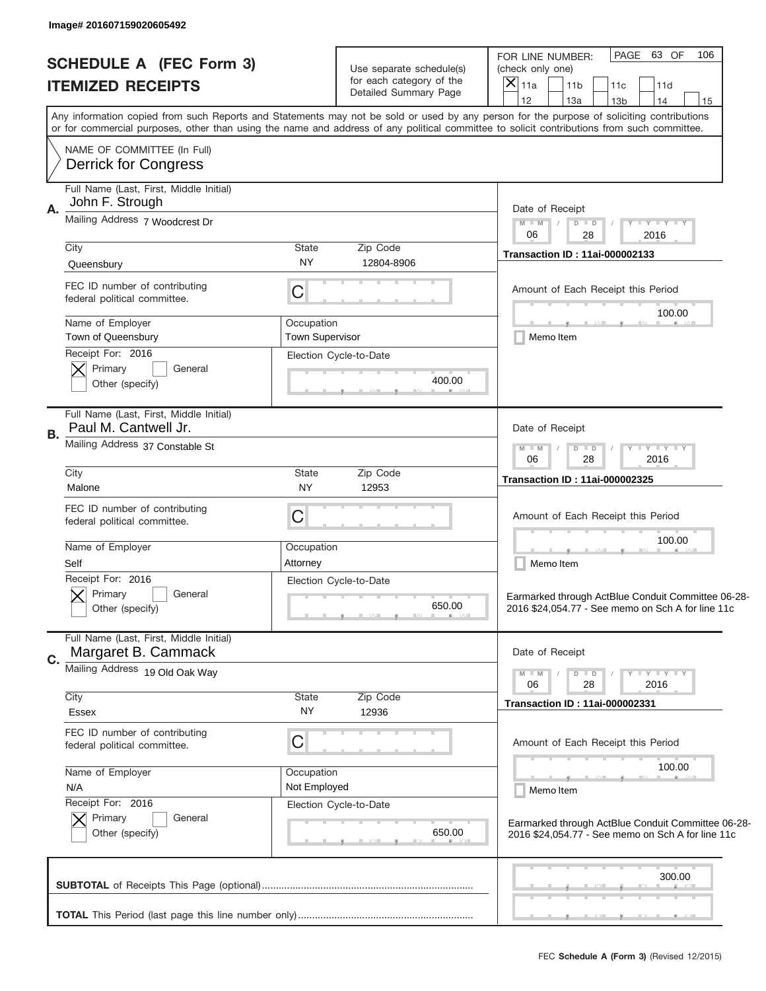| Image# 201607159020605492                                             |                                                                                                                                                                                                                                                                                         |                                                                                                                                                              |
|-----------------------------------------------------------------------|-----------------------------------------------------------------------------------------------------------------------------------------------------------------------------------------------------------------------------------------------------------------------------------------|--------------------------------------------------------------------------------------------------------------------------------------------------------------|
| <b>SCHEDULE A (FEC Form 3)</b><br><b>ITEMIZED RECEIPTS</b>            | Use separate schedule(s)<br>for each category of the<br>Detailed Summary Page                                                                                                                                                                                                           | PAGE<br>63 OF<br>106<br>FOR LINE NUMBER:<br>(check only one)<br>$\times$<br>11a<br>11 <sub>b</sub><br>11c<br>11d<br>12<br>13a<br>13 <sub>b</sub><br>14<br>15 |
|                                                                       | Any information copied from such Reports and Statements may not be sold or used by any person for the purpose of soliciting contributions<br>or for commercial purposes, other than using the name and address of any political committee to solicit contributions from such committee. |                                                                                                                                                              |
| NAME OF COMMITTEE (In Full)<br><b>Derrick for Congress</b>            |                                                                                                                                                                                                                                                                                         |                                                                                                                                                              |
| Full Name (Last, First, Middle Initial)<br>John F. Strough            |                                                                                                                                                                                                                                                                                         |                                                                                                                                                              |
| Α.<br>Mailing Address 7 Woodcrest Dr                                  |                                                                                                                                                                                                                                                                                         | Date of Receipt<br>$M - M$<br>Y TY TY TY<br>$D$ $D$<br>$\sqrt{2}$<br>06<br>2016<br>28                                                                        |
| City<br>Queensbury                                                    | State<br>Zip Code<br><b>NY</b><br>12804-8906                                                                                                                                                                                                                                            | <b>Transaction ID: 11ai-000002133</b>                                                                                                                        |
| FEC ID number of contributing<br>federal political committee.         | $\mathsf C$                                                                                                                                                                                                                                                                             | Amount of Each Receipt this Period<br>100.00                                                                                                                 |
| Name of Employer<br>Town of Queensbury<br>Receipt For: 2016           | Occupation<br><b>Town Supervisor</b>                                                                                                                                                                                                                                                    | Memo Item                                                                                                                                                    |
| Primary<br>General<br>Other (specify)                                 | Election Cycle-to-Date<br>400.00                                                                                                                                                                                                                                                        |                                                                                                                                                              |
| Full Name (Last, First, Middle Initial)<br>Paul M. Cantwell Jr.<br>В. |                                                                                                                                                                                                                                                                                         | Date of Receipt                                                                                                                                              |
| Mailing Address 37 Constable St                                       |                                                                                                                                                                                                                                                                                         | $M - M$<br>$Y = Y = Y = Y$<br>$D$ $D$<br>06<br>28<br>2016                                                                                                    |
| City<br>Malone                                                        | State<br>Zip Code<br><b>NY</b><br>12953                                                                                                                                                                                                                                                 | <b>Transaction ID: 11ai-000002325</b>                                                                                                                        |
| FEC ID number of contributing<br>federal political committee.         | C                                                                                                                                                                                                                                                                                       | Amount of Each Receipt this Period                                                                                                                           |
| Name of Employer<br>Self                                              | Occupation<br>Attorney                                                                                                                                                                                                                                                                  | 100.00<br>Memo Item                                                                                                                                          |
| Receipt For: 2016<br>Primary<br>General<br>Other (specify)            | Election Cycle-to-Date<br>650.00                                                                                                                                                                                                                                                        | Earmarked through ActBlue Conduit Committee 06-28-<br>2016 \$24,054.77 - See memo on Sch A for line 11c                                                      |
| Full Name (Last, First, Middle Initial)<br>Margaret B. Cammack<br>C.  |                                                                                                                                                                                                                                                                                         | Date of Receipt                                                                                                                                              |
| Mailing Address 19 Old Oak Way                                        |                                                                                                                                                                                                                                                                                         | Y FY FY FY<br>$M - M$<br>$D$ $D$<br>2016<br>06<br>28                                                                                                         |
| City<br>Essex                                                         | Zip Code<br>State<br>NY<br>12936                                                                                                                                                                                                                                                        | <b>Transaction ID: 11ai-000002331</b>                                                                                                                        |
| FEC ID number of contributing<br>federal political committee.         | C                                                                                                                                                                                                                                                                                       | Amount of Each Receipt this Period                                                                                                                           |
| Name of Employer<br>N/A<br>Receipt For: 2016                          | Occupation<br>Not Employed<br>Election Cycle-to-Date                                                                                                                                                                                                                                    | 100.00<br>Memo Item                                                                                                                                          |
| Primary<br>General<br>$\times$<br>Other (specify)                     | 650.00                                                                                                                                                                                                                                                                                  | Earmarked through ActBlue Conduit Committee 06-28-<br>2016 \$24,054.77 - See memo on Sch A for line 11c                                                      |
|                                                                       |                                                                                                                                                                                                                                                                                         | 300.00                                                                                                                                                       |
|                                                                       |                                                                                                                                                                                                                                                                                         |                                                                                                                                                              |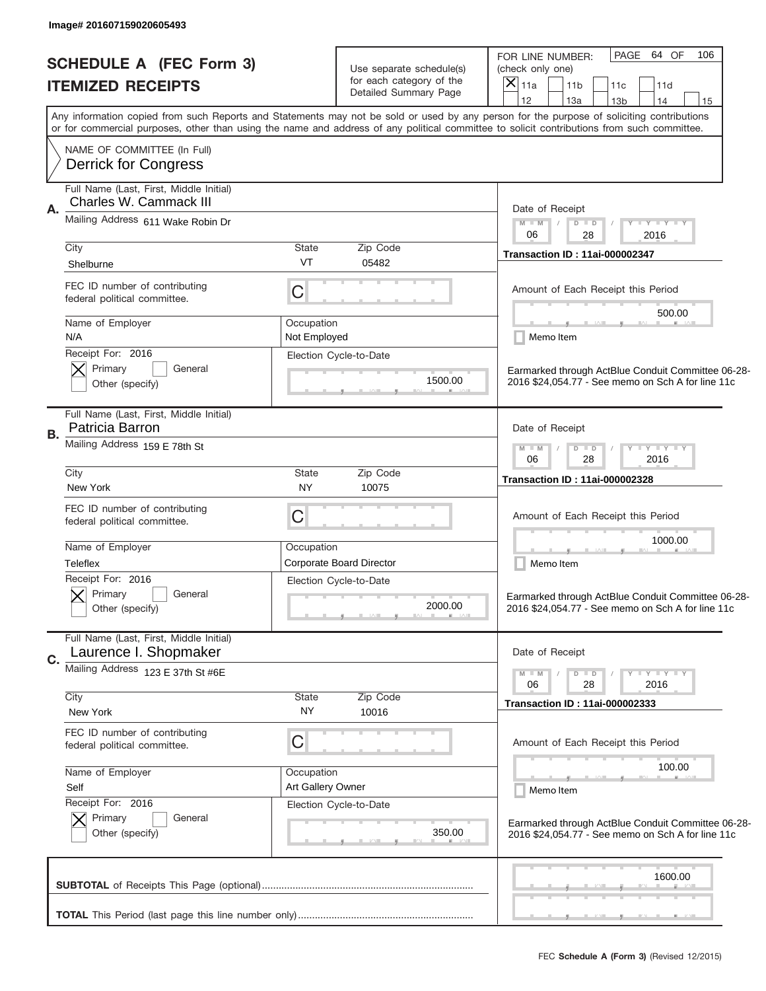| Image# 201607159020605493                                               |                                                                                                                                            |                                                                                                                                                              |
|-------------------------------------------------------------------------|--------------------------------------------------------------------------------------------------------------------------------------------|--------------------------------------------------------------------------------------------------------------------------------------------------------------|
| <b>SCHEDULE A</b> (FEC Form 3)<br><b>ITEMIZED RECEIPTS</b>              | Use separate schedule(s)<br>for each category of the<br>Detailed Summary Page                                                              | PAGE<br>64 OF<br>106<br>FOR LINE NUMBER:<br>(check only one)<br>$\times$<br>11a<br>11 <sub>b</sub><br>11c<br>11d<br>12<br>13a<br>13 <sub>b</sub><br>14<br>15 |
|                                                                         | or for commercial purposes, other than using the name and address of any political committee to solicit contributions from such committee. | Any information copied from such Reports and Statements may not be sold or used by any person for the purpose of soliciting contributions                    |
| NAME OF COMMITTEE (In Full)<br><b>Derrick for Congress</b>              |                                                                                                                                            |                                                                                                                                                              |
| Full Name (Last, First, Middle Initial)<br>Charles W. Cammack III<br>Α. |                                                                                                                                            | Date of Receipt                                                                                                                                              |
| Mailing Address 611 Wake Robin Dr                                       |                                                                                                                                            | $M - M$<br>Y TY TY TY<br>$D$ $D$<br>$\sqrt{2}$<br>06<br>2016<br>28                                                                                           |
| City<br>Shelburne                                                       | State<br>Zip Code<br>VT<br>05482                                                                                                           | <b>Transaction ID: 11ai-000002347</b>                                                                                                                        |
| FEC ID number of contributing<br>federal political committee.           | $\mathsf C$                                                                                                                                | Amount of Each Receipt this Period<br>500.00                                                                                                                 |
| Name of Employer<br>N/A<br>Receipt For: 2016                            | Occupation<br>Not Employed                                                                                                                 | Memo Item                                                                                                                                                    |
| Primary<br>General<br>Other (specify)                                   | Election Cycle-to-Date<br>1500.00                                                                                                          | Earmarked through ActBlue Conduit Committee 06-28-<br>2016 \$24,054.77 - See memo on Sch A for line 11c                                                      |
| Full Name (Last, First, Middle Initial)<br>Patricia Barron<br>В.        |                                                                                                                                            | Date of Receipt                                                                                                                                              |
| Mailing Address 159 E 78th St                                           |                                                                                                                                            | $Y = Y = Y = Y$<br>$M - M$<br>$D$ $D$<br>2016<br>06<br>28                                                                                                    |
| City<br>New York                                                        | State<br>Zip Code<br><b>NY</b><br>10075                                                                                                    | <b>Transaction ID: 11ai-000002328</b>                                                                                                                        |
| FEC ID number of contributing<br>federal political committee.           | C                                                                                                                                          | Amount of Each Receipt this Period                                                                                                                           |
| Name of Employer<br><b>Teleflex</b>                                     | Occupation<br>Corporate Board Director                                                                                                     | 1000.00<br>Memo Item                                                                                                                                         |
| Receipt For: 2016<br>Primary<br>General<br>Other (specify)              | Election Cycle-to-Date<br>2000.00                                                                                                          | Earmarked through ActBlue Conduit Committee 06-28-<br>2016 \$24,054.77 - See memo on Sch A for line 11c                                                      |
| Full Name (Last, First, Middle Initial)<br>Laurence I. Shopmaker<br>C.  |                                                                                                                                            | Date of Receipt                                                                                                                                              |
| Mailing Address 123 E 37th St #6E                                       |                                                                                                                                            | Y FY FY FY<br>$M - M$<br>$D$ $D$<br>2016<br>06<br>28                                                                                                         |
| City<br>New York                                                        | Zip Code<br>State<br>NY<br>10016                                                                                                           | <b>Transaction ID: 11ai-000002333</b>                                                                                                                        |
| FEC ID number of contributing<br>federal political committee.           | C                                                                                                                                          | Amount of Each Receipt this Period                                                                                                                           |
| Name of Employer<br>Self<br>Receipt For: 2016                           | Occupation<br>Art Gallery Owner                                                                                                            | 100.00<br>Memo Item                                                                                                                                          |
| Primary<br>General<br>Other (specify)                                   | Election Cycle-to-Date<br>350.00                                                                                                           | Earmarked through ActBlue Conduit Committee 06-28-<br>2016 \$24,054.77 - See memo on Sch A for line 11c                                                      |
|                                                                         |                                                                                                                                            | 1600.00                                                                                                                                                      |
|                                                                         |                                                                                                                                            |                                                                                                                                                              |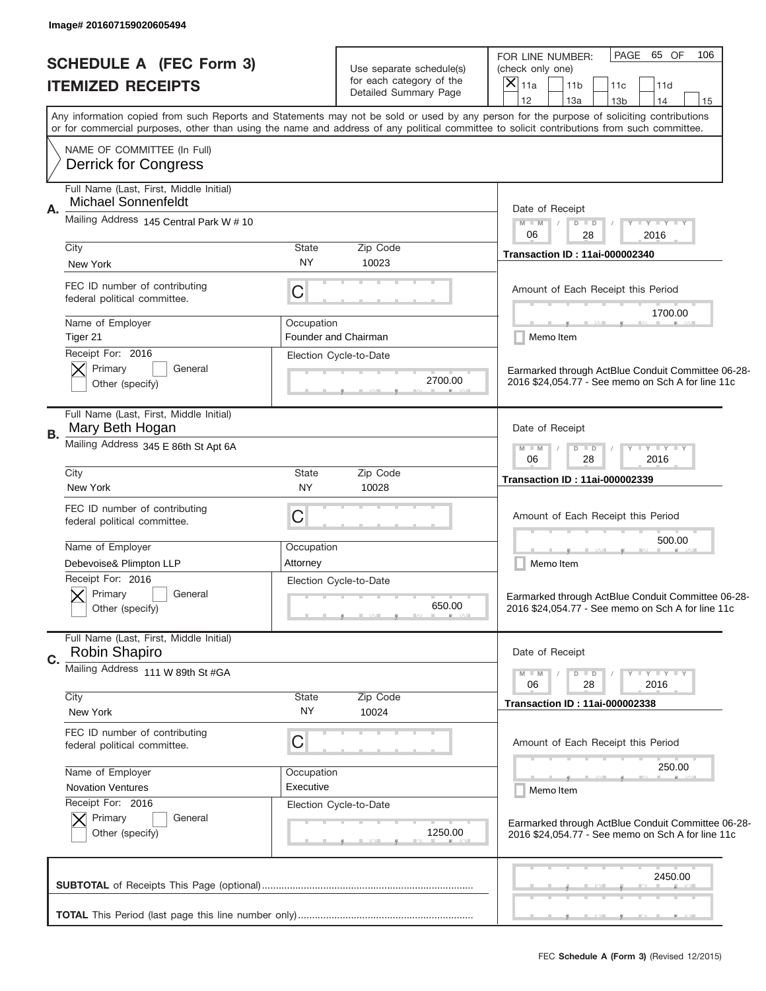| Image# 201607159020605494                                             |                                                                                                                                                                                                                                                                                         |                                                                                                                                                              |
|-----------------------------------------------------------------------|-----------------------------------------------------------------------------------------------------------------------------------------------------------------------------------------------------------------------------------------------------------------------------------------|--------------------------------------------------------------------------------------------------------------------------------------------------------------|
| <b>SCHEDULE A</b> (FEC Form 3)<br><b>ITEMIZED RECEIPTS</b>            | Use separate schedule(s)<br>for each category of the<br>Detailed Summary Page                                                                                                                                                                                                           | PAGE<br>65 OF<br>106<br>FOR LINE NUMBER:<br>(check only one)<br>$\times$<br>11a<br>11 <sub>b</sub><br>11c<br>11d<br>12<br>13a<br>13 <sub>b</sub><br>14<br>15 |
|                                                                       | Any information copied from such Reports and Statements may not be sold or used by any person for the purpose of soliciting contributions<br>or for commercial purposes, other than using the name and address of any political committee to solicit contributions from such committee. |                                                                                                                                                              |
| NAME OF COMMITTEE (In Full)<br><b>Derrick for Congress</b>            |                                                                                                                                                                                                                                                                                         |                                                                                                                                                              |
| Full Name (Last, First, Middle Initial)<br>Michael Sonnenfeldt<br>Α.  |                                                                                                                                                                                                                                                                                         | Date of Receipt                                                                                                                                              |
| Mailing Address 145 Central Park W # 10                               |                                                                                                                                                                                                                                                                                         | $M - M$<br>Y TY TY TY<br>$D$ $D$<br>$\sqrt{2}$<br>2016<br>06<br>28                                                                                           |
| City<br>New York                                                      | State<br>Zip Code<br><b>NY</b><br>10023                                                                                                                                                                                                                                                 | <b>Transaction ID: 11ai-000002340</b>                                                                                                                        |
| FEC ID number of contributing<br>federal political committee.         | $\mathsf C$                                                                                                                                                                                                                                                                             | Amount of Each Receipt this Period<br>1700.00                                                                                                                |
| Name of Employer<br>Tiger 21<br>Receipt For: 2016                     | Occupation<br>Founder and Chairman                                                                                                                                                                                                                                                      | Memo Item                                                                                                                                                    |
| Primary<br>General<br>Other (specify)                                 | Election Cycle-to-Date<br>2700.00                                                                                                                                                                                                                                                       | Earmarked through ActBlue Conduit Committee 06-28-<br>2016 \$24,054.77 - See memo on Sch A for line 11c                                                      |
| Full Name (Last, First, Middle Initial)<br>Mary Beth Hogan<br>В.      |                                                                                                                                                                                                                                                                                         | Date of Receipt                                                                                                                                              |
| Mailing Address 345 E 86th St Apt 6A                                  |                                                                                                                                                                                                                                                                                         | $Y = Y = Y = Y$<br>$M$ M<br>$D$ $D$<br>2016<br>06<br>28                                                                                                      |
| City<br>New York                                                      | State<br>Zip Code<br><b>NY</b><br>10028                                                                                                                                                                                                                                                 | <b>Transaction ID: 11ai-000002339</b>                                                                                                                        |
| FEC ID number of contributing<br>federal political committee.         | C                                                                                                                                                                                                                                                                                       | Amount of Each Receipt this Period                                                                                                                           |
| Name of Employer<br>Debevoise& Plimpton LLP                           | Occupation<br>Attorney                                                                                                                                                                                                                                                                  | 500.00<br>Memo Item                                                                                                                                          |
| Receipt For: 2016<br>Primary<br>General<br>Other (specify)            | Election Cycle-to-Date<br>650.00                                                                                                                                                                                                                                                        | Earmarked through ActBlue Conduit Committee 06-28-<br>2016 \$24,054.77 - See memo on Sch A for line 11c                                                      |
| Full Name (Last, First, Middle Initial)<br><b>Robin Shapiro</b><br>C. |                                                                                                                                                                                                                                                                                         | Date of Receipt                                                                                                                                              |
| Mailing Address 111 W 89th St #GA                                     |                                                                                                                                                                                                                                                                                         | Y FY FY FY<br>$M - M$<br>$D$ $D$<br>2016<br>06<br>28                                                                                                         |
| City<br>New York                                                      | Zip Code<br>State<br>NY.<br>10024                                                                                                                                                                                                                                                       | <b>Transaction ID: 11ai-000002338</b>                                                                                                                        |
| FEC ID number of contributing<br>federal political committee.         | C                                                                                                                                                                                                                                                                                       | Amount of Each Receipt this Period                                                                                                                           |
| Name of Employer<br><b>Novation Ventures</b><br>Receipt For: 2016     | Occupation<br>Executive<br>Election Cycle-to-Date                                                                                                                                                                                                                                       | 250.00<br>Memo Item                                                                                                                                          |
| Primary<br>General<br>Other (specify)                                 | 1250.00                                                                                                                                                                                                                                                                                 | Earmarked through ActBlue Conduit Committee 06-28-<br>2016 \$24,054.77 - See memo on Sch A for line 11c                                                      |
|                                                                       |                                                                                                                                                                                                                                                                                         | 2450.00                                                                                                                                                      |
|                                                                       |                                                                                                                                                                                                                                                                                         |                                                                                                                                                              |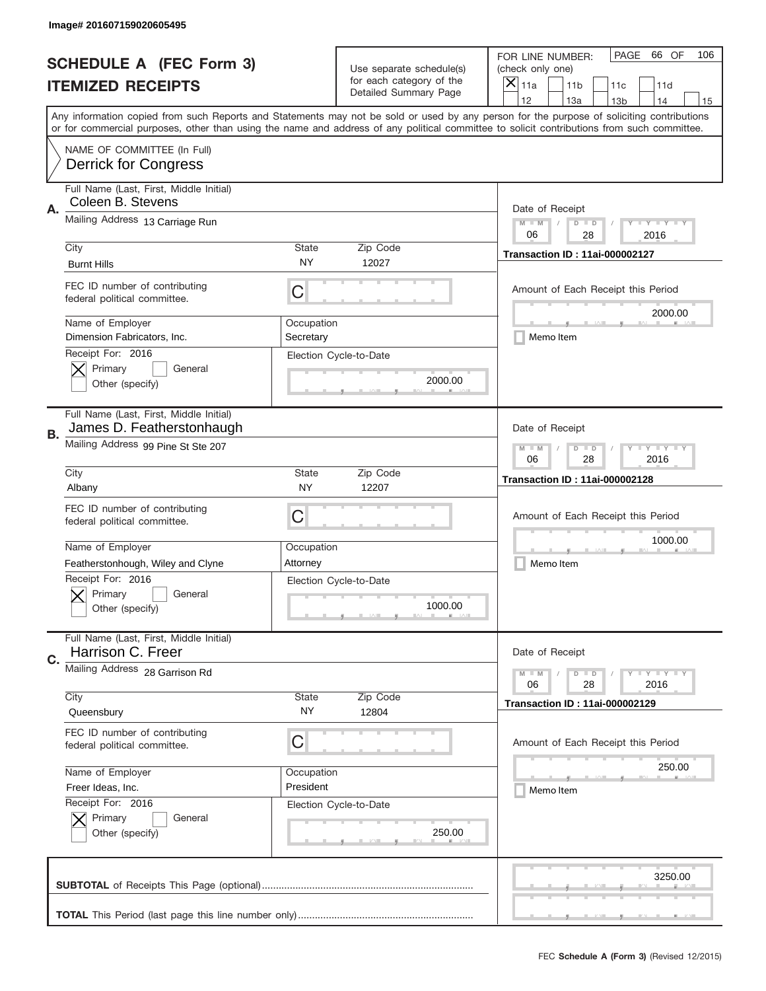|                          | Image# 201607159020605495                                            |                         |                                                   |                                                                                                                                                                                                                                                                                                                                     |
|--------------------------|----------------------------------------------------------------------|-------------------------|---------------------------------------------------|-------------------------------------------------------------------------------------------------------------------------------------------------------------------------------------------------------------------------------------------------------------------------------------------------------------------------------------|
|                          | <b>SCHEDULE A (FEC Form 3)</b>                                       |                         | Use separate schedule(s)                          | PAGE<br>66 OF<br>106<br>FOR LINE NUMBER:<br>(check only one)                                                                                                                                                                                                                                                                        |
| <b>ITEMIZED RECEIPTS</b> |                                                                      |                         | for each category of the<br>Detailed Summary Page | ×<br>11a<br>11 <sub>b</sub><br>11c<br>11d                                                                                                                                                                                                                                                                                           |
|                          |                                                                      |                         |                                                   | 12<br>13a<br>14<br>13 <sub>b</sub><br>15<br>Any information copied from such Reports and Statements may not be sold or used by any person for the purpose of soliciting contributions<br>or for commercial purposes, other than using the name and address of any political committee to solicit contributions from such committee. |
|                          | NAME OF COMMITTEE (In Full)<br><b>Derrick for Congress</b>           |                         |                                                   |                                                                                                                                                                                                                                                                                                                                     |
| Α.                       | Full Name (Last, First, Middle Initial)<br>Coleen B. Stevens         |                         |                                                   | Date of Receipt                                                                                                                                                                                                                                                                                                                     |
|                          | Mailing Address 13 Carriage Run                                      |                         |                                                   | $M - M$<br><b>LEY LEY LEY</b><br>$D$ $D$<br>06<br>28<br>2016                                                                                                                                                                                                                                                                        |
|                          | City<br><b>Burnt Hills</b>                                           | State<br>NY             | Zip Code<br>12027                                 | <b>Transaction ID: 11ai-000002127</b>                                                                                                                                                                                                                                                                                               |
|                          | FEC ID number of contributing<br>federal political committee.        | C                       |                                                   | Amount of Each Receipt this Period<br>2000.00                                                                                                                                                                                                                                                                                       |
|                          | Name of Employer<br>Dimension Fabricators, Inc.                      | Occupation<br>Secretary |                                                   | Memo Item                                                                                                                                                                                                                                                                                                                           |
|                          | Receipt For: 2016<br>Primary<br>General<br>Other (specify)           |                         | Election Cycle-to-Date<br>2000.00                 |                                                                                                                                                                                                                                                                                                                                     |
| В.                       | Full Name (Last, First, Middle Initial)<br>James D. Featherstonhaugh |                         |                                                   | Date of Receipt                                                                                                                                                                                                                                                                                                                     |
|                          | Mailing Address 99 Pine St Ste 207                                   |                         |                                                   | $M - M$<br><b>LEYTEY LEY</b><br>$D$ $D$<br>06<br>28<br>2016                                                                                                                                                                                                                                                                         |
|                          | City<br>Albany                                                       | <b>State</b><br>NY      | Zip Code<br>12207                                 | <b>Transaction ID: 11ai-000002128</b>                                                                                                                                                                                                                                                                                               |
|                          | FEC ID number of contributing<br>federal political committee.        | C                       |                                                   | Amount of Each Receipt this Period                                                                                                                                                                                                                                                                                                  |
|                          | Name of Employer                                                     | Occupation              |                                                   | 1000.00                                                                                                                                                                                                                                                                                                                             |
|                          | Featherstonhough, Wiley and Clyne                                    | Attorney                |                                                   | Memo Item                                                                                                                                                                                                                                                                                                                           |
|                          | Receipt For: 2016<br>General<br>Primary<br>Other (specify)           |                         | Election Cycle-to-Date<br>1000.00                 |                                                                                                                                                                                                                                                                                                                                     |
| C.                       | Full Name (Last, First, Middle Initial)<br>Harrison C. Freer         |                         |                                                   | Date of Receipt                                                                                                                                                                                                                                                                                                                     |
|                          | Mailing Address 28 Garrison Rd                                       |                         |                                                   | <b>LEY LEY LEY</b><br>$M - M$<br>$D$ $D$<br>06<br>2016<br>28                                                                                                                                                                                                                                                                        |
|                          | City<br>Queensbury                                                   | State<br>ΝY             | Zip Code<br>12804                                 | <b>Transaction ID: 11ai-000002129</b>                                                                                                                                                                                                                                                                                               |
|                          |                                                                      |                         |                                                   |                                                                                                                                                                                                                                                                                                                                     |
|                          | FEC ID number of contributing<br>federal political committee.        | С                       |                                                   | Amount of Each Receipt this Period                                                                                                                                                                                                                                                                                                  |
|                          | Name of Employer                                                     | Occupation              |                                                   | 250.00                                                                                                                                                                                                                                                                                                                              |
|                          | Freer Ideas, Inc.                                                    | President               |                                                   | Memo Item                                                                                                                                                                                                                                                                                                                           |
|                          | Receipt For: 2016<br>Primary<br>General<br>Other (specify)           |                         | Election Cycle-to-Date<br>250.00                  |                                                                                                                                                                                                                                                                                                                                     |
|                          |                                                                      |                         |                                                   | 3250.00                                                                                                                                                                                                                                                                                                                             |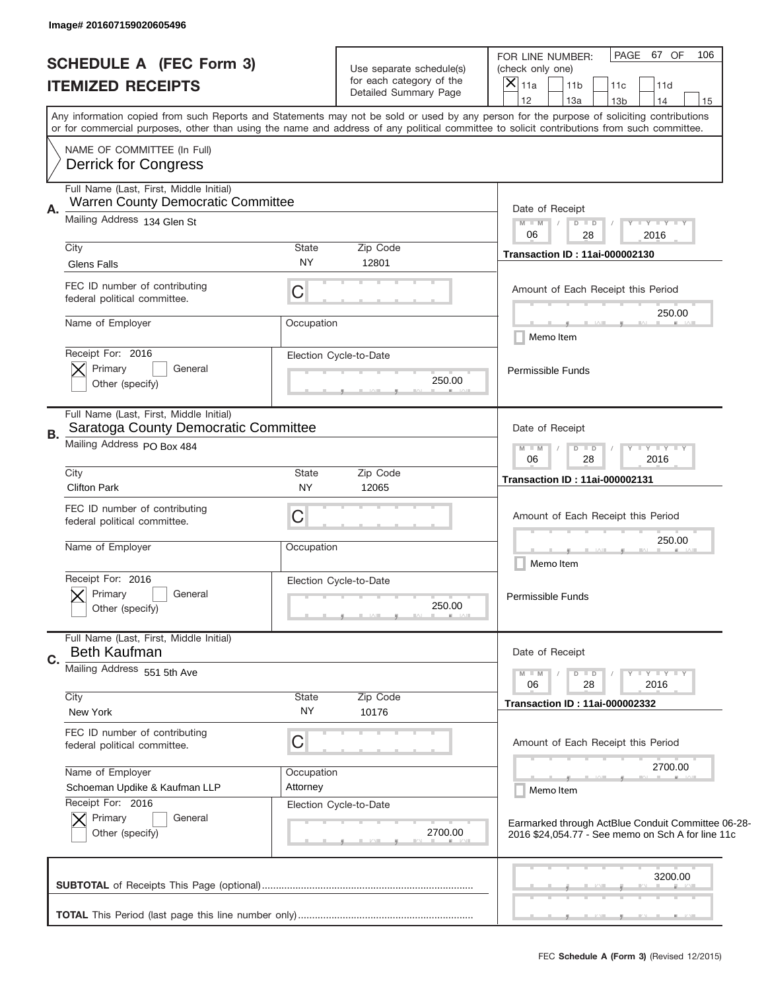| Image# 201607159020605496                                                             |                                                                                                                                            |                                                                                                                                                              |
|---------------------------------------------------------------------------------------|--------------------------------------------------------------------------------------------------------------------------------------------|--------------------------------------------------------------------------------------------------------------------------------------------------------------|
| <b>SCHEDULE A</b> (FEC Form 3)<br><b>ITEMIZED RECEIPTS</b>                            | Use separate schedule(s)<br>for each category of the<br>Detailed Summary Page                                                              | PAGE<br>67 OF<br>106<br>FOR LINE NUMBER:<br>(check only one)<br>$\times$<br>11a<br>11 <sub>b</sub><br>11c<br>11d<br>12<br>13a<br>13 <sub>b</sub><br>14<br>15 |
|                                                                                       | or for commercial purposes, other than using the name and address of any political committee to solicit contributions from such committee. | Any information copied from such Reports and Statements may not be sold or used by any person for the purpose of soliciting contributions                    |
| NAME OF COMMITTEE (In Full)<br><b>Derrick for Congress</b>                            |                                                                                                                                            |                                                                                                                                                              |
| Full Name (Last, First, Middle Initial)<br><b>Warren County Democratic Committee</b>  |                                                                                                                                            |                                                                                                                                                              |
| Α.<br>Mailing Address 134 Glen St                                                     |                                                                                                                                            | Date of Receipt<br>$M - M$<br>Y TY TY TY<br>$D$ $D$<br>$\sqrt{2}$<br>06<br>2016<br>28                                                                        |
| City                                                                                  | State<br>Zip Code                                                                                                                          | <b>Transaction ID: 11ai-000002130</b>                                                                                                                        |
| <b>Glens Falls</b>                                                                    | <b>NY</b><br>12801                                                                                                                         |                                                                                                                                                              |
| FEC ID number of contributing<br>federal political committee.                         | C                                                                                                                                          | Amount of Each Receipt this Period                                                                                                                           |
| Name of Employer                                                                      | Occupation                                                                                                                                 | 250.00<br>Memo Item                                                                                                                                          |
| Receipt For: 2016<br>Primary<br>General<br>Other (specify)                            | Election Cycle-to-Date<br>250.00                                                                                                           | Permissible Funds                                                                                                                                            |
| Full Name (Last, First, Middle Initial)<br>Saratoga County Democratic Committee<br>В. |                                                                                                                                            | Date of Receipt                                                                                                                                              |
| Mailing Address PO Box 484                                                            |                                                                                                                                            | $Y = Y = Y = Y$<br>$M - M$<br>$D$ $D$<br>28<br>2016<br>06                                                                                                    |
| City<br><b>Clifton Park</b>                                                           | State<br>Zip Code<br><b>NY</b><br>12065                                                                                                    | <b>Transaction ID: 11ai-000002131</b>                                                                                                                        |
| FEC ID number of contributing<br>federal political committee.                         | C                                                                                                                                          | Amount of Each Receipt this Period                                                                                                                           |
| Name of Employer                                                                      | Occupation                                                                                                                                 | 250.00<br>Memo Item                                                                                                                                          |
| Receipt For: 2016<br>Primary<br>General<br>Other (specify)                            | Election Cycle-to-Date<br>250.00                                                                                                           | Permissible Funds                                                                                                                                            |
| Full Name (Last, First, Middle Initial)<br><b>Beth Kaufman</b><br>C.                  |                                                                                                                                            | Date of Receipt                                                                                                                                              |
| Mailing Address 551 5th Ave                                                           |                                                                                                                                            | Y FY FY FY<br>$M - M$<br>$D$ $D$<br>06<br>2016<br>28                                                                                                         |
| City<br>New York                                                                      | Zip Code<br>State<br>NY.<br>10176                                                                                                          | <b>Transaction ID: 11ai-000002332</b>                                                                                                                        |
| FEC ID number of contributing<br>federal political committee.                         | C                                                                                                                                          | Amount of Each Receipt this Period                                                                                                                           |
| Name of Employer                                                                      | Occupation                                                                                                                                 | 2700.00                                                                                                                                                      |
| Schoeman Updike & Kaufman LLP                                                         | Attorney                                                                                                                                   | Memo Item                                                                                                                                                    |
| Receipt For: 2016<br>Primary<br>General<br>Other (specify)                            | Election Cycle-to-Date<br>2700.00                                                                                                          | Earmarked through ActBlue Conduit Committee 06-28-<br>2016 \$24,054.77 - See memo on Sch A for line 11c                                                      |
|                                                                                       |                                                                                                                                            | 3200.00                                                                                                                                                      |
|                                                                                       |                                                                                                                                            | , , ,                                                                                                                                                        |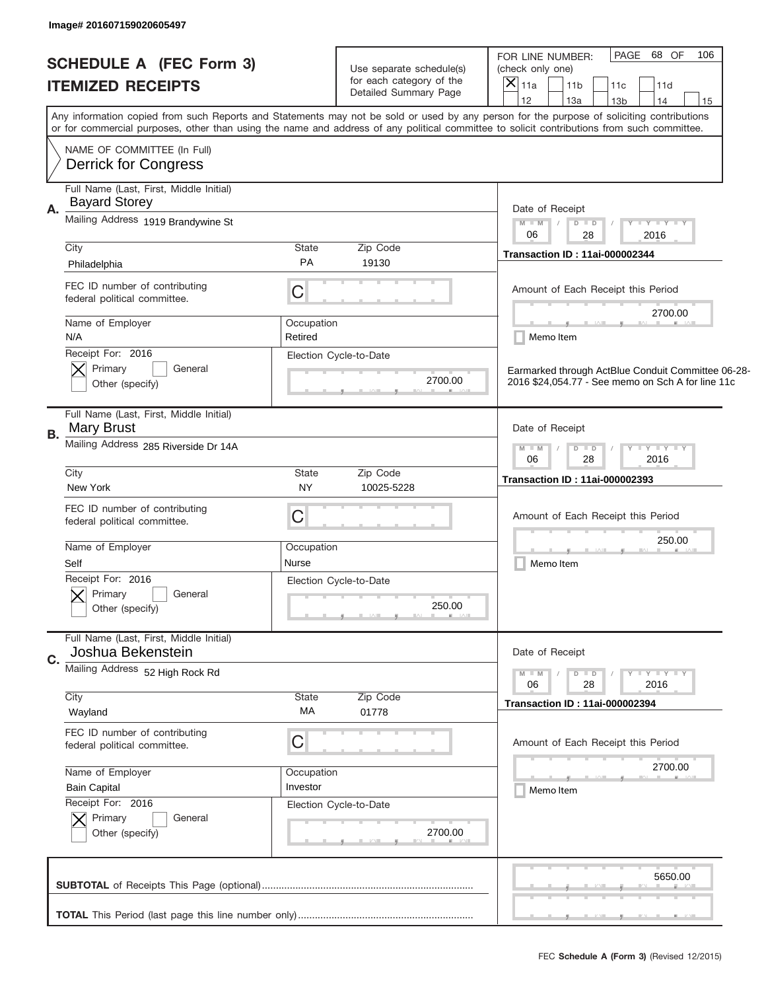| Image# 201607159020605497                                                                                                                                                                                                                                                               |                                                                               |                                                                                                                                                    |
|-----------------------------------------------------------------------------------------------------------------------------------------------------------------------------------------------------------------------------------------------------------------------------------------|-------------------------------------------------------------------------------|----------------------------------------------------------------------------------------------------------------------------------------------------|
| <b>SCHEDULE A (FEC Form 3)</b><br><b>ITEMIZED RECEIPTS</b>                                                                                                                                                                                                                              | Use separate schedule(s)<br>for each category of the<br>Detailed Summary Page | PAGE 68 OF<br>106<br>FOR LINE NUMBER:<br>(check only one)<br>×<br>11a<br>11 <sub>b</sub><br>11c<br>11d<br>12<br>13a<br>14<br>13 <sub>b</sub><br>15 |
| Any information copied from such Reports and Statements may not be sold or used by any person for the purpose of soliciting contributions<br>or for commercial purposes, other than using the name and address of any political committee to solicit contributions from such committee. |                                                                               |                                                                                                                                                    |
| NAME OF COMMITTEE (In Full)<br><b>Derrick for Congress</b>                                                                                                                                                                                                                              |                                                                               |                                                                                                                                                    |
| Full Name (Last, First, Middle Initial)<br><b>Bayard Storey</b><br>Α.<br>Mailing Address 1919 Brandywine St                                                                                                                                                                             |                                                                               | Date of Receipt                                                                                                                                    |
|                                                                                                                                                                                                                                                                                         |                                                                               | $M - M$<br>$D$ $D$<br>$Y - Y - Y - Y$<br>06<br>28<br>2016                                                                                          |
| City<br>Philadelphia                                                                                                                                                                                                                                                                    | State<br>Zip Code<br><b>PA</b><br>19130                                       | <b>Transaction ID: 11ai-000002344</b>                                                                                                              |
| FEC ID number of contributing<br>federal political committee.                                                                                                                                                                                                                           | C                                                                             | Amount of Each Receipt this Period<br>2700.00                                                                                                      |
| Name of Employer<br>N/A<br>Receipt For: 2016                                                                                                                                                                                                                                            | Occupation<br>Retired                                                         | Memo Item                                                                                                                                          |
| Primary<br>General<br>Other (specify)                                                                                                                                                                                                                                                   | Election Cycle-to-Date<br>2700.00                                             | Earmarked through ActBlue Conduit Committee 06-28-<br>2016 \$24,054.77 - See memo on Sch A for line 11c                                            |
| Full Name (Last, First, Middle Initial)<br>Mary Brust<br>В.                                                                                                                                                                                                                             |                                                                               | Date of Receipt                                                                                                                                    |
| Mailing Address 285 Riverside Dr 14A                                                                                                                                                                                                                                                    |                                                                               | $M - M$<br>$D$ $D$<br>$Y - Y - Y - Y - Y$<br>28<br>2016<br>06                                                                                      |
| City<br>New York                                                                                                                                                                                                                                                                        | State<br>Zip Code<br><b>NY</b><br>10025-5228                                  | <b>Transaction ID: 11ai-000002393</b>                                                                                                              |
| FEC ID number of contributing<br>federal political committee.                                                                                                                                                                                                                           | C                                                                             | Amount of Each Receipt this Period                                                                                                                 |
| Name of Employer<br>Self                                                                                                                                                                                                                                                                | Occupation<br>Nurse                                                           | 250.00<br>Memo Item                                                                                                                                |
| Receipt For: 2016<br>Primary<br>General<br>Other (specify)                                                                                                                                                                                                                              | Election Cycle-to-Date<br>250.00                                              |                                                                                                                                                    |
| Full Name (Last, First, Middle Initial)<br>Joshua Bekenstein<br>C.                                                                                                                                                                                                                      |                                                                               | Date of Receipt                                                                                                                                    |
| Mailing Address 52 High Rock Rd                                                                                                                                                                                                                                                         |                                                                               | $M - M$<br>$D$ $D$<br>Y FY FY FY<br>06<br>28<br>2016                                                                                               |
| City<br>Wayland                                                                                                                                                                                                                                                                         | State<br>Zip Code<br>МA<br>01778                                              | <b>Transaction ID: 11ai-000002394</b>                                                                                                              |
| FEC ID number of contributing<br>federal political committee.                                                                                                                                                                                                                           | C                                                                             | Amount of Each Receipt this Period                                                                                                                 |
| Name of Employer                                                                                                                                                                                                                                                                        | Occupation                                                                    | 2700.00                                                                                                                                            |
| <b>Bain Capital</b><br>Receipt For: 2016<br>Primary<br>General<br>Other (specify)                                                                                                                                                                                                       | Investor<br>Election Cycle-to-Date<br>2700.00                                 | Memo Item                                                                                                                                          |
|                                                                                                                                                                                                                                                                                         |                                                                               | 5650.00                                                                                                                                            |
|                                                                                                                                                                                                                                                                                         |                                                                               |                                                                                                                                                    |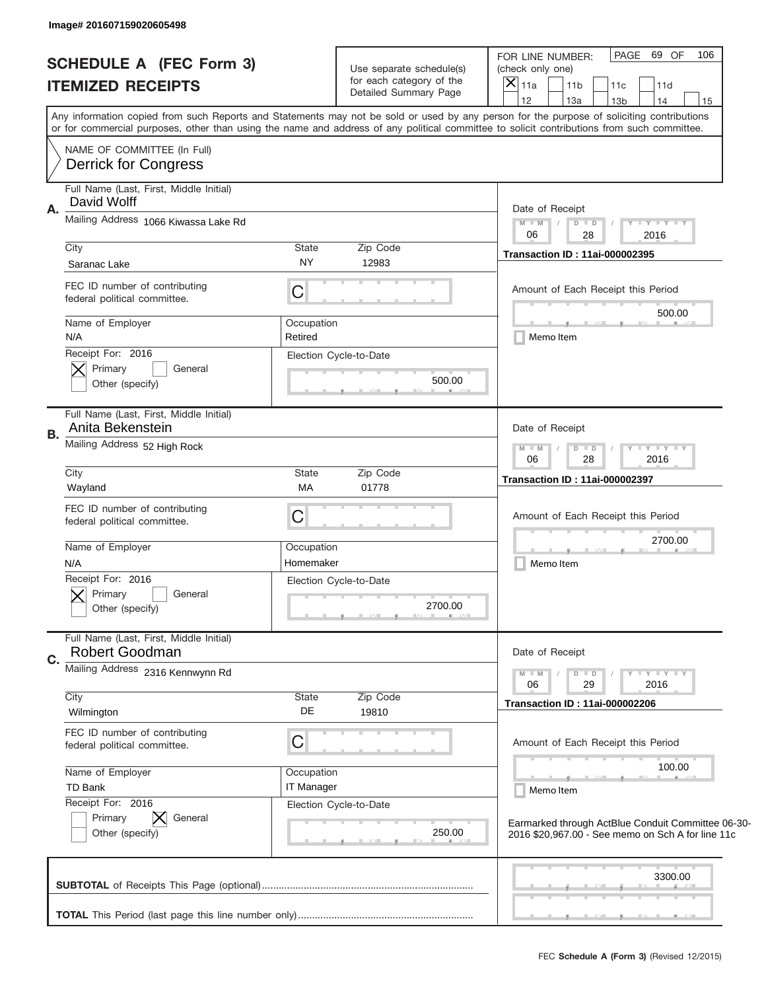| Image# 201607159020605498                                                                                                                                                                                                                                                               |                                                                               |                                                                                                                                                       |
|-----------------------------------------------------------------------------------------------------------------------------------------------------------------------------------------------------------------------------------------------------------------------------------------|-------------------------------------------------------------------------------|-------------------------------------------------------------------------------------------------------------------------------------------------------|
| <b>SCHEDULE A (FEC Form 3)</b><br><b>ITEMIZED RECEIPTS</b>                                                                                                                                                                                                                              | Use separate schedule(s)<br>for each category of the<br>Detailed Summary Page | PAGE<br>69 OF<br>106<br>FOR LINE NUMBER:<br>(check only one)<br>×<br>11a<br>11 <sub>b</sub><br>11c<br>11d<br>12<br>13a<br>13 <sub>b</sub><br>14<br>15 |
| Any information copied from such Reports and Statements may not be sold or used by any person for the purpose of soliciting contributions<br>or for commercial purposes, other than using the name and address of any political committee to solicit contributions from such committee. |                                                                               |                                                                                                                                                       |
| NAME OF COMMITTEE (In Full)<br><b>Derrick for Congress</b>                                                                                                                                                                                                                              |                                                                               |                                                                                                                                                       |
| Full Name (Last, First, Middle Initial)<br>David Wolff<br>Α.<br>Mailing Address 1066 Kiwassa Lake Rd                                                                                                                                                                                    |                                                                               | Date of Receipt                                                                                                                                       |
|                                                                                                                                                                                                                                                                                         |                                                                               | $M$ M<br>$Y - Y - Y - Y$<br>$D$ $D$<br>$\sqrt{2}$<br>06<br>2016<br>28                                                                                 |
| City<br>Saranac Lake                                                                                                                                                                                                                                                                    | State<br>Zip Code<br><b>NY</b><br>12983                                       | <b>Transaction ID: 11ai-000002395</b>                                                                                                                 |
| FEC ID number of contributing<br>federal political committee.                                                                                                                                                                                                                           | C                                                                             | Amount of Each Receipt this Period                                                                                                                    |
| Name of Employer<br>N/A                                                                                                                                                                                                                                                                 | Occupation<br>Retired                                                         | 500.00<br>Memo Item                                                                                                                                   |
| Receipt For: 2016<br>Primary<br>General<br>Other (specify)                                                                                                                                                                                                                              | Election Cycle-to-Date<br>500.00                                              |                                                                                                                                                       |
| Full Name (Last, First, Middle Initial)<br>Anita Bekenstein<br>В.                                                                                                                                                                                                                       |                                                                               | Date of Receipt                                                                                                                                       |
| Mailing Address 52 High Rock                                                                                                                                                                                                                                                            |                                                                               | $Y - Y - Y - Y - Y$<br>$M - M$<br>$D$ $D$<br>06<br>28<br>2016                                                                                         |
| City<br>Wayland                                                                                                                                                                                                                                                                         | State<br>Zip Code<br>MA<br>01778                                              | <b>Transaction ID: 11ai-000002397</b>                                                                                                                 |
| FEC ID number of contributing<br>federal political committee.                                                                                                                                                                                                                           | C                                                                             | Amount of Each Receipt this Period                                                                                                                    |
| Name of Employer<br>N/A                                                                                                                                                                                                                                                                 | Occupation<br>Homemaker                                                       | 2700.00<br>Memo Item                                                                                                                                  |
| Receipt For: 2016<br>General<br>Primary<br>Other (specify)                                                                                                                                                                                                                              | Election Cycle-to-Date<br>2700.00                                             |                                                                                                                                                       |
| Full Name (Last, First, Middle Initial)<br><b>Robert Goodman</b><br>C.                                                                                                                                                                                                                  |                                                                               | Date of Receipt                                                                                                                                       |
| Mailing Address 2316 Kennwynn Rd                                                                                                                                                                                                                                                        |                                                                               | Y FY FY FY<br>$M - M$<br>$D$ $D$<br>06<br>29<br>2016                                                                                                  |
| City<br>Wilmington                                                                                                                                                                                                                                                                      | Zip Code<br>State<br>DE<br>19810                                              | <b>Transaction ID: 11ai-000002206</b>                                                                                                                 |
| FEC ID number of contributing<br>federal political committee.                                                                                                                                                                                                                           | C                                                                             | Amount of Each Receipt this Period                                                                                                                    |
| Name of Employer<br><b>TD Bank</b>                                                                                                                                                                                                                                                      | Occupation                                                                    | 100.00                                                                                                                                                |
| Receipt For: 2016                                                                                                                                                                                                                                                                       | <b>IT Manager</b><br>Election Cycle-to-Date                                   | Memo Item                                                                                                                                             |
| Primary<br>General<br>Other (specify)                                                                                                                                                                                                                                                   | 250.00                                                                        | Earmarked through ActBlue Conduit Committee 06-30-<br>2016 \$20,967.00 - See memo on Sch A for line 11c                                               |
|                                                                                                                                                                                                                                                                                         |                                                                               | 3300.00                                                                                                                                               |
|                                                                                                                                                                                                                                                                                         |                                                                               | , , ,                                                                                                                                                 |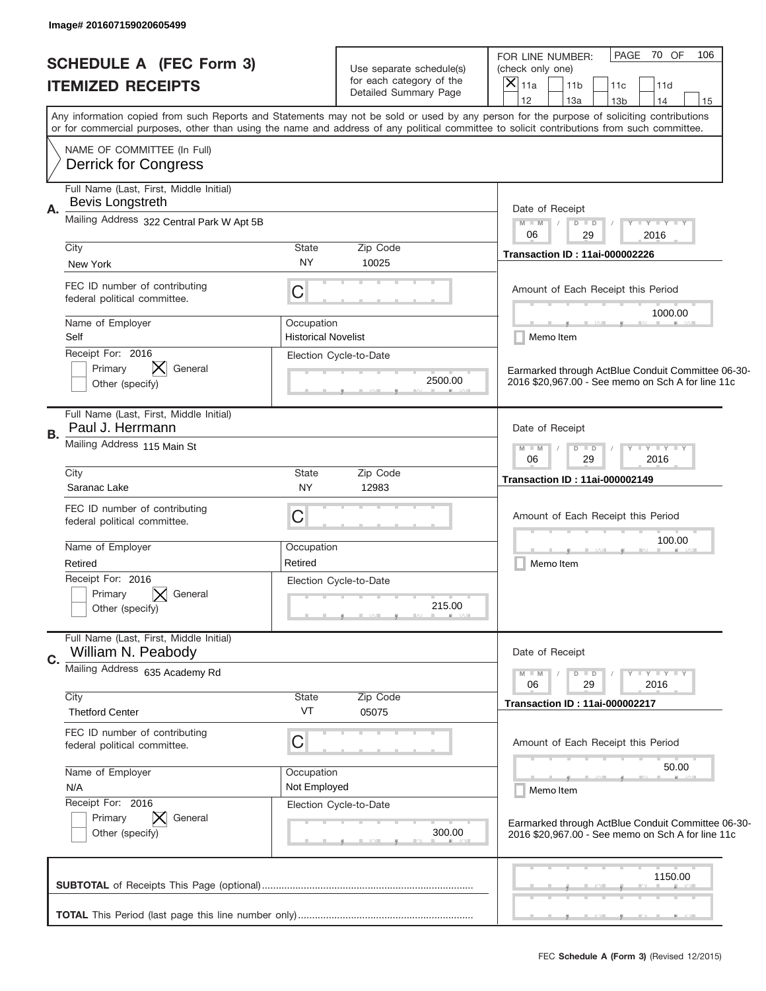| Image# 201607159020605499                                                |                                                                                                                                                                                                                                                                                         |                                                                                                                                                           |
|--------------------------------------------------------------------------|-----------------------------------------------------------------------------------------------------------------------------------------------------------------------------------------------------------------------------------------------------------------------------------------|-----------------------------------------------------------------------------------------------------------------------------------------------------------|
| <b>SCHEDULE A</b> (FEC Form 3)<br><b>ITEMIZED RECEIPTS</b>               | Use separate schedule(s)<br>for each category of the<br>Detailed Summary Page                                                                                                                                                                                                           | PAGE 70 OF<br>106<br>FOR LINE NUMBER:<br>(check only one)<br>$\times$<br>11a<br>11 <sub>b</sub><br>11c<br>11d<br>12<br>13a<br>13 <sub>b</sub><br>14<br>15 |
|                                                                          | Any information copied from such Reports and Statements may not be sold or used by any person for the purpose of soliciting contributions<br>or for commercial purposes, other than using the name and address of any political committee to solicit contributions from such committee. |                                                                                                                                                           |
| NAME OF COMMITTEE (In Full)<br><b>Derrick for Congress</b>               |                                                                                                                                                                                                                                                                                         |                                                                                                                                                           |
| Full Name (Last, First, Middle Initial)<br><b>Bevis Longstreth</b><br>Α. |                                                                                                                                                                                                                                                                                         | Date of Receipt                                                                                                                                           |
| Mailing Address 322 Central Park W Apt 5B                                |                                                                                                                                                                                                                                                                                         | $M - M$<br>Y TY TY TY<br>$D$ $D$<br>$\sqrt{2}$<br>29<br>2016<br>06                                                                                        |
| City<br>New York                                                         | State<br>Zip Code<br><b>NY</b><br>10025                                                                                                                                                                                                                                                 | <b>Transaction ID: 11ai-000002226</b>                                                                                                                     |
| FEC ID number of contributing<br>federal political committee.            | $\mathsf C$                                                                                                                                                                                                                                                                             | Amount of Each Receipt this Period<br>1000.00                                                                                                             |
| Name of Employer<br>Self<br>Receipt For: 2016                            | Occupation<br><b>Historical Novelist</b>                                                                                                                                                                                                                                                | Memo Item                                                                                                                                                 |
| General<br>Primary<br>Other (specify)                                    | Election Cycle-to-Date<br>2500.00                                                                                                                                                                                                                                                       | Earmarked through ActBlue Conduit Committee 06-30-<br>2016 \$20,967,00 - See memo on Sch A for line 11c                                                   |
| Full Name (Last, First, Middle Initial)<br>Paul J. Herrmann<br>В.        |                                                                                                                                                                                                                                                                                         | Date of Receipt                                                                                                                                           |
| Mailing Address 115 Main St                                              |                                                                                                                                                                                                                                                                                         | $Y - Y - Y - Y$<br>$M - M$<br>$D$ $D$<br>29<br>2016<br>06                                                                                                 |
| City<br>Saranac Lake                                                     | State<br>Zip Code<br><b>NY</b><br>12983                                                                                                                                                                                                                                                 | <b>Transaction ID: 11ai-000002149</b>                                                                                                                     |
| FEC ID number of contributing<br>federal political committee.            | C                                                                                                                                                                                                                                                                                       | Amount of Each Receipt this Period                                                                                                                        |
| Name of Employer<br>Retired                                              | Occupation<br>Retired                                                                                                                                                                                                                                                                   | 100.00<br>Memo Item                                                                                                                                       |
| Receipt For: 2016<br>Primary<br>General<br>Other (specify)               | Election Cycle-to-Date<br>215.00                                                                                                                                                                                                                                                        |                                                                                                                                                           |
| Full Name (Last, First, Middle Initial)<br>William N. Peabody<br>C.      |                                                                                                                                                                                                                                                                                         | Date of Receipt                                                                                                                                           |
| Mailing Address 635 Academy Rd                                           |                                                                                                                                                                                                                                                                                         | Y FY FY FY<br>$M - M$<br>$D$ $D$<br>06<br>29<br>2016                                                                                                      |
| City<br><b>Thetford Center</b>                                           | Zip Code<br>State<br>VT<br>05075                                                                                                                                                                                                                                                        | <b>Transaction ID: 11ai-000002217</b>                                                                                                                     |
| FEC ID number of contributing<br>federal political committee.            | C                                                                                                                                                                                                                                                                                       | Amount of Each Receipt this Period                                                                                                                        |
| Name of Employer<br>N/A<br>Receipt For: 2016                             | Occupation<br>Not Employed<br>Election Cycle-to-Date                                                                                                                                                                                                                                    | 50.00<br>Memo Item                                                                                                                                        |
| Primary<br>General<br>Other (specify)                                    | 300.00                                                                                                                                                                                                                                                                                  | Earmarked through ActBlue Conduit Committee 06-30-<br>2016 \$20,967.00 - See memo on Sch A for line 11c                                                   |
|                                                                          |                                                                                                                                                                                                                                                                                         | 1150.00                                                                                                                                                   |
|                                                                          |                                                                                                                                                                                                                                                                                         | $\mathcal{I}$ and $\mathcal{I}$ and $\mathcal{I}$                                                                                                         |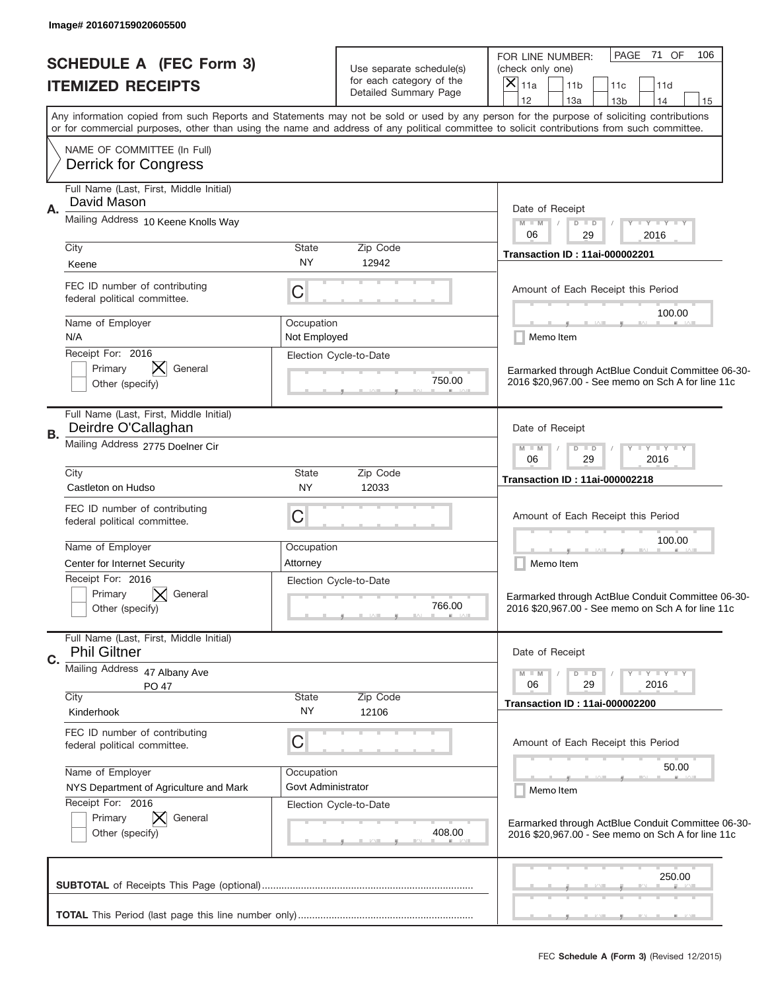| Image# 201607159020605500                                                       |                                                                                                                                                                                                                                                                                         |                                                                                                                                                           |
|---------------------------------------------------------------------------------|-----------------------------------------------------------------------------------------------------------------------------------------------------------------------------------------------------------------------------------------------------------------------------------------|-----------------------------------------------------------------------------------------------------------------------------------------------------------|
| <b>SCHEDULE A</b> (FEC Form 3)<br><b>ITEMIZED RECEIPTS</b>                      | Use separate schedule(s)<br>for each category of the<br>Detailed Summary Page                                                                                                                                                                                                           | PAGE 71 OF<br>106<br>FOR LINE NUMBER:<br>(check only one)<br>$\times$<br>11a<br>11 <sub>b</sub><br>11c<br>11d<br>12<br>13a<br>13 <sub>b</sub><br>14<br>15 |
|                                                                                 | Any information copied from such Reports and Statements may not be sold or used by any person for the purpose of soliciting contributions<br>or for commercial purposes, other than using the name and address of any political committee to solicit contributions from such committee. |                                                                                                                                                           |
| NAME OF COMMITTEE (In Full)<br><b>Derrick for Congress</b>                      |                                                                                                                                                                                                                                                                                         |                                                                                                                                                           |
| Full Name (Last, First, Middle Initial)<br>David Mason<br>Α.                    |                                                                                                                                                                                                                                                                                         | Date of Receipt                                                                                                                                           |
| Mailing Address 10 Keene Knolls Way                                             |                                                                                                                                                                                                                                                                                         | $M - M$<br>Y TY TY TY<br>$D$ $D$<br>$\sqrt{2}$<br>06<br>29<br>2016                                                                                        |
| City<br>Keene                                                                   | State<br>Zip Code<br><b>NY</b><br>12942                                                                                                                                                                                                                                                 | <b>Transaction ID: 11ai-000002201</b>                                                                                                                     |
| FEC ID number of contributing<br>federal political committee.                   | $\mathsf C$                                                                                                                                                                                                                                                                             | Amount of Each Receipt this Period<br>100.00                                                                                                              |
| Name of Employer<br>N/A<br>Receipt For: 2016                                    | Occupation<br>Not Employed                                                                                                                                                                                                                                                              | Memo Item                                                                                                                                                 |
| General<br>Primary<br>Other (specify)                                           | Election Cycle-to-Date<br>750.00                                                                                                                                                                                                                                                        | Earmarked through ActBlue Conduit Committee 06-30-<br>2016 \$20,967.00 - See memo on Sch A for line 11c                                                   |
| Full Name (Last, First, Middle Initial)<br>Deirdre O'Callaghan<br>В.            |                                                                                                                                                                                                                                                                                         | Date of Receipt                                                                                                                                           |
| Mailing Address 2775 Doelner Cir                                                |                                                                                                                                                                                                                                                                                         | $Y = Y = Y = Y$<br>$M$ M<br>$D$ $D$<br>29<br>2016<br>06                                                                                                   |
| City<br>Castleton on Hudso                                                      | State<br>Zip Code<br>NY<br>12033                                                                                                                                                                                                                                                        | <b>Transaction ID: 11ai-000002218</b>                                                                                                                     |
| FEC ID number of contributing<br>federal political committee.                   | C                                                                                                                                                                                                                                                                                       | Amount of Each Receipt this Period                                                                                                                        |
| Name of Employer<br>Center for Internet Security                                | Occupation<br>Attorney                                                                                                                                                                                                                                                                  | 100.00<br>Memo Item                                                                                                                                       |
| Receipt For: 2016<br>Primary<br>General<br>Other (specify)                      | Election Cycle-to-Date<br>766.00                                                                                                                                                                                                                                                        | Earmarked through ActBlue Conduit Committee 06-30-<br>2016 \$20,967.00 - See memo on Sch A for line 11c                                                   |
| Full Name (Last, First, Middle Initial)<br><b>Phil Giltner</b><br>C.            |                                                                                                                                                                                                                                                                                         | Date of Receipt                                                                                                                                           |
| Mailing Address 47 Albany Ave<br>PO 47<br>City                                  | Zip Code<br>State                                                                                                                                                                                                                                                                       | Y FY FY FY<br>$M - M$<br>$D$ $D$<br>2016<br>06<br>29                                                                                                      |
| Kinderhook                                                                      | NY.<br>12106                                                                                                                                                                                                                                                                            | <b>Transaction ID: 11ai-000002200</b>                                                                                                                     |
| FEC ID number of contributing<br>federal political committee.                   | C                                                                                                                                                                                                                                                                                       | Amount of Each Receipt this Period                                                                                                                        |
| Name of Employer<br>NYS Department of Agriculture and Mark<br>Receipt For: 2016 | Occupation<br>Govt Administrator<br>Election Cycle-to-Date                                                                                                                                                                                                                              | 50.00<br>Memo Item                                                                                                                                        |
| Primary<br>General<br>Other (specify)                                           | 408.00                                                                                                                                                                                                                                                                                  | Earmarked through ActBlue Conduit Committee 06-30-<br>2016 \$20,967.00 - See memo on Sch A for line 11c                                                   |
|                                                                                 |                                                                                                                                                                                                                                                                                         | 250.00                                                                                                                                                    |
|                                                                                 |                                                                                                                                                                                                                                                                                         | , , ,                                                                                                                                                     |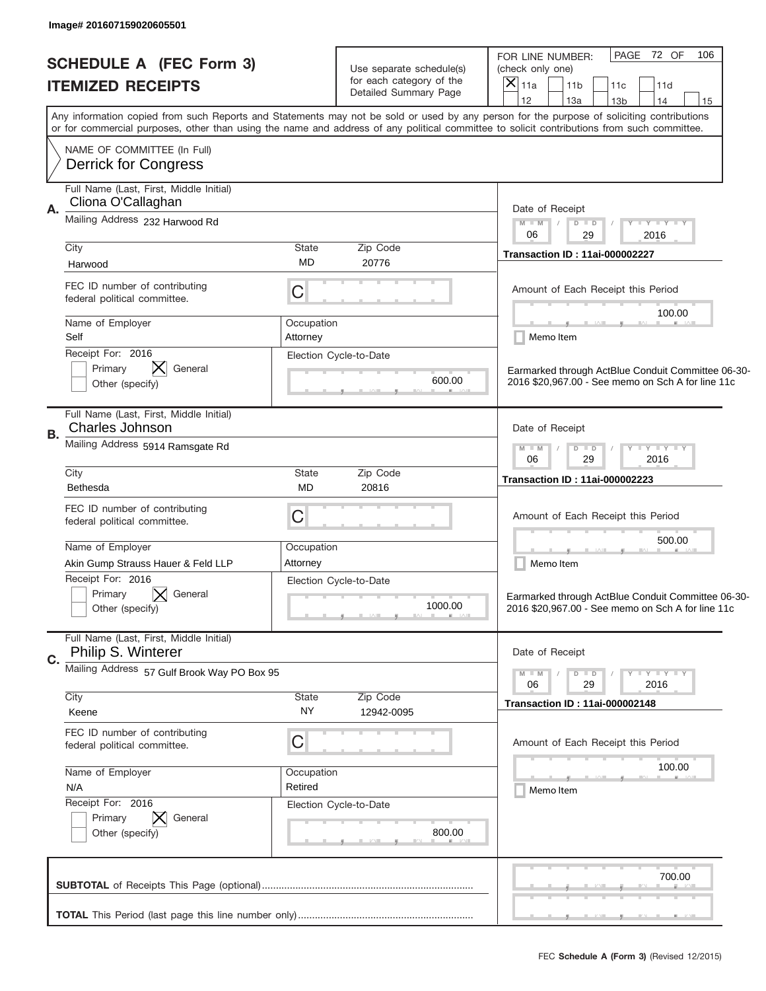| Image# 201607159020605501                                                                                                                                                                                                                                                               |                                                                               |                                                                                                                                                    |
|-----------------------------------------------------------------------------------------------------------------------------------------------------------------------------------------------------------------------------------------------------------------------------------------|-------------------------------------------------------------------------------|----------------------------------------------------------------------------------------------------------------------------------------------------|
| <b>SCHEDULE A</b> (FEC Form 3)<br><b>ITEMIZED RECEIPTS</b>                                                                                                                                                                                                                              | Use separate schedule(s)<br>for each category of the<br>Detailed Summary Page | PAGE 72 OF<br>106<br>FOR LINE NUMBER:<br>(check only one)<br>×<br>11a<br>11 <sub>b</sub><br>11c<br>11d<br>12<br>13a<br>14<br>13 <sub>b</sub><br>15 |
| Any information copied from such Reports and Statements may not be sold or used by any person for the purpose of soliciting contributions<br>or for commercial purposes, other than using the name and address of any political committee to solicit contributions from such committee. |                                                                               |                                                                                                                                                    |
| NAME OF COMMITTEE (In Full)<br><b>Derrick for Congress</b>                                                                                                                                                                                                                              |                                                                               |                                                                                                                                                    |
| Full Name (Last, First, Middle Initial)<br>Cliona O'Callaghan<br>А.                                                                                                                                                                                                                     |                                                                               | Date of Receipt                                                                                                                                    |
| Mailing Address 232 Harwood Rd                                                                                                                                                                                                                                                          |                                                                               | $M - M$<br>$D$ $D$<br>$Y - Y - Y - Y$<br>06<br>29<br>2016                                                                                          |
| City<br><b>State</b><br><b>MD</b><br>Harwood                                                                                                                                                                                                                                            | Zip Code<br>20776                                                             | <b>Transaction ID: 11ai-000002227</b>                                                                                                              |
| FEC ID number of contributing<br>C<br>federal political committee.                                                                                                                                                                                                                      |                                                                               | Amount of Each Receipt this Period<br>100.00                                                                                                       |
| Name of Employer<br>Occupation<br>Self<br>Attorney                                                                                                                                                                                                                                      |                                                                               | Memo Item                                                                                                                                          |
| Receipt For: 2016<br>General<br>Primary<br>Other (specify)                                                                                                                                                                                                                              | Election Cycle-to-Date<br>600.00                                              | Earmarked through ActBlue Conduit Committee 06-30-<br>2016 \$20,967.00 - See memo on Sch A for line 11c                                            |
| Full Name (Last, First, Middle Initial)<br><b>Charles Johnson</b><br>В.                                                                                                                                                                                                                 |                                                                               | Date of Receipt                                                                                                                                    |
| Mailing Address 5914 Ramsgate Rd                                                                                                                                                                                                                                                        |                                                                               | $D$ $D$<br>$Y - Y - Y - Y - Y$<br>$M - M$<br>29<br>2016<br>06                                                                                      |
| City<br>State<br><b>MD</b><br>Bethesda                                                                                                                                                                                                                                                  | Zip Code<br>20816                                                             | <b>Transaction ID: 11ai-000002223</b>                                                                                                              |
| FEC ID number of contributing<br>C<br>federal political committee.                                                                                                                                                                                                                      |                                                                               | Amount of Each Receipt this Period                                                                                                                 |
| Name of Employer<br>Occupation                                                                                                                                                                                                                                                          |                                                                               | 500.00                                                                                                                                             |
| Akin Gump Strauss Hauer & Feld LLP<br>Attorney<br>Receipt For: 2016<br>General<br>Primary<br>Other (specify)                                                                                                                                                                            | Election Cycle-to-Date<br>1000.00                                             | Memo Item<br>Earmarked through ActBlue Conduit Committee 06-30-<br>2016 \$20,967.00 - See memo on Sch A for line 11c                               |
| Full Name (Last, First, Middle Initial)<br>Philip S. Winterer                                                                                                                                                                                                                           |                                                                               | Date of Receipt                                                                                                                                    |
| C.<br>Mailing Address 57 Gulf Brook Way PO Box 95                                                                                                                                                                                                                                       |                                                                               | $D$ $D$<br>Y FY FY FY<br>$M - M$<br>29<br>2016<br>06                                                                                               |
| City<br>State<br>ΝY<br>Keene                                                                                                                                                                                                                                                            | Zip Code<br>12942-0095                                                        | <b>Transaction ID: 11ai-000002148</b>                                                                                                              |
| FEC ID number of contributing<br>C<br>federal political committee.                                                                                                                                                                                                                      |                                                                               | Amount of Each Receipt this Period                                                                                                                 |
| Name of Employer<br>Occupation<br>N/A<br>Retired                                                                                                                                                                                                                                        |                                                                               | 100.00<br>Memo Item                                                                                                                                |
| Receipt For: 2016<br>Primary<br>General<br>Other (specify)                                                                                                                                                                                                                              | Election Cycle-to-Date<br>800.00                                              |                                                                                                                                                    |
|                                                                                                                                                                                                                                                                                         |                                                                               | 700.00                                                                                                                                             |
|                                                                                                                                                                                                                                                                                         |                                                                               |                                                                                                                                                    |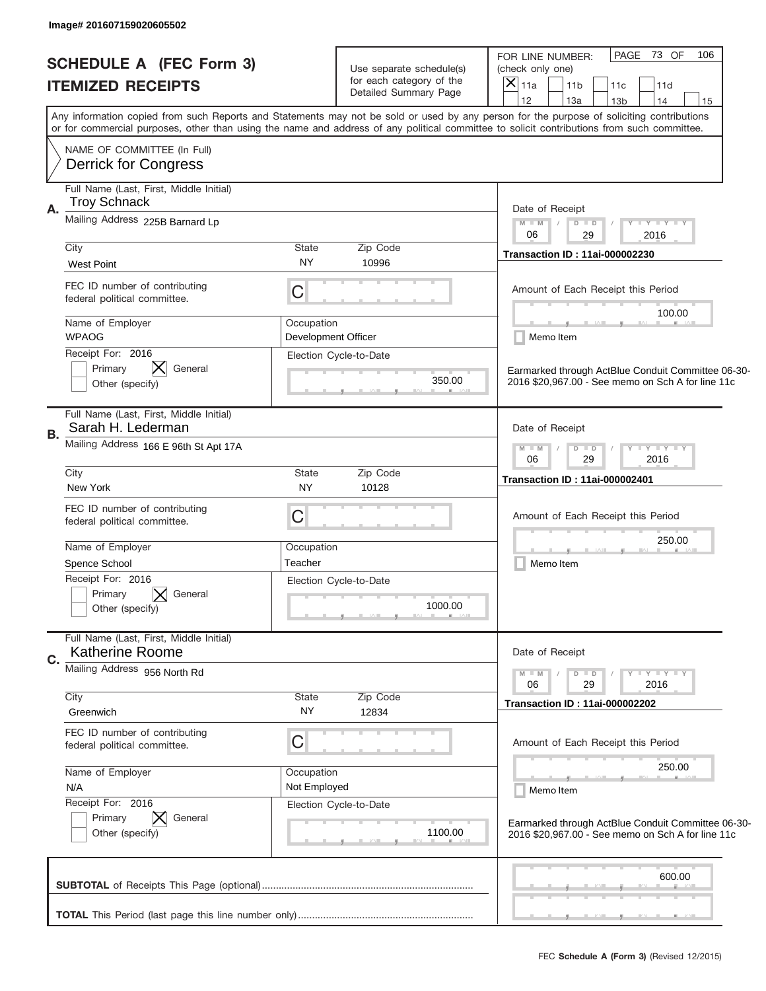| Image# 201607159020605502                                               |                                                                                                                                            |                                                                                                                                                           |
|-------------------------------------------------------------------------|--------------------------------------------------------------------------------------------------------------------------------------------|-----------------------------------------------------------------------------------------------------------------------------------------------------------|
| <b>SCHEDULE A</b> (FEC Form 3)<br><b>ITEMIZED RECEIPTS</b>              | Use separate schedule(s)<br>for each category of the<br>Detailed Summary Page                                                              | PAGE 73 OF<br>106<br>FOR LINE NUMBER:<br>(check only one)<br>$\times$<br>11a<br>11 <sub>b</sub><br>11c<br>11d<br>12<br>13a<br>13 <sub>b</sub><br>14<br>15 |
|                                                                         | or for commercial purposes, other than using the name and address of any political committee to solicit contributions from such committee. | Any information copied from such Reports and Statements may not be sold or used by any person for the purpose of soliciting contributions                 |
| NAME OF COMMITTEE (In Full)<br><b>Derrick for Congress</b>              |                                                                                                                                            |                                                                                                                                                           |
| Full Name (Last, First, Middle Initial)<br><b>Troy Schnack</b><br>Α.    |                                                                                                                                            | Date of Receipt                                                                                                                                           |
| Mailing Address 225B Barnard Lp                                         |                                                                                                                                            | $M - M$<br>Y TY TY TY<br>$D$ $D$<br>$\sqrt{2}$<br>06<br>29<br>2016                                                                                        |
| City<br><b>West Point</b>                                               | State<br>Zip Code<br><b>NY</b><br>10996                                                                                                    | <b>Transaction ID: 11ai-000002230</b>                                                                                                                     |
| FEC ID number of contributing<br>federal political committee.           | $\mathsf C$                                                                                                                                | Amount of Each Receipt this Period                                                                                                                        |
| Name of Employer<br><b>WPAOG</b><br>Receipt For: 2016                   | Occupation<br>Development Officer                                                                                                          | 100.00<br>Memo Item                                                                                                                                       |
| General<br>Primary<br>Other (specify)                                   | Election Cycle-to-Date<br>350.00                                                                                                           | Earmarked through ActBlue Conduit Committee 06-30-<br>2016 \$20,967,00 - See memo on Sch A for line 11c                                                   |
| Full Name (Last, First, Middle Initial)<br>Sarah H. Lederman<br>В.      |                                                                                                                                            | Date of Receipt                                                                                                                                           |
| Mailing Address 166 E 96th St Apt 17A                                   |                                                                                                                                            | $M$ M<br>$Y = Y = Y = Y$<br>$D$ $D$<br>29<br>2016<br>06                                                                                                   |
| City<br>New York                                                        | State<br>Zip Code<br><b>NY</b><br>10128                                                                                                    | <b>Transaction ID: 11ai-000002401</b>                                                                                                                     |
| FEC ID number of contributing<br>federal political committee.           | C                                                                                                                                          | Amount of Each Receipt this Period                                                                                                                        |
| Name of Employer<br>Spence School                                       | Occupation<br>Teacher                                                                                                                      | 250.00<br>Memo Item                                                                                                                                       |
| Receipt For: 2016<br>Primary<br>General<br>Other (specify)              | Election Cycle-to-Date<br>1000.00                                                                                                          |                                                                                                                                                           |
| Full Name (Last, First, Middle Initial)<br><b>Katherine Roome</b><br>C. |                                                                                                                                            | Date of Receipt                                                                                                                                           |
| Mailing Address 956 North Rd                                            |                                                                                                                                            | Y FY FY FY<br>$M - M$<br>$D$ $D$<br>06<br>29<br>2016                                                                                                      |
| City<br>Greenwich                                                       | Zip Code<br>State<br>NY.<br>12834                                                                                                          | <b>Transaction ID: 11ai-000002202</b>                                                                                                                     |
| FEC ID number of contributing<br>federal political committee.           | C                                                                                                                                          | Amount of Each Receipt this Period                                                                                                                        |
| Name of Employer<br>N/A<br>Receipt For: 2016                            | Occupation<br>Not Employed<br>Election Cycle-to-Date                                                                                       | 250.00<br>Memo Item                                                                                                                                       |
| Primary<br>General<br>Other (specify)                                   | 1100.00                                                                                                                                    | Earmarked through ActBlue Conduit Committee 06-30-<br>2016 \$20,967.00 - See memo on Sch A for line 11c                                                   |
|                                                                         |                                                                                                                                            | 600.00                                                                                                                                                    |
|                                                                         |                                                                                                                                            | $\frac{1}{2}$ and $\frac{1}{2}$ and $\frac{1}{2}$ and $\frac{1}{2}$ and $\frac{1}{2}$                                                                     |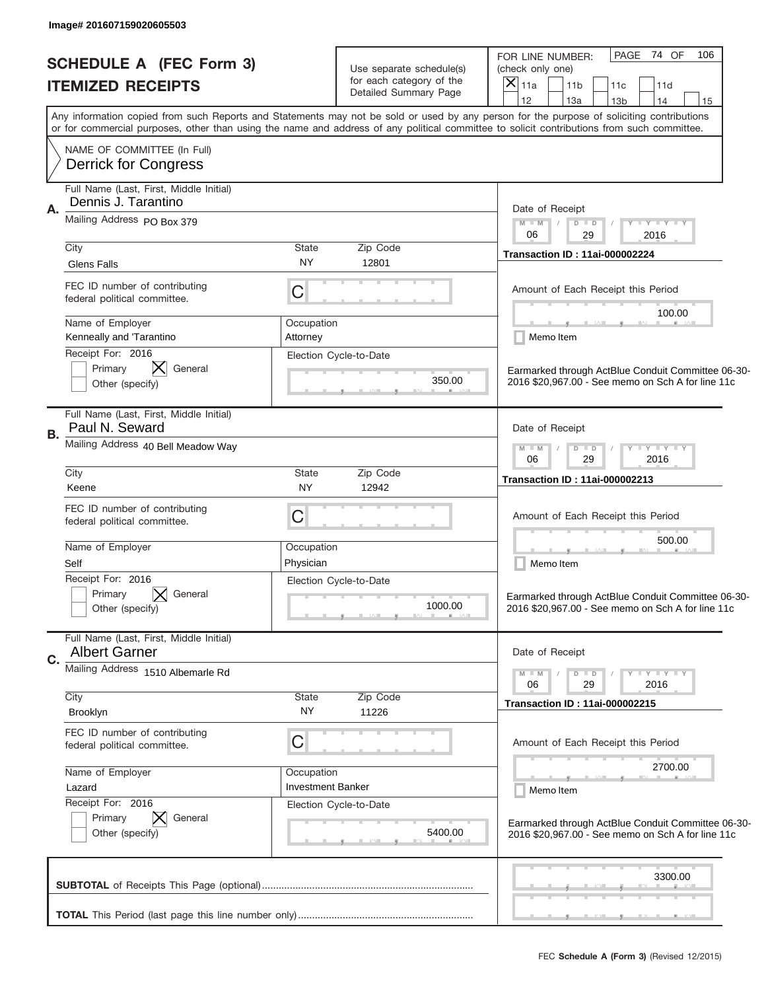| Image# 201607159020605503                                             |                                                                                                                                                                                                                                                                                         |                                                                                                                                                           |
|-----------------------------------------------------------------------|-----------------------------------------------------------------------------------------------------------------------------------------------------------------------------------------------------------------------------------------------------------------------------------------|-----------------------------------------------------------------------------------------------------------------------------------------------------------|
| <b>SCHEDULE A</b> (FEC Form 3)<br><b>ITEMIZED RECEIPTS</b>            | Use separate schedule(s)<br>for each category of the<br>Detailed Summary Page                                                                                                                                                                                                           | PAGE 74 OF<br>106<br>FOR LINE NUMBER:<br>(check only one)<br>$\times$<br>11a<br>11 <sub>b</sub><br>11c<br>11d<br>12<br>13a<br>13 <sub>b</sub><br>14<br>15 |
|                                                                       | Any information copied from such Reports and Statements may not be sold or used by any person for the purpose of soliciting contributions<br>or for commercial purposes, other than using the name and address of any political committee to solicit contributions from such committee. |                                                                                                                                                           |
| NAME OF COMMITTEE (In Full)<br><b>Derrick for Congress</b>            |                                                                                                                                                                                                                                                                                         |                                                                                                                                                           |
| Full Name (Last, First, Middle Initial)<br>Dennis J. Tarantino<br>Α.  |                                                                                                                                                                                                                                                                                         | Date of Receipt                                                                                                                                           |
| Mailing Address PO Box 379                                            |                                                                                                                                                                                                                                                                                         | $M - M$<br>Y TY TY TY<br>$D$ $D$<br>$\sqrt{2}$<br>06<br>29<br>2016                                                                                        |
| City<br><b>Glens Falls</b>                                            | State<br>Zip Code<br><b>NY</b><br>12801                                                                                                                                                                                                                                                 | <b>Transaction ID: 11ai-000002224</b>                                                                                                                     |
| FEC ID number of contributing<br>federal political committee.         | C                                                                                                                                                                                                                                                                                       | Amount of Each Receipt this Period<br>100.00                                                                                                              |
| Name of Employer<br>Kenneally and 'Tarantino<br>Receipt For: 2016     | Occupation<br>Attorney                                                                                                                                                                                                                                                                  | Memo Item                                                                                                                                                 |
| Primary<br>General<br>Other (specify)                                 | Election Cycle-to-Date<br>350.00                                                                                                                                                                                                                                                        | Earmarked through ActBlue Conduit Committee 06-30-<br>2016 \$20,967.00 - See memo on Sch A for line 11c                                                   |
| Full Name (Last, First, Middle Initial)<br>Paul N. Seward<br>В.       |                                                                                                                                                                                                                                                                                         | Date of Receipt                                                                                                                                           |
| Mailing Address 40 Bell Meadow Way                                    |                                                                                                                                                                                                                                                                                         | $Y = Y = Y = Y$<br>$M - M$<br>$D$ $D$<br>29<br>2016<br>06                                                                                                 |
| City<br>Keene                                                         | State<br>Zip Code<br><b>NY</b><br>12942                                                                                                                                                                                                                                                 | <b>Transaction ID: 11ai-000002213</b>                                                                                                                     |
| FEC ID number of contributing<br>federal political committee.         | C                                                                                                                                                                                                                                                                                       | Amount of Each Receipt this Period                                                                                                                        |
| Name of Employer<br>Self                                              | Occupation<br>Physician                                                                                                                                                                                                                                                                 | 500.00<br>Memo Item                                                                                                                                       |
| Receipt For: 2016<br>Primary<br>General<br>Other (specify)            | Election Cycle-to-Date<br>1000.00                                                                                                                                                                                                                                                       | Earmarked through ActBlue Conduit Committee 06-30-<br>2016 \$20,967.00 - See memo on Sch A for line 11c                                                   |
| Full Name (Last, First, Middle Initial)<br><b>Albert Garner</b><br>C. |                                                                                                                                                                                                                                                                                         | Date of Receipt                                                                                                                                           |
| Mailing Address 1510 Albemarle Rd                                     |                                                                                                                                                                                                                                                                                         | Y FY FY FY<br>$M - M$<br>$D$ $D$<br>2016<br>06<br>29                                                                                                      |
| City<br>Brooklyn                                                      | Zip Code<br>State<br>NY.<br>11226                                                                                                                                                                                                                                                       | <b>Transaction ID: 11ai-000002215</b>                                                                                                                     |
| FEC ID number of contributing<br>federal political committee.         | C                                                                                                                                                                                                                                                                                       | Amount of Each Receipt this Period                                                                                                                        |
| Name of Employer<br>Lazard<br>Receipt For: 2016                       | Occupation<br><b>Investment Banker</b><br>Election Cycle-to-Date                                                                                                                                                                                                                        | 2700.00<br>Memo Item                                                                                                                                      |
| Primary<br>General<br>Other (specify)                                 | 5400.00                                                                                                                                                                                                                                                                                 | Earmarked through ActBlue Conduit Committee 06-30-<br>2016 \$20,967.00 - See memo on Sch A for line 11c                                                   |
|                                                                       |                                                                                                                                                                                                                                                                                         | 3300.00                                                                                                                                                   |
|                                                                       |                                                                                                                                                                                                                                                                                         | , , ,                                                                                                                                                     |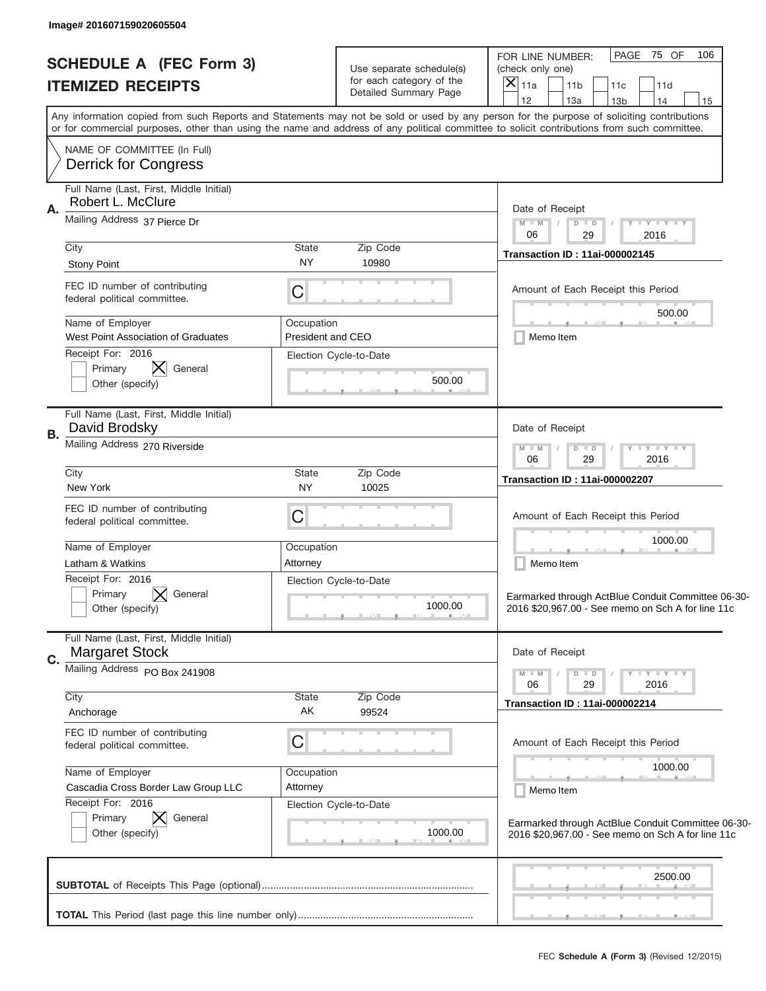| Image# 201607159020605504                                                    |                                                                                                                                                                                                                                                                                         |                                                                                                                                                           |
|------------------------------------------------------------------------------|-----------------------------------------------------------------------------------------------------------------------------------------------------------------------------------------------------------------------------------------------------------------------------------------|-----------------------------------------------------------------------------------------------------------------------------------------------------------|
| <b>SCHEDULE A (FEC Form 3)</b><br><b>ITEMIZED RECEIPTS</b>                   | Use separate schedule(s)<br>for each category of the<br>Detailed Summary Page                                                                                                                                                                                                           | PAGE 75 OF<br>106<br>FOR LINE NUMBER:<br>(check only one)<br>$\times$<br>11a<br>11 <sub>b</sub><br>11c<br>11d<br>12<br>13a<br>13 <sub>b</sub><br>14<br>15 |
|                                                                              | Any information copied from such Reports and Statements may not be sold or used by any person for the purpose of soliciting contributions<br>or for commercial purposes, other than using the name and address of any political committee to solicit contributions from such committee. |                                                                                                                                                           |
| NAME OF COMMITTEE (In Full)<br><b>Derrick for Congress</b>                   |                                                                                                                                                                                                                                                                                         |                                                                                                                                                           |
| Full Name (Last, First, Middle Initial)<br>Robert L. McClure<br>Α.           |                                                                                                                                                                                                                                                                                         | Date of Receipt                                                                                                                                           |
| Mailing Address 37 Pierce Dr                                                 |                                                                                                                                                                                                                                                                                         | $M - M$<br>Y TY TY TY<br>$D$ $D$<br>$\sqrt{2}$<br>06<br>29<br>2016                                                                                        |
| City<br><b>Stony Point</b>                                                   | State<br>Zip Code<br><b>NY</b><br>10980                                                                                                                                                                                                                                                 | <b>Transaction ID: 11ai-000002145</b>                                                                                                                     |
| FEC ID number of contributing<br>federal political committee.                | $\mathsf C$                                                                                                                                                                                                                                                                             | Amount of Each Receipt this Period<br>500.00                                                                                                              |
| Name of Employer<br>West Point Association of Graduates                      | Occupation<br>President and CEO                                                                                                                                                                                                                                                         | Memo Item                                                                                                                                                 |
| Receipt For: 2016<br>General<br>Primary<br>Other (specify)                   | Election Cycle-to-Date<br>500.00                                                                                                                                                                                                                                                        |                                                                                                                                                           |
| Full Name (Last, First, Middle Initial)<br>David Brodsky<br>В.               |                                                                                                                                                                                                                                                                                         | Date of Receipt                                                                                                                                           |
| Mailing Address 270 Riverside                                                |                                                                                                                                                                                                                                                                                         | $M$ M<br>$Y = Y = Y = Y$<br>$D$ $D$<br>29<br>2016<br>06                                                                                                   |
| City<br>New York                                                             | State<br>Zip Code<br><b>NY</b><br>10025                                                                                                                                                                                                                                                 | <b>Transaction ID: 11ai-000002207</b>                                                                                                                     |
| FEC ID number of contributing<br>federal political committee.                | C                                                                                                                                                                                                                                                                                       | Amount of Each Receipt this Period                                                                                                                        |
| Name of Employer<br>Latham & Watkins                                         | Occupation<br>Attorney                                                                                                                                                                                                                                                                  | 1000.00<br>Memo Item                                                                                                                                      |
| Receipt For: 2016<br>Primary<br>General<br>Other (specify)                   | Election Cycle-to-Date<br>1000.00                                                                                                                                                                                                                                                       | Earmarked through ActBlue Conduit Committee 06-30-<br>2016 \$20,967.00 - See memo on Sch A for line 11c                                                   |
| Full Name (Last, First, Middle Initial)<br><b>Margaret Stock</b><br>C.       |                                                                                                                                                                                                                                                                                         | Date of Receipt                                                                                                                                           |
| Mailing Address PO Box 241908                                                |                                                                                                                                                                                                                                                                                         | Y FY FY FY<br>$M - M$<br>$D$ $D$<br>2016<br>06<br>29                                                                                                      |
| City<br>Anchorage                                                            | Zip Code<br>State<br>AK<br>99524                                                                                                                                                                                                                                                        | <b>Transaction ID: 11ai-000002214</b>                                                                                                                     |
| FEC ID number of contributing<br>federal political committee.                | C                                                                                                                                                                                                                                                                                       | Amount of Each Receipt this Period                                                                                                                        |
| Name of Employer<br>Cascadia Cross Border Law Group LLC<br>Receipt For: 2016 | Occupation<br>Attorney<br>Election Cycle-to-Date                                                                                                                                                                                                                                        | 1000.00<br>Memo Item                                                                                                                                      |
| Primary<br>General<br>Other (specify)                                        | 1000.00                                                                                                                                                                                                                                                                                 | Earmarked through ActBlue Conduit Committee 06-30-<br>2016 \$20,967.00 - See memo on Sch A for line 11c                                                   |
|                                                                              |                                                                                                                                                                                                                                                                                         | 2500.00                                                                                                                                                   |
|                                                                              |                                                                                                                                                                                                                                                                                         | , , ,                                                                                                                                                     |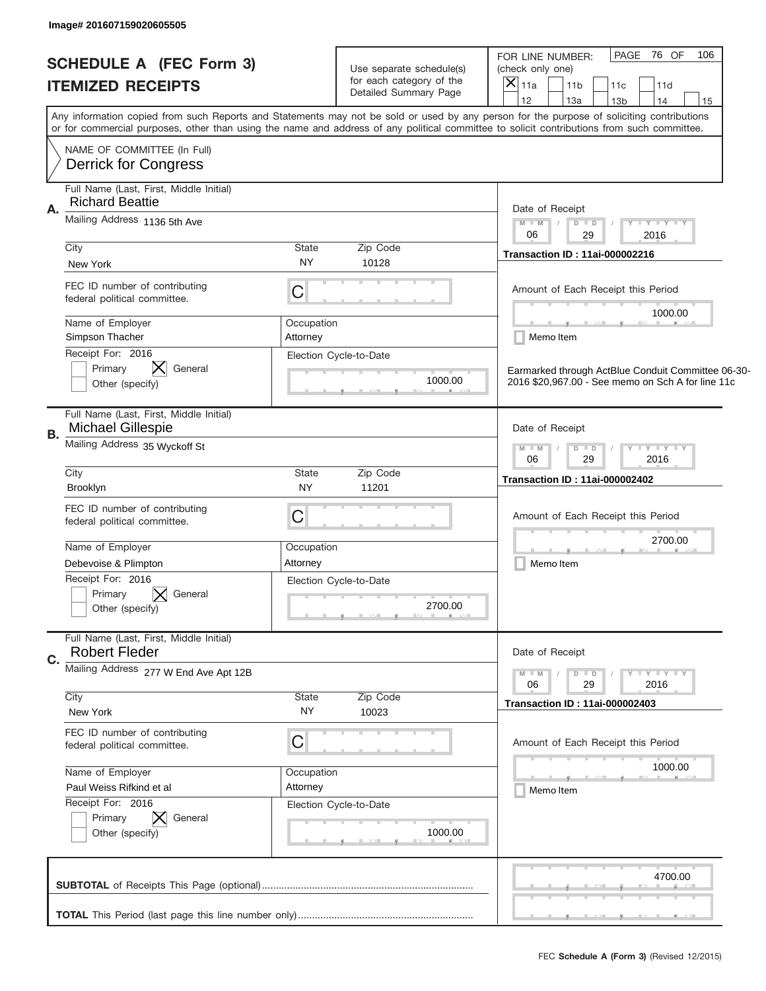| Image# 201607159020605505                                                                                                                                                                                                                                                               |                                                                               |                                                                                                                                                    |
|-----------------------------------------------------------------------------------------------------------------------------------------------------------------------------------------------------------------------------------------------------------------------------------------|-------------------------------------------------------------------------------|----------------------------------------------------------------------------------------------------------------------------------------------------|
| <b>SCHEDULE A</b> (FEC Form 3)<br><b>ITEMIZED RECEIPTS</b>                                                                                                                                                                                                                              | Use separate schedule(s)<br>for each category of the<br>Detailed Summary Page | PAGE 76 OF<br>106<br>FOR LINE NUMBER:<br>(check only one)<br>×<br>11a<br>11 <sub>b</sub><br>11c<br>11d<br>12<br>13a<br>14<br>13 <sub>b</sub><br>15 |
| Any information copied from such Reports and Statements may not be sold or used by any person for the purpose of soliciting contributions<br>or for commercial purposes, other than using the name and address of any political committee to solicit contributions from such committee. |                                                                               |                                                                                                                                                    |
| NAME OF COMMITTEE (In Full)<br><b>Derrick for Congress</b>                                                                                                                                                                                                                              |                                                                               |                                                                                                                                                    |
| Full Name (Last, First, Middle Initial)<br><b>Richard Beattie</b><br>Α.                                                                                                                                                                                                                 |                                                                               | Date of Receipt                                                                                                                                    |
| Mailing Address 1136 5th Ave                                                                                                                                                                                                                                                            |                                                                               | $M$ M<br>$D$ $D$<br>$Y - Y - Y - Y$<br>06<br>29<br>2016                                                                                            |
| City<br>New York                                                                                                                                                                                                                                                                        | State<br>Zip Code<br><b>NY</b><br>10128                                       | <b>Transaction ID: 11ai-000002216</b>                                                                                                              |
| FEC ID number of contributing<br>federal political committee.                                                                                                                                                                                                                           | C                                                                             | Amount of Each Receipt this Period<br>1000.00                                                                                                      |
| Name of Employer<br>Simpson Thacher<br>Receipt For: 2016                                                                                                                                                                                                                                | Occupation<br>Attorney<br>Election Cycle-to-Date                              | Memo Item                                                                                                                                          |
| General<br>Primary<br>Other (specify)                                                                                                                                                                                                                                                   | 1000.00                                                                       | Earmarked through ActBlue Conduit Committee 06-30-<br>2016 \$20,967.00 - See memo on Sch A for line 11c                                            |
| Full Name (Last, First, Middle Initial)<br>Michael Gillespie<br>В.                                                                                                                                                                                                                      |                                                                               | Date of Receipt                                                                                                                                    |
| Mailing Address 35 Wyckoff St                                                                                                                                                                                                                                                           |                                                                               | $M - M$<br>$D$ $D$<br>$Y - Y - Y - Y - Y$<br>29<br>2016<br>06                                                                                      |
| City<br>Brooklyn                                                                                                                                                                                                                                                                        | State<br>Zip Code<br><b>NY</b><br>11201                                       | <b>Transaction ID: 11ai-000002402</b>                                                                                                              |
| FEC ID number of contributing<br>federal political committee.                                                                                                                                                                                                                           | C                                                                             | Amount of Each Receipt this Period                                                                                                                 |
| Name of Employer                                                                                                                                                                                                                                                                        | Occupation                                                                    | 2700.00                                                                                                                                            |
| Debevoise & Plimpton<br>Receipt For: 2016<br>Primary<br>General<br>Other (specify)                                                                                                                                                                                                      | Attorney<br>Election Cycle-to-Date<br>2700.00                                 | Memo Item                                                                                                                                          |
| Full Name (Last, First, Middle Initial)<br><b>Robert Fleder</b><br>C.                                                                                                                                                                                                                   |                                                                               | Date of Receipt                                                                                                                                    |
| Mailing Address 277 W End Ave Apt 12B                                                                                                                                                                                                                                                   |                                                                               | $M - M$<br>$D$ $D$<br>Y LY LY LY<br>06<br>29<br>2016                                                                                               |
| City<br>New York                                                                                                                                                                                                                                                                        | State<br>Zip Code<br><b>NY</b><br>10023                                       | <b>Transaction ID: 11ai-000002403</b>                                                                                                              |
| FEC ID number of contributing<br>federal political committee.                                                                                                                                                                                                                           | C                                                                             | Amount of Each Receipt this Period                                                                                                                 |
| Name of Employer<br>Paul Weiss Rifkind et al<br>Receipt For: 2016                                                                                                                                                                                                                       | Occupation<br>Attorney<br>Election Cycle-to-Date                              | 1000.00<br>Memo Item                                                                                                                               |
| Primary<br>General<br>Other (specify)                                                                                                                                                                                                                                                   | 1000.00                                                                       |                                                                                                                                                    |
|                                                                                                                                                                                                                                                                                         |                                                                               | 4700.00                                                                                                                                            |
|                                                                                                                                                                                                                                                                                         |                                                                               |                                                                                                                                                    |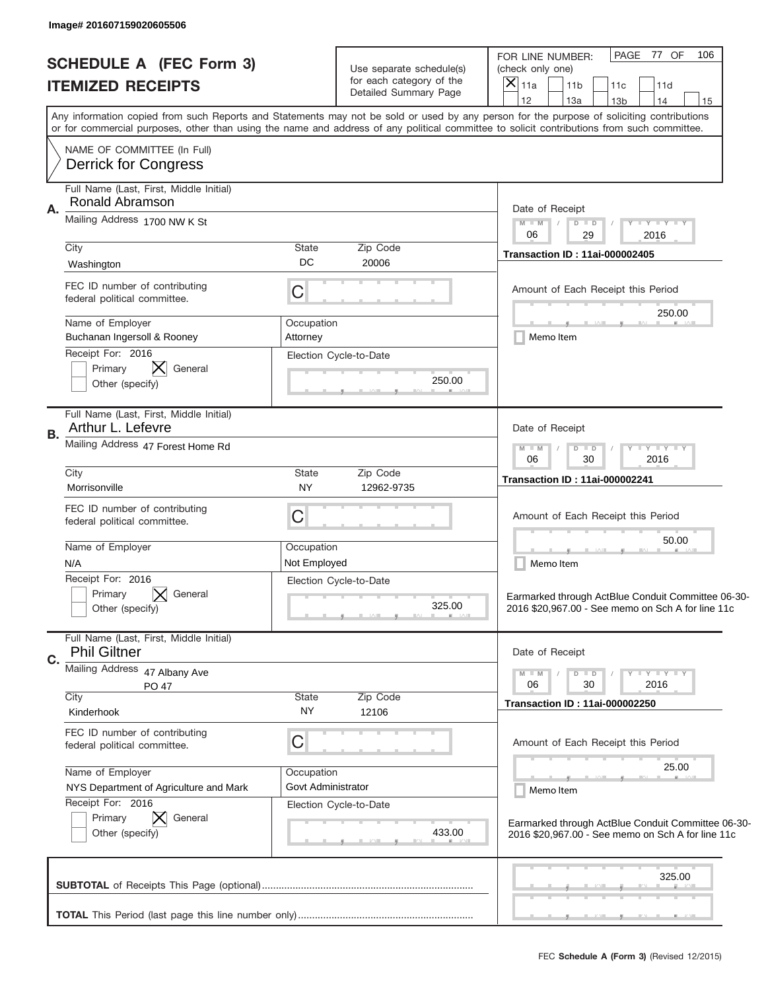| Image# 201607159020605506                                                       |                                                                                                                                                                                                                                                                                         |                                                                                                                                                           |
|---------------------------------------------------------------------------------|-----------------------------------------------------------------------------------------------------------------------------------------------------------------------------------------------------------------------------------------------------------------------------------------|-----------------------------------------------------------------------------------------------------------------------------------------------------------|
| <b>SCHEDULE A (FEC Form 3)</b><br><b>ITEMIZED RECEIPTS</b>                      | Use separate schedule(s)<br>for each category of the<br>Detailed Summary Page                                                                                                                                                                                                           | PAGE 77 OF<br>106<br>FOR LINE NUMBER:<br>(check only one)<br>$\times$<br>11a<br>11 <sub>b</sub><br>11c<br>11d<br>12<br>13a<br>13 <sub>b</sub><br>14<br>15 |
|                                                                                 | Any information copied from such Reports and Statements may not be sold or used by any person for the purpose of soliciting contributions<br>or for commercial purposes, other than using the name and address of any political committee to solicit contributions from such committee. |                                                                                                                                                           |
| NAME OF COMMITTEE (In Full)<br><b>Derrick for Congress</b>                      |                                                                                                                                                                                                                                                                                         |                                                                                                                                                           |
| Full Name (Last, First, Middle Initial)<br>Ronald Abramson<br>Α.                |                                                                                                                                                                                                                                                                                         | Date of Receipt                                                                                                                                           |
| Mailing Address 1700 NW K St                                                    |                                                                                                                                                                                                                                                                                         | $M - M$<br>Y TY TY TY<br>$D$ $D$<br>$\sqrt{2}$<br>06<br>29<br>2016                                                                                        |
| City<br>Washington                                                              | State<br>Zip Code<br>DC<br>20006                                                                                                                                                                                                                                                        | <b>Transaction ID: 11ai-000002405</b>                                                                                                                     |
| FEC ID number of contributing<br>federal political committee.                   | $\mathsf C$                                                                                                                                                                                                                                                                             | Amount of Each Receipt this Period                                                                                                                        |
| Name of Employer<br>Buchanan Ingersoll & Rooney                                 | Occupation<br>Attorney                                                                                                                                                                                                                                                                  | 250.00<br>Memo Item                                                                                                                                       |
| Receipt For: 2016<br>General<br>Primary<br>Other (specify)                      | Election Cycle-to-Date<br>250.00                                                                                                                                                                                                                                                        |                                                                                                                                                           |
| Full Name (Last, First, Middle Initial)<br>Arthur L. Lefevre<br>В.              |                                                                                                                                                                                                                                                                                         | Date of Receipt                                                                                                                                           |
| Mailing Address 47 Forest Home Rd                                               |                                                                                                                                                                                                                                                                                         | $M - M$<br>$Y = Y = Y = Y$<br>$D$ $D$<br>06<br>30<br>2016                                                                                                 |
| City<br>Morrisonville                                                           | State<br>Zip Code<br><b>NY</b><br>12962-9735                                                                                                                                                                                                                                            | <b>Transaction ID: 11ai-000002241</b>                                                                                                                     |
| FEC ID number of contributing<br>federal political committee.                   | C                                                                                                                                                                                                                                                                                       | Amount of Each Receipt this Period                                                                                                                        |
| Name of Employer<br>N/A                                                         | Occupation<br>Not Employed                                                                                                                                                                                                                                                              | 50.00<br>Memo Item                                                                                                                                        |
| Receipt For: 2016<br>Primary<br>General<br>Other (specify)                      | Election Cycle-to-Date<br>325.00                                                                                                                                                                                                                                                        | Earmarked through ActBlue Conduit Committee 06-30-<br>2016 \$20,967.00 - See memo on Sch A for line 11c                                                   |
| Full Name (Last, First, Middle Initial)<br><b>Phil Giltner</b><br>C.            |                                                                                                                                                                                                                                                                                         | Date of Receipt                                                                                                                                           |
| Mailing Address 47 Albany Ave<br>PO 47<br>City                                  | Zip Code<br>State                                                                                                                                                                                                                                                                       | Y FY FY FY<br>$M - M$<br>$D$ $D$<br>06<br>2016<br>30                                                                                                      |
| Kinderhook                                                                      | NY.<br>12106                                                                                                                                                                                                                                                                            | <b>Transaction ID: 11ai-000002250</b>                                                                                                                     |
| FEC ID number of contributing<br>federal political committee.                   | C                                                                                                                                                                                                                                                                                       | Amount of Each Receipt this Period                                                                                                                        |
| Name of Employer<br>NYS Department of Agriculture and Mark<br>Receipt For: 2016 | Occupation<br>Govt Administrator                                                                                                                                                                                                                                                        | 25.00<br>Memo Item                                                                                                                                        |
| Primary<br>General<br>Other (specify)                                           | Election Cycle-to-Date<br>433.00                                                                                                                                                                                                                                                        | Earmarked through ActBlue Conduit Committee 06-30-<br>2016 \$20,967.00 - See memo on Sch A for line 11c                                                   |
|                                                                                 |                                                                                                                                                                                                                                                                                         | 325.00                                                                                                                                                    |
|                                                                                 |                                                                                                                                                                                                                                                                                         | , , ,                                                                                                                                                     |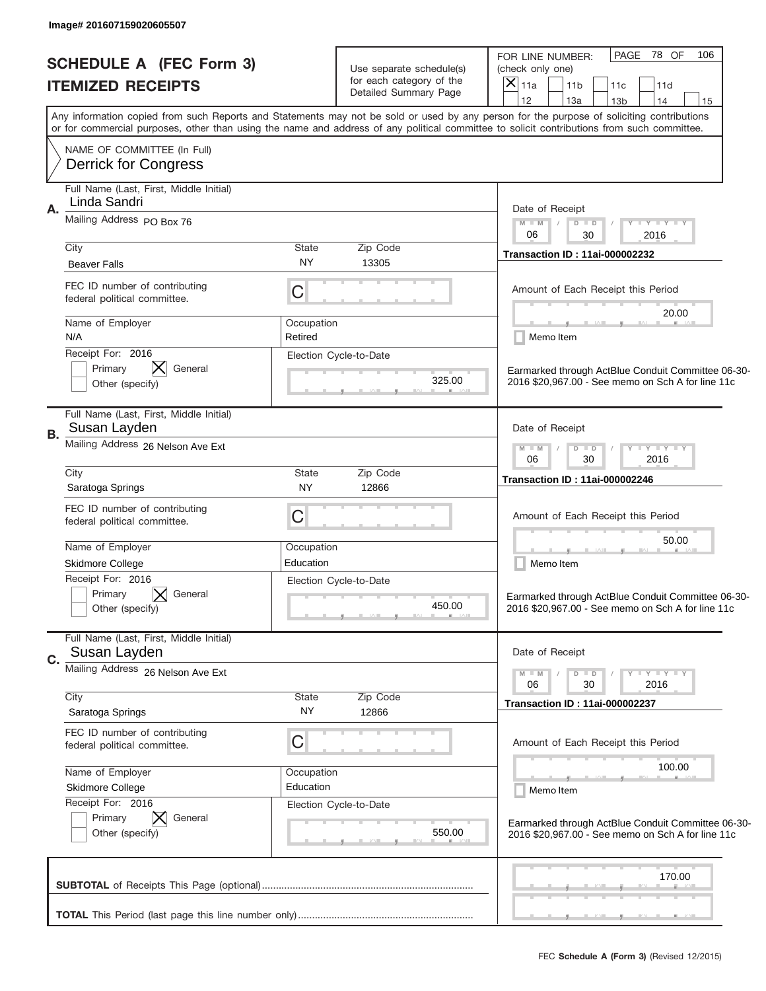| Image# 201607159020605507                                        |                                                                                                                                                                                                                                                                                         |                                                                                                                                                           |
|------------------------------------------------------------------|-----------------------------------------------------------------------------------------------------------------------------------------------------------------------------------------------------------------------------------------------------------------------------------------|-----------------------------------------------------------------------------------------------------------------------------------------------------------|
| <b>SCHEDULE A</b> (FEC Form 3)<br><b>ITEMIZED RECEIPTS</b>       | Use separate schedule(s)<br>for each category of the<br>Detailed Summary Page                                                                                                                                                                                                           | PAGE 78 OF<br>106<br>FOR LINE NUMBER:<br>(check only one)<br>$\times$<br>11a<br>11 <sub>b</sub><br>11c<br>11d<br>12<br>13a<br>13 <sub>b</sub><br>14<br>15 |
|                                                                  | Any information copied from such Reports and Statements may not be sold or used by any person for the purpose of soliciting contributions<br>or for commercial purposes, other than using the name and address of any political committee to solicit contributions from such committee. |                                                                                                                                                           |
| NAME OF COMMITTEE (In Full)<br><b>Derrick for Congress</b>       |                                                                                                                                                                                                                                                                                         |                                                                                                                                                           |
| Full Name (Last, First, Middle Initial)<br>Linda Sandri          |                                                                                                                                                                                                                                                                                         |                                                                                                                                                           |
| Α.<br>Mailing Address PO Box 76                                  |                                                                                                                                                                                                                                                                                         | Date of Receipt<br>$M - M$<br>Y TY TY TY<br>$D$ $D$<br>$\sqrt{2}$<br>06<br>2016<br>30                                                                     |
| City<br><b>Beaver Falls</b>                                      | State<br>Zip Code<br><b>NY</b><br>13305                                                                                                                                                                                                                                                 | <b>Transaction ID: 11ai-000002232</b>                                                                                                                     |
| FEC ID number of contributing<br>federal political committee.    | $\mathsf C$                                                                                                                                                                                                                                                                             | Amount of Each Receipt this Period<br>20.00                                                                                                               |
| Name of Employer<br>N/A<br>Receipt For: 2016                     | Occupation<br>Retired                                                                                                                                                                                                                                                                   | Memo Item                                                                                                                                                 |
| General<br>Primary<br>Other (specify)                            | Election Cycle-to-Date<br>325.00                                                                                                                                                                                                                                                        | Earmarked through ActBlue Conduit Committee 06-30-<br>2016 \$20,967.00 - See memo on Sch A for line 11c                                                   |
| Full Name (Last, First, Middle Initial)<br>Susan Layden<br>В.    |                                                                                                                                                                                                                                                                                         | Date of Receipt                                                                                                                                           |
| Mailing Address 26 Nelson Ave Ext                                |                                                                                                                                                                                                                                                                                         | $Y = Y = Y = Y$<br>$M$ M<br>$D$ $D$<br>30<br>2016<br>06                                                                                                   |
| City<br>Saratoga Springs                                         | State<br>Zip Code<br>NY<br>12866                                                                                                                                                                                                                                                        | <b>Transaction ID: 11ai-000002246</b>                                                                                                                     |
| FEC ID number of contributing<br>federal political committee.    | C                                                                                                                                                                                                                                                                                       | Amount of Each Receipt this Period                                                                                                                        |
| Name of Employer<br>Skidmore College                             | Occupation<br>Education                                                                                                                                                                                                                                                                 | 50.00<br>Memo Item                                                                                                                                        |
| Receipt For: 2016<br>Primary<br>General<br>Other (specify)       | Election Cycle-to-Date<br>450.00                                                                                                                                                                                                                                                        | Earmarked through ActBlue Conduit Committee 06-30-<br>2016 \$20,967.00 - See memo on Sch A for line 11c                                                   |
| Full Name (Last, First, Middle Initial)<br>Susan Layden<br>C.    |                                                                                                                                                                                                                                                                                         | Date of Receipt                                                                                                                                           |
| Mailing Address 26 Nelson Ave Ext                                |                                                                                                                                                                                                                                                                                         | Y FY FY FY<br>$M - M$<br>$D$ $D$<br>06<br>2016<br>30                                                                                                      |
| City<br>Saratoga Springs                                         | Zip Code<br>State<br>NY.<br>12866                                                                                                                                                                                                                                                       | <b>Transaction ID: 11ai-000002237</b>                                                                                                                     |
| FEC ID number of contributing<br>federal political committee.    | C                                                                                                                                                                                                                                                                                       | Amount of Each Receipt this Period                                                                                                                        |
| Name of Employer<br><b>Skidmore College</b><br>Receipt For: 2016 | Occupation<br>Education<br>Election Cycle-to-Date                                                                                                                                                                                                                                       | 100.00<br>Memo Item                                                                                                                                       |
| Primary<br>General<br>Other (specify)                            | 550.00                                                                                                                                                                                                                                                                                  | Earmarked through ActBlue Conduit Committee 06-30-<br>2016 \$20,967.00 - See memo on Sch A for line 11c                                                   |
|                                                                  |                                                                                                                                                                                                                                                                                         | 170.00                                                                                                                                                    |
|                                                                  |                                                                                                                                                                                                                                                                                         |                                                                                                                                                           |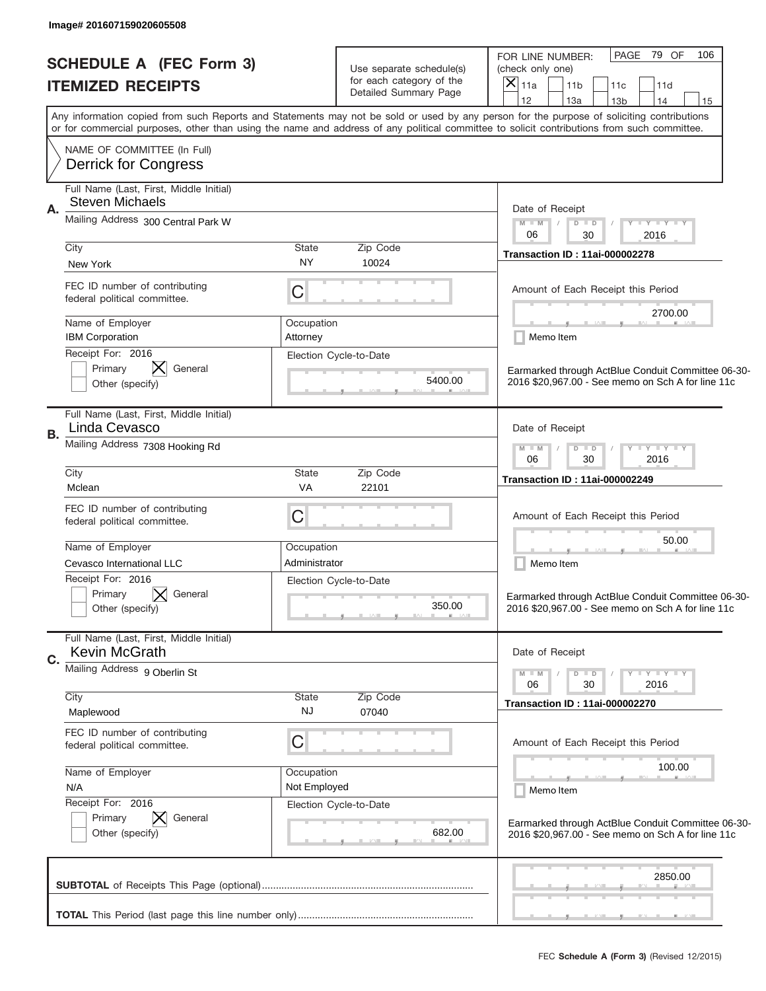| Image# 201607159020605508                                               |                                                                                                                                                                                                                                                                                         |                                                                                                                                                           |
|-------------------------------------------------------------------------|-----------------------------------------------------------------------------------------------------------------------------------------------------------------------------------------------------------------------------------------------------------------------------------------|-----------------------------------------------------------------------------------------------------------------------------------------------------------|
| <b>SCHEDULE A</b> (FEC Form 3)<br><b>ITEMIZED RECEIPTS</b>              | Use separate schedule(s)<br>for each category of the<br>Detailed Summary Page                                                                                                                                                                                                           | PAGE 79 OF<br>106<br>FOR LINE NUMBER:<br>(check only one)<br>$\times$<br>11a<br>11 <sub>b</sub><br>11c<br>11d<br>12<br>13a<br>13 <sub>b</sub><br>14<br>15 |
|                                                                         | Any information copied from such Reports and Statements may not be sold or used by any person for the purpose of soliciting contributions<br>or for commercial purposes, other than using the name and address of any political committee to solicit contributions from such committee. |                                                                                                                                                           |
| NAME OF COMMITTEE (In Full)<br><b>Derrick for Congress</b>              |                                                                                                                                                                                                                                                                                         |                                                                                                                                                           |
| Full Name (Last, First, Middle Initial)<br><b>Steven Michaels</b><br>Α. |                                                                                                                                                                                                                                                                                         | Date of Receipt                                                                                                                                           |
| Mailing Address 300 Central Park W                                      |                                                                                                                                                                                                                                                                                         | $M - M$<br>Y TY TY TY<br>$D$ $D$<br>$\sqrt{2}$<br>06<br>2016<br>30                                                                                        |
| City<br>New York                                                        | State<br>Zip Code<br><b>NY</b><br>10024                                                                                                                                                                                                                                                 | <b>Transaction ID: 11ai-000002278</b>                                                                                                                     |
| FEC ID number of contributing<br>federal political committee.           | $\mathsf C$                                                                                                                                                                                                                                                                             | Amount of Each Receipt this Period<br>2700.00                                                                                                             |
| Name of Employer<br><b>IBM Corporation</b><br>Receipt For: 2016         | Occupation<br>Attorney                                                                                                                                                                                                                                                                  | Memo Item                                                                                                                                                 |
| Primary<br>General<br>Other (specify)                                   | Election Cycle-to-Date<br>5400.00                                                                                                                                                                                                                                                       | Earmarked through ActBlue Conduit Committee 06-30-<br>2016 \$20,967.00 - See memo on Sch A for line 11c                                                   |
| Full Name (Last, First, Middle Initial)<br>Linda Cevasco<br>В.          |                                                                                                                                                                                                                                                                                         | Date of Receipt                                                                                                                                           |
| Mailing Address 7308 Hooking Rd                                         |                                                                                                                                                                                                                                                                                         | $Y = Y = Y = Y$<br>$M$ M<br>$D$ $D$<br>30<br>2016<br>06                                                                                                   |
| City<br>Mclean                                                          | State<br>Zip Code<br>VA<br>22101                                                                                                                                                                                                                                                        | <b>Transaction ID: 11ai-000002249</b>                                                                                                                     |
| FEC ID number of contributing<br>federal political committee.           | C                                                                                                                                                                                                                                                                                       | Amount of Each Receipt this Period                                                                                                                        |
| Name of Employer<br>Cevasco International LLC                           | Occupation<br>Administrator                                                                                                                                                                                                                                                             | 50.00<br>Memo Item                                                                                                                                        |
| Receipt For: 2016<br>Primary<br>General<br>Other (specify)              | Election Cycle-to-Date<br>350.00                                                                                                                                                                                                                                                        | Earmarked through ActBlue Conduit Committee 06-30-<br>2016 \$20,967.00 - See memo on Sch A for line 11c                                                   |
| Full Name (Last, First, Middle Initial)<br>Kevin McGrath<br>C.          |                                                                                                                                                                                                                                                                                         | Date of Receipt                                                                                                                                           |
| Mailing Address 9 Oberlin St                                            |                                                                                                                                                                                                                                                                                         | Y FY FY FY<br>$M - M$<br>$D$ $D$<br>06<br>2016<br>30                                                                                                      |
| City<br>Maplewood                                                       | Zip Code<br>State<br><b>NJ</b><br>07040                                                                                                                                                                                                                                                 | <b>Transaction ID: 11ai-000002270</b>                                                                                                                     |
| FEC ID number of contributing<br>federal political committee.           | C                                                                                                                                                                                                                                                                                       | Amount of Each Receipt this Period                                                                                                                        |
| Name of Employer<br>N/A<br>Receipt For: 2016                            | Occupation<br>Not Employed<br>Election Cycle-to-Date                                                                                                                                                                                                                                    | 100.00<br>Memo Item                                                                                                                                       |
| Primary<br>General<br>Other (specify)                                   | 682.00                                                                                                                                                                                                                                                                                  | Earmarked through ActBlue Conduit Committee 06-30-<br>2016 \$20,967.00 - See memo on Sch A for line 11c                                                   |
|                                                                         |                                                                                                                                                                                                                                                                                         | 2850.00                                                                                                                                                   |
|                                                                         |                                                                                                                                                                                                                                                                                         | , , ,                                                                                                                                                     |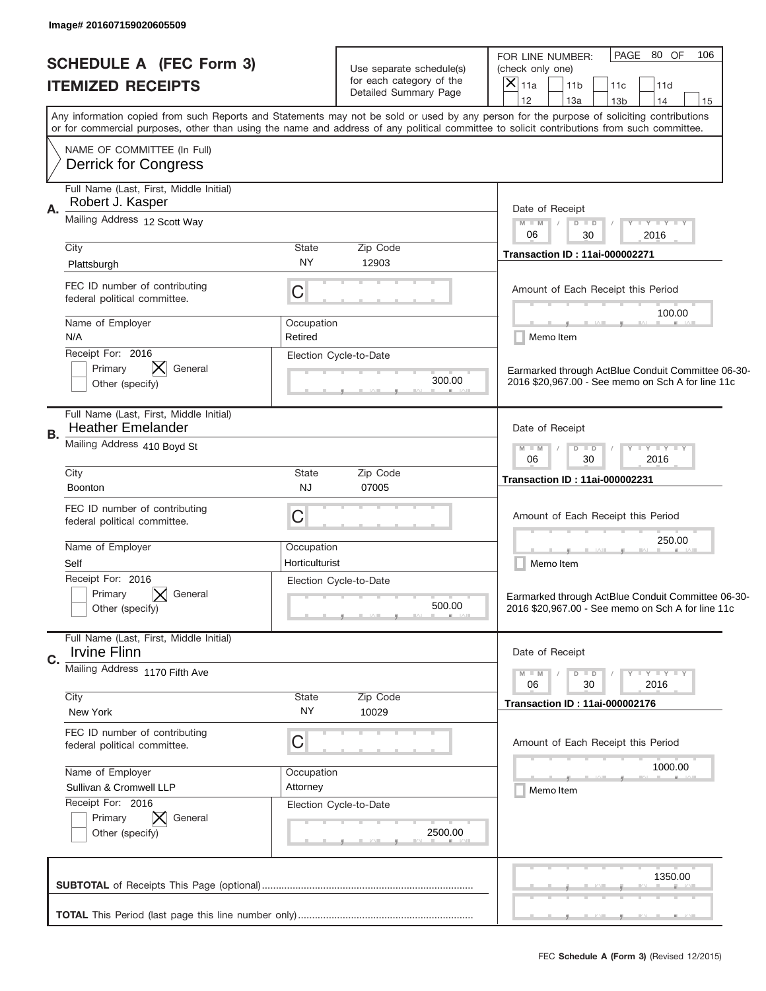| Image# 201607159020605509                                                                                                                                                                                                                                                               |                                                                               |                                                                                                                                                    |
|-----------------------------------------------------------------------------------------------------------------------------------------------------------------------------------------------------------------------------------------------------------------------------------------|-------------------------------------------------------------------------------|----------------------------------------------------------------------------------------------------------------------------------------------------|
| <b>SCHEDULE A</b> (FEC Form 3)<br><b>ITEMIZED RECEIPTS</b>                                                                                                                                                                                                                              | Use separate schedule(s)<br>for each category of the<br>Detailed Summary Page | PAGE 80 OF<br>106<br>FOR LINE NUMBER:<br>(check only one)<br>×<br>11a<br>11 <sub>b</sub><br>11c<br>11d<br>12<br>13a<br>14<br>13 <sub>b</sub><br>15 |
| Any information copied from such Reports and Statements may not be sold or used by any person for the purpose of soliciting contributions<br>or for commercial purposes, other than using the name and address of any political committee to solicit contributions from such committee. |                                                                               |                                                                                                                                                    |
| NAME OF COMMITTEE (In Full)<br><b>Derrick for Congress</b>                                                                                                                                                                                                                              |                                                                               |                                                                                                                                                    |
| Full Name (Last, First, Middle Initial)<br>Robert J. Kasper<br>А.                                                                                                                                                                                                                       |                                                                               | Date of Receipt                                                                                                                                    |
| Mailing Address 12 Scott Way                                                                                                                                                                                                                                                            |                                                                               | $M$ M<br>$D$ $D$<br>$Y - Y - Y - Y$<br>06<br>30<br>2016                                                                                            |
| City<br>Plattsburgh                                                                                                                                                                                                                                                                     | State<br>Zip Code<br><b>NY</b><br>12903                                       | <b>Transaction ID: 11ai-000002271</b>                                                                                                              |
| FEC ID number of contributing<br>federal political committee.                                                                                                                                                                                                                           | C                                                                             | Amount of Each Receipt this Period<br>100.00                                                                                                       |
| Name of Employer<br>N/A<br>Receipt For: 2016                                                                                                                                                                                                                                            | Occupation<br>Retired                                                         | Memo Item                                                                                                                                          |
| General<br>Primary<br>Other (specify)                                                                                                                                                                                                                                                   | Election Cycle-to-Date<br>300.00                                              | Earmarked through ActBlue Conduit Committee 06-30-<br>2016 \$20,967.00 - See memo on Sch A for line 11c                                            |
| Full Name (Last, First, Middle Initial)<br><b>Heather Emelander</b><br>В.                                                                                                                                                                                                               |                                                                               | Date of Receipt                                                                                                                                    |
| Mailing Address 410 Boyd St                                                                                                                                                                                                                                                             |                                                                               | $M - M$<br>$D$ $D$<br>$Y - Y - Y - Y - Y$<br>30<br>2016<br>06                                                                                      |
| City<br><b>Boonton</b>                                                                                                                                                                                                                                                                  | State<br>Zip Code<br><b>NJ</b><br>07005                                       | <b>Transaction ID: 11ai-000002231</b>                                                                                                              |
| FEC ID number of contributing<br>federal political committee.                                                                                                                                                                                                                           | C                                                                             | Amount of Each Receipt this Period                                                                                                                 |
| Name of Employer<br>Self                                                                                                                                                                                                                                                                | Occupation<br>Horticulturist                                                  | 250.00<br>Memo Item                                                                                                                                |
| Receipt For: 2016<br>General<br>Primary<br>Other (specify)                                                                                                                                                                                                                              | Election Cycle-to-Date<br>500.00                                              | Earmarked through ActBlue Conduit Committee 06-30-<br>2016 \$20,967.00 - See memo on Sch A for line 11c                                            |
| Full Name (Last, First, Middle Initial)<br><b>Irvine Flinn</b><br>C.                                                                                                                                                                                                                    |                                                                               | Date of Receipt                                                                                                                                    |
| Mailing Address 1170 Fifth Ave                                                                                                                                                                                                                                                          |                                                                               | $D$ $D$<br>Y FY FY FY<br>$M - M$<br>30<br>2016<br>06                                                                                               |
| City<br>New York                                                                                                                                                                                                                                                                        | Zip Code<br>State<br>ΝY<br>10029                                              | <b>Transaction ID: 11ai-000002176</b>                                                                                                              |
| FEC ID number of contributing<br>federal political committee.                                                                                                                                                                                                                           | C                                                                             | Amount of Each Receipt this Period                                                                                                                 |
| Name of Employer<br>Sullivan & Cromwell LLP<br>Receipt For: 2016                                                                                                                                                                                                                        | Occupation<br>Attorney<br>Election Cycle-to-Date                              | 1000.00<br>Memo Item                                                                                                                               |
| Primary<br>General<br>Other (specify)                                                                                                                                                                                                                                                   | 2500.00                                                                       |                                                                                                                                                    |
|                                                                                                                                                                                                                                                                                         |                                                                               | 1350.00                                                                                                                                            |
|                                                                                                                                                                                                                                                                                         |                                                                               | __                                                                                                                                                 |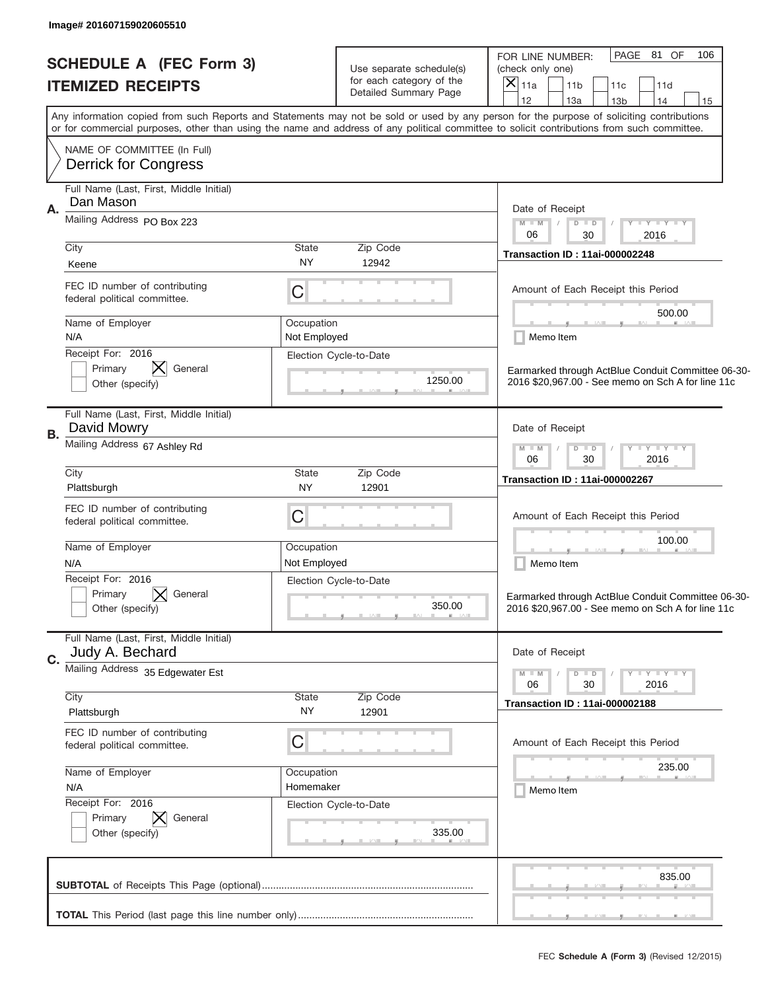| Image# 201607159020605510                                                                                                                                                                                                                                                               |                                                                               |                                                                                                                                                    |
|-----------------------------------------------------------------------------------------------------------------------------------------------------------------------------------------------------------------------------------------------------------------------------------------|-------------------------------------------------------------------------------|----------------------------------------------------------------------------------------------------------------------------------------------------|
| <b>SCHEDULE A (FEC Form 3)</b><br><b>ITEMIZED RECEIPTS</b>                                                                                                                                                                                                                              | Use separate schedule(s)<br>for each category of the<br>Detailed Summary Page | PAGE 81 OF<br>106<br>FOR LINE NUMBER:<br>(check only one)<br>×<br>11a<br>11 <sub>b</sub><br>11c<br>11d<br>12<br>13a<br>14<br>13 <sub>b</sub><br>15 |
| Any information copied from such Reports and Statements may not be sold or used by any person for the purpose of soliciting contributions<br>or for commercial purposes, other than using the name and address of any political committee to solicit contributions from such committee. |                                                                               |                                                                                                                                                    |
| NAME OF COMMITTEE (In Full)<br><b>Derrick for Congress</b>                                                                                                                                                                                                                              |                                                                               |                                                                                                                                                    |
| Full Name (Last, First, Middle Initial)<br>Dan Mason<br>Α.                                                                                                                                                                                                                              |                                                                               | Date of Receipt                                                                                                                                    |
| Mailing Address PO Box 223                                                                                                                                                                                                                                                              |                                                                               | $M$ M<br>$D$ $D$<br>$Y - Y - Y - Y$<br>06<br>30<br>2016                                                                                            |
| City<br>Keene                                                                                                                                                                                                                                                                           | State<br>Zip Code<br><b>NY</b><br>12942                                       | <b>Transaction ID: 11ai-000002248</b>                                                                                                              |
| FEC ID number of contributing<br>federal political committee.                                                                                                                                                                                                                           | C                                                                             | Amount of Each Receipt this Period<br>500.00                                                                                                       |
| Name of Employer<br>N/A<br>Receipt For: 2016                                                                                                                                                                                                                                            | Occupation<br>Not Employed<br>Election Cycle-to-Date                          | Memo Item                                                                                                                                          |
| General<br>Primary<br>Other (specify)                                                                                                                                                                                                                                                   | 1250.00                                                                       | Earmarked through ActBlue Conduit Committee 06-30-<br>2016 \$20,967.00 - See memo on Sch A for line 11c                                            |
| Full Name (Last, First, Middle Initial)<br>David Mowry<br>В.                                                                                                                                                                                                                            |                                                                               | Date of Receipt                                                                                                                                    |
| Mailing Address 67 Ashley Rd                                                                                                                                                                                                                                                            |                                                                               | $M - M$<br>$D$ $D$<br>$Y - Y - Y - Y - Y$<br>30<br>2016<br>06                                                                                      |
| City<br>Plattsburgh                                                                                                                                                                                                                                                                     | State<br>Zip Code<br><b>NY</b><br>12901                                       | <b>Transaction ID: 11ai-000002267</b>                                                                                                              |
| FEC ID number of contributing<br>federal political committee.                                                                                                                                                                                                                           | C                                                                             | Amount of Each Receipt this Period                                                                                                                 |
| Name of Employer<br>N/A                                                                                                                                                                                                                                                                 | Occupation<br>Not Employed                                                    | 100.00<br>Memo Item                                                                                                                                |
| Receipt For: 2016<br>General<br>Primary<br>Other (specify)                                                                                                                                                                                                                              | Election Cycle-to-Date<br>350.00                                              | Earmarked through ActBlue Conduit Committee 06-30-<br>2016 \$20,967.00 - See memo on Sch A for line 11c                                            |
| Full Name (Last, First, Middle Initial)<br>Judy A. Bechard<br>C.                                                                                                                                                                                                                        |                                                                               | Date of Receipt                                                                                                                                    |
| Mailing Address 35 Edgewater Est                                                                                                                                                                                                                                                        |                                                                               | $M - M$<br>$D$ $D$<br>Y FY FY FY<br>06<br>30<br>2016                                                                                               |
| City<br>Plattsburgh                                                                                                                                                                                                                                                                     | Zip Code<br>State<br>ΝY<br>12901                                              | <b>Transaction ID: 11ai-000002188</b>                                                                                                              |
| FEC ID number of contributing<br>federal political committee.                                                                                                                                                                                                                           | C                                                                             | Amount of Each Receipt this Period                                                                                                                 |
| Name of Employer<br>N/A<br>Receipt For: 2016                                                                                                                                                                                                                                            | Occupation<br>Homemaker<br>Election Cycle-to-Date                             | 235.00<br>Memo Item                                                                                                                                |
| Primary<br>General<br>Other (specify)                                                                                                                                                                                                                                                   | 335.00                                                                        |                                                                                                                                                    |
|                                                                                                                                                                                                                                                                                         |                                                                               | 835.00                                                                                                                                             |
|                                                                                                                                                                                                                                                                                         |                                                                               | , , , ,                                                                                                                                            |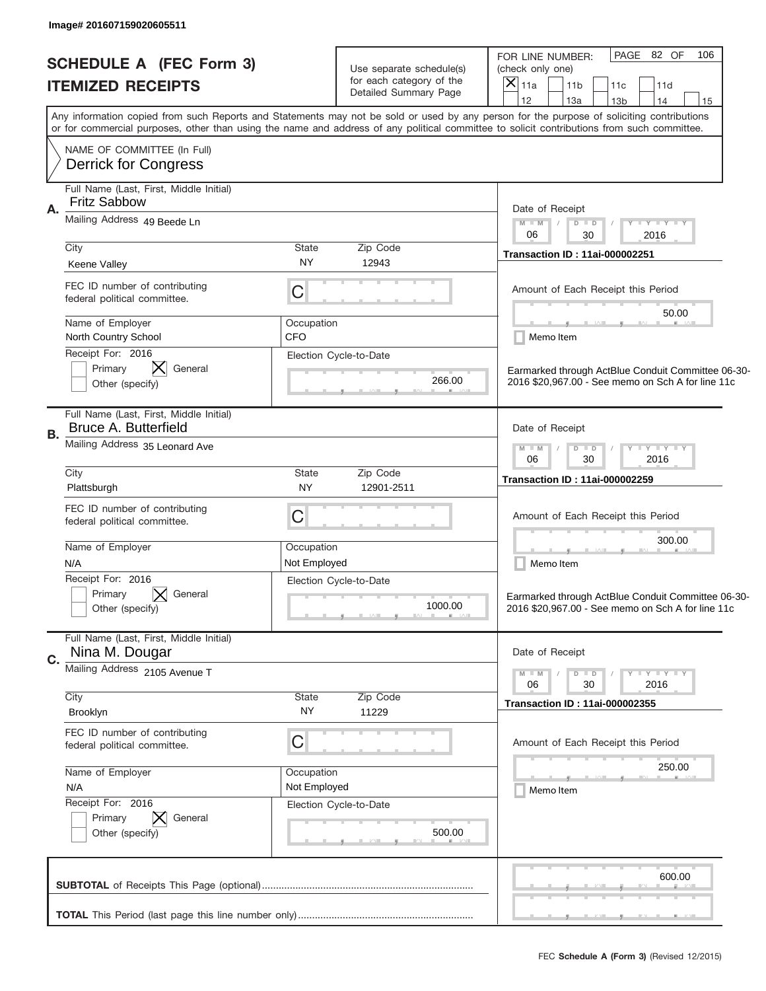| Image# 201607159020605511                                                                                                                                                                                                                                                               |                                                                               |                                                                                                                                                    |
|-----------------------------------------------------------------------------------------------------------------------------------------------------------------------------------------------------------------------------------------------------------------------------------------|-------------------------------------------------------------------------------|----------------------------------------------------------------------------------------------------------------------------------------------------|
| <b>SCHEDULE A</b> (FEC Form 3)<br><b>ITEMIZED RECEIPTS</b>                                                                                                                                                                                                                              | Use separate schedule(s)<br>for each category of the<br>Detailed Summary Page | PAGE 82 OF<br>106<br>FOR LINE NUMBER:<br>(check only one)<br>×<br>11a<br>11 <sub>b</sub><br>11c<br>11d<br>12<br>13a<br>14<br>13 <sub>b</sub><br>15 |
| Any information copied from such Reports and Statements may not be sold or used by any person for the purpose of soliciting contributions<br>or for commercial purposes, other than using the name and address of any political committee to solicit contributions from such committee. |                                                                               |                                                                                                                                                    |
| NAME OF COMMITTEE (In Full)<br><b>Derrick for Congress</b>                                                                                                                                                                                                                              |                                                                               |                                                                                                                                                    |
| Full Name (Last, First, Middle Initial)<br><b>Fritz Sabbow</b><br>Α.                                                                                                                                                                                                                    |                                                                               | Date of Receipt                                                                                                                                    |
| Mailing Address 49 Beede Ln                                                                                                                                                                                                                                                             |                                                                               | $M$ M<br>$D$ $D$<br>$Y - Y - Y - Y$<br>06<br>30<br>2016                                                                                            |
| City<br>Keene Valley                                                                                                                                                                                                                                                                    | State<br>Zip Code<br><b>NY</b><br>12943                                       | <b>Transaction ID: 11ai-000002251</b>                                                                                                              |
| FEC ID number of contributing<br>federal political committee.                                                                                                                                                                                                                           | C                                                                             | Amount of Each Receipt this Period<br>50.00                                                                                                        |
| Name of Employer<br>North Country School<br>Receipt For: 2016                                                                                                                                                                                                                           | Occupation<br><b>CFO</b>                                                      | Memo Item                                                                                                                                          |
| General<br>Primary<br>Other (specify)                                                                                                                                                                                                                                                   | Election Cycle-to-Date<br>266.00                                              | Earmarked through ActBlue Conduit Committee 06-30-<br>2016 \$20,967.00 - See memo on Sch A for line 11c                                            |
| Full Name (Last, First, Middle Initial)<br><b>Bruce A. Butterfield</b><br>В.                                                                                                                                                                                                            |                                                                               | Date of Receipt                                                                                                                                    |
| Mailing Address 35 Leonard Ave                                                                                                                                                                                                                                                          |                                                                               | $M - M$<br>$D$ $D$<br>$Y - Y - Y - Y - Y$<br>30<br>2016<br>06                                                                                      |
| City<br>Plattsburgh                                                                                                                                                                                                                                                                     | State<br>Zip Code<br><b>NY</b><br>12901-2511                                  | <b>Transaction ID: 11ai-000002259</b>                                                                                                              |
| FEC ID number of contributing<br>federal political committee.                                                                                                                                                                                                                           | C                                                                             | Amount of Each Receipt this Period                                                                                                                 |
| Name of Employer<br>N/A                                                                                                                                                                                                                                                                 | Occupation<br>Not Employed                                                    | 300.00<br>Memo Item                                                                                                                                |
| Receipt For: 2016<br>General<br>Primary<br>Other (specify)                                                                                                                                                                                                                              | Election Cycle-to-Date<br>1000.00                                             | Earmarked through ActBlue Conduit Committee 06-30-<br>2016 \$20,967.00 - See memo on Sch A for line 11c                                            |
| Full Name (Last, First, Middle Initial)<br>Nina M. Dougar<br>C.                                                                                                                                                                                                                         |                                                                               | Date of Receipt                                                                                                                                    |
| Mailing Address 2105 Avenue T                                                                                                                                                                                                                                                           |                                                                               | $D$ $D$<br>Y FY FY FY<br>$M - M$<br>06<br>30<br>2016                                                                                               |
| City<br>Brooklyn                                                                                                                                                                                                                                                                        | State<br>Zip Code<br>ΝY<br>11229                                              | <b>Transaction ID: 11ai-000002355</b>                                                                                                              |
| FEC ID number of contributing<br>federal political committee.                                                                                                                                                                                                                           | C                                                                             | Amount of Each Receipt this Period                                                                                                                 |
| Name of Employer<br>N/A<br>Receipt For: 2016                                                                                                                                                                                                                                            | Occupation<br>Not Employed<br>Election Cycle-to-Date                          | 250.00<br>Memo Item                                                                                                                                |
| Primary<br>General<br>Other (specify)                                                                                                                                                                                                                                                   | 500.00                                                                        |                                                                                                                                                    |
|                                                                                                                                                                                                                                                                                         |                                                                               | 600.00                                                                                                                                             |
|                                                                                                                                                                                                                                                                                         |                                                                               |                                                                                                                                                    |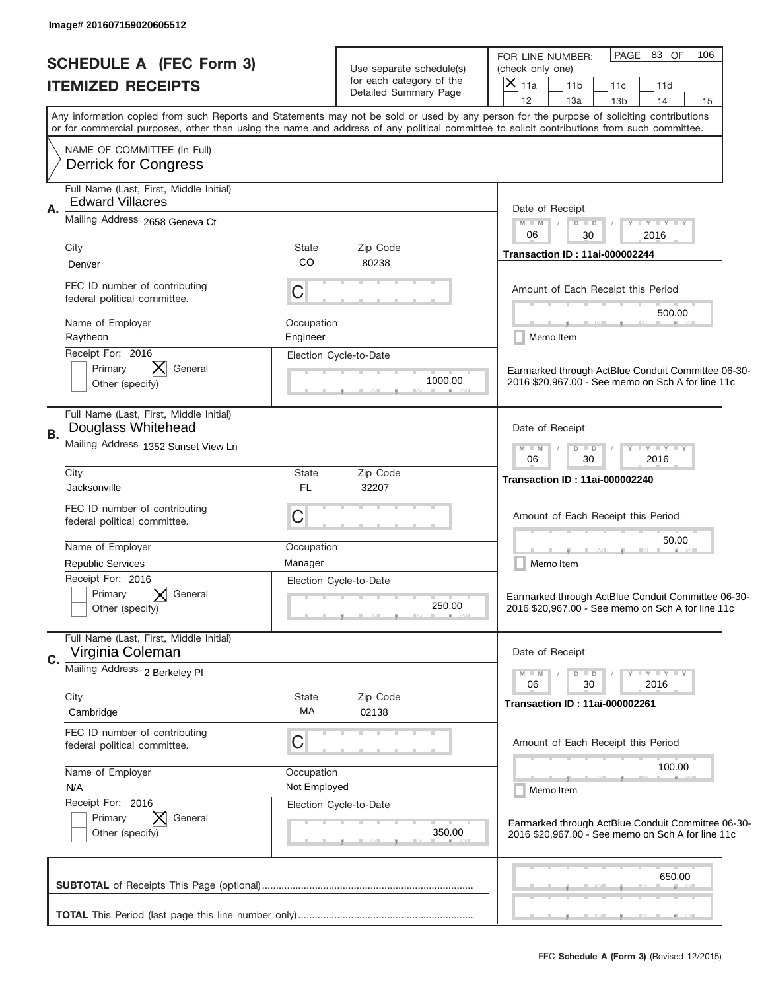| Image# 201607159020605512                                                |                                                                                                                                            |                                                                                                                                                           |
|--------------------------------------------------------------------------|--------------------------------------------------------------------------------------------------------------------------------------------|-----------------------------------------------------------------------------------------------------------------------------------------------------------|
| <b>SCHEDULE A</b> (FEC Form 3)<br><b>ITEMIZED RECEIPTS</b>               | Use separate schedule(s)<br>for each category of the<br>Detailed Summary Page                                                              | PAGE 83 OF<br>106<br>FOR LINE NUMBER:<br>(check only one)<br>$\times$<br>11a<br>11 <sub>b</sub><br>11c<br>11d<br>12<br>13a<br>13 <sub>b</sub><br>14<br>15 |
|                                                                          | or for commercial purposes, other than using the name and address of any political committee to solicit contributions from such committee. | Any information copied from such Reports and Statements may not be sold or used by any person for the purpose of soliciting contributions                 |
| NAME OF COMMITTEE (In Full)<br><b>Derrick for Congress</b>               |                                                                                                                                            |                                                                                                                                                           |
| Full Name (Last, First, Middle Initial)<br><b>Edward Villacres</b><br>Α. |                                                                                                                                            | Date of Receipt                                                                                                                                           |
| Mailing Address 2658 Geneva Ct                                           |                                                                                                                                            | $M - M$<br>Y TY TY TY<br>$D$ $D$<br>$\sqrt{2}$<br>06<br>30<br>2016                                                                                        |
| City<br>Denver                                                           | State<br>Zip Code<br>CO<br>80238                                                                                                           | <b>Transaction ID: 11ai-000002244</b>                                                                                                                     |
| FEC ID number of contributing<br>federal political committee.            | $\mathsf C$                                                                                                                                | Amount of Each Receipt this Period<br>500.00                                                                                                              |
| Name of Employer<br>Raytheon<br>Receipt For: 2016                        | Occupation<br>Engineer<br>Election Cycle-to-Date                                                                                           | Memo Item                                                                                                                                                 |
| General<br>Primary<br>Other (specify)                                    | 1000.00                                                                                                                                    | Earmarked through ActBlue Conduit Committee 06-30-<br>2016 \$20,967.00 - See memo on Sch A for line 11c                                                   |
| Full Name (Last, First, Middle Initial)<br>Douglass Whitehead<br>В.      |                                                                                                                                            | Date of Receipt                                                                                                                                           |
| Mailing Address 1352 Sunset View Ln                                      |                                                                                                                                            | $Y = Y = Y = Y$<br>$M$ M<br>$D$ $D$<br>30<br>2016<br>06                                                                                                   |
| City<br>Jacksonville                                                     | State<br>Zip Code<br>FL.<br>32207                                                                                                          | <b>Transaction ID: 11ai-000002240</b>                                                                                                                     |
| FEC ID number of contributing<br>federal political committee.            | C                                                                                                                                          | Amount of Each Receipt this Period                                                                                                                        |
| Name of Employer<br><b>Republic Services</b>                             | Occupation<br>Manager                                                                                                                      | 50.00<br>Memo Item                                                                                                                                        |
| Receipt For: 2016<br>Primary<br>General<br>Other (specify)               | Election Cycle-to-Date<br>250.00                                                                                                           | Earmarked through ActBlue Conduit Committee 06-30-<br>2016 \$20,967.00 - See memo on Sch A for line 11c                                                   |
| Full Name (Last, First, Middle Initial)<br>Virginia Coleman<br>C.        |                                                                                                                                            | Date of Receipt                                                                                                                                           |
| Mailing Address 2 Berkeley PI                                            |                                                                                                                                            | Y FY FY FY<br>$M - M$<br>$D$ $D$<br>2016<br>06<br>30                                                                                                      |
| City<br>Cambridge                                                        | Zip Code<br>State<br>МA<br>02138                                                                                                           | <b>Transaction ID: 11ai-000002261</b>                                                                                                                     |
| FEC ID number of contributing<br>federal political committee.            | C                                                                                                                                          | Amount of Each Receipt this Period                                                                                                                        |
| Name of Employer<br>N/A<br>Receipt For: 2016                             | Occupation<br>Not Employed<br>Election Cycle-to-Date                                                                                       | 100.00<br>Memo Item                                                                                                                                       |
| Primary<br>General<br>Other (specify)                                    | 350.00                                                                                                                                     | Earmarked through ActBlue Conduit Committee 06-30-<br>2016 \$20,967.00 - See memo on Sch A for line 11c                                                   |
|                                                                          |                                                                                                                                            | 650.00                                                                                                                                                    |
|                                                                          |                                                                                                                                            | , , ,                                                                                                                                                     |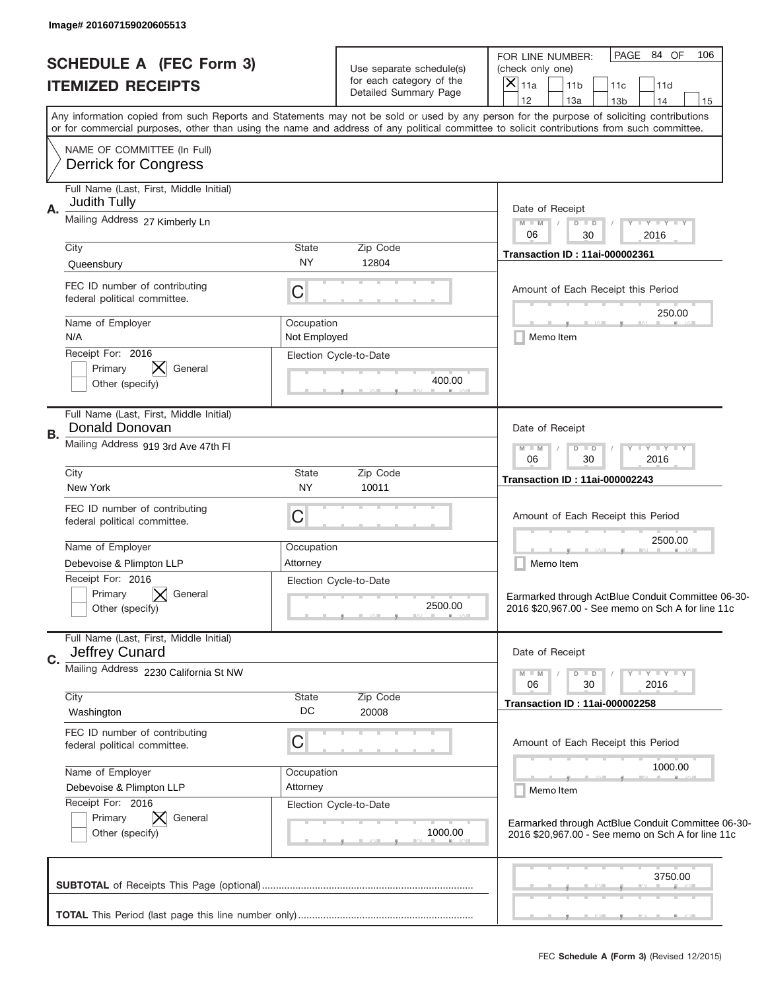| Image# 201607159020605513                                                               |                                                                                                                                                                                                                                                                                         |                                                                                                                                                           |
|-----------------------------------------------------------------------------------------|-----------------------------------------------------------------------------------------------------------------------------------------------------------------------------------------------------------------------------------------------------------------------------------------|-----------------------------------------------------------------------------------------------------------------------------------------------------------|
| <b>SCHEDULE A (FEC Form 3)</b><br><b>ITEMIZED RECEIPTS</b>                              | Use separate schedule(s)<br>for each category of the<br>Detailed Summary Page                                                                                                                                                                                                           | PAGE 84 OF<br>106<br>FOR LINE NUMBER:<br>(check only one)<br>$\times$<br>11a<br>11 <sub>b</sub><br>11c<br>11d<br>12<br>13a<br>13 <sub>b</sub><br>14<br>15 |
|                                                                                         | Any information copied from such Reports and Statements may not be sold or used by any person for the purpose of soliciting contributions<br>or for commercial purposes, other than using the name and address of any political committee to solicit contributions from such committee. |                                                                                                                                                           |
| NAME OF COMMITTEE (In Full)<br><b>Derrick for Congress</b>                              |                                                                                                                                                                                                                                                                                         |                                                                                                                                                           |
| Full Name (Last, First, Middle Initial)<br>Judith Tully<br>Α.                           |                                                                                                                                                                                                                                                                                         | Date of Receipt                                                                                                                                           |
| Mailing Address 27 Kimberly Ln                                                          |                                                                                                                                                                                                                                                                                         | $M - M$<br>Y TY TY TY<br>$D$ $D$<br>$\sqrt{2}$<br>06<br>2016<br>30                                                                                        |
| City<br>Queensbury                                                                      | State<br>Zip Code<br><b>NY</b><br>12804                                                                                                                                                                                                                                                 | <b>Transaction ID: 11ai-000002361</b>                                                                                                                     |
| FEC ID number of contributing<br>federal political committee.                           | $\mathsf C$                                                                                                                                                                                                                                                                             | Amount of Each Receipt this Period<br>250.00                                                                                                              |
| Name of Employer<br>N/A<br>Receipt For: 2016                                            | Occupation<br>Not Employed                                                                                                                                                                                                                                                              | Memo Item                                                                                                                                                 |
| General<br>Primary<br>Other (specify)                                                   | Election Cycle-to-Date<br>400.00                                                                                                                                                                                                                                                        |                                                                                                                                                           |
| Full Name (Last, First, Middle Initial)<br>Donald Donovan<br>В.                         |                                                                                                                                                                                                                                                                                         | Date of Receipt                                                                                                                                           |
| Mailing Address 919 3rd Ave 47th FI                                                     |                                                                                                                                                                                                                                                                                         | $M - M$<br>$Y = Y = Y = Y$<br>$D$ $D$<br>06<br>30<br>2016                                                                                                 |
| City<br>New York                                                                        | State<br>Zip Code<br><b>NY</b><br>10011                                                                                                                                                                                                                                                 | <b>Transaction ID: 11ai-000002243</b>                                                                                                                     |
| FEC ID number of contributing<br>federal political committee.                           | C                                                                                                                                                                                                                                                                                       | Amount of Each Receipt this Period                                                                                                                        |
| Name of Employer<br>Debevoise & Plimpton LLP                                            | Occupation<br>Attorney                                                                                                                                                                                                                                                                  | 2500.00<br>Memo Item                                                                                                                                      |
| Receipt For: 2016<br>Primary<br>General<br>Other (specify)                              | Election Cycle-to-Date<br>2500.00                                                                                                                                                                                                                                                       | Earmarked through ActBlue Conduit Committee 06-30-<br>2016 \$20,967.00 - See memo on Sch A for line 11c                                                   |
| Full Name (Last, First, Middle Initial)<br>Jeffrey Cunard<br>C.                         |                                                                                                                                                                                                                                                                                         | Date of Receipt                                                                                                                                           |
| Mailing Address 2230 California St NW                                                   |                                                                                                                                                                                                                                                                                         | Y FY FY FY<br>$M - M$<br>$D$ $D$<br>2016<br>06<br>30                                                                                                      |
| City<br>Washington                                                                      | Zip Code<br>State<br>DC<br>20008                                                                                                                                                                                                                                                        | <b>Transaction ID: 11ai-000002258</b>                                                                                                                     |
| FEC ID number of contributing<br>federal political committee.                           | C                                                                                                                                                                                                                                                                                       | Amount of Each Receipt this Period                                                                                                                        |
| Name of Employer<br>Debevoise & Plimpton LLP<br>Receipt For: 2016<br>Primary<br>General | Occupation<br>Attorney<br>Election Cycle-to-Date                                                                                                                                                                                                                                        | 1000.00<br>Memo Item                                                                                                                                      |
| Other (specify)                                                                         | 1000.00                                                                                                                                                                                                                                                                                 | Earmarked through ActBlue Conduit Committee 06-30-<br>2016 \$20,967.00 - See memo on Sch A for line 11c                                                   |
|                                                                                         |                                                                                                                                                                                                                                                                                         | 3750.00                                                                                                                                                   |
|                                                                                         |                                                                                                                                                                                                                                                                                         |                                                                                                                                                           |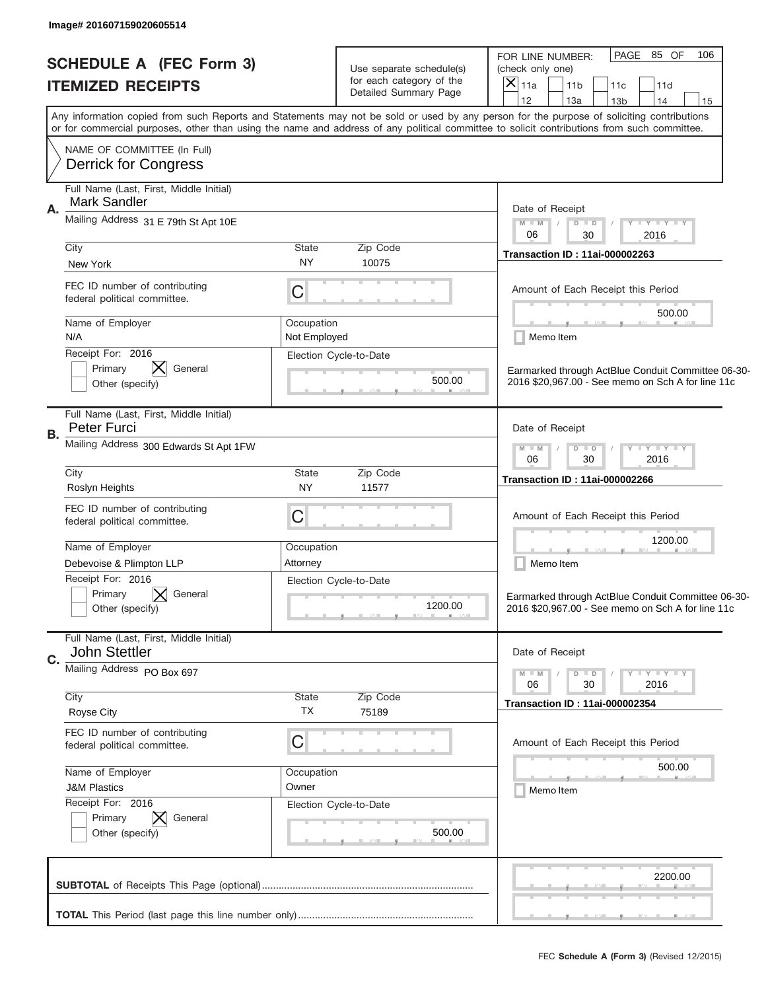| Image# 201607159020605514                                                                                                                  |                                                                               |                                                                                                                                                    |
|--------------------------------------------------------------------------------------------------------------------------------------------|-------------------------------------------------------------------------------|----------------------------------------------------------------------------------------------------------------------------------------------------|
| <b>SCHEDULE A (FEC Form 3)</b><br><b>ITEMIZED RECEIPTS</b>                                                                                 | Use separate schedule(s)<br>for each category of the<br>Detailed Summary Page | PAGE 85 OF<br>106<br>FOR LINE NUMBER:<br>(check only one)<br>×<br>11a<br>11 <sub>b</sub><br>11c<br>11d<br>12<br>13a<br>14<br>13 <sub>b</sub><br>15 |
| or for commercial purposes, other than using the name and address of any political committee to solicit contributions from such committee. |                                                                               | Any information copied from such Reports and Statements may not be sold or used by any person for the purpose of soliciting contributions          |
| NAME OF COMMITTEE (In Full)<br><b>Derrick for Congress</b>                                                                                 |                                                                               |                                                                                                                                                    |
| Full Name (Last, First, Middle Initial)<br><b>Mark Sandler</b><br>Α.                                                                       |                                                                               | Date of Receipt                                                                                                                                    |
| Mailing Address 31 E 79th St Apt 10E                                                                                                       |                                                                               | $M - M$<br>$D$ $D$<br>$Y - Y - Y - Y$<br>06<br>30<br>2016                                                                                          |
| City<br>New York                                                                                                                           | State<br>Zip Code<br><b>NY</b><br>10075                                       | <b>Transaction ID: 11ai-000002263</b>                                                                                                              |
| FEC ID number of contributing<br>federal political committee.                                                                              | C                                                                             | Amount of Each Receipt this Period<br>500.00                                                                                                       |
| Name of Employer<br>N/A<br>Receipt For: 2016                                                                                               | Occupation<br>Not Employed<br>Election Cycle-to-Date                          | Memo Item                                                                                                                                          |
| General<br>Primary<br>Other (specify)                                                                                                      | 500.00                                                                        | Earmarked through ActBlue Conduit Committee 06-30-<br>2016 \$20,967.00 - See memo on Sch A for line 11c                                            |
| Full Name (Last, First, Middle Initial)<br>Peter Furci<br>В.                                                                               |                                                                               | Date of Receipt                                                                                                                                    |
| Mailing Address 300 Edwards St Apt 1FW                                                                                                     | $M - M$<br>$Y - Y - Y - Y - Y$<br>$D$ $D$<br>30<br>2016<br>06                 |                                                                                                                                                    |
| City<br>Roslyn Heights                                                                                                                     | State<br>Zip Code<br><b>NY</b><br>11577                                       | <b>Transaction ID: 11ai-000002266</b>                                                                                                              |
| FEC ID number of contributing<br>federal political committee.                                                                              | C                                                                             | Amount of Each Receipt this Period                                                                                                                 |
| Name of Employer<br>Debevoise & Plimpton LLP                                                                                               | Occupation<br>Attornev                                                        | 1200.00<br>Memo Item                                                                                                                               |
| Receipt For: 2016<br>General<br>Primary<br>Other (specify)                                                                                 | Election Cycle-to-Date<br>1200.00                                             | Earmarked through ActBlue Conduit Committee 06-30-<br>2016 \$20,967.00 - See memo on Sch A for line 11c                                            |
| Full Name (Last, First, Middle Initial)<br>John Stettler<br>C.                                                                             |                                                                               | Date of Receipt                                                                                                                                    |
| Mailing Address PO Box 697                                                                                                                 |                                                                               | $D$ $D$<br>Y FY FY FY<br>$M - M$<br>30<br>2016<br>06                                                                                               |
| City<br>Royse City                                                                                                                         | State<br>Zip Code<br>ТX<br>75189                                              | <b>Transaction ID: 11ai-000002354</b>                                                                                                              |
| FEC ID number of contributing<br>federal political committee.                                                                              | C                                                                             | Amount of Each Receipt this Period                                                                                                                 |
| Name of Employer<br><b>J&amp;M Plastics</b><br>Receipt For: 2016<br>Primary<br>General<br>Other (specify)                                  | Occupation<br>Owner<br>Election Cycle-to-Date<br>500.00                       | 500.00<br>Memo Item                                                                                                                                |
|                                                                                                                                            |                                                                               | 2200.00                                                                                                                                            |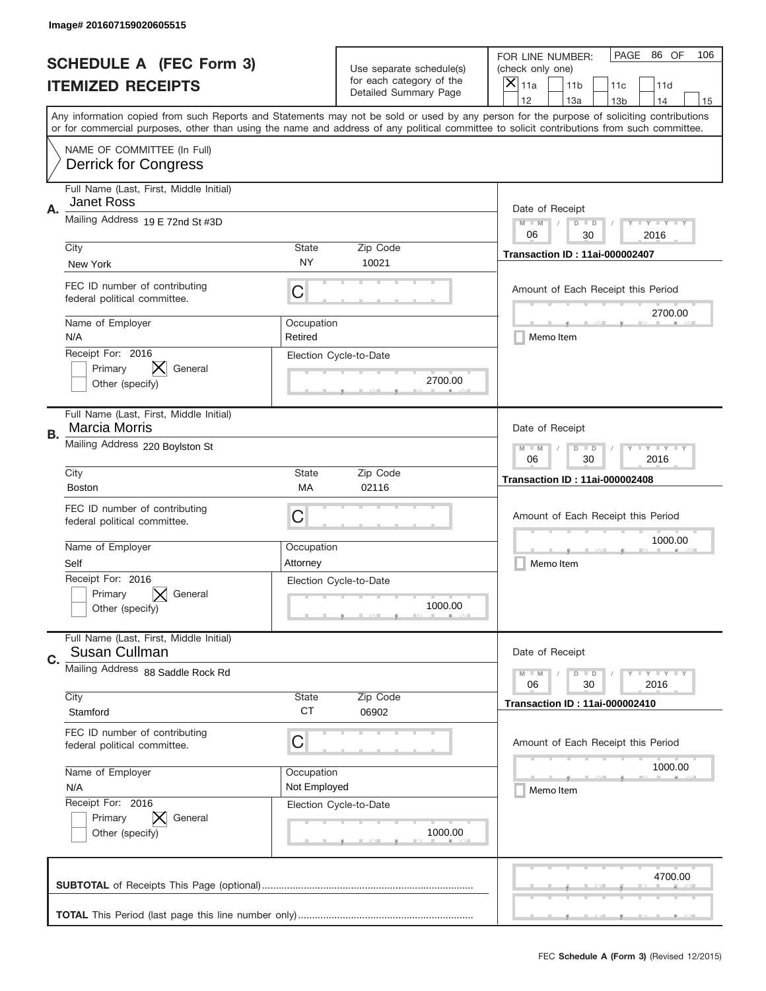|    | Image# 201607159020605515                                       |                            |                                                      |                                                                                                                                                                                                                                                                                                                                     |
|----|-----------------------------------------------------------------|----------------------------|------------------------------------------------------|-------------------------------------------------------------------------------------------------------------------------------------------------------------------------------------------------------------------------------------------------------------------------------------------------------------------------------------|
|    | <b>SCHEDULE A (FEC Form 3)</b>                                  |                            | Use separate schedule(s)<br>for each category of the | PAGE 86 OF<br>106<br>FOR LINE NUMBER:<br>(check only one)                                                                                                                                                                                                                                                                           |
|    | <b>ITEMIZED RECEIPTS</b>                                        |                            | Detailed Summary Page                                | $\overline{X} _{11a}$<br>11 <sub>b</sub><br>11c<br>11d                                                                                                                                                                                                                                                                              |
|    |                                                                 |                            |                                                      | 12<br>13a<br>14<br>13 <sub>b</sub><br>15<br>Any information copied from such Reports and Statements may not be sold or used by any person for the purpose of soliciting contributions<br>or for commercial purposes, other than using the name and address of any political committee to solicit contributions from such committee. |
|    | NAME OF COMMITTEE (In Full)<br><b>Derrick for Congress</b>      |                            |                                                      |                                                                                                                                                                                                                                                                                                                                     |
| Α. | Full Name (Last, First, Middle Initial)<br><b>Janet Ross</b>    |                            |                                                      | Date of Receipt                                                                                                                                                                                                                                                                                                                     |
|    | Mailing Address 19 E 72nd St #3D                                |                            |                                                      | <b>LYLYLY</b><br>$M - M$<br>$D$ $D$<br>06<br>30<br>2016                                                                                                                                                                                                                                                                             |
|    | City<br>New York                                                | <b>State</b><br>NY         | Zip Code<br>10021                                    | <b>Transaction ID: 11ai-000002407</b>                                                                                                                                                                                                                                                                                               |
|    | FEC ID number of contributing<br>federal political committee.   | C                          |                                                      | Amount of Each Receipt this Period<br>2700.00                                                                                                                                                                                                                                                                                       |
|    | Name of Employer<br>N/A                                         | Occupation<br>Retired      |                                                      | Memo Item                                                                                                                                                                                                                                                                                                                           |
|    | Receipt For: 2016<br>Primary<br>General<br>Other (specify)      |                            | Election Cycle-to-Date<br>2700.00                    |                                                                                                                                                                                                                                                                                                                                     |
| В. | Full Name (Last, First, Middle Initial)<br><b>Marcia Morris</b> |                            |                                                      | Date of Receipt                                                                                                                                                                                                                                                                                                                     |
|    | Mailing Address 220 Boylston St                                 |                            |                                                      | <b>LY LY LY</b><br>$M - M$<br>$D$ $D$<br>06<br>30<br>2016                                                                                                                                                                                                                                                                           |
|    | City<br><b>Boston</b>                                           | <b>State</b><br>МA         | Zip Code<br>02116                                    | <b>Transaction ID: 11ai-000002408</b>                                                                                                                                                                                                                                                                                               |
|    | FEC ID number of contributing<br>federal political committee.   | С                          |                                                      | Amount of Each Receipt this Period<br>1000.00                                                                                                                                                                                                                                                                                       |
|    | Name of Employer<br>Self                                        | Occupation<br>Attorney     |                                                      | Memo Item                                                                                                                                                                                                                                                                                                                           |
|    | Receipt For: 2016<br>Primary<br>General<br>Other (specify)      |                            | Election Cycle-to-Date<br>1000.00                    |                                                                                                                                                                                                                                                                                                                                     |
| C. | Full Name (Last, First, Middle Initial)<br>Susan Cullman        |                            |                                                      | Date of Receipt                                                                                                                                                                                                                                                                                                                     |
|    | Mailing Address 88 Saddle Rock Rd<br>City                       | <b>State</b>               | Zip Code                                             | <b>LY LY LY</b><br>$M - M$<br>$D$ $D$<br>2016<br>06<br>30                                                                                                                                                                                                                                                                           |
|    | Stamford                                                        | <b>CT</b>                  | 06902                                                | <b>Transaction ID: 11ai-000002410</b>                                                                                                                                                                                                                                                                                               |
|    | FEC ID number of contributing<br>federal political committee.   | С                          |                                                      | Amount of Each Receipt this Period                                                                                                                                                                                                                                                                                                  |
|    | Name of Employer<br>N/A                                         | Occupation<br>Not Employed |                                                      | 1000.00<br>Memo Item                                                                                                                                                                                                                                                                                                                |
|    | Receipt For: 2016<br>Primary<br>General<br>Other (specify)      |                            | Election Cycle-to-Date<br>1000.00                    |                                                                                                                                                                                                                                                                                                                                     |
|    |                                                                 |                            |                                                      | 4700.00                                                                                                                                                                                                                                                                                                                             |
|    |                                                                 |                            |                                                      | __                                                                                                                                                                                                                                                                                                                                  |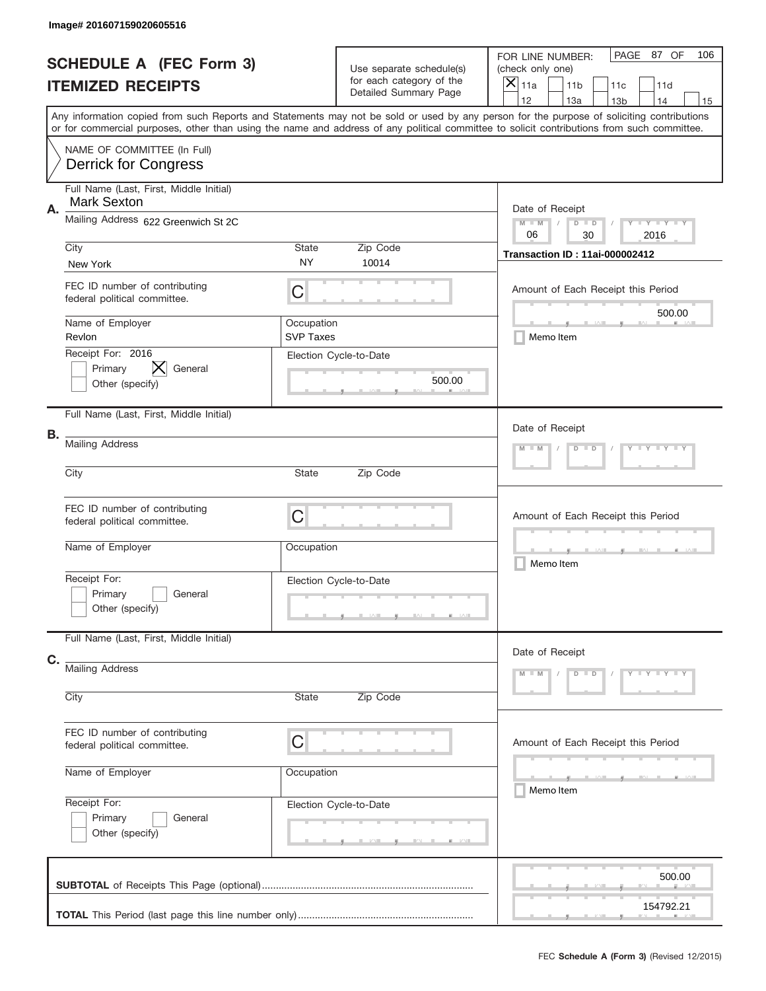|    | Image# 201607159020605516                                       |                                |                                                      |                                                                                                                                                                                                                                                                                         |
|----|-----------------------------------------------------------------|--------------------------------|------------------------------------------------------|-----------------------------------------------------------------------------------------------------------------------------------------------------------------------------------------------------------------------------------------------------------------------------------------|
|    | <b>SCHEDULE A (FEC Form 3)</b>                                  |                                | Use separate schedule(s)<br>for each category of the | PAGE 87 OF<br>106<br>FOR LINE NUMBER:<br>(check only one)                                                                                                                                                                                                                               |
|    | <b>ITEMIZED RECEIPTS</b>                                        |                                | Detailed Summary Page                                | $\overline{\mathsf{x}}$<br>11a<br>11 <sub>b</sub><br>11c<br>11d<br>12<br>13a<br>14<br>13 <sub>b</sub><br>15                                                                                                                                                                             |
|    |                                                                 |                                |                                                      | Any information copied from such Reports and Statements may not be sold or used by any person for the purpose of soliciting contributions<br>or for commercial purposes, other than using the name and address of any political committee to solicit contributions from such committee. |
|    | NAME OF COMMITTEE (In Full)<br><b>Derrick for Congress</b>      |                                |                                                      |                                                                                                                                                                                                                                                                                         |
| Α. | Full Name (Last, First, Middle Initial)<br><b>Mark Sexton</b>   |                                |                                                      | Date of Receipt                                                                                                                                                                                                                                                                         |
|    | Mailing Address 622 Greenwich St 2C                             |                                |                                                      | Y TY TY TY<br>$M$ M<br>$D$ $D$<br>06<br>30<br>2016                                                                                                                                                                                                                                      |
|    | City<br>New York                                                | State<br><b>NY</b>             | Zip Code<br>10014                                    | <b>Transaction ID: 11ai-000002412</b>                                                                                                                                                                                                                                                   |
|    | FEC ID number of contributing<br>federal political committee.   | C                              |                                                      | Amount of Each Receipt this Period<br>500.00                                                                                                                                                                                                                                            |
|    | Name of Employer<br>Revlon                                      | Occupation<br><b>SVP Taxes</b> |                                                      | Memo Item                                                                                                                                                                                                                                                                               |
|    | Receipt For: 2016<br>X<br>General<br>Primary<br>Other (specify) |                                | Election Cycle-to-Date<br>500.00                     |                                                                                                                                                                                                                                                                                         |
| В. | Full Name (Last, First, Middle Initial)                         |                                |                                                      | Date of Receipt                                                                                                                                                                                                                                                                         |
|    | <b>Mailing Address</b>                                          |                                |                                                      | Y TY TY TY<br>$D$ $D$                                                                                                                                                                                                                                                                   |
|    | City                                                            | State                          | Zip Code                                             |                                                                                                                                                                                                                                                                                         |
|    | FEC ID number of contributing<br>federal political committee.   | C                              |                                                      | Amount of Each Receipt this Period                                                                                                                                                                                                                                                      |
|    | Name of Employer                                                | Occupation                     |                                                      | Memo Item                                                                                                                                                                                                                                                                               |
|    | Receipt For:<br>Primary<br>General<br>Other (specify)           |                                | Election Cycle-to-Date                               |                                                                                                                                                                                                                                                                                         |
| C. | Full Name (Last, First, Middle Initial)                         |                                |                                                      | Date of Receipt                                                                                                                                                                                                                                                                         |
|    | <b>Mailing Address</b>                                          |                                |                                                      | Y - Y - Y - Y<br>$M - M$<br>$D$ $D$                                                                                                                                                                                                                                                     |
|    | City                                                            | State                          | Zip Code                                             |                                                                                                                                                                                                                                                                                         |
|    | FEC ID number of contributing<br>federal political committee.   | C                              |                                                      | Amount of Each Receipt this Period                                                                                                                                                                                                                                                      |
|    | Name of Employer                                                | Occupation                     |                                                      | _______<br>Memo Item                                                                                                                                                                                                                                                                    |
|    | Receipt For:<br>Primary<br>General<br>Other (specify)           |                                | Election Cycle-to-Date                               |                                                                                                                                                                                                                                                                                         |
|    |                                                                 |                                |                                                      | 500.00                                                                                                                                                                                                                                                                                  |
|    |                                                                 |                                |                                                      | 154792.21                                                                                                                                                                                                                                                                               |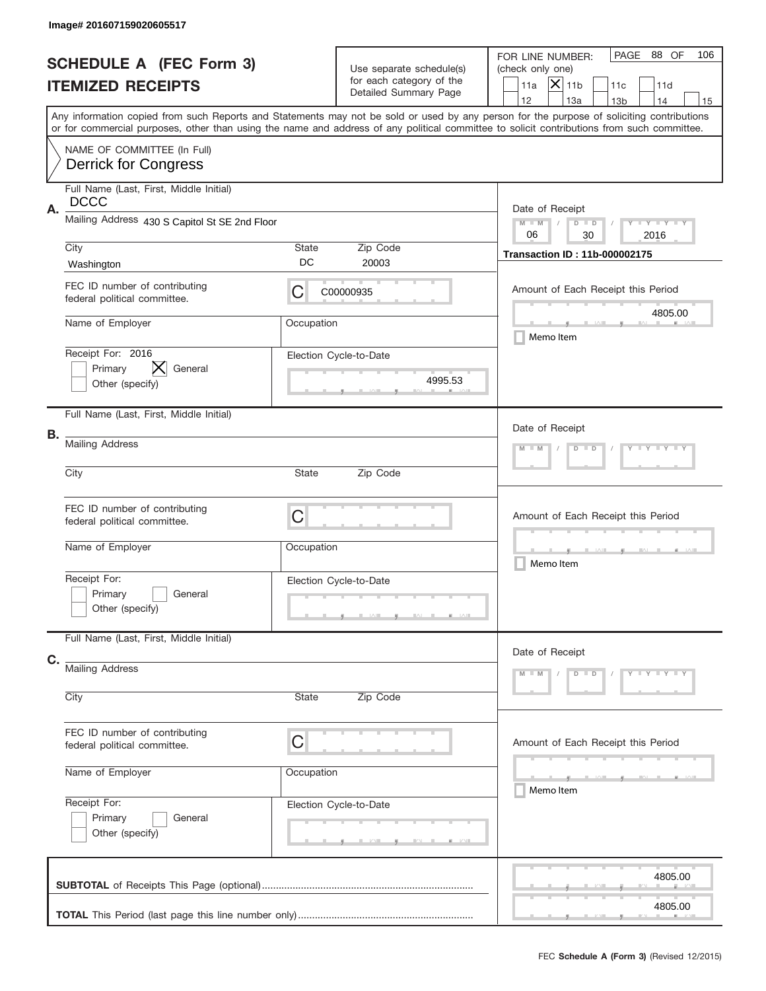|    | Image# 201607159020605517                                       |             |                                                      |                                                                                                                                                                                                                                                                                         |
|----|-----------------------------------------------------------------|-------------|------------------------------------------------------|-----------------------------------------------------------------------------------------------------------------------------------------------------------------------------------------------------------------------------------------------------------------------------------------|
|    | <b>SCHEDULE A (FEC Form 3)</b>                                  |             | Use separate schedule(s)<br>for each category of the | PAGE<br>88 OF<br>106<br>FOR LINE NUMBER:<br>(check only one)                                                                                                                                                                                                                            |
|    | <b>ITEMIZED RECEIPTS</b>                                        |             | Detailed Summary Page                                | $ \mathsf{X} _{\text{11b}}$<br>11a<br>11c<br>11d<br>12<br>13a<br>14<br>13 <sub>b</sub><br>15                                                                                                                                                                                            |
|    |                                                                 |             |                                                      | Any information copied from such Reports and Statements may not be sold or used by any person for the purpose of soliciting contributions<br>or for commercial purposes, other than using the name and address of any political committee to solicit contributions from such committee. |
|    | NAME OF COMMITTEE (In Full)<br><b>Derrick for Congress</b>      |             |                                                      |                                                                                                                                                                                                                                                                                         |
| Α. | Full Name (Last, First, Middle Initial)<br><b>DCCC</b>          |             |                                                      | Date of Receipt                                                                                                                                                                                                                                                                         |
|    | Mailing Address 430 S Capitol St SE 2nd Floor                   |             |                                                      | Y LY LY LY<br>$M$ $M$<br>$D$ $D$<br>06<br>30<br>2016                                                                                                                                                                                                                                    |
|    | City<br>Washington                                              | State<br>DC | Zip Code<br>20003                                    | <b>Transaction ID: 11b-000002175</b>                                                                                                                                                                                                                                                    |
|    | FEC ID number of contributing<br>federal political committee.   | C           | C00000935                                            | Amount of Each Receipt this Period<br>4805.00                                                                                                                                                                                                                                           |
|    | Name of Employer                                                | Occupation  |                                                      | Memo Item                                                                                                                                                                                                                                                                               |
|    | Receipt For: 2016<br>⋉<br>Primary<br>General<br>Other (specify) |             | Election Cycle-to-Date<br>4995.53                    |                                                                                                                                                                                                                                                                                         |
| В. | Full Name (Last, First, Middle Initial)                         |             |                                                      | Date of Receipt                                                                                                                                                                                                                                                                         |
|    | <b>Mailing Address</b>                                          |             |                                                      | Y TY TY TY<br>$M$ $M$<br>$D$ $D$                                                                                                                                                                                                                                                        |
|    | City                                                            | State       | Zip Code                                             |                                                                                                                                                                                                                                                                                         |
|    | FEC ID number of contributing<br>federal political committee.   | C           |                                                      | Amount of Each Receipt this Period                                                                                                                                                                                                                                                      |
|    | Name of Employer                                                | Occupation  |                                                      | Memo Item                                                                                                                                                                                                                                                                               |
|    | Receipt For:<br>Primary<br>General<br>Other (specify)           |             | Election Cycle-to-Date                               |                                                                                                                                                                                                                                                                                         |
|    | Full Name (Last, First, Middle Initial)                         |             |                                                      | Date of Receipt                                                                                                                                                                                                                                                                         |
| C. | <b>Mailing Address</b>                                          |             |                                                      | $Y - Y - Y - Y - Y$<br>$M - M$<br>$D$ $D$                                                                                                                                                                                                                                               |
|    | City                                                            | State       | Zip Code                                             |                                                                                                                                                                                                                                                                                         |
|    | FEC ID number of contributing<br>federal political committee.   | C           |                                                      | Amount of Each Receipt this Period                                                                                                                                                                                                                                                      |
|    | Name of Employer                                                | Occupation  |                                                      | ____<br>Memo Item                                                                                                                                                                                                                                                                       |
|    | Receipt For:<br>Primary<br>General<br>Other (specify)           |             | Election Cycle-to-Date                               |                                                                                                                                                                                                                                                                                         |
|    |                                                                 |             |                                                      | 4805.00                                                                                                                                                                                                                                                                                 |
|    |                                                                 |             |                                                      | 4805.00                                                                                                                                                                                                                                                                                 |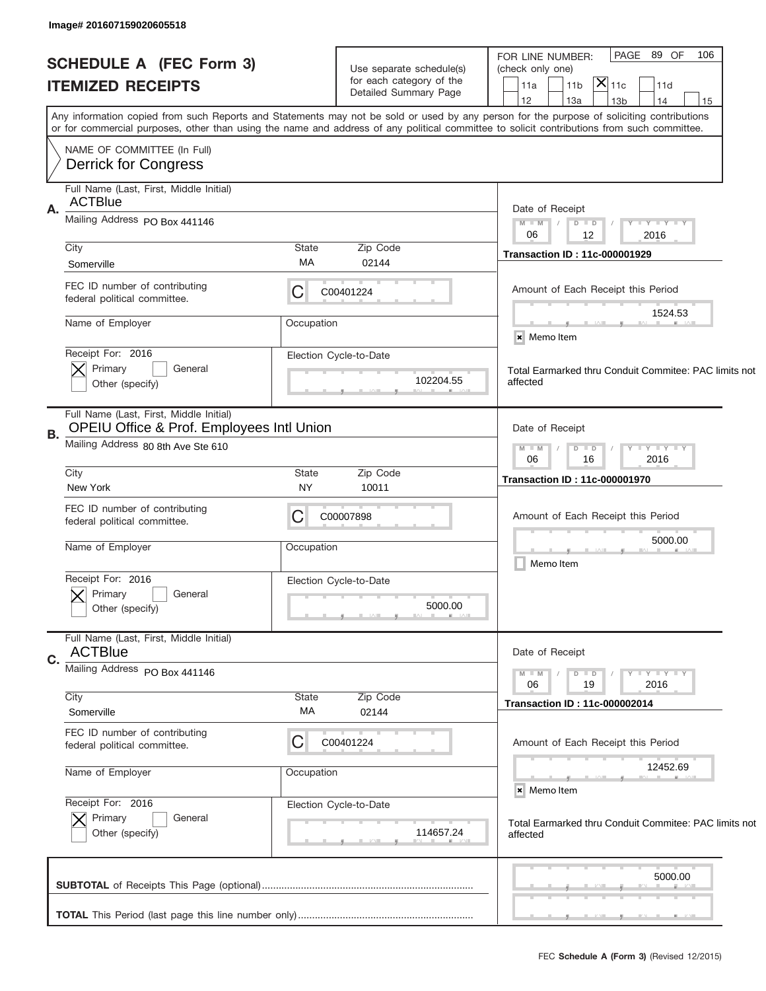ш

| <b>SCHEDULE A (FEC Form 3)</b><br><b>ITEMIZED RECEIPTS</b>                                 | Use separate schedule(s)<br>for each category of the<br>Detailed Summary Page | PAGE 89 OF<br>106<br>FOR LINE NUMBER:<br>(check only one)<br>$ \mathsf{X} _{\mathsf{11c}}$<br>11a<br>11 <sub>b</sub><br>11d<br>12<br>13a<br>14<br>13 <sub>b</sub><br>15                                                                                                                 |  |  |  |
|--------------------------------------------------------------------------------------------|-------------------------------------------------------------------------------|-----------------------------------------------------------------------------------------------------------------------------------------------------------------------------------------------------------------------------------------------------------------------------------------|--|--|--|
|                                                                                            |                                                                               | Any information copied from such Reports and Statements may not be sold or used by any person for the purpose of soliciting contributions<br>or for commercial purposes, other than using the name and address of any political committee to solicit contributions from such committee. |  |  |  |
| NAME OF COMMITTEE (In Full)<br><b>Derrick for Congress</b>                                 |                                                                               |                                                                                                                                                                                                                                                                                         |  |  |  |
| Full Name (Last, First, Middle Initial)<br><b>ACTBlue</b><br>Α.                            |                                                                               | Date of Receipt                                                                                                                                                                                                                                                                         |  |  |  |
| Mailing Address PO Box 441146                                                              |                                                                               | $M$ $M$<br><b>LY LY LY</b><br>$D$ $D$<br>06<br>12<br>2016                                                                                                                                                                                                                               |  |  |  |
| City                                                                                       | State<br>Zip Code                                                             | <b>Transaction ID: 11c-000001929</b>                                                                                                                                                                                                                                                    |  |  |  |
| Somerville                                                                                 | МA<br>02144                                                                   |                                                                                                                                                                                                                                                                                         |  |  |  |
| FEC ID number of contributing<br>federal political committee.                              | С<br>C00401224                                                                | Amount of Each Receipt this Period                                                                                                                                                                                                                                                      |  |  |  |
| Name of Employer                                                                           | Occupation                                                                    | 1524.53<br>× Memo Item                                                                                                                                                                                                                                                                  |  |  |  |
| Receipt For: 2016                                                                          | Election Cycle-to-Date                                                        |                                                                                                                                                                                                                                                                                         |  |  |  |
| Primary<br>General<br>Other (specify)                                                      | 102204.55                                                                     | Total Earmarked thru Conduit Commitee: PAC limits not<br>affected                                                                                                                                                                                                                       |  |  |  |
| Full Name (Last, First, Middle Initial)<br>OPEIU Office & Prof. Employees Intl Union<br>В. |                                                                               | Date of Receipt                                                                                                                                                                                                                                                                         |  |  |  |
| Mailing Address 80 8th Ave Ste 610                                                         |                                                                               |                                                                                                                                                                                                                                                                                         |  |  |  |
| City                                                                                       | State<br>Zip Code                                                             | 06<br>16<br>2016<br><b>Transaction ID: 11c-000001970</b>                                                                                                                                                                                                                                |  |  |  |
| New York                                                                                   | <b>NY</b><br>10011                                                            |                                                                                                                                                                                                                                                                                         |  |  |  |
| FEC ID number of contributing<br>federal political committee.                              | С<br>C00007898                                                                | Amount of Each Receipt this Period                                                                                                                                                                                                                                                      |  |  |  |
| Name of Employer                                                                           | Occupation                                                                    | 5000.00<br>Memo Item                                                                                                                                                                                                                                                                    |  |  |  |
| Receipt For: 2016<br>Primary<br>General<br>Other (specify)                                 | Election Cycle-to-Date<br>5000.00                                             |                                                                                                                                                                                                                                                                                         |  |  |  |
| Full Name (Last, First, Middle Initial)<br><b>ACTBlue</b>                                  |                                                                               | Date of Receipt                                                                                                                                                                                                                                                                         |  |  |  |
| C.<br>Mailing Address PO Box 441146                                                        |                                                                               |                                                                                                                                                                                                                                                                                         |  |  |  |
| City<br>Somerville                                                                         | State<br>Zip Code<br>МA<br>02144                                              | <b>Transaction ID: 11c-000002014</b>                                                                                                                                                                                                                                                    |  |  |  |
| FEC ID number of contributing<br>federal political committee.                              | С<br>C00401224                                                                | Amount of Each Receipt this Period                                                                                                                                                                                                                                                      |  |  |  |
| Name of Employer                                                                           | Occupation                                                                    | 12452.69                                                                                                                                                                                                                                                                                |  |  |  |
| Receipt For: 2016                                                                          | Election Cycle-to-Date                                                        | × Memo Item                                                                                                                                                                                                                                                                             |  |  |  |
| Primary<br>General<br>Other (specify)                                                      | 114657.24                                                                     | Total Earmarked thru Conduit Commitee: PAC limits not<br>affected                                                                                                                                                                                                                       |  |  |  |
|                                                                                            |                                                                               |                                                                                                                                                                                                                                                                                         |  |  |  |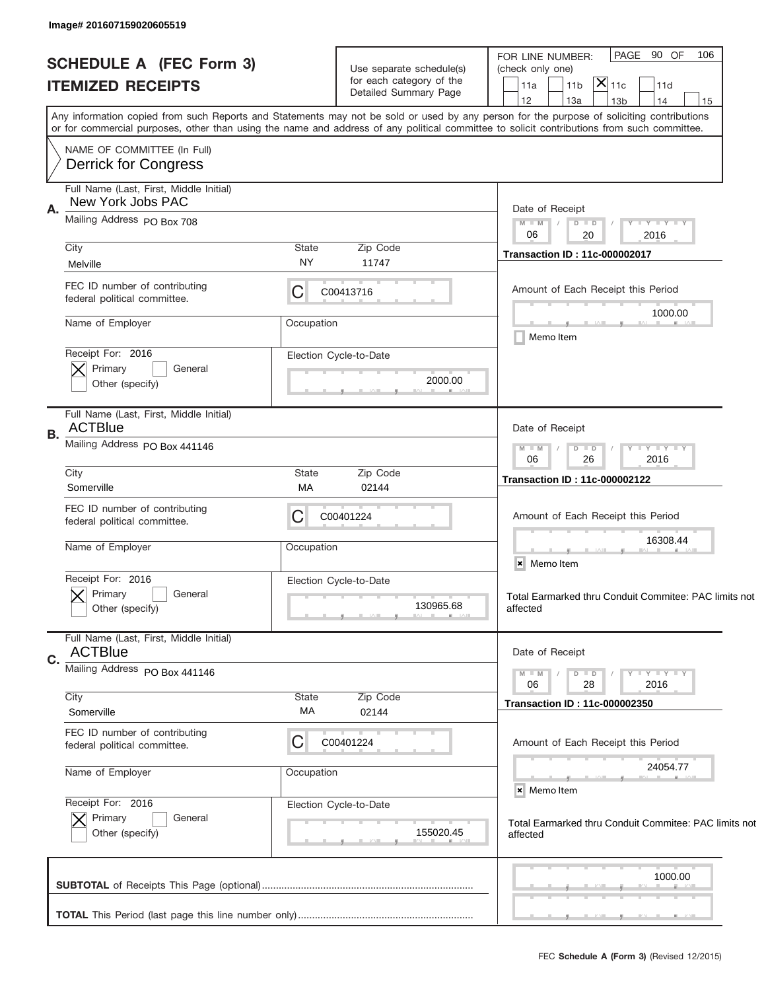| <b>SCHEDULE A (FEC Form 3)</b>                                     | Use separate schedule(s)                                  | PAGE 90 OF<br>106<br>FOR LINE NUMBER:<br>(check only one)                                                                                                                                                                                                                               |  |  |  |
|--------------------------------------------------------------------|-----------------------------------------------------------|-----------------------------------------------------------------------------------------------------------------------------------------------------------------------------------------------------------------------------------------------------------------------------------------|--|--|--|
| <b>ITEMIZED RECEIPTS</b>                                           | for each category of the<br>Detailed Summary Page         | $ \mathsf{X} _{\mathsf{11c}}$<br>11a<br>11 <sub>b</sub><br>11d<br>12<br>13a<br>13 <sub>b</sub><br>14<br>15                                                                                                                                                                              |  |  |  |
|                                                                    |                                                           | Any information copied from such Reports and Statements may not be sold or used by any person for the purpose of soliciting contributions<br>or for commercial purposes, other than using the name and address of any political committee to solicit contributions from such committee. |  |  |  |
| NAME OF COMMITTEE (In Full)<br><b>Derrick for Congress</b>         |                                                           |                                                                                                                                                                                                                                                                                         |  |  |  |
| Full Name (Last, First, Middle Initial)<br>New York Jobs PAC<br>Α. |                                                           | Date of Receipt                                                                                                                                                                                                                                                                         |  |  |  |
| Mailing Address PO Box 708                                         |                                                           | <b>LY LY LY</b><br>$M - M$<br>$D$ $D$<br>06<br>20<br>2016                                                                                                                                                                                                                               |  |  |  |
| City<br>Melville                                                   | State<br>Zip Code<br><b>NY</b><br>11747                   | <b>Transaction ID: 11c-000002017</b>                                                                                                                                                                                                                                                    |  |  |  |
| FEC ID number of contributing<br>federal political committee.      | С<br>C00413716                                            | Amount of Each Receipt this Period                                                                                                                                                                                                                                                      |  |  |  |
| Name of Employer                                                   | Occupation                                                | 1000.00<br>Memo Item                                                                                                                                                                                                                                                                    |  |  |  |
| Receipt For: 2016<br>Primary<br>General<br>Other (specify)         | Election Cycle-to-Date<br>2000.00                         |                                                                                                                                                                                                                                                                                         |  |  |  |
| Full Name (Last, First, Middle Initial)<br><b>ACTBlue</b><br>В.    |                                                           | Date of Receipt                                                                                                                                                                                                                                                                         |  |  |  |
| Mailing Address PO Box 441146                                      | <b>LY LY LY</b><br>$M - M$<br>$D$ $D$<br>06<br>26<br>2016 |                                                                                                                                                                                                                                                                                         |  |  |  |
| City<br>Somerville                                                 | State<br>Zip Code<br>MA<br>02144                          | <b>Transaction ID: 11c-000002122</b>                                                                                                                                                                                                                                                    |  |  |  |
| FEC ID number of contributing<br>federal political committee.      | C<br>C00401224                                            | Amount of Each Receipt this Period                                                                                                                                                                                                                                                      |  |  |  |
| Name of Employer                                                   | Occupation                                                | 16308.44<br>$\boldsymbol{\mathsf{x}}$<br>Memo Item                                                                                                                                                                                                                                      |  |  |  |
| Receipt For: 2016<br>Primary<br>General<br>Other (specify)         | Election Cycle-to-Date<br>130965.68                       | Total Earmarked thru Conduit Commitee: PAC limits not<br>affected                                                                                                                                                                                                                       |  |  |  |
| Full Name (Last, First, Middle Initial)<br><b>ACTBlue</b><br>C.    |                                                           | Date of Receipt                                                                                                                                                                                                                                                                         |  |  |  |
| Mailing Address PO Box 441146<br>City                              | Zip Code<br>State                                         | $D$ $D$<br>$T$ $Y$ $T$ $Y$ $T$ $Y$<br>$M - M$<br>2016<br>06<br>28                                                                                                                                                                                                                       |  |  |  |
| Somerville                                                         | МA<br>02144                                               | <b>Transaction ID: 11c-000002350</b>                                                                                                                                                                                                                                                    |  |  |  |
| FEC ID number of contributing<br>federal political committee.      | С<br>C00401224                                            | Amount of Each Receipt this Period                                                                                                                                                                                                                                                      |  |  |  |
| Name of Employer                                                   | Occupation                                                | 24054.77<br>× Memo Item                                                                                                                                                                                                                                                                 |  |  |  |
| Receipt For: 2016<br>Primary<br>General<br>Other (specify)         | Election Cycle-to-Date<br>155020.45                       | Total Earmarked thru Conduit Commitee: PAC limits not<br>affected                                                                                                                                                                                                                       |  |  |  |
|                                                                    |                                                           | 1000.00                                                                                                                                                                                                                                                                                 |  |  |  |
|                                                                    |                                                           |                                                                                                                                                                                                                                                                                         |  |  |  |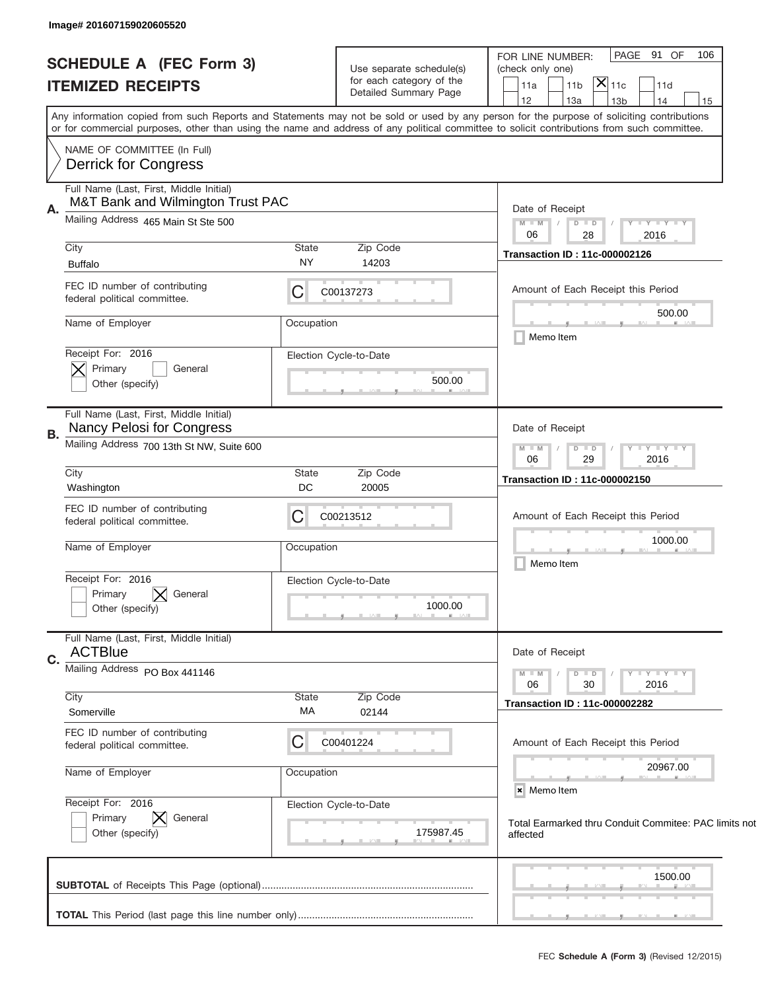| <b>SCHEDULE A (FEC Form 3)</b>                                                                                                             |               | Use separate schedule(s)                           | PAGE 91 OF<br>FOR LINE NUMBER:<br>(check only one) |                                                                |                 |                                 | 106 |
|--------------------------------------------------------------------------------------------------------------------------------------------|---------------|----------------------------------------------------|----------------------------------------------------|----------------------------------------------------------------|-----------------|---------------------------------|-----|
| <b>ITEMIZED RECEIPTS</b>                                                                                                                   |               | for each category of the<br>Detailed Summary Page  |                                                    | $ \mathsf{X} _{\mathsf{11c}}$<br>11a<br>11 <sub>b</sub><br>11d |                 |                                 |     |
| Any information copied from such Reports and Statements may not be sold or used by any person for the purpose of soliciting contributions  |               |                                                    | 12                                                 | 13a                                                            | 13 <sub>b</sub> | 14                              | 15  |
| or for commercial purposes, other than using the name and address of any political committee to solicit contributions from such committee. |               |                                                    |                                                    |                                                                |                 |                                 |     |
| NAME OF COMMITTEE (In Full)<br><b>Derrick for Congress</b>                                                                                 |               |                                                    |                                                    |                                                                |                 |                                 |     |
| Full Name (Last, First, Middle Initial)<br>M&T Bank and Wilmington Trust PAC<br>А.                                                         |               |                                                    | Date of Receipt                                    |                                                                |                 |                                 |     |
| Mailing Address 465 Main St Ste 500                                                                                                        |               |                                                    | $M - M$<br>06                                      | $D$ $D$<br>28                                                  | 2016            | <b>LYLYLY</b>                   |     |
| City                                                                                                                                       | State         | Zip Code                                           |                                                    | <b>Transaction ID: 11c-000002126</b>                           |                 |                                 |     |
| <b>Buffalo</b>                                                                                                                             | <b>NY</b>     | 14203                                              |                                                    |                                                                |                 |                                 |     |
| FEC ID number of contributing<br>federal political committee.                                                                              | C             | C00137273                                          |                                                    | Amount of Each Receipt this Period                             |                 |                                 |     |
| Name of Employer                                                                                                                           | Occupation    |                                                    | Memo Item                                          |                                                                |                 | 500.00                          |     |
| Receipt For: 2016                                                                                                                          |               | Election Cycle-to-Date                             |                                                    |                                                                |                 |                                 |     |
| Primary<br>General<br>Other (specify)                                                                                                      |               | 500.00                                             |                                                    |                                                                |                 |                                 |     |
| Full Name (Last, First, Middle Initial)                                                                                                    |               |                                                    |                                                    |                                                                |                 |                                 |     |
| Nancy Pelosi for Congress<br>В.<br>Mailing Address 700 13th St NW, Suite 600                                                               |               | Date of Receipt<br><b>TAN TANK TANK</b><br>$D$ $D$ |                                                    |                                                                |                 |                                 |     |
|                                                                                                                                            | $M - M$<br>06 | 29<br>2016                                         |                                                    |                                                                |                 |                                 |     |
| City                                                                                                                                       | State<br>DC   | Zip Code                                           |                                                    | <b>Transaction ID: 11c-000002150</b>                           |                 |                                 |     |
| Washington                                                                                                                                 |               | 20005                                              |                                                    |                                                                |                 |                                 |     |
| FEC ID number of contributing<br>federal political committee.                                                                              | C             | C00213512                                          |                                                    | Amount of Each Receipt this Period                             |                 |                                 |     |
| Name of Employer                                                                                                                           | Occupation    |                                                    |                                                    |                                                                |                 | 1000.00                         |     |
|                                                                                                                                            |               |                                                    | Memo Item                                          |                                                                |                 |                                 |     |
| Receipt For: 2016                                                                                                                          |               | Election Cycle-to-Date                             |                                                    |                                                                |                 |                                 |     |
| $\vert \mathsf{X} \vert$ General<br>Primary<br>Other (specify)                                                                             |               | 1000.00                                            |                                                    |                                                                |                 |                                 |     |
|                                                                                                                                            |               |                                                    |                                                    |                                                                |                 |                                 |     |
| Full Name (Last, First, Middle Initial)<br><b>ACTBlue</b><br>C.                                                                            |               |                                                    | Date of Receipt                                    |                                                                |                 |                                 |     |
| Mailing Address PO Box 441146                                                                                                              |               |                                                    | $M - M$<br>06                                      | $D$ $D$<br>30                                                  |                 | $T$ $Y$ $T$ $Y$ $T$ $Y$<br>2016 |     |
| City                                                                                                                                       | State         | Zip Code                                           |                                                    | <b>Transaction ID: 11c-000002282</b>                           |                 |                                 |     |
| Somerville                                                                                                                                 | МA            | 02144                                              |                                                    |                                                                |                 |                                 |     |
| FEC ID number of contributing<br>federal political committee.                                                                              | С             | C00401224                                          |                                                    | Amount of Each Receipt this Period                             |                 |                                 |     |
|                                                                                                                                            |               |                                                    |                                                    |                                                                |                 | 20967.00                        |     |
| Name of Employer                                                                                                                           | Occupation    |                                                    |                                                    |                                                                |                 |                                 |     |
| Receipt For: 2016                                                                                                                          |               | Election Cycle-to-Date                             | × Memo Item                                        |                                                                |                 |                                 |     |
| Primary<br>General                                                                                                                         |               |                                                    |                                                    | Total Earmarked thru Conduit Commitee: PAC limits not          |                 |                                 |     |
| Other (specify)                                                                                                                            |               | 175987.45                                          | affected                                           |                                                                |                 |                                 |     |
|                                                                                                                                            |               |                                                    |                                                    |                                                                |                 | 1500.00                         |     |
|                                                                                                                                            |               |                                                    |                                                    |                                                                |                 |                                 |     |
|                                                                                                                                            |               |                                                    |                                                    |                                                                |                 |                                 |     |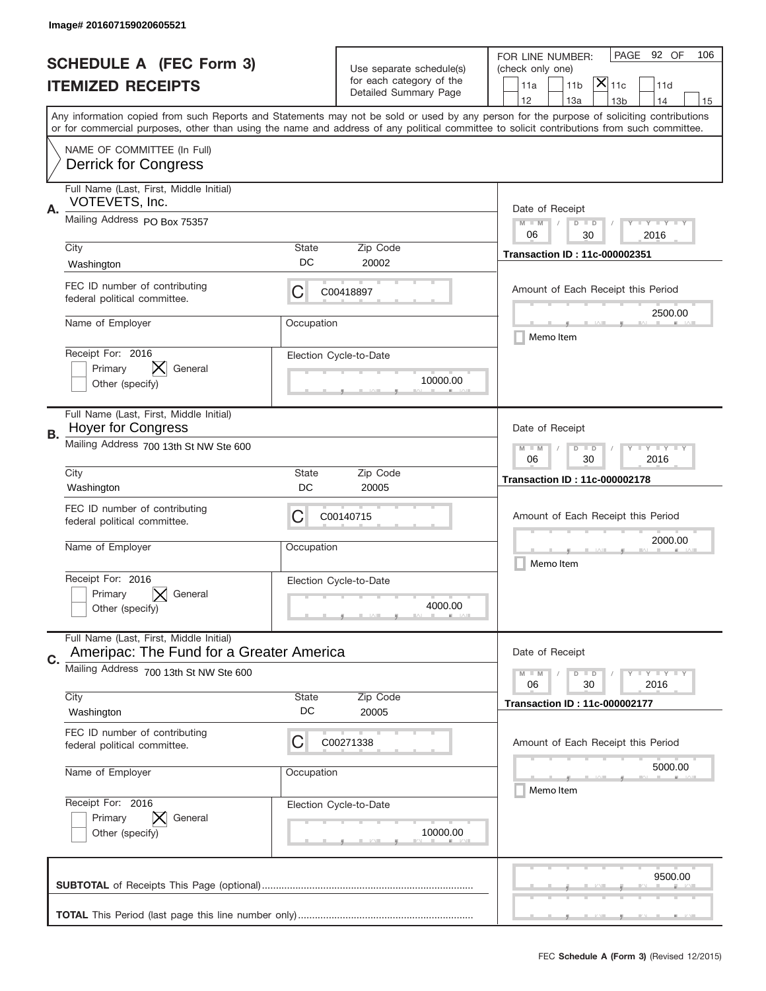|           | Image# 201607159020605521                                                           |             |                                                      |                                                                                                                                                                                                                                                                                         |
|-----------|-------------------------------------------------------------------------------------|-------------|------------------------------------------------------|-----------------------------------------------------------------------------------------------------------------------------------------------------------------------------------------------------------------------------------------------------------------------------------------|
|           | <b>SCHEDULE A (FEC Form 3)</b>                                                      |             | Use separate schedule(s)<br>for each category of the | PAGE 92 OF<br>106<br>FOR LINE NUMBER:<br>(check only one)                                                                                                                                                                                                                               |
|           | <b>ITEMIZED RECEIPTS</b>                                                            |             | Detailed Summary Page                                | $\mathsf{\bar{X}}\vert_{\mathsf{11c}}$<br>11a<br>11 <sub>b</sub><br>11d<br>12<br>13a<br>14<br>13 <sub>b</sub><br>15                                                                                                                                                                     |
|           |                                                                                     |             |                                                      | Any information copied from such Reports and Statements may not be sold or used by any person for the purpose of soliciting contributions<br>or for commercial purposes, other than using the name and address of any political committee to solicit contributions from such committee. |
|           | NAME OF COMMITTEE (In Full)<br><b>Derrick for Congress</b>                          |             |                                                      |                                                                                                                                                                                                                                                                                         |
| Α.        | Full Name (Last, First, Middle Initial)<br>VOTEVETS, Inc.                           |             |                                                      | Date of Receipt                                                                                                                                                                                                                                                                         |
|           | Mailing Address PO Box 75357                                                        |             |                                                      | $M - M$<br><b>LYLYLY</b><br>$D$ $D$<br>06<br>30<br>2016                                                                                                                                                                                                                                 |
|           | City<br>Washington                                                                  | State<br>DC | Zip Code<br>20002                                    | <b>Transaction ID: 11c-000002351</b>                                                                                                                                                                                                                                                    |
|           | FEC ID number of contributing<br>federal political committee.                       | С           | C00418897                                            | Amount of Each Receipt this Period<br>2500.00                                                                                                                                                                                                                                           |
|           | Name of Employer                                                                    | Occupation  |                                                      | Memo Item                                                                                                                                                                                                                                                                               |
|           | Receipt For: 2016<br>X.<br>Primary<br>General<br>Other (specify)                    |             | Election Cycle-to-Date<br>10000.00                   |                                                                                                                                                                                                                                                                                         |
| <b>B.</b> | Full Name (Last, First, Middle Initial)<br><b>Hoyer for Congress</b>                |             |                                                      | Date of Receipt                                                                                                                                                                                                                                                                         |
|           | Mailing Address 700 13th St NW Ste 600                                              |             |                                                      | <b>LEYTEY LEY</b><br>$M$ $M$<br>$D$ $D$<br>06<br>30<br>2016                                                                                                                                                                                                                             |
|           | City<br>Washington                                                                  | State<br>DC | Zip Code<br>20005                                    | <b>Transaction ID: 11c-000002178</b>                                                                                                                                                                                                                                                    |
|           | FEC ID number of contributing<br>federal political committee.                       | С           | C00140715                                            | Amount of Each Receipt this Period                                                                                                                                                                                                                                                      |
|           | Name of Employer                                                                    | Occupation  |                                                      | 2000.00<br>Memo Item                                                                                                                                                                                                                                                                    |
|           | Receipt For: 2016<br>Primary<br>General<br>Other (specify)                          |             | Election Cycle-to-Date<br>4000.00                    |                                                                                                                                                                                                                                                                                         |
| C.        | Full Name (Last, First, Middle Initial)<br>Ameripac: The Fund for a Greater America |             |                                                      | Date of Receipt                                                                                                                                                                                                                                                                         |
|           | Mailing Address 700 13th St NW Ste 600<br>City                                      | State       | Zip Code                                             | <b>LYLYLY</b><br>$M - M$<br>$D$ $D$<br>06<br>2016<br>30                                                                                                                                                                                                                                 |
|           | Washington                                                                          | DC          | 20005                                                | <b>Transaction ID: 11c-000002177</b>                                                                                                                                                                                                                                                    |
|           | FEC ID number of contributing<br>federal political committee.                       | С           | C00271338                                            | Amount of Each Receipt this Period                                                                                                                                                                                                                                                      |
|           | Name of Employer                                                                    | Occupation  |                                                      | 5000.00<br>Memo Item                                                                                                                                                                                                                                                                    |
|           | Receipt For: 2016<br>Primary<br>General<br>Other (specify)                          |             | Election Cycle-to-Date<br>10000.00                   |                                                                                                                                                                                                                                                                                         |
|           |                                                                                     |             |                                                      | 9500.00                                                                                                                                                                                                                                                                                 |
|           |                                                                                     |             |                                                      |                                                                                                                                                                                                                                                                                         |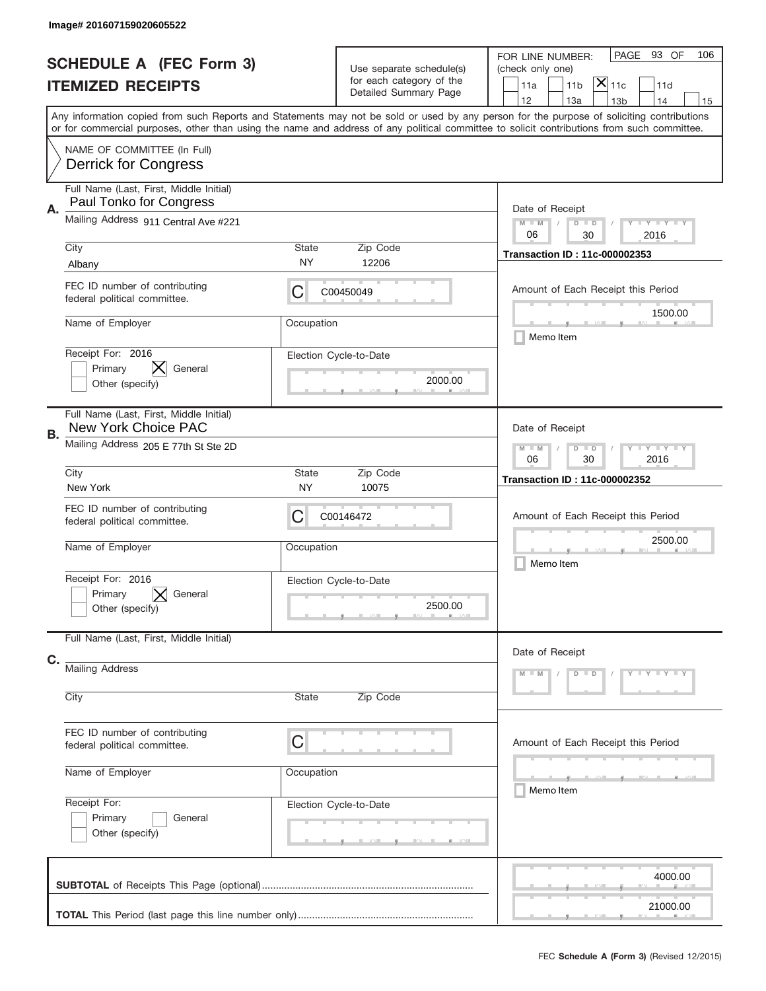ш

|    | Image# 201607159020605522                                                   |                                                           |                                                                               |                                                                                                                                                                                                                                                                                         |
|----|-----------------------------------------------------------------------------|-----------------------------------------------------------|-------------------------------------------------------------------------------|-----------------------------------------------------------------------------------------------------------------------------------------------------------------------------------------------------------------------------------------------------------------------------------------|
|    | <b>SCHEDULE A (FEC Form 3)</b><br><b>ITEMIZED RECEIPTS</b>                  |                                                           | Use separate schedule(s)<br>for each category of the<br>Detailed Summary Page | PAGE<br>93 OF<br>106<br>FOR LINE NUMBER:<br>(check only one)<br>$ \mathsf{X} _{\mathsf{11c}}$<br>11 <sub>b</sub><br>11a<br>11d<br>12<br>13a<br>14<br>13 <sub>b</sub><br>15                                                                                                              |
|    |                                                                             |                                                           |                                                                               | Any information copied from such Reports and Statements may not be sold or used by any person for the purpose of soliciting contributions<br>or for commercial purposes, other than using the name and address of any political committee to solicit contributions from such committee. |
|    | NAME OF COMMITTEE (In Full)<br><b>Derrick for Congress</b>                  |                                                           |                                                                               |                                                                                                                                                                                                                                                                                         |
| Α. | Full Name (Last, First, Middle Initial)<br>Paul Tonko for Congress          |                                                           |                                                                               | Date of Receipt                                                                                                                                                                                                                                                                         |
|    | Mailing Address 911 Central Ave #221                                        |                                                           |                                                                               | $M - M$<br>Y I Y I Y I Y<br>$D$ $D$<br>06<br>30<br>2016                                                                                                                                                                                                                                 |
|    | City                                                                        | State                                                     | Zip Code                                                                      | <b>Transaction ID: 11c-000002353</b>                                                                                                                                                                                                                                                    |
|    | Albany                                                                      | <b>NY</b>                                                 | 12206                                                                         |                                                                                                                                                                                                                                                                                         |
|    | FEC ID number of contributing<br>federal political committee.               | C                                                         | C00450049                                                                     | Amount of Each Receipt this Period                                                                                                                                                                                                                                                      |
|    | Name of Employer                                                            | Occupation                                                |                                                                               | 1500.00<br>Memo Item                                                                                                                                                                                                                                                                    |
|    | Receipt For: 2016<br>$\bm{\times}$<br>Primary<br>General<br>Other (specify) |                                                           | Election Cycle-to-Date<br>2000.00                                             |                                                                                                                                                                                                                                                                                         |
| В. | Full Name (Last, First, Middle Initial)<br><b>New York Choice PAC</b>       |                                                           |                                                                               | Date of Receipt                                                                                                                                                                                                                                                                         |
|    | Mailing Address 205 E 77th St Ste 2D                                        | <b>LY LY LY</b><br>$M - M$<br>$D$ $D$<br>06<br>30<br>2016 |                                                                               |                                                                                                                                                                                                                                                                                         |
|    | City<br>New York                                                            | State<br>NY                                               | Zip Code<br>10075                                                             | <b>Transaction ID: 11c-000002352</b>                                                                                                                                                                                                                                                    |
|    | FEC ID number of contributing<br>federal political committee.               | C                                                         | C00146472                                                                     | Amount of Each Receipt this Period                                                                                                                                                                                                                                                      |
|    | Name of Employer                                                            | Occupation                                                |                                                                               | 2500.00<br>Memo Item                                                                                                                                                                                                                                                                    |
|    | Receipt For: 2016<br>Primary<br>General<br>Other (specify)                  |                                                           | Election Cycle-to-Date<br>2500.00                                             |                                                                                                                                                                                                                                                                                         |
| C. | Full Name (Last, First, Middle Initial)                                     |                                                           |                                                                               | Date of Receipt                                                                                                                                                                                                                                                                         |
|    | <b>Mailing Address</b>                                                      |                                                           |                                                                               | $Y - Y - Y - Y - Y$<br>$D$ $D$<br>$M - M$                                                                                                                                                                                                                                               |
|    |                                                                             |                                                           |                                                                               |                                                                                                                                                                                                                                                                                         |
|    | City                                                                        | State                                                     | Zip Code                                                                      |                                                                                                                                                                                                                                                                                         |
|    | FEC ID number of contributing<br>federal political committee.               | C                                                         |                                                                               | Amount of Each Receipt this Period                                                                                                                                                                                                                                                      |
|    | Name of Employer                                                            | Occupation                                                |                                                                               | ____<br>Memo Item                                                                                                                                                                                                                                                                       |
|    | Receipt For:<br>Primary<br>General<br>Other (specify)                       |                                                           | Election Cycle-to-Date                                                        |                                                                                                                                                                                                                                                                                         |
|    |                                                                             |                                                           |                                                                               | 4000.00                                                                                                                                                                                                                                                                                 |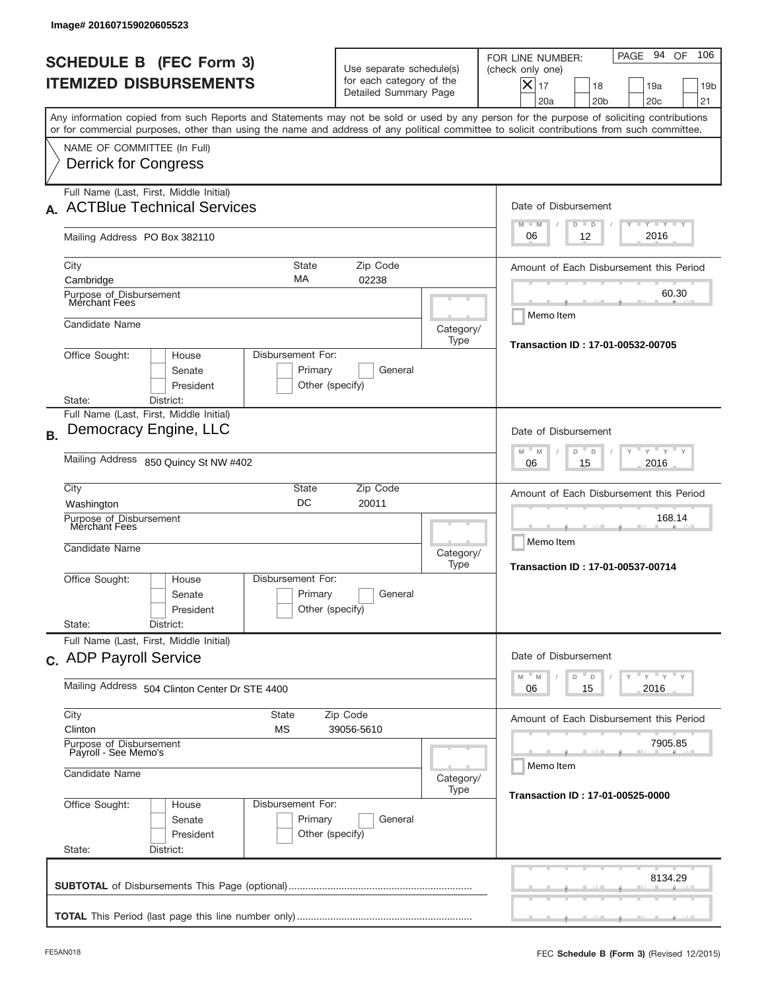| Image# 201607159020605523                                                                                                                                                                                                                                                               |                                                                                          |                                                          |                                                                                                                                                              |  |  |  |
|-----------------------------------------------------------------------------------------------------------------------------------------------------------------------------------------------------------------------------------------------------------------------------------------|------------------------------------------------------------------------------------------|----------------------------------------------------------|--------------------------------------------------------------------------------------------------------------------------------------------------------------|--|--|--|
| <b>SCHEDULE B (FEC Form 3)</b><br><b>ITEMIZED DISBURSEMENTS</b>                                                                                                                                                                                                                         | Use separate schedule(s)<br>for each category of the<br>Detailed Summary Page            |                                                          | 106<br>94 OF<br>PAGE<br>FOR LINE NUMBER:<br>(check only one)<br>$X _{17}$<br>18<br>19a<br>19 <sub>b</sub><br>20a<br>20 <sub>b</sub><br>20 <sub>c</sub><br>21 |  |  |  |
| Any information copied from such Reports and Statements may not be sold or used by any person for the purpose of soliciting contributions<br>or for commercial purposes, other than using the name and address of any political committee to solicit contributions from such committee. |                                                                                          |                                                          |                                                                                                                                                              |  |  |  |
| NAME OF COMMITTEE (In Full)<br>Derrick for Congress                                                                                                                                                                                                                                     |                                                                                          |                                                          |                                                                                                                                                              |  |  |  |
| Full Name (Last, First, Middle Initial)<br>A. ACTBlue Technical Services                                                                                                                                                                                                                |                                                                                          |                                                          | Date of Disbursement                                                                                                                                         |  |  |  |
| Mailing Address PO Box 382110                                                                                                                                                                                                                                                           |                                                                                          |                                                          | $T - Y$ $T - Y$<br>$M - M$<br>$D$ $D$<br>2016<br>06<br>12                                                                                                    |  |  |  |
| <b>State</b><br>City<br>МA<br>Cambridge                                                                                                                                                                                                                                                 | Zip Code<br>02238                                                                        |                                                          | Amount of Each Disbursement this Period                                                                                                                      |  |  |  |
| Purpose of Disbursement<br>Merchant Fees                                                                                                                                                                                                                                                | 60.30<br>Memo Item                                                                       |                                                          |                                                                                                                                                              |  |  |  |
| Candidate Name                                                                                                                                                                                                                                                                          |                                                                                          | Category/<br>Type                                        | Transaction ID: 17-01-00532-00705                                                                                                                            |  |  |  |
| Office Sought:<br>Disbursement For:<br>House<br>Senate<br>President<br>State:<br>District:                                                                                                                                                                                              | Primary<br>General<br>Other (specify)                                                    |                                                          |                                                                                                                                                              |  |  |  |
| Full Name (Last, First, Middle Initial)                                                                                                                                                                                                                                                 |                                                                                          |                                                          |                                                                                                                                                              |  |  |  |
| Democracy Engine, LLC<br><b>B.</b>                                                                                                                                                                                                                                                      | Date of Disbursement<br>$\cdots$ $\gamma$ $\cdots$ $\gamma$ $\cdots$<br>M<br>M<br>D<br>D |                                                          |                                                                                                                                                              |  |  |  |
| Mailing Address 850 Quincy St NW #402                                                                                                                                                                                                                                                   | 2016<br>06<br>15                                                                         |                                                          |                                                                                                                                                              |  |  |  |
| City<br>State<br>DC<br>Washington                                                                                                                                                                                                                                                       | Zip Code<br>20011                                                                        |                                                          | Amount of Each Disbursement this Period                                                                                                                      |  |  |  |
| Purpose of Disbursement<br>Merchant Fees<br>Candidate Name                                                                                                                                                                                                                              | Category/<br>Type                                                                        | 168.14<br>Memo Item<br>Transaction ID: 17-01-00537-00714 |                                                                                                                                                              |  |  |  |
| Disbursement For:<br>Office Sought:<br>House<br>Senate<br>President                                                                                                                                                                                                                     | Primary<br>General<br>Other (specify)                                                    |                                                          |                                                                                                                                                              |  |  |  |
| State:<br>District:<br>Full Name (Last, First, Middle Initial)                                                                                                                                                                                                                          |                                                                                          |                                                          |                                                                                                                                                              |  |  |  |
| c. ADP Payroll Service                                                                                                                                                                                                                                                                  | Date of Disbursement<br>ү" ү" ү" ү<br>M<br>$\mathbb M$<br>D<br>$\mathsf D$               |                                                          |                                                                                                                                                              |  |  |  |
| Mailing Address 504 Clinton Center Dr STE 4400                                                                                                                                                                                                                                          | 2016<br>06<br>15                                                                         |                                                          |                                                                                                                                                              |  |  |  |
| City<br><b>State</b><br>Clinton<br>МS                                                                                                                                                                                                                                                   | Amount of Each Disbursement this Period                                                  |                                                          |                                                                                                                                                              |  |  |  |
| Purpose of Disbursement<br>Payroll - See Memo's<br>Candidate Name                                                                                                                                                                                                                       | 7905.85<br>Memo Item                                                                     |                                                          |                                                                                                                                                              |  |  |  |
| Office Sought:<br>Disbursement For:<br>House<br>Senate<br>President<br>State:<br>District:                                                                                                                                                                                              | Primary<br>General<br>Other (specify)                                                    | Category/<br>Type                                        | Transaction ID: 17-01-00525-0000                                                                                                                             |  |  |  |
|                                                                                                                                                                                                                                                                                         |                                                                                          |                                                          | 8134.29                                                                                                                                                      |  |  |  |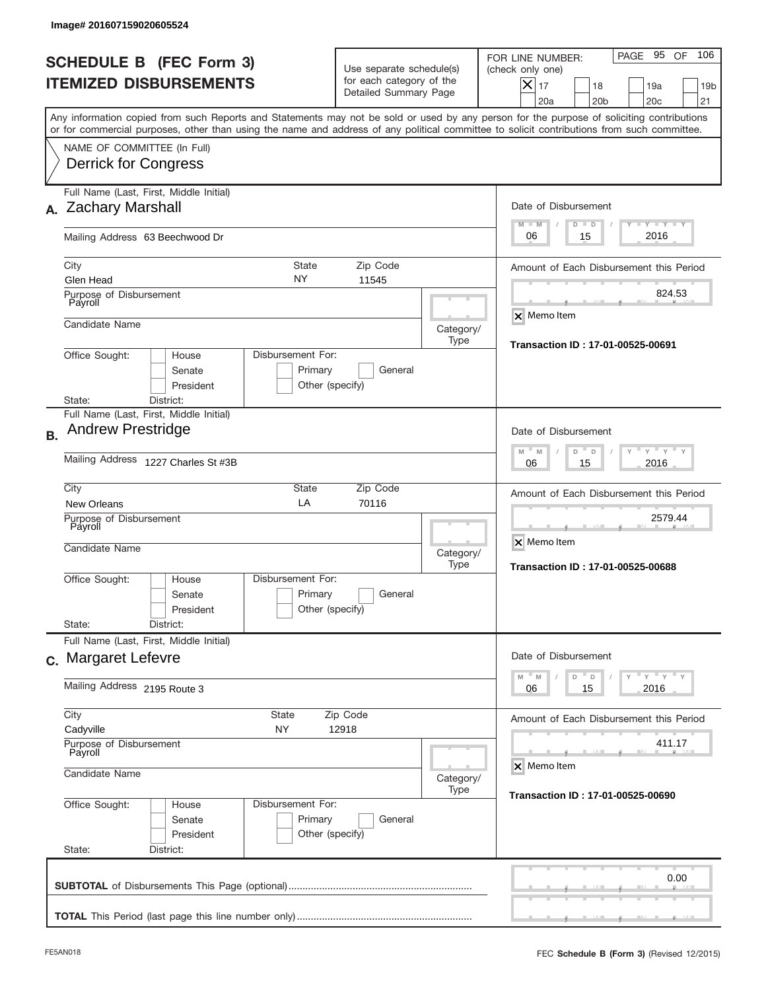|           | lmage# 201607159020605524                                             |                                                                                                                 |                                                                               |                                                             |                                                                                                                                                                                                                                                                                         |
|-----------|-----------------------------------------------------------------------|-----------------------------------------------------------------------------------------------------------------|-------------------------------------------------------------------------------|-------------------------------------------------------------|-----------------------------------------------------------------------------------------------------------------------------------------------------------------------------------------------------------------------------------------------------------------------------------------|
|           | <b>SCHEDULE B (FEC Form 3)</b><br><b>ITEMIZED DISBURSEMENTS</b>       |                                                                                                                 | Use separate schedule(s)<br>for each category of the<br>Detailed Summary Page |                                                             | 106<br>95<br>OF<br>PAGE<br>FOR LINE NUMBER:<br>(check only one)<br>$\times$<br>17<br>18<br>19a<br>19 <sub>b</sub><br>20a<br>20 <sub>b</sub><br>20 <sub>c</sub><br>21                                                                                                                    |
|           |                                                                       |                                                                                                                 |                                                                               |                                                             | Any information copied from such Reports and Statements may not be sold or used by any person for the purpose of soliciting contributions<br>or for commercial purposes, other than using the name and address of any political committee to solicit contributions from such committee. |
|           | NAME OF COMMITTEE (In Full)<br><b>Derrick for Congress</b>            |                                                                                                                 |                                                                               |                                                             |                                                                                                                                                                                                                                                                                         |
|           | Full Name (Last, First, Middle Initial)<br>A. Zachary Marshall        |                                                                                                                 |                                                                               |                                                             | Date of Disbursement<br>$T - Y$ $T - Y$                                                                                                                                                                                                                                                 |
|           | Mailing Address 63 Beechwood Dr                                       |                                                                                                                 |                                                                               |                                                             | $M - M$<br>$D$ $D$<br>2016<br>06<br>15                                                                                                                                                                                                                                                  |
|           | City<br>Glen Head<br>Purpose of Disbursement                          | <b>State</b><br>NY                                                                                              | Zip Code<br>11545                                                             |                                                             | Amount of Each Disbursement this Period<br>824.53                                                                                                                                                                                                                                       |
|           | Payroll<br>Candidate Name                                             |                                                                                                                 |                                                                               | Category/                                                   | $\times$ Memo Item                                                                                                                                                                                                                                                                      |
|           | Office Sought:<br>House<br>Senate<br>President<br>State:<br>District: | Disbursement For:<br>Primary<br>Other (specify)                                                                 | General                                                                       | Type                                                        | Transaction ID: 17-01-00525-00691                                                                                                                                                                                                                                                       |
| <b>B.</b> | Full Name (Last, First, Middle Initial)<br><b>Andrew Prestridge</b>   | Date of Disbursement                                                                                            |                                                                               |                                                             |                                                                                                                                                                                                                                                                                         |
|           | Mailing Address 1227 Charles St #3B                                   | $Y'$ $Y'$<br>$M - M$<br>D<br>D<br>2016<br>06<br>15                                                              |                                                                               |                                                             |                                                                                                                                                                                                                                                                                         |
|           | City<br><b>New Orleans</b>                                            | Amount of Each Disbursement this Period                                                                         |                                                                               |                                                             |                                                                                                                                                                                                                                                                                         |
|           | Purpose of Disbursement<br>Páyroll<br>Candidate Name                  |                                                                                                                 | Category/<br>Type                                                             | 2579.44<br>X Memo Item<br>Transaction ID: 17-01-00525-00688 |                                                                                                                                                                                                                                                                                         |
|           | Office Sought:<br>House<br>Senate<br>President                        | Disbursement For:<br>Primary<br>Other (specify)                                                                 | General                                                                       |                                                             |                                                                                                                                                                                                                                                                                         |
|           | State:<br>District:<br>Full Name (Last, First, Middle Initial)        |                                                                                                                 |                                                                               |                                                             |                                                                                                                                                                                                                                                                                         |
|           | c. Margaret Lefevre<br>Mailing Address 2195 Route 3                   | Date of Disbursement<br>$Y$ $Y$ $Y$ $Y$ $Y$<br>$M$ <sup><math>=</math></sup><br>M<br>D<br>D<br>15<br>2016<br>06 |                                                                               |                                                             |                                                                                                                                                                                                                                                                                         |
|           | City<br>Cadyville                                                     | Amount of Each Disbursement this Period                                                                         |                                                                               |                                                             |                                                                                                                                                                                                                                                                                         |
|           | Purpose of Disbursement<br>Payroll                                    | 411.17<br>X Memo Item                                                                                           |                                                                               |                                                             |                                                                                                                                                                                                                                                                                         |
|           | Candidate Name                                                        | Category/<br>Transaction ID: 17-01-00525-00690                                                                  |                                                                               |                                                             |                                                                                                                                                                                                                                                                                         |
|           | Office Sought:<br>House<br>Senate<br>President<br>State:<br>District: | Disbursement For:<br>Primary<br>Other (specify)                                                                 | General                                                                       |                                                             |                                                                                                                                                                                                                                                                                         |
|           |                                                                       |                                                                                                                 |                                                                               |                                                             | 0.00                                                                                                                                                                                                                                                                                    |
|           |                                                                       |                                                                                                                 |                                                                               |                                                             |                                                                                                                                                                                                                                                                                         |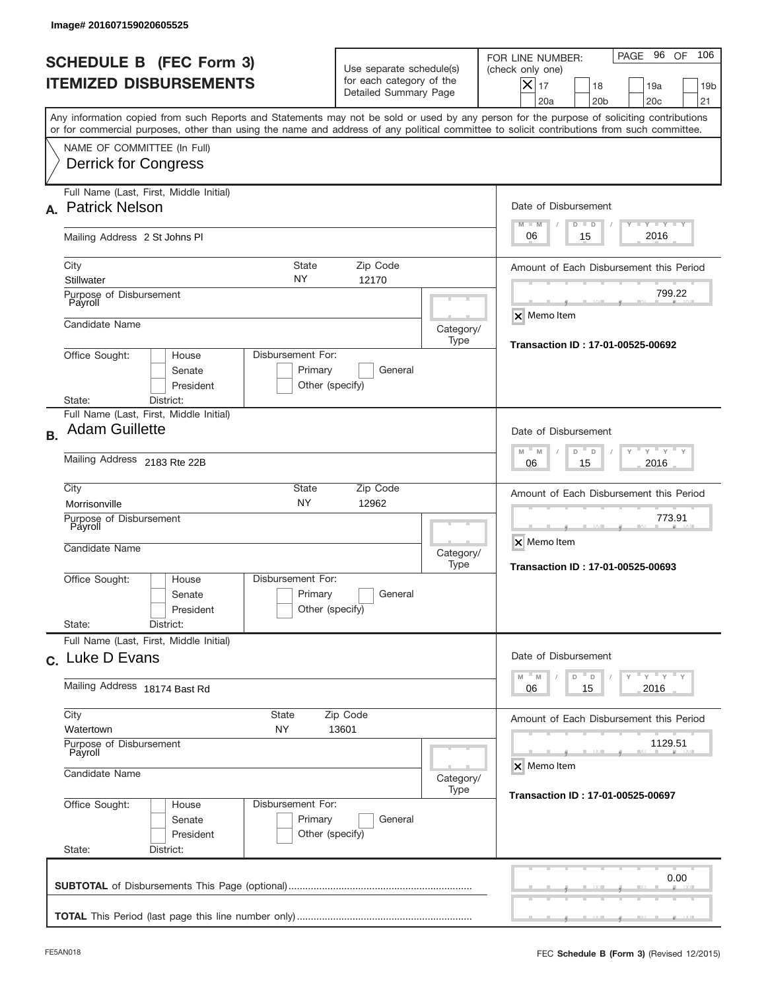|           | Image# 201607159020605525                                             |                                                                                                               |                                                                               |                   |                                                                                                                                                                                                                                                                                         |
|-----------|-----------------------------------------------------------------------|---------------------------------------------------------------------------------------------------------------|-------------------------------------------------------------------------------|-------------------|-----------------------------------------------------------------------------------------------------------------------------------------------------------------------------------------------------------------------------------------------------------------------------------------|
|           | <b>SCHEDULE B (FEC Form 3)</b><br><b>ITEMIZED DISBURSEMENTS</b>       |                                                                                                               | Use separate schedule(s)<br>for each category of the<br>Detailed Summary Page |                   | 106<br>96<br>OF<br>PAGE<br>FOR LINE NUMBER:<br>(check only one)<br>$\times$<br>17<br>18<br>19a<br>19 <sub>b</sub><br>20a<br>20 <sub>b</sub><br>20 <sub>c</sub><br>21                                                                                                                    |
|           |                                                                       |                                                                                                               |                                                                               |                   | Any information copied from such Reports and Statements may not be sold or used by any person for the purpose of soliciting contributions<br>or for commercial purposes, other than using the name and address of any political committee to solicit contributions from such committee. |
|           | NAME OF COMMITTEE (In Full)<br><b>Derrick for Congress</b>            |                                                                                                               |                                                                               |                   |                                                                                                                                                                                                                                                                                         |
|           | Full Name (Last, First, Middle Initial)<br>A. Patrick Nelson          |                                                                                                               |                                                                               |                   | Date of Disbursement                                                                                                                                                                                                                                                                    |
|           | Mailing Address 2 St Johns Pl                                         |                                                                                                               |                                                                               |                   | $T - Y$ $T - Y$<br>$M - M$<br>$D$ $D$<br>2016<br>06<br>15                                                                                                                                                                                                                               |
|           | City<br>Stillwater<br>Purpose of Disbursement                         | <b>State</b><br>NY                                                                                            | Zip Code<br>12170                                                             |                   | Amount of Each Disbursement this Period<br>799.22                                                                                                                                                                                                                                       |
|           | Payroll<br>Candidate Name                                             | $\times$ Memo Item<br>Category/                                                                               |                                                                               |                   |                                                                                                                                                                                                                                                                                         |
|           | Office Sought:<br>House<br>Senate<br>President<br>State:<br>District: | Disbursement For:<br>Primary<br>Other (specify)                                                               | General                                                                       | Type              | Transaction ID: 17-01-00525-00692                                                                                                                                                                                                                                                       |
| <b>B.</b> | Full Name (Last, First, Middle Initial)<br><b>Adam Guillette</b>      | Date of Disbursement                                                                                          |                                                                               |                   |                                                                                                                                                                                                                                                                                         |
|           | Mailing Address 2183 Rte 22B                                          | $Y$ $Y$<br>$M - M$<br>D<br>D<br>2016<br>06<br>15                                                              |                                                                               |                   |                                                                                                                                                                                                                                                                                         |
|           | City<br>Morrisonville                                                 | Amount of Each Disbursement this Period                                                                       |                                                                               |                   |                                                                                                                                                                                                                                                                                         |
|           | Purpose of Disbursement<br>Páyroll<br>Candidate Name                  | Category/<br>Type                                                                                             | 773.91<br>X Memo Item<br>Transaction ID: 17-01-00525-00693                    |                   |                                                                                                                                                                                                                                                                                         |
|           | Office Sought:<br>House<br>Senate<br>President                        | Disbursement For:<br>Primary<br>Other (specify)                                                               | General                                                                       |                   |                                                                                                                                                                                                                                                                                         |
|           | State:<br>District:<br>Full Name (Last, First, Middle Initial)        |                                                                                                               |                                                                               |                   | Date of Disbursement                                                                                                                                                                                                                                                                    |
|           | c. Luke D Evans<br>Mailing Address 18174 Bast Rd                      | $\gamma$ $\gamma$ $\gamma$ $\gamma$ $\gamma$<br>$\mathbb{F}_{M}$<br>$\mathbb M$<br>D<br>D<br>15<br>2016<br>06 |                                                                               |                   |                                                                                                                                                                                                                                                                                         |
|           | City<br>Watertown                                                     | Amount of Each Disbursement this Period                                                                       |                                                                               |                   |                                                                                                                                                                                                                                                                                         |
|           | Purpose of Disbursement<br>Payroll<br>Candidate Name                  | 1129.51<br>X Memo Item                                                                                        |                                                                               |                   |                                                                                                                                                                                                                                                                                         |
|           | Office Sought:<br>House<br>Senate<br>President<br>State:<br>District: | Disbursement For:<br>Primary<br>Other (specify)                                                               | General                                                                       | Category/<br>Type | Transaction ID: 17-01-00525-00697                                                                                                                                                                                                                                                       |
|           |                                                                       |                                                                                                               |                                                                               |                   | 0.00                                                                                                                                                                                                                                                                                    |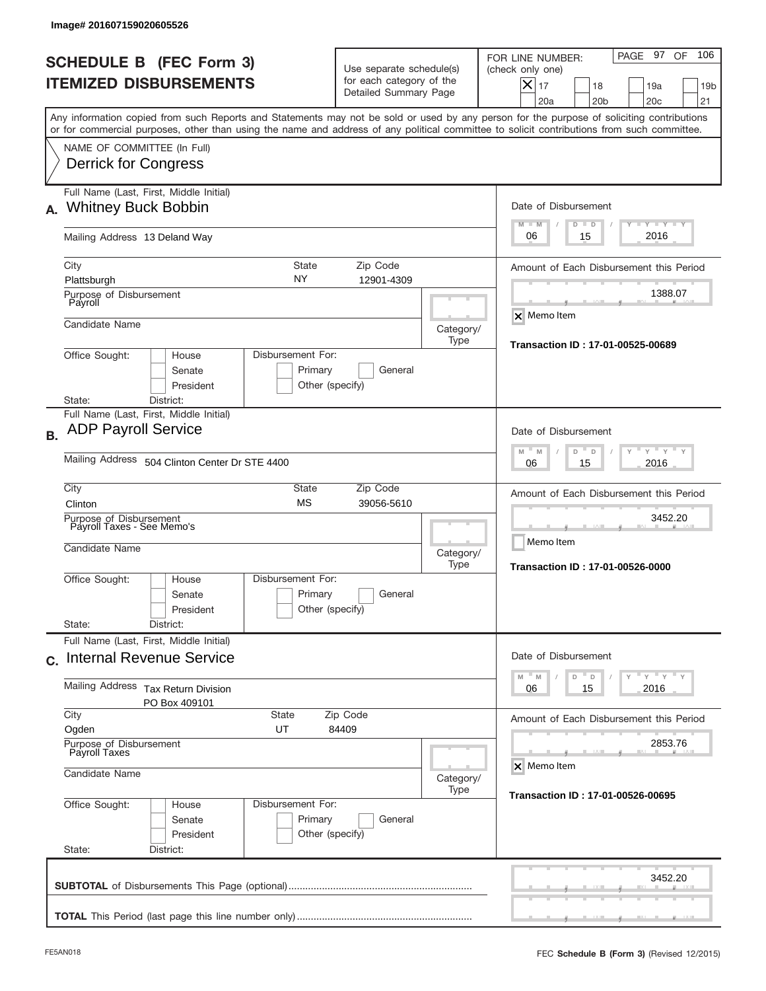| Image#201607159020605526                                                                                                                                                                                                                                                                |                                                                                                             |                                                               |                                                                                                                                                                               |  |  |
|-----------------------------------------------------------------------------------------------------------------------------------------------------------------------------------------------------------------------------------------------------------------------------------------|-------------------------------------------------------------------------------------------------------------|---------------------------------------------------------------|-------------------------------------------------------------------------------------------------------------------------------------------------------------------------------|--|--|
| <b>SCHEDULE B (FEC Form 3)</b><br><b>ITEMIZED DISBURSEMENTS</b>                                                                                                                                                                                                                         | Use separate schedule(s)<br>for each category of the<br>Detailed Summary Page                               |                                                               | 106<br>PAGE 97 OF<br>FOR LINE NUMBER:<br>(check only one)<br>$ \boldsymbol{\times} $<br>17<br>18<br>19a<br>19 <sub>b</sub><br>20a<br>20 <sub>b</sub><br>20 <sub>c</sub><br>21 |  |  |
| Any information copied from such Reports and Statements may not be sold or used by any person for the purpose of soliciting contributions<br>or for commercial purposes, other than using the name and address of any political committee to solicit contributions from such committee. |                                                                                                             |                                                               |                                                                                                                                                                               |  |  |
| NAME OF COMMITTEE (In Full)<br><b>Derrick for Congress</b>                                                                                                                                                                                                                              |                                                                                                             |                                                               |                                                                                                                                                                               |  |  |
| Full Name (Last, First, Middle Initial)<br><b>Whitney Buck Bobbin</b><br>А.                                                                                                                                                                                                             |                                                                                                             | Date of Disbursement<br>$T - Y$ $T - Y$<br>$M - M$<br>$D$ $D$ |                                                                                                                                                                               |  |  |
| Mailing Address 13 Deland Way                                                                                                                                                                                                                                                           |                                                                                                             |                                                               | 2016<br>06<br>15                                                                                                                                                              |  |  |
| City<br><b>State</b><br>NY<br>Plattsburgh                                                                                                                                                                                                                                               | Amount of Each Disbursement this Period                                                                     |                                                               |                                                                                                                                                                               |  |  |
| Purpose of Disbursement<br>Payroll<br>Candidate Name                                                                                                                                                                                                                                    | 1388.07<br>$\overline{\mathsf{x}}$ Memo Item                                                                |                                                               |                                                                                                                                                                               |  |  |
| Disbursement For:<br>Office Sought:<br>House                                                                                                                                                                                                                                            |                                                                                                             | Category/<br>Type                                             | Transaction ID: 17-01-00525-00689                                                                                                                                             |  |  |
| Senate<br>President<br>State:<br>District:                                                                                                                                                                                                                                              | Primary<br>General<br>Other (specify)                                                                       |                                                               |                                                                                                                                                                               |  |  |
| Full Name (Last, First, Middle Initial)<br><b>ADP Payroll Service</b><br><b>B.</b>                                                                                                                                                                                                      | Date of Disbursement                                                                                        |                                                               |                                                                                                                                                                               |  |  |
| Mailing Address 504 Clinton Center Dr STE 4400                                                                                                                                                                                                                                          | ≡ γ ≡ γ ≡<br>M<br>D<br>M<br>D<br>2016<br>06<br>15                                                           |                                                               |                                                                                                                                                                               |  |  |
| City<br><b>MS</b><br>Clinton                                                                                                                                                                                                                                                            | <b>State</b><br>Zip Code<br>39056-5610                                                                      |                                                               |                                                                                                                                                                               |  |  |
| Purpose of Disbursement<br>Payroll Taxes - See Memo's<br>Candidate Name                                                                                                                                                                                                                 | Category/<br>Type                                                                                           | 3452.20<br>Memo Item<br>Transaction ID: 17-01-00526-0000      |                                                                                                                                                                               |  |  |
| Disbursement For:<br>Office Sought:<br>House<br>Senate<br>President                                                                                                                                                                                                                     | Primary<br>General<br>Other (specify)                                                                       |                                                               |                                                                                                                                                                               |  |  |
| State:<br>District:<br>Full Name (Last, First, Middle Initial)                                                                                                                                                                                                                          |                                                                                                             |                                                               |                                                                                                                                                                               |  |  |
| c. Internal Revenue Service<br>Mailing Address                                                                                                                                                                                                                                          | Date of Disbursement<br>ү" ү" ү" ү<br>$M$ <sup><math>=</math></sup><br>$\overline{\phantom{a}}$ D<br>M<br>D |                                                               |                                                                                                                                                                               |  |  |
| <b>Tax Return Division</b><br>PO Box 409101<br>City<br>State                                                                                                                                                                                                                            | 15<br>2016<br>06<br>Amount of Each Disbursement this Period                                                 |                                                               |                                                                                                                                                                               |  |  |
| Ogden<br>UT<br>Purpose of Disbursement<br>Payroll Taxes                                                                                                                                                                                                                                 | 2853.76                                                                                                     |                                                               |                                                                                                                                                                               |  |  |
| Candidate Name                                                                                                                                                                                                                                                                          | X Memo Item<br>Category/                                                                                    |                                                               |                                                                                                                                                                               |  |  |
| Office Sought:<br>Disbursement For:<br>House<br>Primary<br>Senate<br>President<br>Other (specify)<br>State:<br>District:                                                                                                                                                                | Transaction ID: 17-01-00526-00695                                                                           |                                                               |                                                                                                                                                                               |  |  |
|                                                                                                                                                                                                                                                                                         |                                                                                                             |                                                               | 3452.20                                                                                                                                                                       |  |  |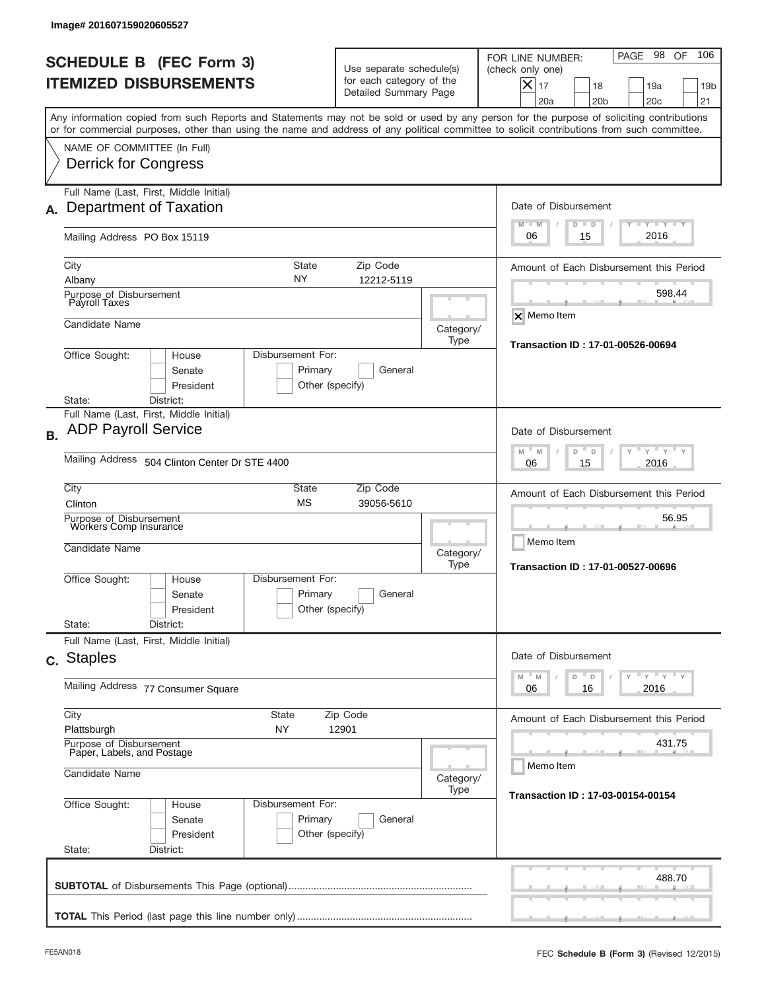|           | Image# 201607159020605527                                                                                                                  |                                                               |                                                                               |  |                                                                                                                                                            |  |  |
|-----------|--------------------------------------------------------------------------------------------------------------------------------------------|---------------------------------------------------------------|-------------------------------------------------------------------------------|--|------------------------------------------------------------------------------------------------------------------------------------------------------------|--|--|
|           | <b>SCHEDULE B (FEC Form 3)</b><br><b>ITEMIZED DISBURSEMENTS</b>                                                                            |                                                               | Use separate schedule(s)<br>for each category of the<br>Detailed Summary Page |  | 106<br>PAGE 98<br>OF<br>FOR LINE NUMBER:<br>(check only one)<br>X<br>17<br>18<br>19a<br>19 <sub>b</sub><br>21<br>20a<br>20 <sub>b</sub><br>20 <sub>c</sub> |  |  |
|           | or for commercial purposes, other than using the name and address of any political committee to solicit contributions from such committee. |                                                               |                                                                               |  | Any information copied from such Reports and Statements may not be sold or used by any person for the purpose of soliciting contributions                  |  |  |
|           | NAME OF COMMITTEE (In Full)<br><b>Derrick for Congress</b>                                                                                 |                                                               |                                                                               |  |                                                                                                                                                            |  |  |
| А.        | Full Name (Last, First, Middle Initial)<br>Department of Taxation                                                                          |                                                               |                                                                               |  | Date of Disbursement<br>$I - Y - I - Y - I - Y$<br>$M - M$<br>$D$ $D$                                                                                      |  |  |
|           | Mailing Address PO Box 15119                                                                                                               |                                                               |                                                                               |  | 2016<br>06<br>15                                                                                                                                           |  |  |
|           | City<br>Albany<br>Purpose of Disbursement<br>Payroll Taxes                                                                                 | Amount of Each Disbursement this Period<br>598.44             |                                                                               |  |                                                                                                                                                            |  |  |
|           | Candidate Name                                                                                                                             | X Memo Item<br>Category/<br>Transaction ID: 17-01-00526-00694 |                                                                               |  |                                                                                                                                                            |  |  |
|           | Office Sought:<br>Disbursement For:<br>House<br>Senate<br>President<br>State:<br>District:                                                 |                                                               |                                                                               |  |                                                                                                                                                            |  |  |
| <b>B.</b> | Full Name (Last, First, Middle Initial)<br><b>ADP Payroll Service</b>                                                                      | Date of Disbursement<br>$M$ M<br>$Y = Y$<br>D<br>D            |                                                                               |  |                                                                                                                                                            |  |  |
|           | Mailing Address 504 Clinton Center Dr STE 4400                                                                                             | 2016<br>06<br>15                                              |                                                                               |  |                                                                                                                                                            |  |  |
|           | City<br>Clinton                                                                                                                            | State<br>Zip Code<br><b>MS</b><br>39056-5610                  |                                                                               |  |                                                                                                                                                            |  |  |
|           | Purpose of Disbursement<br>Workers Comp Insurance<br>Candidate Name                                                                        | Category/<br>Type                                             | 56.95<br>Memo Item<br>Transaction ID: 17-01-00527-00696                       |  |                                                                                                                                                            |  |  |
|           | Office Sought:<br>House<br>Senate<br>President                                                                                             | Disbursement For:<br>Primary<br>Other (specify)               | General                                                                       |  |                                                                                                                                                            |  |  |
|           | State:<br>District:<br>Full Name (Last, First, Middle Initial)                                                                             |                                                               |                                                                               |  |                                                                                                                                                            |  |  |
|           | c. Staples                                                                                                                                 |                                                               |                                                                               |  | Date of Disbursement<br>$-\gamma$ $-\gamma$ $-\gamma$<br>$-M$<br>M<br>D<br>D                                                                               |  |  |
|           | Mailing Address 77 Consumer Square                                                                                                         | 2016<br>06<br>16                                              |                                                                               |  |                                                                                                                                                            |  |  |
|           | City<br><b>State</b><br>Plattsburgh<br>NY.                                                                                                 | Amount of Each Disbursement this Period                       |                                                                               |  |                                                                                                                                                            |  |  |
|           | Purpose of Disbursement<br>Paper, Labels, and Postage<br>Candidate Name                                                                    | 431.75<br>Memo Item<br>Category/                              |                                                                               |  |                                                                                                                                                            |  |  |
|           | Office Sought:<br>Disbursement For:<br>House<br>Senate<br>President<br>State:<br>District:                                                 | Transaction ID: 17-03-00154-00154                             |                                                                               |  |                                                                                                                                                            |  |  |
|           |                                                                                                                                            |                                                               |                                                                               |  | 488.70                                                                                                                                                     |  |  |
|           |                                                                                                                                            |                                                               |                                                                               |  |                                                                                                                                                            |  |  |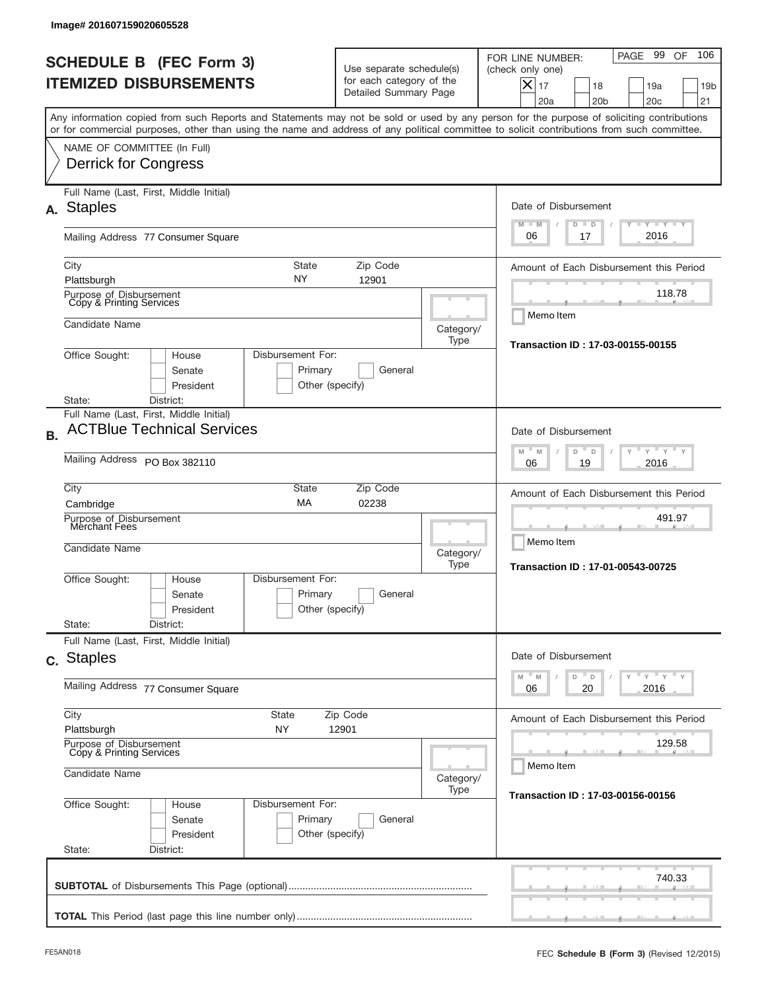|           | Image# 201607159020605528                                                                                                                                                                                                                                                               |                                                              |                                                                               |                   |                                                                                                                                                                 |  |  |
|-----------|-----------------------------------------------------------------------------------------------------------------------------------------------------------------------------------------------------------------------------------------------------------------------------------------|--------------------------------------------------------------|-------------------------------------------------------------------------------|-------------------|-----------------------------------------------------------------------------------------------------------------------------------------------------------------|--|--|
|           | <b>SCHEDULE B (FEC Form 3)</b><br><b>ITEMIZED DISBURSEMENTS</b>                                                                                                                                                                                                                         |                                                              | Use separate schedule(s)<br>for each category of the<br>Detailed Summary Page |                   | 106<br>99<br>OF<br>PAGE<br>FOR LINE NUMBER:<br>(check only one)<br>$X _{17}$<br>18<br>19a<br>19 <sub>b</sub><br>20a<br>20 <sub>b</sub><br>20 <sub>c</sub><br>21 |  |  |
|           | Any information copied from such Reports and Statements may not be sold or used by any person for the purpose of soliciting contributions<br>or for commercial purposes, other than using the name and address of any political committee to solicit contributions from such committee. |                                                              |                                                                               |                   |                                                                                                                                                                 |  |  |
|           | NAME OF COMMITTEE (In Full)<br>Derrick for Congress                                                                                                                                                                                                                                     |                                                              |                                                                               |                   |                                                                                                                                                                 |  |  |
| А.        | Full Name (Last, First, Middle Initial)<br><b>Staples</b>                                                                                                                                                                                                                               |                                                              | Date of Disbursement<br>$T - Y$ $T - Y$ $T - Y$<br>$M - M$<br>$D$ $D$         |                   |                                                                                                                                                                 |  |  |
|           | Mailing Address 77 Consumer Square                                                                                                                                                                                                                                                      |                                                              |                                                                               |                   | 2016<br>06<br>17                                                                                                                                                |  |  |
|           | City<br>Plattsburgh                                                                                                                                                                                                                                                                     | Amount of Each Disbursement this Period                      |                                                                               |                   |                                                                                                                                                                 |  |  |
|           | Purpose of Disbursement<br>Copy & Printing Services                                                                                                                                                                                                                                     |                                                              |                                                                               |                   | 118.78<br>Memo Item                                                                                                                                             |  |  |
|           | Candidate Name<br>Office Sought:<br>House                                                                                                                                                                                                                                               | Disbursement For:                                            |                                                                               | Category/<br>Type | Transaction ID: 17-03-00155-00155                                                                                                                               |  |  |
|           | Senate<br>President<br>State:<br>District:                                                                                                                                                                                                                                              |                                                              |                                                                               |                   |                                                                                                                                                                 |  |  |
| <b>B.</b> | Full Name (Last, First, Middle Initial)<br><b>ACTBlue Technical Services</b>                                                                                                                                                                                                            |                                                              |                                                                               |                   | Date of Disbursement                                                                                                                                            |  |  |
|           | Mailing Address PO Box 382110                                                                                                                                                                                                                                                           | $-M$<br>$Y = Y$<br>M<br>D<br>D<br>2016<br>06<br>19           |                                                                               |                   |                                                                                                                                                                 |  |  |
|           | City<br>Cambridge                                                                                                                                                                                                                                                                       | Amount of Each Disbursement this Period                      |                                                                               |                   |                                                                                                                                                                 |  |  |
|           | Purpose of Disbursement<br>Merchant Fees<br>Candidate Name                                                                                                                                                                                                                              | Category/<br>Type                                            | 491.97<br>Memo Item<br>Transaction ID: 17-01-00543-00725                      |                   |                                                                                                                                                                 |  |  |
|           | Office Sought:<br>House<br>Senate<br>President                                                                                                                                                                                                                                          | Disbursement For:<br>Primary<br>Other (specify)              |                                                                               |                   |                                                                                                                                                                 |  |  |
|           | State:<br>District:<br>Full Name (Last, First, Middle Initial)                                                                                                                                                                                                                          |                                                              |                                                                               |                   |                                                                                                                                                                 |  |  |
|           | c. Staples                                                                                                                                                                                                                                                                              | Date of Disbursement<br>≡ γ ≡ γ ≡ γ<br>M<br>M<br>D<br>D<br>Y |                                                                               |                   |                                                                                                                                                                 |  |  |
|           | Mailing Address 77 Consumer Square                                                                                                                                                                                                                                                      | 20<br>2016<br>06                                             |                                                                               |                   |                                                                                                                                                                 |  |  |
|           | City<br><b>State</b><br>Plattsburgh<br>NY                                                                                                                                                                                                                                               | Amount of Each Disbursement this Period                      |                                                                               |                   |                                                                                                                                                                 |  |  |
|           | Purpose of Disbursement<br>Copy & Printing Services<br>Candidate Name                                                                                                                                                                                                                   | 129.58<br>Memo Item                                          |                                                                               |                   |                                                                                                                                                                 |  |  |
|           | Office Sought:<br>Disbursement For:<br>House                                                                                                                                                                                                                                            | Category/<br>Transaction ID: 17-03-00156-00156               |                                                                               |                   |                                                                                                                                                                 |  |  |
|           | Senate<br>President<br>State:<br>District:                                                                                                                                                                                                                                              |                                                              |                                                                               |                   |                                                                                                                                                                 |  |  |
|           |                                                                                                                                                                                                                                                                                         |                                                              |                                                                               |                   | 740.33                                                                                                                                                          |  |  |
|           |                                                                                                                                                                                                                                                                                         |                                                              |                                                                               |                   |                                                                                                                                                                 |  |  |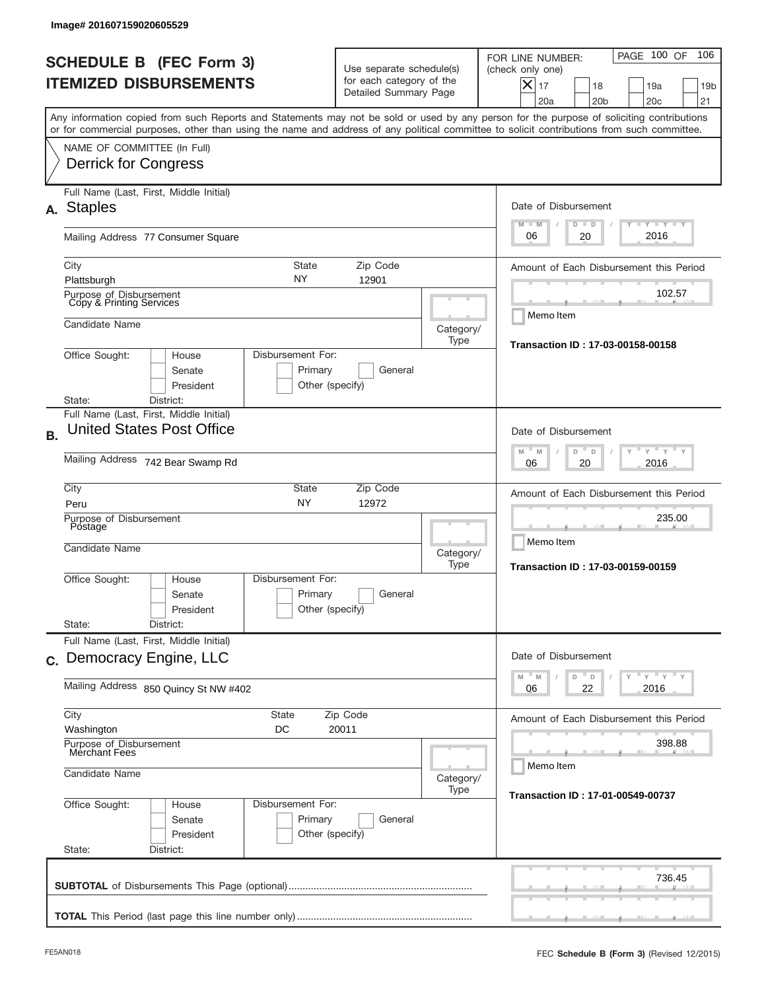|                                                                                          | Image# 201607159020605529                                                                  |                                                            |                                                                               |                                                          |                                                                                                                                                                                                                                                                                         |  |
|------------------------------------------------------------------------------------------|--------------------------------------------------------------------------------------------|------------------------------------------------------------|-------------------------------------------------------------------------------|----------------------------------------------------------|-----------------------------------------------------------------------------------------------------------------------------------------------------------------------------------------------------------------------------------------------------------------------------------------|--|
|                                                                                          | <b>SCHEDULE B (FEC Form 3)</b><br><b>ITEMIZED DISBURSEMENTS</b>                            |                                                            | Use separate schedule(s)<br>for each category of the<br>Detailed Summary Page |                                                          | 106<br>PAGE 100 OF<br>FOR LINE NUMBER:<br>(check only one)<br>$X _{17}$<br>18<br>19a<br>19 <sub>b</sub><br>20a<br>20 <sub>b</sub><br>20 <sub>c</sub><br>21                                                                                                                              |  |
|                                                                                          |                                                                                            |                                                            |                                                                               |                                                          | Any information copied from such Reports and Statements may not be sold or used by any person for the purpose of soliciting contributions<br>or for commercial purposes, other than using the name and address of any political committee to solicit contributions from such committee. |  |
|                                                                                          | NAME OF COMMITTEE (In Full)<br>Derrick for Congress                                        |                                                            |                                                                               |                                                          |                                                                                                                                                                                                                                                                                         |  |
| Full Name (Last, First, Middle Initial)<br><b>Staples</b><br>А.                          |                                                                                            |                                                            |                                                                               |                                                          | Date of Disbursement<br>$T - Y$ $T - Y$ $T - Y$<br>$M - M$<br>$D$ $D$                                                                                                                                                                                                                   |  |
|                                                                                          | Mailing Address 77 Consumer Square                                                         |                                                            |                                                                               |                                                          | 2016<br>20<br>06                                                                                                                                                                                                                                                                        |  |
|                                                                                          | City<br>Plattsburgh                                                                        | State<br>NY                                                | Zip Code<br>12901                                                             |                                                          | Amount of Each Disbursement this Period<br>102.57                                                                                                                                                                                                                                       |  |
|                                                                                          | Purpose of Disbursement<br>Copy & Printing Services<br>Candidate Name                      | Memo Item<br>Category/                                     |                                                                               |                                                          |                                                                                                                                                                                                                                                                                         |  |
|                                                                                          | Office Sought:<br>House<br>Senate<br>President<br>State:<br>District:                      | Disbursement For:<br>Primary<br>General<br>Other (specify) |                                                                               |                                                          | Transaction ID: 17-03-00158-00158                                                                                                                                                                                                                                                       |  |
| Full Name (Last, First, Middle Initial)<br><b>United States Post Office</b><br><b>B.</b> |                                                                                            |                                                            |                                                                               |                                                          | Date of Disbursement                                                                                                                                                                                                                                                                    |  |
|                                                                                          | Mailing Address 742 Bear Swamp Rd                                                          | $-M$<br>$Y = Y$<br>M<br>D<br>D<br>2016<br>06<br>20         |                                                                               |                                                          |                                                                                                                                                                                                                                                                                         |  |
|                                                                                          | City<br>Peru                                                                               | Amount of Each Disbursement this Period                    |                                                                               |                                                          |                                                                                                                                                                                                                                                                                         |  |
|                                                                                          | Purpose of Disbursement<br>Postage<br>Candidate Name                                       |                                                            | Category/<br>Type                                                             | 235.00<br>Memo Item<br>Transaction ID: 17-03-00159-00159 |                                                                                                                                                                                                                                                                                         |  |
|                                                                                          | Office Sought:<br>House<br>Senate<br>President                                             | Disbursement For:<br>Primary<br>Other (specify)            |                                                                               |                                                          |                                                                                                                                                                                                                                                                                         |  |
|                                                                                          | State:<br>District:<br>Full Name (Last, First, Middle Initial)                             |                                                            |                                                                               |                                                          |                                                                                                                                                                                                                                                                                         |  |
|                                                                                          | c. Democracy Engine, LLC                                                                   |                                                            |                                                                               |                                                          | Date of Disbursement<br>$\mathbb{F}$ $\gamma$ $\mathbb{F}$ $\gamma$ $\mathbb{F}$ $\gamma$<br>$-M$<br>$\mathbb M$<br>D<br>D<br>Y                                                                                                                                                         |  |
|                                                                                          | Mailing Address 850 Quincy St NW #402                                                      | 22<br>2016<br>06                                           |                                                                               |                                                          |                                                                                                                                                                                                                                                                                         |  |
|                                                                                          | City<br><b>State</b><br>Washington                                                         | Amount of Each Disbursement this Period                    |                                                                               |                                                          |                                                                                                                                                                                                                                                                                         |  |
|                                                                                          | Purpose of Disbursement<br>Merchant Fees<br>Candidate Name                                 | 398.88<br>Memo Item<br>Category/                           |                                                                               |                                                          |                                                                                                                                                                                                                                                                                         |  |
|                                                                                          | Office Sought:<br>Disbursement For:<br>House<br>Senate<br>President<br>State:<br>District: | Transaction ID: 17-01-00549-00737                          |                                                                               |                                                          |                                                                                                                                                                                                                                                                                         |  |
|                                                                                          |                                                                                            |                                                            |                                                                               |                                                          | 736.45                                                                                                                                                                                                                                                                                  |  |
|                                                                                          |                                                                                            |                                                            |                                                                               |                                                          |                                                                                                                                                                                                                                                                                         |  |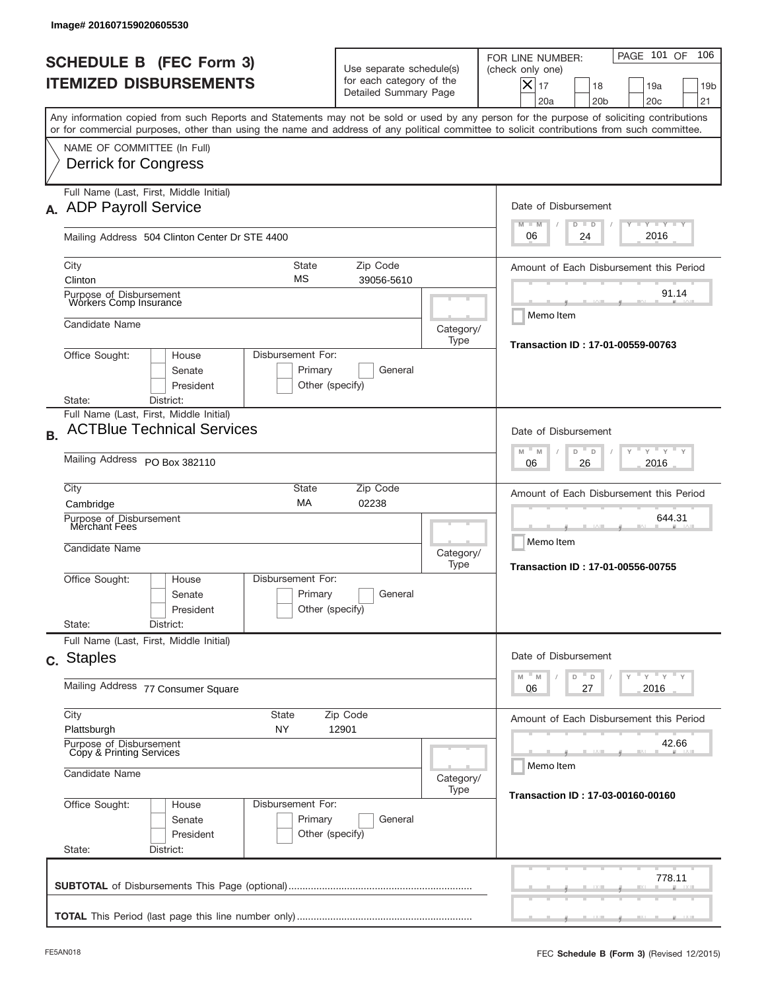|                                                                 | Image#201607159020605530                                                                   |                                                                               |                   |                                                                                                                                                            |                                                                                                                                                                                                                                                                                         |  |
|-----------------------------------------------------------------|--------------------------------------------------------------------------------------------|-------------------------------------------------------------------------------|-------------------|------------------------------------------------------------------------------------------------------------------------------------------------------------|-----------------------------------------------------------------------------------------------------------------------------------------------------------------------------------------------------------------------------------------------------------------------------------------|--|
| <b>SCHEDULE B (FEC Form 3)</b><br><b>ITEMIZED DISBURSEMENTS</b> |                                                                                            | Use separate schedule(s)<br>for each category of the<br>Detailed Summary Page |                   | 106<br>PAGE 101 OF<br>FOR LINE NUMBER:<br>(check only one)<br>$X _{17}$<br>18<br>19a<br>19 <sub>b</sub><br>20a<br>20 <sub>b</sub><br>20 <sub>c</sub><br>21 |                                                                                                                                                                                                                                                                                         |  |
|                                                                 |                                                                                            |                                                                               |                   |                                                                                                                                                            | Any information copied from such Reports and Statements may not be sold or used by any person for the purpose of soliciting contributions<br>or for commercial purposes, other than using the name and address of any political committee to solicit contributions from such committee. |  |
|                                                                 | NAME OF COMMITTEE (In Full)<br><b>Derrick for Congress</b>                                 |                                                                               |                   |                                                                                                                                                            |                                                                                                                                                                                                                                                                                         |  |
|                                                                 | Full Name (Last, First, Middle Initial)<br>A. ADP Payroll Service                          |                                                                               |                   |                                                                                                                                                            | Date of Disbursement<br>$I - Y - I - Y - I - Y$<br>$M - M$<br>$D$ $D$                                                                                                                                                                                                                   |  |
|                                                                 | Mailing Address 504 Clinton Center Dr STE 4400                                             |                                                                               |                   |                                                                                                                                                            | 2016<br>06<br>24                                                                                                                                                                                                                                                                        |  |
|                                                                 | City<br>Clinton                                                                            | Amount of Each Disbursement this Period<br>91.14                              |                   |                                                                                                                                                            |                                                                                                                                                                                                                                                                                         |  |
|                                                                 | Purpose of Disbursement<br>Workers Comp Insurance                                          |                                                                               |                   |                                                                                                                                                            | Memo Item                                                                                                                                                                                                                                                                               |  |
|                                                                 | Candidate Name                                                                             | Disbursement For:                                                             |                   | Category/<br>Type                                                                                                                                          | Transaction ID: 17-01-00559-00763                                                                                                                                                                                                                                                       |  |
|                                                                 | Office Sought:<br>House<br>Senate<br>President<br>State:<br>District:                      |                                                                               |                   |                                                                                                                                                            |                                                                                                                                                                                                                                                                                         |  |
| <b>B.</b>                                                       | Full Name (Last, First, Middle Initial)<br><b>ACTBlue Technical Services</b>               |                                                                               |                   |                                                                                                                                                            | Date of Disbursement                                                                                                                                                                                                                                                                    |  |
|                                                                 | Mailing Address PO Box 382110                                                              | $-M$<br>$Y = Y$<br>M<br>D<br>D<br>2016<br>06<br>26                            |                   |                                                                                                                                                            |                                                                                                                                                                                                                                                                                         |  |
|                                                                 | City<br>Cambridge                                                                          | Amount of Each Disbursement this Period                                       |                   |                                                                                                                                                            |                                                                                                                                                                                                                                                                                         |  |
|                                                                 | Purpose of Disbursement<br>Merchant Fees<br>Candidate Name                                 |                                                                               | Category/<br>Type | 644.31<br>Memo Item<br>Transaction ID: 17-01-00556-00755                                                                                                   |                                                                                                                                                                                                                                                                                         |  |
|                                                                 | Office Sought:<br>House<br>Senate<br>President                                             | Disbursement For:<br>Primary<br>Other (specify)                               | General           |                                                                                                                                                            |                                                                                                                                                                                                                                                                                         |  |
|                                                                 | State:<br>District:<br>Full Name (Last, First, Middle Initial)                             |                                                                               |                   |                                                                                                                                                            |                                                                                                                                                                                                                                                                                         |  |
|                                                                 | c. Staples                                                                                 |                                                                               |                   |                                                                                                                                                            |                                                                                                                                                                                                                                                                                         |  |
|                                                                 | Mailing Address 77 Consumer Square                                                         | ≡ γ ≡ γ ≡ γ<br>M<br>M<br>D<br>D<br>27<br>2016<br>06                           |                   |                                                                                                                                                            |                                                                                                                                                                                                                                                                                         |  |
|                                                                 | City<br>Plattsburgh                                                                        | Amount of Each Disbursement this Period                                       |                   |                                                                                                                                                            |                                                                                                                                                                                                                                                                                         |  |
|                                                                 | Purpose of Disbursement<br>Copy & Printing Services                                        | 42.66<br>Memo Item                                                            |                   |                                                                                                                                                            |                                                                                                                                                                                                                                                                                         |  |
|                                                                 | Candidate Name                                                                             | Category/<br>Transaction ID: 17-03-00160-00160                                |                   |                                                                                                                                                            |                                                                                                                                                                                                                                                                                         |  |
|                                                                 | Office Sought:<br>Disbursement For:<br>House<br>Senate<br>President<br>State:<br>District: |                                                                               |                   |                                                                                                                                                            |                                                                                                                                                                                                                                                                                         |  |
|                                                                 |                                                                                            |                                                                               |                   |                                                                                                                                                            | 778.11                                                                                                                                                                                                                                                                                  |  |
|                                                                 |                                                                                            |                                                                               |                   |                                                                                                                                                            |                                                                                                                                                                                                                                                                                         |  |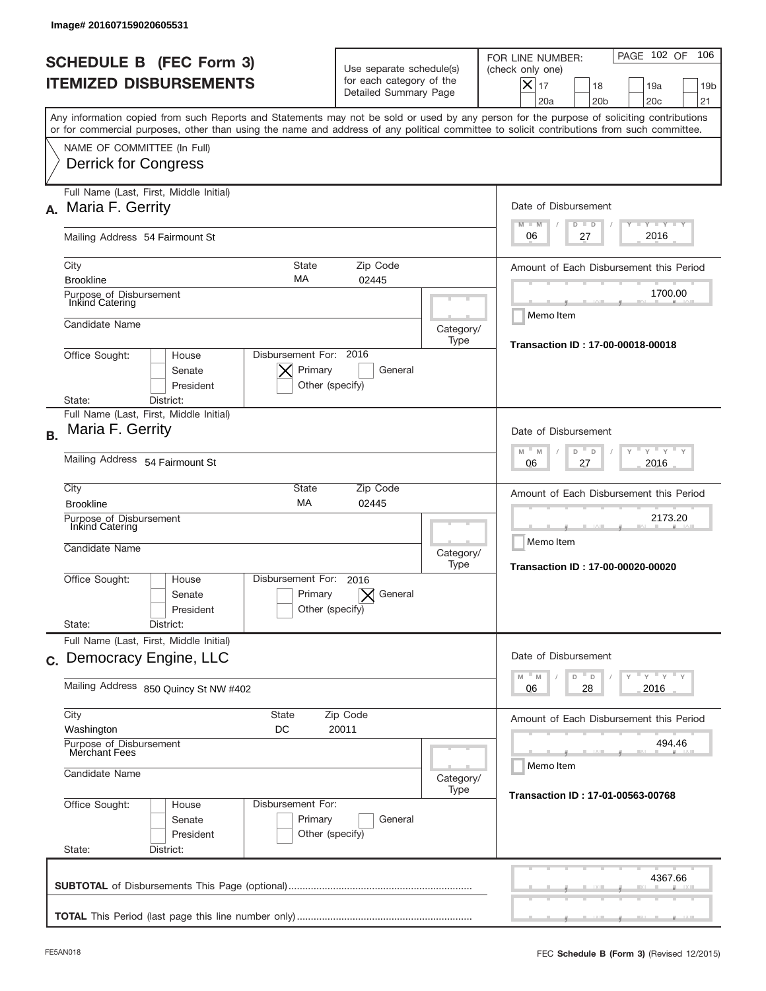|                                                                 | Image# 201607159020605531                                                                                                                                                                                                                                                               |                                                                                          |                                                                               |  |                                                                                                                                                                 |  |  |
|-----------------------------------------------------------------|-----------------------------------------------------------------------------------------------------------------------------------------------------------------------------------------------------------------------------------------------------------------------------------------|------------------------------------------------------------------------------------------|-------------------------------------------------------------------------------|--|-----------------------------------------------------------------------------------------------------------------------------------------------------------------|--|--|
| <b>SCHEDULE B (FEC Form 3)</b><br><b>ITEMIZED DISBURSEMENTS</b> |                                                                                                                                                                                                                                                                                         |                                                                                          | Use separate schedule(s)<br>for each category of the<br>Detailed Summary Page |  | 106<br>PAGE 102 OF<br>FOR LINE NUMBER:<br>(check only one)<br>$\times$<br>17<br>18<br>19a<br>19 <sub>b</sub><br>20a<br>20 <sub>b</sub><br>20 <sub>c</sub><br>21 |  |  |
|                                                                 | Any information copied from such Reports and Statements may not be sold or used by any person for the purpose of soliciting contributions<br>or for commercial purposes, other than using the name and address of any political committee to solicit contributions from such committee. |                                                                                          |                                                                               |  |                                                                                                                                                                 |  |  |
|                                                                 | NAME OF COMMITTEE (In Full)<br><b>Derrick for Congress</b>                                                                                                                                                                                                                              |                                                                                          |                                                                               |  |                                                                                                                                                                 |  |  |
| А.                                                              | Full Name (Last, First, Middle Initial)<br>Maria F. Gerrity                                                                                                                                                                                                                             |                                                                                          |                                                                               |  | Date of Disbursement<br><b>LYLYLY</b>                                                                                                                           |  |  |
|                                                                 | Mailing Address 54 Fairmount St                                                                                                                                                                                                                                                         |                                                                                          |                                                                               |  | $M - M$<br>$D$ $D$<br>2016<br>06<br>27                                                                                                                          |  |  |
|                                                                 | City<br><b>Brookline</b>                                                                                                                                                                                                                                                                | Amount of Each Disbursement this Period<br>1700.00                                       |                                                                               |  |                                                                                                                                                                 |  |  |
|                                                                 | Purpose of Disbursement<br>Inkind Catering<br>Candidate Name                                                                                                                                                                                                                            | Category/<br>Type                                                                        | Memo Item                                                                     |  |                                                                                                                                                                 |  |  |
|                                                                 | Disbursement For: 2016<br>Office Sought:<br>House<br>Senate<br>President<br>State:<br>District:                                                                                                                                                                                         | Transaction ID: 17-00-00018-00018                                                        |                                                                               |  |                                                                                                                                                                 |  |  |
| <b>B.</b>                                                       | Full Name (Last, First, Middle Initial)<br>Maria F. Gerrity                                                                                                                                                                                                                             | Date of Disbursement                                                                     |                                                                               |  |                                                                                                                                                                 |  |  |
|                                                                 | Mailing Address 54 Fairmount St                                                                                                                                                                                                                                                         | $-M$<br>$Y = Y$<br>M<br>D<br>D<br>2016<br>06<br>27                                       |                                                                               |  |                                                                                                                                                                 |  |  |
|                                                                 | City<br><b>Brookline</b>                                                                                                                                                                                                                                                                | Amount of Each Disbursement this Period<br>2173.20                                       |                                                                               |  |                                                                                                                                                                 |  |  |
|                                                                 | Purpose of Disbursement<br>Inkind Catering<br>Candidate Name                                                                                                                                                                                                                            |                                                                                          |                                                                               |  | Memo Item<br>Category/<br>Transaction ID: 17-00-00020-00020                                                                                                     |  |  |
|                                                                 | Office Sought:<br>House<br>Senate<br>President                                                                                                                                                                                                                                          | Disbursement For:<br>Primary<br>Other (specify)                                          | 2016<br>General                                                               |  |                                                                                                                                                                 |  |  |
|                                                                 | State:<br>District:<br>Full Name (Last, First, Middle Initial)                                                                                                                                                                                                                          |                                                                                          |                                                                               |  |                                                                                                                                                                 |  |  |
|                                                                 | c. Democracy Engine, LLC                                                                                                                                                                                                                                                                | Date of Disbursement<br>$-\gamma$ $-\gamma$ $-\gamma$<br>M<br>$\mathbb M$<br>D<br>D<br>Y |                                                                               |  |                                                                                                                                                                 |  |  |
|                                                                 | Mailing Address 850 Quincy St NW #402                                                                                                                                                                                                                                                   | 28<br>2016<br>06                                                                         |                                                                               |  |                                                                                                                                                                 |  |  |
|                                                                 | City<br><b>State</b><br>Washington<br>DC                                                                                                                                                                                                                                                | Amount of Each Disbursement this Period                                                  |                                                                               |  |                                                                                                                                                                 |  |  |
|                                                                 | Purpose of Disbursement<br>Merchant Fees<br>Candidate Name                                                                                                                                                                                                                              | 494.46<br>Memo Item<br>Category/                                                         |                                                                               |  |                                                                                                                                                                 |  |  |
|                                                                 | Office Sought:<br>Disbursement For:<br>House<br>Senate<br>President<br>State:<br>District:                                                                                                                                                                                              | Transaction ID: 17-01-00563-00768                                                        |                                                                               |  |                                                                                                                                                                 |  |  |
|                                                                 |                                                                                                                                                                                                                                                                                         |                                                                                          |                                                                               |  | 4367.66                                                                                                                                                         |  |  |
|                                                                 |                                                                                                                                                                                                                                                                                         |                                                                                          |                                                                               |  |                                                                                                                                                                 |  |  |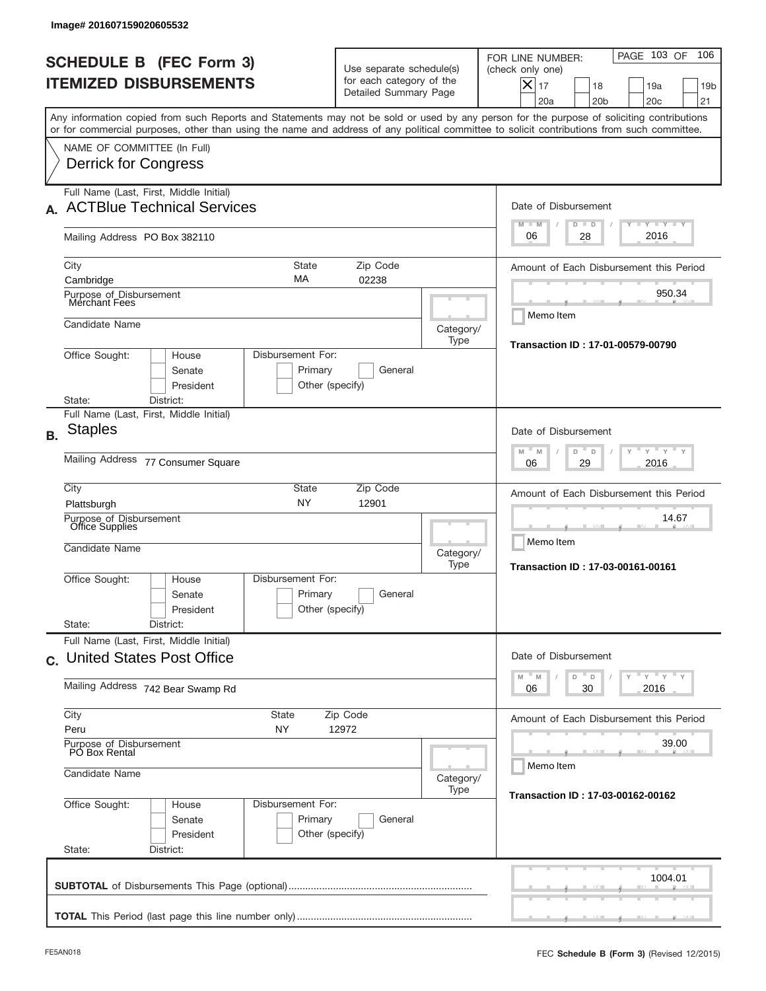| Image# 201607159020605532                                                                                                                                                                                                                                                               |                                                                               |                                                                                                |                                                                                                                                                            |  |  |  |
|-----------------------------------------------------------------------------------------------------------------------------------------------------------------------------------------------------------------------------------------------------------------------------------------|-------------------------------------------------------------------------------|------------------------------------------------------------------------------------------------|------------------------------------------------------------------------------------------------------------------------------------------------------------|--|--|--|
| <b>SCHEDULE B (FEC Form 3)</b><br><b>ITEMIZED DISBURSEMENTS</b>                                                                                                                                                                                                                         | Use separate schedule(s)<br>for each category of the<br>Detailed Summary Page |                                                                                                | 106<br>PAGE 103 OF<br>FOR LINE NUMBER:<br>(check only one)<br>$X _{17}$<br>18<br>19a<br>19 <sub>b</sub><br>20a<br>20 <sub>b</sub><br>20 <sub>c</sub><br>21 |  |  |  |
| Any information copied from such Reports and Statements may not be sold or used by any person for the purpose of soliciting contributions<br>or for commercial purposes, other than using the name and address of any political committee to solicit contributions from such committee. |                                                                               |                                                                                                |                                                                                                                                                            |  |  |  |
| NAME OF COMMITTEE (In Full)<br>Derrick for Congress                                                                                                                                                                                                                                     |                                                                               |                                                                                                |                                                                                                                                                            |  |  |  |
| Full Name (Last, First, Middle Initial)<br><b>ACTBlue Technical Services</b>                                                                                                                                                                                                            |                                                                               |                                                                                                | Date of Disbursement<br>$T - Y$ $T - Y$<br>$M - M$<br>$D$ $D$                                                                                              |  |  |  |
| Mailing Address PO Box 382110                                                                                                                                                                                                                                                           |                                                                               |                                                                                                |                                                                                                                                                            |  |  |  |
| City<br><b>State</b><br>МA<br>Cambridge                                                                                                                                                                                                                                                 | Amount of Each Disbursement this Period<br>950.34                             |                                                                                                |                                                                                                                                                            |  |  |  |
|                                                                                                                                                                                                                                                                                         | Purpose of Disbursement<br>Merchant Fees                                      |                                                                                                |                                                                                                                                                            |  |  |  |
| Candidate Name                                                                                                                                                                                                                                                                          |                                                                               | Category/<br>Type                                                                              | Transaction ID: 17-01-00579-00790                                                                                                                          |  |  |  |
| Office Sought:<br>Disbursement For:<br>House<br>Senate<br>Primary<br>President<br>Other (specify)<br>State:<br>District:                                                                                                                                                                |                                                                               |                                                                                                |                                                                                                                                                            |  |  |  |
| Full Name (Last, First, Middle Initial)<br><b>Staples</b><br><b>B.</b>                                                                                                                                                                                                                  | Date of Disbursement                                                          |                                                                                                |                                                                                                                                                            |  |  |  |
| Mailing Address 77 Consumer Square                                                                                                                                                                                                                                                      | $\cdots$ $\vdots$ $\vdots$ $\vdots$<br>M<br>D<br>M<br>D<br>2016<br>06<br>29   |                                                                                                |                                                                                                                                                            |  |  |  |
| City<br><b>NY</b><br>Plattsburgh                                                                                                                                                                                                                                                        | <b>State</b><br>Zip Code<br>12901                                             |                                                                                                |                                                                                                                                                            |  |  |  |
| Purpose of Disbursement<br>Office Supplies<br>Candidate Name                                                                                                                                                                                                                            |                                                                               | Category/<br>Type                                                                              | 14.67<br>Memo Item<br>Transaction ID: 17-03-00161-00161                                                                                                    |  |  |  |
| Disbursement For:<br>Office Sought:<br>House<br>Senate<br>President<br>State:<br>District:                                                                                                                                                                                              | Primary<br>General<br>Other (specify)                                         |                                                                                                |                                                                                                                                                            |  |  |  |
| Full Name (Last, First, Middle Initial)<br>c. United States Post Office                                                                                                                                                                                                                 |                                                                               |                                                                                                | Date of Disbursement                                                                                                                                       |  |  |  |
| Mailing Address 742 Bear Swamp Rd                                                                                                                                                                                                                                                       |                                                                               | $\gamma$ = $\gamma$ = $\gamma$ = $\gamma$<br>$-M$<br>M<br>D<br>$\mathsf D$<br>2016<br>06<br>30 |                                                                                                                                                            |  |  |  |
| City<br>State<br>Peru<br>ΝY                                                                                                                                                                                                                                                             | Amount of Each Disbursement this Period                                       |                                                                                                |                                                                                                                                                            |  |  |  |
| Purpose of Disbursement<br>PO Box Rental<br>Candidate Name                                                                                                                                                                                                                              | Category/                                                                     | 39.00<br>Memo Item                                                                             |                                                                                                                                                            |  |  |  |
| Office Sought:<br>Disbursement For:<br>House<br>Primary<br>Senate<br>President<br>Other (specify)<br>State:<br>District:                                                                                                                                                                | Transaction ID: 17-03-00162-00162                                             |                                                                                                |                                                                                                                                                            |  |  |  |
|                                                                                                                                                                                                                                                                                         |                                                                               |                                                                                                | 1004.01                                                                                                                                                    |  |  |  |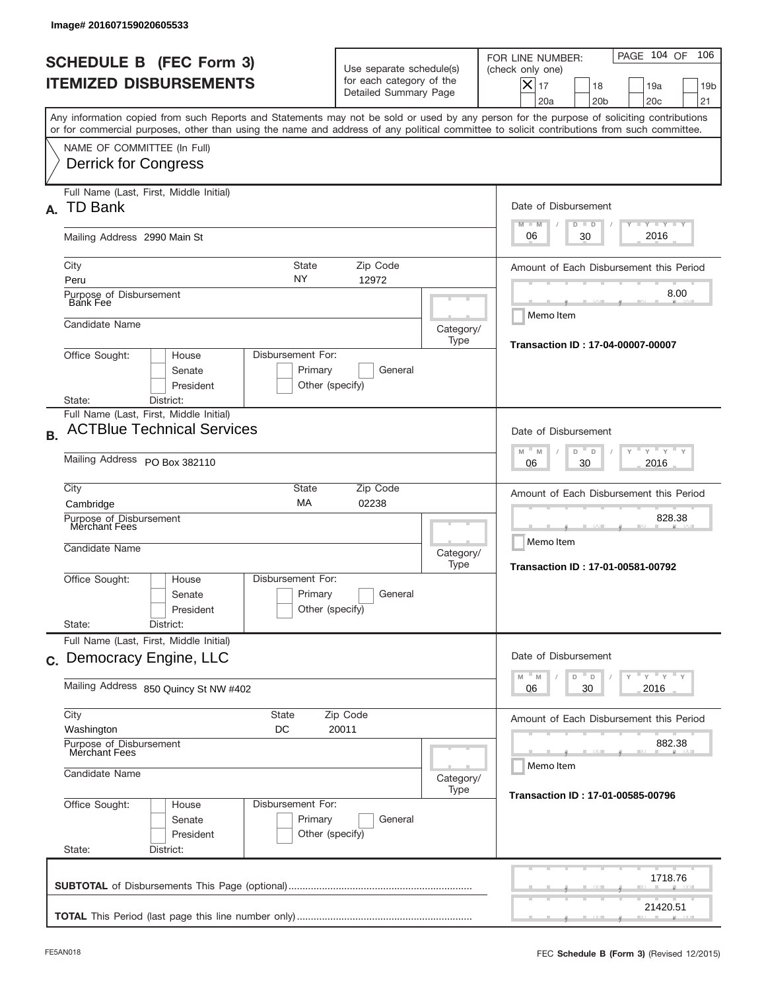|                                                                 | Image# 201607159020605533                                                                                                                                                                                                                                                               |                                                                                                              |                                                                       |                                                                                                                                                            |  |  |
|-----------------------------------------------------------------|-----------------------------------------------------------------------------------------------------------------------------------------------------------------------------------------------------------------------------------------------------------------------------------------|--------------------------------------------------------------------------------------------------------------|-----------------------------------------------------------------------|------------------------------------------------------------------------------------------------------------------------------------------------------------|--|--|
| <b>SCHEDULE B (FEC Form 3)</b><br><b>ITEMIZED DISBURSEMENTS</b> |                                                                                                                                                                                                                                                                                         | Use separate schedule(s)<br>for each category of the<br>Detailed Summary Page                                |                                                                       | 106<br>PAGE 104 OF<br>FOR LINE NUMBER:<br>(check only one)<br>$X _{17}$<br>18<br>19a<br>19 <sub>b</sub><br>20a<br>20 <sub>b</sub><br>20 <sub>c</sub><br>21 |  |  |
|                                                                 | Any information copied from such Reports and Statements may not be sold or used by any person for the purpose of soliciting contributions<br>or for commercial purposes, other than using the name and address of any political committee to solicit contributions from such committee. |                                                                                                              |                                                                       |                                                                                                                                                            |  |  |
|                                                                 | NAME OF COMMITTEE (In Full)<br><b>Derrick for Congress</b>                                                                                                                                                                                                                              |                                                                                                              |                                                                       |                                                                                                                                                            |  |  |
| А.                                                              | Full Name (Last, First, Middle Initial)<br><b>TD Bank</b>                                                                                                                                                                                                                               |                                                                                                              | Date of Disbursement<br>$I - Y - I - Y - I - Y$<br>$M - M$<br>$D$ $D$ |                                                                                                                                                            |  |  |
|                                                                 | Mailing Address 2990 Main St                                                                                                                                                                                                                                                            |                                                                                                              |                                                                       |                                                                                                                                                            |  |  |
|                                                                 | State<br>City<br>NY<br>Peru                                                                                                                                                                                                                                                             |                                                                                                              | Amount of Each Disbursement this Period                               |                                                                                                                                                            |  |  |
|                                                                 | Purpose of Disbursement<br>Bank Fee                                                                                                                                                                                                                                                     | 12972                                                                                                        |                                                                       | 8.00                                                                                                                                                       |  |  |
|                                                                 | Candidate Name                                                                                                                                                                                                                                                                          |                                                                                                              | Category/<br>Type                                                     | Memo Item                                                                                                                                                  |  |  |
|                                                                 | Office Sought:<br>Disbursement For:<br>House<br>Senate<br>Primary<br>President<br>Other (specify)                                                                                                                                                                                       | General                                                                                                      |                                                                       | Transaction ID: 17-04-00007-00007                                                                                                                          |  |  |
|                                                                 | State:<br>District:<br>Full Name (Last, First, Middle Initial)                                                                                                                                                                                                                          |                                                                                                              |                                                                       |                                                                                                                                                            |  |  |
| <b>B.</b>                                                       | <b>ACTBlue Technical Services</b>                                                                                                                                                                                                                                                       | Date of Disbursement                                                                                         |                                                                       |                                                                                                                                                            |  |  |
|                                                                 | Mailing Address PO Box 382110                                                                                                                                                                                                                                                           | $M$ M<br>$Y = Y$<br>D<br>D<br>2016<br>06<br>30                                                               |                                                                       |                                                                                                                                                            |  |  |
|                                                                 | City<br><b>State</b><br>MA<br>Cambridge                                                                                                                                                                                                                                                 | Zip Code<br>02238                                                                                            |                                                                       |                                                                                                                                                            |  |  |
|                                                                 | Purpose of Disbursement<br>Merchant Fees<br>Candidate Name                                                                                                                                                                                                                              | Category/                                                                                                    | 828.38<br>Memo Item                                                   |                                                                                                                                                            |  |  |
|                                                                 | Disbursement For:<br>Office Sought:<br>House                                                                                                                                                                                                                                            | Type                                                                                                         | Transaction ID: 17-01-00581-00792                                     |                                                                                                                                                            |  |  |
|                                                                 | Primary<br>Senate<br>Other (specify)<br>President<br>State:<br>District:                                                                                                                                                                                                                | General                                                                                                      |                                                                       |                                                                                                                                                            |  |  |
|                                                                 | Full Name (Last, First, Middle Initial)                                                                                                                                                                                                                                                 |                                                                                                              |                                                                       |                                                                                                                                                            |  |  |
|                                                                 | c. Democracy Engine, LLC                                                                                                                                                                                                                                                                |                                                                                                              |                                                                       | Date of Disbursement                                                                                                                                       |  |  |
|                                                                 | Mailing Address 850 Quincy St NW #402                                                                                                                                                                                                                                                   | $\cdots$ $\gamma$ $\cdots$ $\gamma$ $\cdots$ $\gamma$<br>$\mathbb M$<br>M<br>D<br>D<br>Y<br>30<br>2016<br>06 |                                                                       |                                                                                                                                                            |  |  |
|                                                                 | City<br><b>State</b><br>Washington<br>DC                                                                                                                                                                                                                                                | Zip Code<br>20011                                                                                            |                                                                       | Amount of Each Disbursement this Period                                                                                                                    |  |  |
|                                                                 | Purpose of Disbursement<br>Merchant Fees                                                                                                                                                                                                                                                |                                                                                                              | 882.38<br>Memo Item                                                   |                                                                                                                                                            |  |  |
|                                                                 | Candidate Name                                                                                                                                                                                                                                                                          |                                                                                                              | Category/<br>Type                                                     | Transaction ID: 17-01-00585-00796                                                                                                                          |  |  |
|                                                                 | Office Sought:<br>Disbursement For:<br>House<br>Primary<br>Senate<br>Other (specify)<br>President<br>State:<br>District:                                                                                                                                                                | General                                                                                                      |                                                                       |                                                                                                                                                            |  |  |
|                                                                 |                                                                                                                                                                                                                                                                                         |                                                                                                              |                                                                       | 1718.76                                                                                                                                                    |  |  |
|                                                                 |                                                                                                                                                                                                                                                                                         |                                                                                                              |                                                                       | 21420.51                                                                                                                                                   |  |  |
|                                                                 |                                                                                                                                                                                                                                                                                         |                                                                                                              |                                                                       |                                                                                                                                                            |  |  |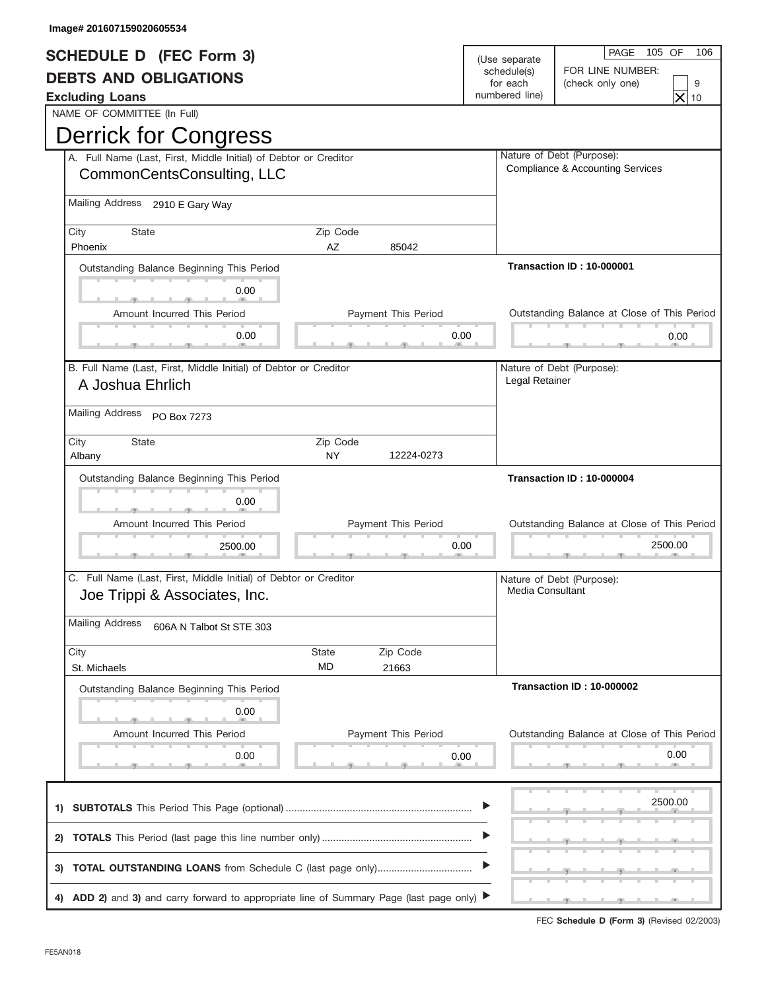|                                                                                         |           |                     |                              | PAGE<br>105 OF<br>106                       |  |
|-----------------------------------------------------------------------------------------|-----------|---------------------|------------------------------|---------------------------------------------|--|
| <b>SCHEDULE D (FEC Form 3)</b>                                                          |           |                     | (Use separate<br>schedule(s) | FOR LINE NUMBER:                            |  |
| <b>DEBTS AND OBLIGATIONS</b>                                                            |           |                     | for each                     | (check only one)<br>9                       |  |
| <b>Excluding Loans</b>                                                                  |           |                     | numbered line)               | $\times$<br>10                              |  |
| NAME OF COMMITTEE (In Full)                                                             |           |                     |                              |                                             |  |
| <b>Derrick for Congress</b>                                                             |           |                     |                              |                                             |  |
| A. Full Name (Last, First, Middle Initial) of Debtor or Creditor                        |           |                     |                              | Nature of Debt (Purpose):                   |  |
| CommonCentsConsulting, LLC                                                              |           |                     |                              | <b>Compliance &amp; Accounting Services</b> |  |
| Mailing Address 2910 E Gary Way                                                         |           |                     |                              |                                             |  |
| City<br>State                                                                           | Zip Code  |                     |                              |                                             |  |
| Phoenix                                                                                 | AZ        | 85042               |                              |                                             |  |
| Outstanding Balance Beginning This Period                                               |           |                     |                              | <b>Transaction ID: 10-000001</b>            |  |
| 0.00                                                                                    |           |                     |                              |                                             |  |
| Amount Incurred This Period                                                             |           | Payment This Period |                              | Outstanding Balance at Close of This Period |  |
| 0.00                                                                                    |           | 0.00                |                              | 0.00                                        |  |
|                                                                                         |           |                     |                              |                                             |  |
| B. Full Name (Last, First, Middle Initial) of Debtor or Creditor                        |           |                     |                              | Nature of Debt (Purpose):                   |  |
| A Joshua Ehrlich                                                                        |           |                     |                              | Legal Retainer                              |  |
| Mailing Address PO Box 7273                                                             |           |                     |                              |                                             |  |
| City<br><b>State</b>                                                                    | Zip Code  |                     |                              |                                             |  |
| Albany                                                                                  | <b>NY</b> | 12224-0273          |                              |                                             |  |
| Outstanding Balance Beginning This Period                                               |           |                     |                              | <b>Transaction ID: 10-000004</b>            |  |
| 0.00                                                                                    |           |                     |                              |                                             |  |
|                                                                                         |           |                     |                              |                                             |  |
| Amount Incurred This Period                                                             |           | Payment This Period |                              | Outstanding Balance at Close of This Period |  |
| 2500.00                                                                                 |           | 0.00                |                              | 2500.00                                     |  |
| C. Full Name (Last, First, Middle Initial) of Debtor or Creditor                        |           |                     |                              |                                             |  |
| Joe Trippi & Associates, Inc.                                                           |           |                     | Media Consultant             | Nature of Debt (Purpose):                   |  |
|                                                                                         |           |                     |                              |                                             |  |
| Mailing Address<br>606A N Talbot St STE 303                                             |           |                     |                              |                                             |  |
| City                                                                                    | State     | Zip Code            |                              |                                             |  |
| St. Michaels                                                                            | <b>MD</b> | 21663               |                              |                                             |  |
| Outstanding Balance Beginning This Period                                               |           |                     |                              | <b>Transaction ID: 10-000002</b>            |  |
| 0.00                                                                                    |           |                     |                              |                                             |  |
| Amount Incurred This Period                                                             |           | Payment This Period |                              | Outstanding Balance at Close of This Period |  |
|                                                                                         |           |                     |                              | 0.00                                        |  |
| 0.00                                                                                    |           | 0.00                |                              |                                             |  |
|                                                                                         |           |                     |                              |                                             |  |
|                                                                                         |           |                     |                              | 2500.00                                     |  |
| 2)                                                                                      |           |                     |                              |                                             |  |
|                                                                                         |           |                     |                              |                                             |  |
| 4) ADD 2) and 3) and carry forward to appropriate line of Summary Page (last page only) |           |                     |                              | __                                          |  |

FEC **Schedule D (Form 3)** (Revised 02/2003)